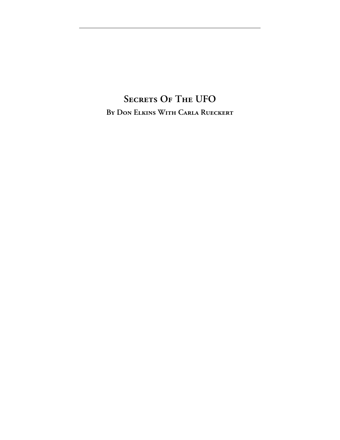# **SECRETS OF THE UFO By Don Elkins With Carla Rueckert**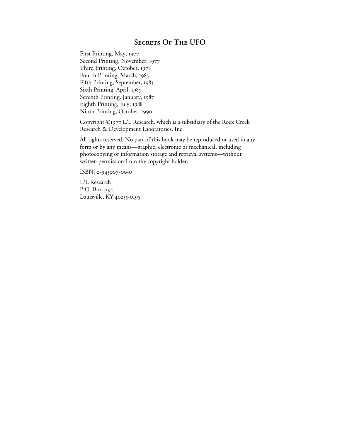### **Secrets Of The UFO**

First Printing, May, 1977 Second Printing, November, 1977 Third Printing, October, 1978 Fourth Printing, March, 1983 Fifth Printing, September, 1983 Sixth Printing, April, 1985 Seventh Printing, January, 1987 Eighth Printing, July, 1988 Ninth Printing, October, 1990

Copyright ©1977 L/L Research, which is a subsidiary of the Rock Creek Research & Development Laboratories, Inc.

All rights reserved. No part of this book may be reproduced or used in any form or by any means—graphic, electronic or mechanical, including photocopying or information storage and retrieval systems—without written permission from the copyright holder.

ISBN: 0-945007-00-0

L/L Research P.O. Box 5195 Louisville, KY 40255-0195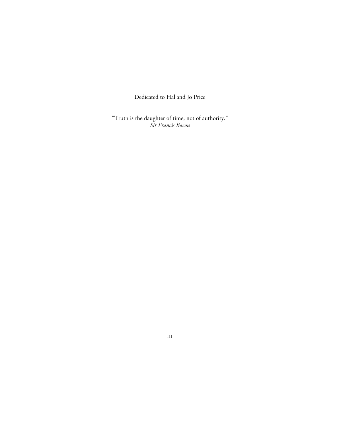Dedicated to Hal and Jo Price

"Truth is the daughter of time, not of authority." *Sir Francis Bacon*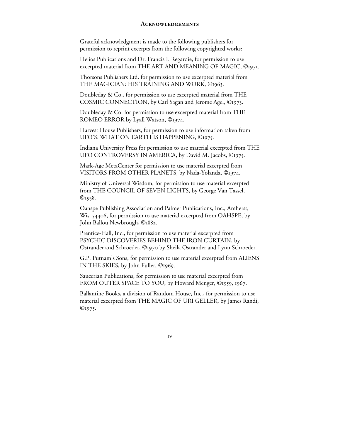Grateful acknowledgment is made to the following publishers for permission to reprint excerpts from the following copyrighted works:

Helios Publications and Dr. Francis I. Regardie, for permission to use excerpted material from THE ART AND MEANING OF MAGIC, ©1971.

Thorsons Publishers Ltd. for permission to use excerpted material from THE MAGICIAN: HIS TRAINING AND WORK, ©1963.

Doubleday & Co., for permission to use excerpted material from THE COSMIC CONNECTION, by Carl Sagan and Jerome Agel, ©1973.

Doubleday & Co. for permission to use excerpted material from THE ROMEO ERROR by Lyall Watson, ©1974.

Harvest House Publishers, for permission to use information taken from UFO'S: WHAT ON EARTH IS HAPPENING, ©1975.

Indiana University Press for permission to use material excerpted from THE UFO CONTROVERSY IN AMERICA, by David M. Jacobs, ©1975.

Mark-Age MetaCenter for permission to use material excerpted from VISITORS FROM OTHER PLANETS, by Nada-Yolanda, ©1974.

Ministry of Universal Wisdom, for permission to use material excerpted from THE COUNCIL OF SEVEN LIGHTS, by George Van Tassel, ©1958.

Oahspe Publishing Association and Palmer Publications, Inc., Amherst, Wis. 54406, for permission to use material excerpted from OAHSPE, by John Ballou Newbrough, ©1882.

Prentice-Hall, Inc., for permission to use material excerpted from PSYCHIC DISCOVERIES BEHIND THE IRON CURTAIN, by Ostrander and Schroeder, ©1970 by Sheila Ostrander and Lynn Schroeder.

G.P. Putnam's Sons, for permission to use material excerpted from ALIENS IN THE SKIES, by John Fuller, ©1969.

Saucerian Publications, for permission to use material excerpted from FROM OUTER SPACE TO YOU, by Howard Menger, ©1959, 1967.

Ballantine Books, a division of Random House, Inc., for permission to use material excerpted from THE MAGIC OF URI GELLER, by James Randi, ©1975.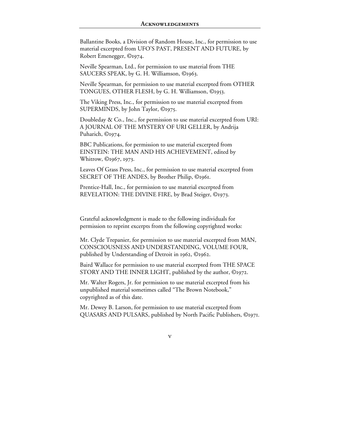Ballantine Books, a Division of Random House, Inc., for permission to use material excerpted from UFO'S PAST, PRESENT AND FUTURE, by Robert Emenegger, ©1974.

Neville Spearman, Ltd., for permission to use material from THE SAUCERS SPEAK, by G. H. Williamson, ©1963.

Neville Spearman, for permission to use material excerpted from OTHER TONGUES, OTHER FLESH, by G. H. Williamson, ©1953.

The Viking Press, Inc., for permission to use material excerpted from SUPERMINDS, by John Taylor, ©1975.

Doubleday & Co., Inc., for permission to use material excerpted from URI: A JOURNAL OF THE MYSTERY OF URI GELLER, by Andrija Puharich, ©1974.

BBC Publications, for permission to use material excerpted from EINSTEIN: THE MAN AND HIS ACHIEVEMENT, edited by Whitrow, ©1967, 1973.

Leaves Of Grass Press, Inc., for permission to use material excerpted from SECRET OF THE ANDES, by Brother Philip, ©1961.

Prentice-Hall, Inc., for permission to use material excerpted from REVELATION: THE DIVINE FIRE, by Brad Steiger, ©1973.

Grateful acknowledgment is made to the following individuals for permission to reprint excerpts from the following copyrighted works:

Mr. Clyde Trepanier, for permission to use material excerpted from MAN, CONSCIOUSNESS AND UNDERSTANDING, VOLUME FOUR, published by Understanding of Detroit in 1962, ©1962.

Baird Wallace for permission to use material excerpted from THE SPACE STORY AND THE INNER LIGHT, published by the author, ©1972.

Mr. Walter Rogers, Jr. for permission to use material excerpted from his unpublished material sometimes called "The Brown Notebook," copyrighted as of this date.

Mr. Dewey B. Larson, for permission to use material excerpted from QUASARS AND PULSARS, published by North Pacific Publishers, ©1971.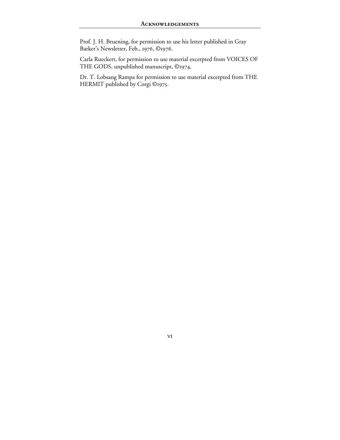Prof. J. H. Bruening, for permission to use his letter published in Gray Barker's Newsletter, Feb., 1976, ©1976.

Carla Rueckert, for permission to use material excerpted from VOICES OF THE GODS, unpublished manuscript, ©1974.

Dr. T. Lobsang Rampa for permission to use material excerpted from THE HERMIT published by Corgi ©1975.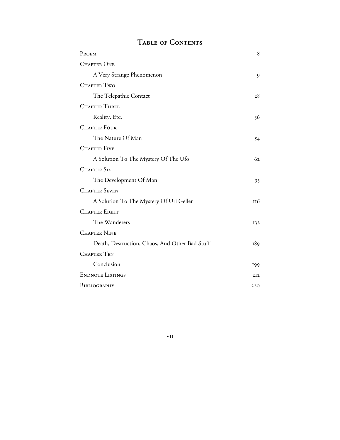# **Table of Contents**

| PROEM                                          | 8   |
|------------------------------------------------|-----|
| <b>CHAPTER ONE</b>                             |     |
| A Very Strange Phenomenon                      | 9   |
| <b>CHAPTER TWO</b>                             |     |
| The Telepathic Contact                         | 28  |
| <b>CHAPTER THREE</b>                           |     |
| Reality, Etc.                                  | 36  |
| <b>CHAPTER FOUR</b>                            |     |
| The Nature Of Man                              | 54  |
| <b>CHAPTER FIVE</b>                            |     |
| A Solution To The Mystery Of The Ufo           | 62  |
| <b>CHAPTER SIX</b>                             |     |
| The Development Of Man                         | 93  |
| <b>CHAPTER SEVEN</b>                           |     |
| A Solution To The Mystery Of Uri Geller        | 116 |
| <b>CHAPTER EIGHT</b>                           |     |
| The Wanderers                                  | 132 |
| <b>CHAPTER NINE</b>                            |     |
| Death, Destruction, Chaos, And Other Bad Stuff | 189 |
| <b>CHAPTER TEN</b>                             |     |
| Conclusion                                     | 199 |
| <b>ENDNOTE LISTINGS</b>                        | 212 |
| BIBLIOGRAPHY                                   | 220 |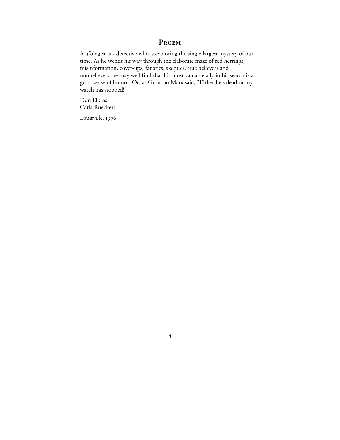#### **Proem**

A ufologist is a detective who is exploring the single largest mystery of our time. As he wends his way through the elaborate maze of red herrings, misinformation, cover-ups, fanatics, skeptics, true believers and nonbelievers, he may well find that his most valuable ally in his search is a good sense of humor. Or, as Groucho Marx said, "Either he's dead or my watch has stopped!"

Don Elkins Carla Rueckert

Louisville, 1976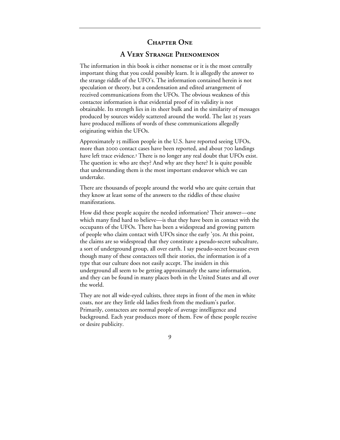# **Chapter One A Very Strange Phenomenon**

The information in this book is either nonsense or it is the most centrally important thing that you could possibly learn. It is allegedly the answer to the strange riddle of the UFO's. The information contained herein is not speculation or theory, but a condensation and edited arrangement of received communications from the UFOs. The obvious weakness of this contactee information is that evidential proof of its validity is not obtainable. Its strength lies in its sheer bulk and in the similarity of messages produced by sources widely scattered around the world. The last 25 years have produced millions of words of these communications allegedly originating within the UFOs.

Approximately 15 million people in the U.S. have reported seeing UFOs, more than 2000 contact cases have been reported, and about 700 landings have left trace evidence.<sup>1</sup> There is no longer any real doubt that UFOs exist. The question is: who are they? And why are they here? It is quite possible that understanding them is the most important endeavor which we can undertake.

There are thousands of people around the world who are quite certain that they know at least some of the answers to the riddles of these elusive manifestations.

How did these people acquire the needed information? Their answer—one which many find hard to believe—is that they have been in contact with the occupants of the UFOs. There has been a widespread and growing pattern of people who claim contact with UFOs since the early '50s. At this point, the claims are so widespread that they constitute a pseudo-secret subculture, a sort of underground group, all over earth. I say pseudo-secret because even though many of these contactees tell their stories, the information is of a type that our culture does not easily accept. The insiders in this underground all seem to be getting approximately the same information, and they can be found in many places both in the United States and all over the world.

They are not all wide-eyed cultists, three steps in front of the men in white coats, nor are they little old ladies fresh from the medium's parlor. Primarily, contactees are normal people of average intelligence and background. Each year produces more of them. Few of these people receive or desire publicity.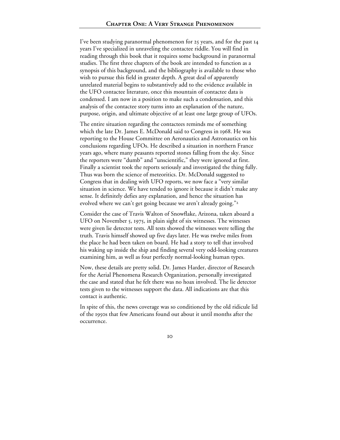I've been studying paranormal phenomenon for 25 years, and for the past 14 years I've specialized in unraveling the contactee riddle. You will find in reading through this book that it requires some background in paranormal studies. The first three chapters of the book are intended to function as a synopsis of this background, and the bibliography is available to those who wish to pursue this field in greater depth. A great deal of apparently unrelated material begins to substantively add to the evidence available in the UFO contactee literature, once this mountain of contactee data is condensed. I am now in a position to make such a condensation, and this analysis of the contactee story turns into an explanation of the nature, purpose, origin, and ultimate objective of at least one large group of UFOs.

The entire situation regarding the contactees reminds me of something which the late Dr. James E. McDonald said to Congress in 1968. He was reporting to the House Committee on Aeronautics and Astronautics on his conclusions regarding UFOs. He described a situation in northern France years ago, where many peasants reported stones falling from the sky. Since the reporters were "dumb" and "unscientific," they were ignored at first. Finally a scientist took the reports seriously and investigated the thing fully. Thus was born the science of meteoritics. Dr. McDonald suggested to Congress that in dealing with UFO reports, we now face a "very similar situation in science. We have tended to ignore it because it didn't make any sense. It definitely defies any explanation, and hence the situation has evolved where we can't get going because we aren't already going."2

Consider the case of Travis Walton of Snowflake, Arizona, taken aboard a UFO on November 5, 1975, in plain sight of six witnesses. The witnesses were given lie detector tests. All tests showed the witnesses were telling the truth. Travis himself showed up five days later. He was twelve miles from the place he had been taken on board. He had a story to tell that involved his waking up inside the ship and finding several very odd-looking creatures examining him, as well as four perfectly normal-looking human types.

Now, these details are pretty solid. Dr. James Harder, director of Research for the Aerial Phenomena Research Organization, personally investigated the case and stated that he felt there was no hoax involved. The lie detector tests given to the witnesses support the data. All indications are that this contact is authentic.

In spite of this, the news coverage was so conditioned by the old ridicule lid of the 1950s that few Americans found out about it until months after the occurrence.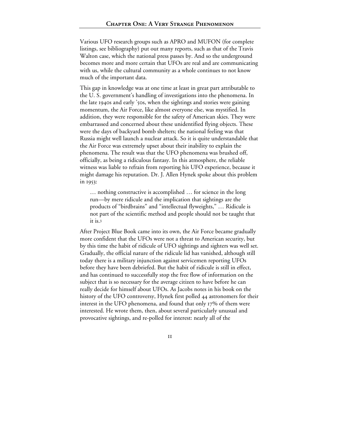Various UFO research groups such as APRO and MUFON (for complete listings, see bibliography) put out many reports, such as that of the Travis Walton case, which the national press passes by. And so the underground becomes more and more certain that UFOs are real and are communicating with us, while the cultural community as a whole continues to not know much of the important data.

This gap in knowledge was at one time at least in great part attributable to the U. S. government's handling of investigations into the phenomena. In the late 1940s and early '50s, when the sightings and stories were gaining momentum, the Air Force, like almost everyone else, was mystified. In addition, they were responsible for the safety of American skies. They were embarrassed and concerned about these unidentified flying objects. These were the days of backyard bomb shelters; the national feeling was that Russia might well launch a nuclear attack. So it is quite understandable that the Air Force was extremely upset about their inability to explain the phenomena. The result was that the UFO phenomena was brushed off, officially, as being a ridiculous fantasy. In this atmosphere, the reliable witness was liable to refrain from reporting his UFO experience, because it might damage his reputation. Dr. J. Allen Hynek spoke about this problem in 1953:

… nothing constructive is accomplished … for science in the long run—by mere ridicule and the implication that sightings are the products of "birdbrains" and "intellectual flyweights," … Ridicule is not part of the scientific method and people should not be taught that it is.3

After Project Blue Book came into its own, the Air Force became gradually more confident that the UFOs were not a threat to American security, but by this time the habit of ridicule of UFO sightings and sighters was well set. Gradually, the official nature of the ridicule lid has vanished, although still today there is a military injunction against servicemen reporting UFOs before they have been debriefed. But the habit of ridicule is still in effect, and has continued to successfully stop the free flow of information on the subject that is so necessary for the average citizen to have before he can really decide for himself about UFOs. As Jacobs notes in his book on the history of the UFO controversy, Hynek first polled 44 astronomers for their interest in the UFO phenomena, and found that only 17% of them were interested. He wrote them, then, about several particularly unusual and provocative sightings, and re-polled for interest: nearly all of the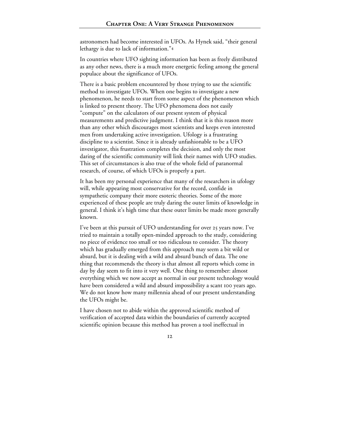astronomers had become interested in UFOs. As Hynek said, "their general lethargy is due to lack of information."4

In countries where UFO sighting information has been as freely distributed as any other news, there is a much more energetic feeling among the general populace about the significance of UFOs.

There is a basic problem encountered by those trying to use the scientific method to investigate UFOs. When one begins to investigate a new phenomenon, he needs to start from some aspect of the phenomenon which is linked to present theory. The UFO phenomena does not easily "compute" on the calculators of our present system of physical measurements and predictive judgment. I think that it is this reason more than any other which discourages most scientists and keeps even interested men from undertaking active investigation. Ufology is a frustrating discipline to a scientist. Since it is already unfashionable to be a UFO investigator, this frustration completes the decision, and only the most daring of the scientific community will link their names with UFO studies. This set of circumstances is also true of the whole field of paranormal research, of course, of which UFOs is properly a part.

It has been my personal experience that many of the researchers in ufology will, while appearing most conservative for the record, confide in sympathetic company their more esoteric theories. Some of the more experienced of these people are truly daring the outer limits of knowledge in general. I think it's high time that these outer limits be made more generally known.

I've been at this pursuit of UFO understanding for over 25 years now. I've tried to maintain a totally open-minded approach to the study, considering no piece of evidence too small or too ridiculous to consider. The theory which has gradually emerged from this approach may seem a bit wild or absurd, but it is dealing with a wild and absurd bunch of data. The one thing that recommends the theory is that almost all reports which come in day by day seem to fit into it very well. One thing to remember: almost everything which we now accept as normal in our present technology would have been considered a wild and absurd impossibility a scant 100 years ago. We do not know how many millennia ahead of our present understanding the UFOs might be.

I have chosen not to abide within the approved scientific method of verification of accepted data within the boundaries of currently accepted scientific opinion because this method has proven a tool ineffectual in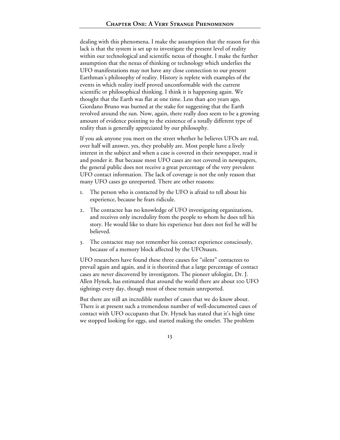dealing with this phenomena. I make the assumption that the reason for this lack is that the system is set up to investigate the present level of reality within our technological and scientific nexus of thought. I make the further assumption that the nexus of thinking or technology which underlies the UFO manifestations may not have any close connection to our present Earthman's philosophy of reality. History is replete with examples of the events in which reality itself proved unconformable with the current scientific or philosophical thinking. I think it is happening again. We thought that the Earth was flat at one time. Less than 400 years ago, Giordano Bruno was burned at the stake for suggesting that the Earth revolved around the sun. Now, again, there really does seem to be a growing amount of evidence pointing to the existence of a totally different type of reality than is generally appreciated by our philosophy.

If you ask anyone you meet on the street whether he believes UFOs are real, over half will answer, yes, they probably are. Most people have a lively interest in the subject and when a case is covered in their newspaper, read it and ponder it. But because most UFO cases are not covered in newspapers, the general public does not receive a great percentage of the very prevalent UFO contact information. The lack of coverage is not the only reason that many UFO cases go unreported. There are other reasons:

- 1. The person who is contacted by the UFO is afraid to tell about his experience, because he fears ridicule.
- 2. The contactee has no knowledge of UFO investigating organizations, and receives only incredulity from the people to whom he does tell his story. He would like to share his experience but does not feel he will be believed.
- 3. The contactee may not remember his contact experience consciously, because of a memory block affected by the UFOnauts.

UFO researchers have found these three causes for "silent" contactees to prevail again and again, and it is theorized that a large percentage of contact cases are never discovered by investigators. The pioneer ufologist, Dr. J. Allen Hynek, has estimated that around the world there are about 100 UFO sightings every day, though most of these remain unreported.

But there are still an incredible number of cases that we do know about. There is at present such a tremendous number of well-documented cases of contact with UFO occupants that Dr. Hynek has stated that it's high time we stopped looking for eggs, and started making the omelet. The problem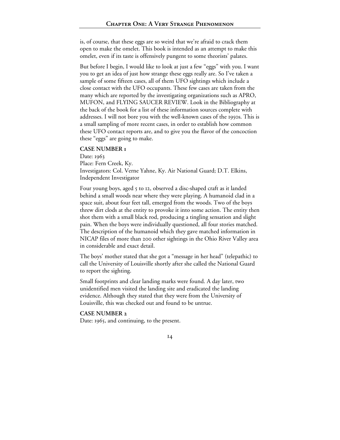is, of course, that these eggs are so weird that we're afraid to crack them open to make the omelet. This book is intended as an attempt to make this omelet, even if its taste is offensively pungent to some theorists' palates.

But before I begin, I would like to look at just a few "eggs" with you. I want you to get an idea of just how strange these eggs really are. So I've taken a sample of some fifteen cases, all of them UFO sightings which include a close contact with the UFO occupants. These few cases are taken from the many which are reported by the investigating organizations such as APRO, MUFON, and FLYING SAUCER REVIEW. Look in the Bibliography at the back of the book for a list of these information sources complete with addresses. I will not bore you with the well-known cases of the 1950s. This is a small sampling of more recent cases, in order to establish how common these UFO contact reports are, and to give you the flavor of the concoction these "eggs" are going to make.

#### **CASE NUMBER 1**

Date: 1963 Place: Fern Creek, Ky. Investigators: Col. Verne Yahne, Ky. Air National Guard; D.T. Elkins, Independent Investigator

Four young boys, aged 5 to 12, observed a disc-shaped craft as it landed behind a small woods near where they were playing. A humanoid clad in a space suit, about four feet tall, emerged from the woods. Two of the boys threw dirt clods at the entity to provoke it into some action. The entity then shot them with a small black rod, producing a tingling sensation and slight pain. When the boys were individually questioned, all four stories matched. The description of the humanoid which they gave matched information in NICAP files of more than 200 other sightings in the Ohio River Valley area in considerable and exact detail.

The boys' mother stated that she got a "message in her head" (telepathic) to call the University of Louisville shortly after she called the National Guard to report the sighting.

Small footprints and clear landing marks were found. A day later, two unidentified men visited the landing site and eradicated the landing evidence. Although they stated that they were from the University of Louisville, this was checked out and found to be untrue.

#### **CASE NUMBER 2**

Date: 1965, and continuing, to the present.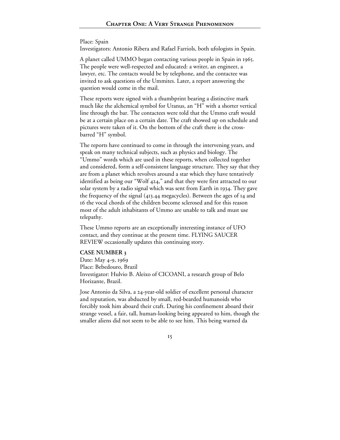Place: Spain

Investigators: Antonio Ribera and Rafael Farriols, both ufologists in Spain.

A planet called UMMO began contacting various people in Spain in 1965. The people were well-respected and educated: a writer, an engineer, a lawyer, etc. The contacts would be by telephone, and the contactee was invited to ask questions of the Ummites. Later, a report answering the question would come in the mail.

These reports were signed with a thumbprint bearing a distinctive mark much like the alchemical symbol for Uranus, an "H" with a shorter vertical line through the bar. The contactees were told that the Ummo craft would be at a certain place on a certain date. The craft showed up on schedule and pictures were taken of it. On the bottom of the craft there is the crossbarred "H" symbol.

The reports have continued to come in through the intervening years, and speak on many technical subjects, such as physics and biology. The "Ummo" words which are used in these reports, when collected together and considered, form a self-consistent language structure. They say that they are from a planet which revolves around a star which they have tentatively identified as being our "Wolf 424," and that they were first attracted to our solar system by a radio signal which was sent from Earth in 1934. They gave the frequency of the signal (413.44 megacycles). Between the ages of 14 and 16 the vocal chords of the children become sclerosed and for this reason most of the adult inhabitants of Ummo are unable to talk and must use telepathy.

These Ummo reports are an exceptionally interesting instance of UFO contact, and they continue at the present time. FLYING SAUCER REVIEW occasionally updates this continuing story.

#### **CASE NUMBER 3**

Date: May 4-9, 1969 Place: Bebedouro, Brazil Investigator: Hulvio B. Aleixo of CICOANI, a research group of Belo Horizante, Brazil.

Jose Antonio da Silva, a 24-year-old soldier of excellent personal character and reputation, was abducted by small, red-bearded humanoids who forcibly took him aboard their craft. During his confinement aboard their strange vessel, a fair, tall, human-looking being appeared to him, though the smaller aliens did not seem to be able to see him. This being warned da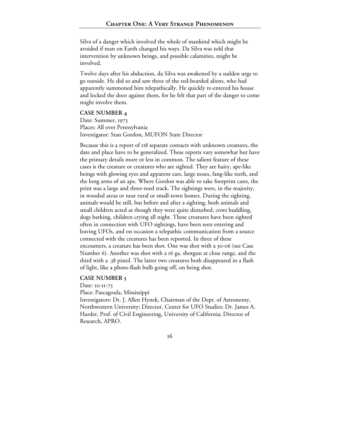Silva of a danger which involved the whole of mankind which might be avoided if man on Earth changed his ways. Da Silva was told that intervention by unknown beings, and possible calamities, might be involved.

Twelve days after his abduction, da Silva was awakened by a sudden urge to go outside. He did so and saw three of the red-bearded aliens, who had apparently summoned him telepathically. He quickly re-entered his house and locked the door against them, for he felt that part of the danger to come might involve them.

#### **CASE NUMBER 4**

Date: Summer, 1973 Places: All over Pennsylvania Investigator: Stan Gordon, MUFON State Director

Because this is a report of 118 separate contacts with unknown creatures, the date and place have to be generalized. These reports vary somewhat but have the primary details more or less in common. The salient feature of these cases is the creature or creatures who are sighted. They are hairy, ape-like beings with glowing eyes and apparent ears, large noses, fang-like teeth, and the long arms of an ape. Where Gordon was able to take footprint casts, the print was a large and three-toed track. The sightings were, in the majority, in wooded areas or near rural or small-town homes. During the sighting, animals would be still, but before and after a sighting, both animals and small children acted as though they were quite disturbed, cows huddling, dogs barking, children crying all night. These creatures have been sighted often in connection with UFO sightings, have been seen entering and leaving UFOs, and on occasion a telepathic communication from a source connected with the creatures has been reported. In three of these encounters, a creature has been shot. One was shot with a 30-06 (see Case Number 6). Another was shot with a 16 ga. shotgun at close range, and the third with a .38 pistol. The latter two creatures both disappeared in a flash of light, like a photo-flash bulb going off, on being shot.

#### **CASE NUMBER 5**

Date: 10-11-73

Place: Pascagoula, Mississippi

Investigators: Dr. J. Allen Hynek, Chairman of the Dept. of Astronomy, Northwestern University; Director, Center for UFO Studies; Dr. James A. Harder, Prof. of Civil Engineering, University of California; Director of Research, APRO.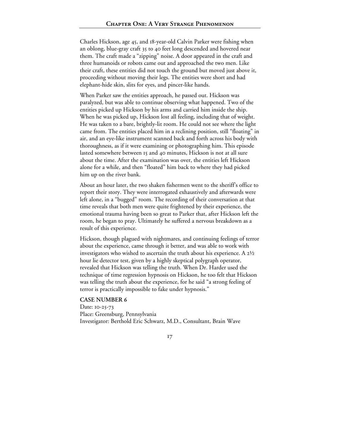Charles Hickson, age 45, and 18-year-old Calvin Parker were fishing when an oblong, blue-gray craft 35 to 40 feet long descended and hovered near them. The craft made a "zipping" noise. A door appeared in the craft and three humanoids or robots came out and approached the two men. Like their craft, these entities did not touch the ground but moved just above it, proceeding without moving their legs. The entities were short and had elephant-hide skin, slits for eyes, and pincer-like hands.

When Parker saw the entities approach, he passed out. Hickson was paralyzed, but was able to continue observing what happened. Two of the entities picked up Hickson by his arms and carried him inside the ship. When he was picked up, Hickson lost all feeling, including that of weight. He was taken to a bare, brightly-lit room. He could not see where the light came from. The entities placed him in a reclining position, still "floating" in air, and an eye-like instrument scanned back and forth across his body with thoroughness, as if it were examining or photographing him. This episode lasted somewhere between 15 and 40 minutes, Hickson is not at all sure about the time. After the examination was over, the entities left Hickson alone for a while, and then "floated" him back to where they had picked him up on the river bank.

About an hour later, the two shaken fishermen went to the sheriff's office to report their story. They were interrogated exhaustively and afterwards were left alone, in a "bugged" room. The recording of their conversation at that time reveals that both men were quite frightened by their experience, the emotional trauma having been so great to Parker that, after Hickson left the room, he began to pray. Ultimately he suffered a nervous breakdown as a result of this experience.

Hickson, though plagued with nightmares, and continuing feelings of terror about the experience, came through it better, and was able to work with investigators who wished to ascertain the truth about his experience. A 2½ hour lie detector test, given by a highly skeptical polygraph operator, revealed that Hickson was telling the truth. When Dr. Harder used the technique of time regression hypnosis on Hickson, he too felt that Hickson was telling the truth about the experience, for he said "a strong feeling of terror is practically impossible to fake under hypnosis."

#### **CASE NUMBER 6**

Date: 10-25-73 Place: Greensburg, Pennsylvania Investigator: Berthold Eric Schwarz, M.D., Consultant, Brain Wave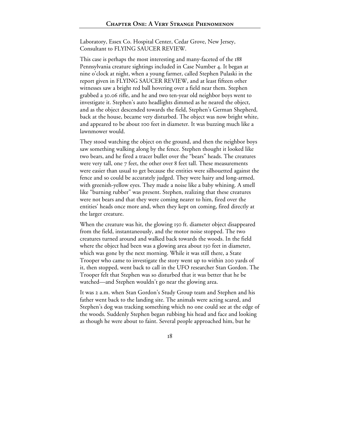Laboratory, Essex Co. Hospital Center, Cedar Grove, New Jersey, Consultant to FLYING SAUCER REVIEW.

This case is perhaps the most interesting and many-faceted of the 188 Pennsylvania creature sightings included in Case Number 4. It began at nine o'clock at night, when a young farmer, called Stephen Pulaski in the report given in FLYING SAUCER REVIEW, and at least fifteen other witnesses saw a bright red ball hovering over a field near them. Stephen grabbed a 30.06 rifle, and he and two ten-year old neighbor boys went to investigate it. Stephen's auto headlights dimmed as he neared the object, and as the object descended towards the field, Stephen's German Shepherd, back at the house, became very disturbed. The object was now bright white, and appeared to be about 100 feet in diameter. It was buzzing much like a lawnmower would.

They stood watching the object on the ground, and then the neighbor boys saw something walking along by the fence. Stephen thought it looked like two bears, and he fired a tracer bullet over the "bears" heads. The creatures were very tall, one 7 feet, the other over 8 feet tall. These measurements were easier than usual to get because the entities were silhouetted against the fence and so could be accurately judged. They were hairy and long-armed, with greenish-yellow eyes. They made a noise like a baby whining. A smell like "burning rubber" was present. Stephen, realizing that these creatures were not bears and that they were coming nearer to him, fired over the entities' heads once more and, when they kept on coming, fired directly at the larger creature.

When the creature was hit, the glowing 150 ft. diameter object disappeared from the field, instantaneously, and the motor noise stopped. The two creatures turned around and walked back towards the woods. In the field where the object had been was a glowing area about 150 feet in diameter, which was gone by the next morning. While it was still there, a State Trooper who came to investigate the story went up to within 200 yards of it, then stopped, went back to call in the UFO researcher Stan Gordon. The Trooper felt that Stephen was so disturbed that it was better that he be watched—and Stephen wouldn't go near the glowing area.

It was 2 a.m. when Stan Gordon's Study Group team and Stephen and his father went back to the landing site. The animals were acting scared, and Stephen's dog was tracking something which no one could see at the edge of the woods. Suddenly Stephen began rubbing his head and face and looking as though he were about to faint. Several people approached him, but he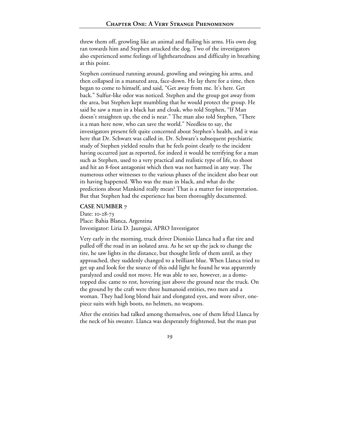threw them off, growling like an animal and flailing his arms. His own dog ran towards him and Stephen attacked the dog. Two of the investigators also experienced some feelings of lightheartedness and difficulty in breathing at this point.

Stephen continued running around, growling and swinging his arms, and then collapsed in a manured area, face-down. He lay there for a time, then began to come to himself, and said, "Get away from me. It's here. Get back." Sulfur-like odor was noticed. Stephen and the group got away from the area, but Stephen kept mumbling that he would protect the group. He said he saw a man in a black hat and cloak, who told Stephen, "If Man doesn't straighten up, the end is near." The man also told Stephen, "There is a man here now, who can save the world." Needless to say, the investigators present felt quite concerned about Stephen's health, and it was here that Dr. Schwarz was called in. Dr. Schwarz's subsequent psychiatric study of Stephen yielded results that he feels point clearly to the incident having occurred just as reported, for indeed it would be terrifying for a man such as Stephen, used to a very practical and realistic type of life, to shoot and hit an 8-foot antagonist which then was not harmed in any way. The numerous other witnesses to the various phases of the incident also bear out its having happened. Who was the man in black, and what do the predictions about Mankind really mean? That is a matter for interpretation. But that Stephen had the experience has been thoroughly documented.

#### **CASE NUMBER 7**

Date: 10-28-73 Place: Bahia Blanca, Argentina Investigator: Liria D. Jauregui, APRO Investigator

Very early in the morning, truck driver Dionisio Llanca had a flat tire and pulled off the road in an isolated area. As he set up the jack to change the tire, he saw lights in the distance, but thought little of them until, as they approached, they suddenly changed to a brilliant blue. When Llanca tried to get up and look for the source of this odd light he found he was apparently paralyzed and could not move. He was able to see, however, as a dometopped disc came to rest, hovering just above the ground near the truck. On the ground by the craft were three humanoid entities, two men and a woman. They had long blond hair and elongated eyes, and wore silver, onepiece suits with high boots, no helmets, no weapons.

After the entities had talked among themselves, one of them lifted Llanca by the neck of his sweater. Llanca was desperately frightened, but the man put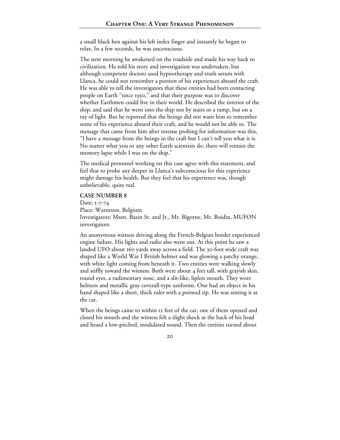a small black box against his left index finger and instantly he began to relax. In a few seconds, he was unconscious.

The next morning he awakened on the roadside and made his way back to civilization. He told his story and investigation was undertaken, but although competent doctors used hypnotherapy and truth serum with Llanca, he could not remember a portion of his experiences aboard the craft. He was able to tell the investigators that these entities had been contacting people on Earth "since 1950," and that their purpose was to discover whether Earthmen could live in their world. He described the interior of the ship, and said that he went into the ship not by stairs or a ramp, but on a ray of light. But he reported that the beings did not want him to remember some of his experience aboard their craft, and he would not be able to. The message that came from him after intense probing for information was this, "I have a message from the beings in the craft but I can't tell you what it is. No matter what you or any other Earth scientists do, there will remain the memory lapse while I was on the ship."

The medical personnel working on this case agree with this statement, and feel that to probe any deeper in Llanca's subconscious for this experience might damage his health. But they feel that his experience was, though unbelievable, quite real.

#### **CASE NUMBER 8**

Date: 1-7-74 Place: Warneton, Belgium Investigators: Mssrs. Bazin Sr. and Jr., Mr. Bigorne, Mr. Boidin, MUFON investigators.

An anonymous witness driving along the French-Belgian border experienced engine failure. His lights and radio also went out. At this point he saw a landed UFO about 160 yards away across a field. The 30-foot wide craft was shaped like a World War I British helmet and was glowing a patchy orange, with white light coming from beneath it. Two entities were walking slowly and stiffly toward the witness. Both were about 4 feet tall, with grayish skin, round eyes, a rudimentary nose, and a slit-like, lipless mouth. They wore helmets and metallic gray coverall-type uniforms. One had an object in his hand shaped like a short, thick ruler with a pointed tip. He was aiming it at the car.

When the beings came to within 12 feet of the car, one of them opened and closed his mouth and the witness felt a slight shock at the back of his head and heard a low-pitched, modulated sound. Then the entities turned about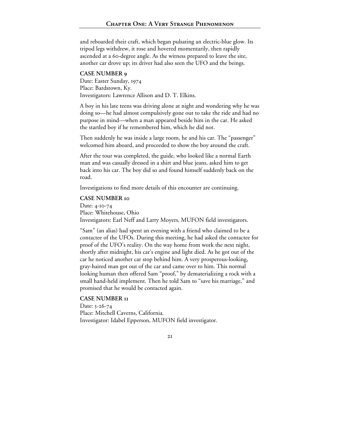and reboarded their craft, which began pulsating an electric-blue glow. Its tripod legs withdrew, it rose and hovered momentarily, then rapidly ascended at a 60-degree angle. As the witness prepared to leave the site, another car drove up; its driver had also seen the UFO and the beings.

#### **CASE NUMBER 9**

Date: Easter Sunday, 1974 Place: Bardstown, Ky. Investigators: Lawrence Allison and D. T. Elkins.

A boy in his late teens was driving alone at night and wondering why he was doing so—he had almost compulsively gone out to take the ride and had no purpose in mind—when a man appeared beside him in the car. He asked the startled boy if he remembered him, which he did not.

Then suddenly he was inside a large room, he and his car. The "passenger" welcomed him aboard, and proceeded to show the boy around the craft.

After the tour was completed, the guide, who looked like a normal Earth man and was casually dressed in a shirt and blue jeans, asked him to get back into his car. The boy did so and found himself suddenly back on the road.

Investigations to find more details of this encounter are continuing.

#### **CASE NUMBER 10**

Date: 4-10-74 Place: Whitehouse, Ohio Investigators: Earl Neff and Larry Moyers, MUFON field investigators.

"Sam" (an alias) had spent an evening with a friend who claimed to be a contactee of the UFOs. During this meeting, he had asked the contactee for proof of the UFO's reality. On the way home from work the next night, shortly after midnight, his car's engine and light died. As he got out of the car he noticed another car stop behind him. A very prosperous-looking, gray-haired man got out of the car and came over to him. This normal looking human then offered Sam "proof," by dematerializing a rock with a small hand-held implement. Then he told Sam to "save his marriage," and promised that he would be contacted again.

#### **CASE NUMBER 11**

Date: 5-26-74 Place: Mitchell Caverns, California. Investigator: Idabel Epperson, MUFON field investigator.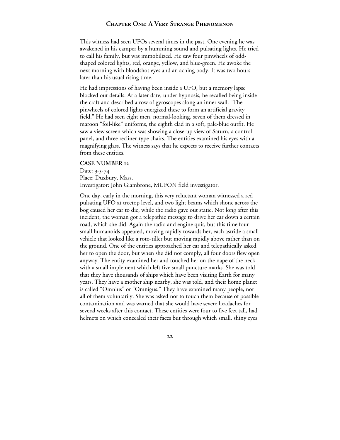This witness had seen UFOs several times in the past. One evening he was awakened in his camper by a humming sound and pulsating lights. He tried to call his family, but was immobilized. He saw four pinwheels of oddshaped colored lights, red, orange, yellow, and blue-green. He awoke the next morning with bloodshot eyes and an aching body. It was two hours later than his usual rising time.

He had impressions of having been inside a UFO, but a memory lapse blocked out details. At a later date, under hypnosis, he recalled being inside the craft and described a row of gyroscopes along an inner wall. "The pinwheels of colored lights energized these to form an artificial gravity field." He had seen eight men, normal-looking, seven of them dressed in maroon "foil-like" uniforms, the eighth clad in a soft, pale-blue outfit. He saw a view screen which was showing a close-up view of Saturn, a control panel, and three recliner-type chairs. The entities examined his eyes with a magnifying glass. The witness says that he expects to receive further contacts from these entities.

#### **CASE NUMBER 12**

Date: 9-3-74 Place: Duxbury, Mass. Investigator: John Giambrone, MUFON field investigator.

One day, early in the morning, this very reluctant woman witnessed a red pulsating UFO at treetop level, and two light beams which shone across the bog caused her car to die, while the radio gave out static. Not long after this incident, the woman got a telepathic message to drive her car down a certain road, which she did. Again the radio and engine quit, but this time four small humanoids appeared, moving rapidly towards her, each astride a small vehicle that looked like a roto-tiller but moving rapidly above rather than on the ground. One of the entities approached her car and telepathically asked her to open the door, but when she did not comply, all four doors flew open anyway. The entity examined her and touched her on the nape of the neck with a small implement which left five small puncture marks. She was told that they have thousands of ships which have been visiting Earth for many years. They have a mother ship nearby, she was told, and their home planet is called "Omnius" or "Omnigus." They have examined many people, not all of them voluntarily. She was asked not to touch them because of possible contamination and was warned that she would have severe headaches for several weeks after this contact. These entities were four to five feet tall, had helmets on which concealed their faces but through which small, shiny eyes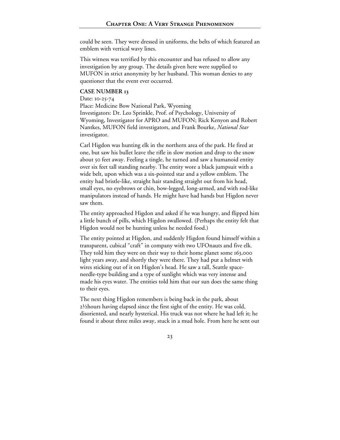could be seen. They were dressed in uniforms, the belts of which featured an emblem with vertical wavy lines.

This witness was terrified by this encounter and has refused to allow any investigation by any group. The details given here were supplied to MUFON in strict anonymity by her husband. This woman denies to any questioner that the event ever occurred.

#### **CASE NUMBER 13**

Date: 10-25-74 Place: Medicine Bow National Park, Wyoming Investigators: Dr. Leo Sprinkle, Prof. of Psychology, University of Wyoming, Investigator for APRO and MUFON; Rick Kenyon and Robert Nantkes, MUFON field investigators, and Frank Bourke, *National Star* investigator.

Carl Higdon was hunting elk in the northern area of the park. He fired at one, but saw his bullet leave the rifle in slow motion and drop to the snow about 50 feet away. Feeling a tingle, he turned and saw a humanoid entity over six feet tall standing nearby. The entity wore a black jumpsuit with a wide belt, upon which was a six-pointed star and a yellow emblem. The entity had bristle-like, straight hair standing straight out from his head, small eyes, no eyebrows or chin, bow-legged, long-armed, and with rod-like manipulators instead of hands. He might have had hands but Higdon never saw them.

The entity approached Higdon and asked if he was hungry, and flipped him a little bunch of pills, which Higdon swallowed. (Perhaps the entity felt that Higdon would not be hunting unless he needed food.)

The entity pointed at Higdon, and suddenly Higdon found himself within a transparent, cubical "craft" in company with two UFOnauts and five elk. They told him they were on their way to their home planet some 163,000 light years away, and shortly they were there. They had put a helmet with wires sticking out of it on Higdon's head. He saw a tall, Seattle spaceneedle-type building and a type of sunlight which was very intense and made his eyes water. The entities told him that our sun does the same thing to their eyes.

The next thing Higdon remembers is being back in the park, about 2½hours having elapsed since the first sight of the entity. He was cold, disoriented, and nearly hysterical. His truck was not where he had left it; he found it about three miles away, stuck in a mud hole. From here he sent out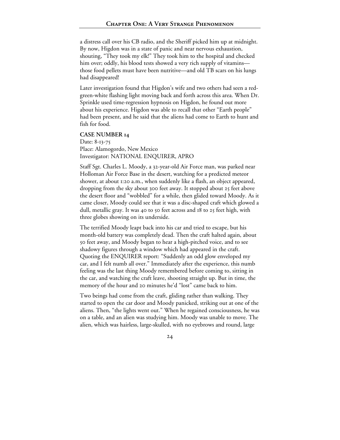a distress call over his CB radio, and the Sheriff picked him up at midnight. By now, Higdon was in a state of panic and near nervous exhaustion, shouting, "They took my elk!" They took him to the hospital and checked him over; oddly, his blood tests showed a very rich supply of vitamins those food pellets must have been nutritive—and old TB scars on his lungs had disappeared!

Later investigation found that Higdon's wife and two others had seen a redgreen-white flashing light moving back and forth across this area. When Dr. Sprinkle used time-regression hypnosis on Higdon, he found out more about his experience. Higdon was able to recall that other "Earth people" had been present, and he said that the aliens had come to Earth to hunt and fish for food.

#### **CASE NUMBER 14**

Date: 8-13-75 Place: Alamogordo, New Mexico Investigator: NATIONAL ENQUIRER, APRO

Staff Sgt. Charles L. Moody, a 32-year-old Air Force man, was parked near Holloman Air Force Base in the desert, watching for a predicted meteor shower, at about 1:20 a.m., when suddenly like a flash, an object appeared, dropping from the sky about 300 feet away. It stopped about 25 feet above the desert floor and "wobbled" for a while, then glided toward Moody. As it came closer, Moody could see that it was a disc-shaped craft which glowed a dull, metallic gray. It was 40 to 50 feet across and 18 to 25 feet high, with three globes showing on its underside.

The terrified Moody leapt back into his car and tried to escape, but his month-old battery was completely dead. Then the craft halted again, about 50 feet away, and Moody began to hear a high-pitched voice, and to see shadowy figures through a window which had appeared in the craft. Quoting the ENQUIRER report: "Suddenly an odd glow enveloped my car, and I felt numb all over." Immediately after the experience, this numb feeling was the last thing Moody remembered before coming to, sitting in the car, and watching the craft leave, shooting straight up. But in time, the memory of the hour and 20 minutes he'd "lost" came back to him.

Two beings had come from the craft, gliding rather than walking. They started to open the car door and Moody panicked, striking out at one of the aliens. Then, "the lights went out." When he regained consciousness, he was on a table, and an alien was studying him. Moody was unable to move. The alien, which was hairless, large-skulled, with no eyebrows and round, large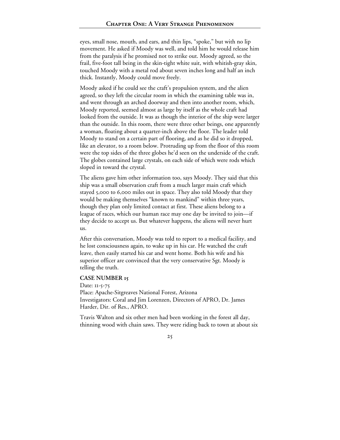eyes, small nose, mouth, and ears, and thin lips, "spoke," but with no lip movement. He asked if Moody was well, and told him he would release him from the paralysis if he promised not to strike out. Moody agreed, so the frail, five-foot tall being in the skin-tight white suit, with whitish-gray skin, touched Moody with a metal rod about seven inches long and half an inch thick. Instantly, Moody could move freely.

Moody asked if he could see the craft's propulsion system, and the alien agreed, so they left the circular room in which the examining table was in, and went through an arched doorway and then into another room, which, Moody reported, seemed almost as large by itself as the whole craft had looked from the outside. It was as though the interior of the ship were larger than the outside. In this room, there were three other beings, one apparently a woman, floating about a quarter-inch above the floor. The leader told Moody to stand on a certain part of flooring, and as he did so it dropped, like an elevator, to a room below. Protruding up from the floor of this room were the top sides of the three globes he'd seen on the underside of the craft. The globes contained large crystals, on each side of which were rods which sloped in toward the crystal.

The aliens gave him other information too, says Moody. They said that this ship was a small observation craft from a much larger main craft which stayed 5,000 to 6,000 miles out in space. They also told Moody that they would be making themselves "known to mankind" within three years, though they plan only limited contact at first. These aliens belong to a league of races, which our human race may one day be invited to join—if they decide to accept us. But whatever happens, the aliens will never hurt us.

After this conversation, Moody was told to report to a medical facility, and he lost consciousness again, to wake up in his car. He watched the craft leave, then easily started his car and went home. Both his wife and his superior officer are convinced that the very conservative Sgt. Moody is telling the truth.

#### **CASE NUMBER 15**

Date: 11-5-75 Place: Apache-Sitgreaves National Forest, Arizona Investigators: Coral and Jim Lorenzen, Directors of APRO, Dr. James Harder, Dir. of Res., APRO.

Travis Walton and six other men had been working in the forest all day, thinning wood with chain saws. They were riding back to town at about six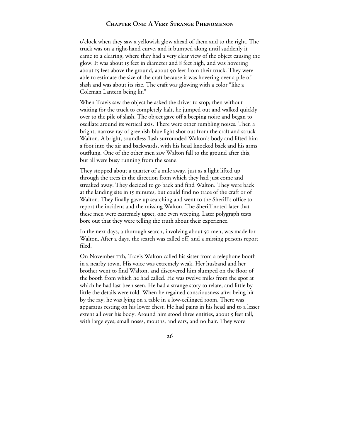o'clock when they saw a yellowish glow ahead of them and to the right. The truck was on a right-hand curve, and it bumped along until suddenly it came to a clearing, where they had a very clear view of the object causing the glow. It was about 15 feet in diameter and 8 feet high, and was hovering about 15 feet above the ground, about 90 feet from their truck. They were able to estimate the size of the craft because it was hovering over a pile of slash and was about its size. The craft was glowing with a color "like a Coleman Lantern being lit."

When Travis saw the object he asked the driver to stop; then without waiting for the truck to completely halt, he jumped out and walked quickly over to the pile of slash. The object gave off a beeping noise and began to oscillate around its vertical axis. There were other rumbling noises. Then a bright, narrow ray of greenish-blue light shot out from the craft and struck Walton. A bright, soundless flash surrounded Walton's body and lifted him a foot into the air and backwards, with his head knocked back and his arms outflung. One of the other men saw Walton fall to the ground after this, but all were busy running from the scene.

They stopped about a quarter of a mile away, just as a light lifted up through the trees in the direction from which they had just come and streaked away. They decided to go back and find Walton. They were back at the landing site in 15 minutes, but could find no trace of the craft or of Walton. They finally gave up searching and went to the Sheriff's office to report the incident and the missing Walton. The Sheriff noted later that these men were extremely upset, one even weeping. Later polygraph tests bore out that they were telling the truth about their experience.

In the next days, a thorough search, involving about 50 men, was made for Walton. After 2 days, the search was called off, and a missing persons report filed.

On November 11th, Travis Walton called his sister from a telephone booth in a nearby town. His voice was extremely weak. Her husband and her brother went to find Walton, and discovered him slumped on the floor of the booth from which he had called. He was twelve miles from the spot at which he had last been seen. He had a strange story to relate, and little by little the details were told. When he regained consciousness after being hit by the ray, he was lying on a table in a low-ceilinged room. There was apparatus resting on his lower chest. He had pains in his head and to a lesser extent all over his body. Around him stood three entities, about 5 feet tall, with large eyes, small noses, mouths, and ears, and no hair. They wore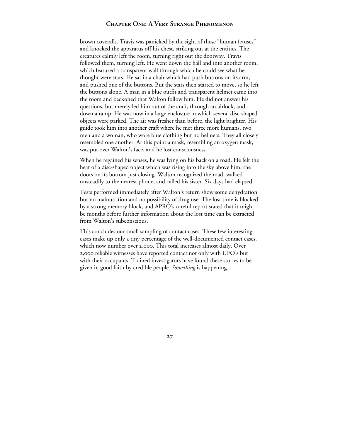brown coveralls. Travis was panicked by the sight of these "human fetuses" and knocked the apparatus off his chest, striking out at the entities. The creatures calmly left the room, turning right out the doorway. Travis followed them, turning left. He went down the hall and into another room, which featured a transparent wall through which he could see what he thought were stars. He sat in a chair which had push buttons on its arm, and pushed one of the buttons. But the stars then started to move, so he left the buttons alone. A man in a blue outfit and transparent helmet came into the room and beckoned that Walton follow him. He did not answer his questions, but merely led him out of the craft, through an airlock, and down a ramp. He was now in a large enclosure in which several disc-shaped objects were parked. The air was fresher than before, the light brighter. His guide took him into another craft where he met three more humans, two men and a woman, who wore blue clothing but no helmets. They all closely resembled one another. At this point a mask, resembling an oxygen mask, was put over Walton's face, and he lost consciousness.

When he regained his senses, he was lying on his back on a road. He felt the heat of a disc-shaped object which was rising into the sky above him, the doors on its bottom just closing. Walton recognized the road, walked unsteadily to the nearest phone, and called his sister. Six days had elapsed.

Tests performed immediately after Walton's return show some dehydration but no malnutrition and no possibility of drug use. The lost time is blocked by a strong memory block, and APRO's careful report stated that it might be months before further information about the lost time can be extracted from Walton's subconscious.

This concludes our small sampling of contact cases. These few interesting cases make up only a tiny percentage of the well-documented contact cases, which now number over 2,000. This total increases almost daily. Over 2,000 reliable witnesses have reported contact not only with UFO's but with their occupants. Trained investigators have found these stories to be given in good faith by credible people. *Something* is happening.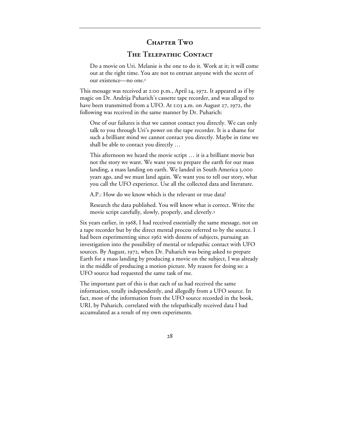# **Chapter Two**

## **The Telepathic Contact**

Do a movie on Uri. Melanie is the one to do it. Work at it; it will come out at the right time. You are not to entrust anyone with the secret of our existence—no one.1

This message was received at 2:00 p.m., April 14, 1972. It appeared as if by magic on Dr. Andrija Puharich's cassette tape recorder, and was alleged to have been transmitted from a UFO. At 1:03 a.m. on August 27, 1972, the following was received in the same manner by Dr. Puharich:

One of our failures is that we cannot contact you directly. We can only talk to you through Uri's power on the tape recorder. It is a shame for such a brilliant mind we cannot contact you directly. Maybe in time we shall be able to contact you directly …

This afternoon we heard the movie script … it is a brilliant movie but not the story we want. We want you to prepare the earth for our mass landing, a mass landing on earth. We landed in South America 3,000 years ago, and we must land again. We want you to tell our story, what you call the UFO experience. Use all the collected data and literature.

A.P.: How do we know which is the relevant or true data?

Research the data published. You will know what is correct. Write the movie script carefully, slowly, properly, and cleverly.2

Six years earlier, in 1968, I had received essentially the same message, not on a tape recorder but by the direct mental process referred to by the source. I had been experimenting since 1962 with dozens of subjects, pursuing an investigation into the possibility of mental or telepathic contact with UFO sources. By August, 1972, when Dr. Puharich was being asked to prepare Earth for a mass landing by producing a movie on the subject, I was already in the middle of producing a motion picture. My reason for doing so: a UFO source had requested the same task of me.

The important part of this is that each of us had received the same information, totally independently, and allegedly from a UFO source. In fact, most of the information from the UFO source recorded in the book, URI, by Puharich, correlated with the telepathically received data I had accumulated as a result of my own experiments.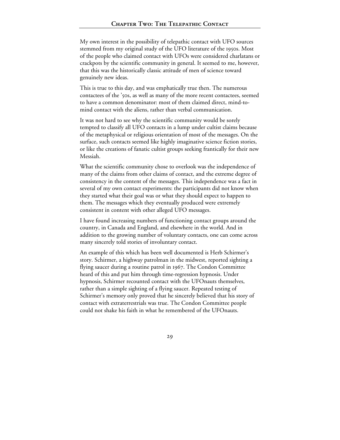My own interest in the possibility of telepathic contact with UFO sources stemmed from my original study of the UFO literature of the 1950s. Most of the people who claimed contact with UFOs were considered charlatans or crackpots by the scientific community in general. It seemed to me, however, that this was the historically classic attitude of men of science toward genuinely new ideas.

This is true to this day, and was emphatically true then. The numerous contactees of the '50s, as well as many of the more recent contactees, seemed to have a common denominator: most of them claimed direct, mind-tomind contact with the aliens, rather than verbal communication.

It was not hard to see why the scientific community would be sorely tempted to classify all UFO contacts in a lump under cultist claims because of the metaphysical or religious orientation of most of the messages. On the surface, such contacts seemed like highly imaginative science fiction stories, or like the creations of fanatic cultist groups seeking frantically for their new Messiah.

What the scientific community chose to overlook was the independence of many of the claims from other claims of contact, and the extreme degree of consistency in the content of the messages. This independence was a fact in several of my own contact experiments: the participants did not know when they started what their goal was or what they should expect to happen to them. The messages which they eventually produced were extremely consistent in content with other alleged UFO messages.

I have found increasing numbers of functioning contact groups around the country, in Canada and England, and elsewhere in the world. And in addition to the growing number of voluntary contacts, one can come across many sincerely told stories of involuntary contact.

An example of this which has been well documented is Herb Schirmer's story. Schirmer, a highway patrolman in the midwest, reported sighting a flying saucer during a routine patrol in 1967. The Condon Committee heard of this and put him through time-regression hypnosis. Under hypnosis, Schirmer recounted contact with the UFOnauts themselves, rather than a simple sighting of a flying saucer. Repeated testing of Schirmer's memory only proved that he sincerely believed that his story of contact with extraterrestrials was true. The Condon Committee people could not shake his faith in what he remembered of the UFOnauts.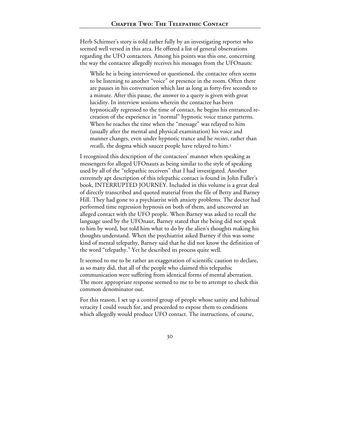Herb Schirmer's story is told rather fully by an investigating reporter who seemed well versed in this area. He offered a list of general observations regarding the UFO contactees. Among his points was this one, concerning the way the contactee allegedly receives his messages from the UFOnauts:

While he is being interviewed or questioned, the contactee often seems to be listening to another "voice" or presence in the room. Often there are pauses in his conversation which last as long as forty-five seconds to a minute. After this pause, the answer to a query is given with great lucidity. In interview sessions wherein the contactee has been hypnotically regressed to the time of contact, he begins his entranced recreation of the experience in "normal" hypnotic voice trance patterns. When he reaches the time when the "message" was relayed to him (usually after the mental and physical examination) his voice and manner changes, even under hypnotic trance and he *recites*, rather than *recalls*, the dogma which saucer people have relayed to him.3

I recognized this description of the contactees' manner when speaking as messengers for alleged UFOnauts as being similar to the style of speaking used by all of the "telepathic receivers" that I had investigated. Another extremely apt description of this telepathic contact is found in John Fuller's book, INTERRUPTED JOURNEY. Included in this volume is a great deal of directly transcribed and quoted material from the file of Betty and Barney Hill. They had gone to a psychiatrist with anxiety problems. The doctor had performed time regression hypnosis on both of them, and uncovered an alleged contact with the UFO people. When Barney was asked to recall the language used by the UFOnaut, Barney stated that the being did not speak to him by word, but told him what to do by the alien's thoughts making his thoughts understand. When the psychiatrist asked Barney if this was some kind of mental telepathy, Barney said that he did not know the definition of the word "telepathy." Yet he described its process quite well.

It seemed to me to be rather an exaggeration of scientific caution to declare, as so many did, that all of the people who claimed this telepathic communication were suffering from identical forms of mental aberration. The more appropriate response seemed to me to be to attempt to check this common denominator out.

For this reason, I set up a control group of people whose sanity and habitual veracity I could vouch for, and proceeded to expose them to conditions which allegedly would produce UFO contact. The instructions, of course,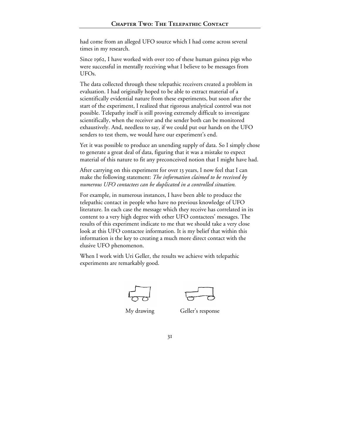had come from an alleged UFO source which I had come across several times in my research.

Since 1962, I have worked with over 100 of these human guinea pigs who were successful in mentally receiving what I believe to be messages from UFOs.

The data collected through these telepathic receivers created a problem in evaluation. I had originally hoped to be able to extract material of a scientifically evidential nature from these experiments, but soon after the start of the experiment, I realized that rigorous analytical control was not possible. Telepathy itself is still proving extremely difficult to investigate scientifically, when the receiver and the sender both can be monitored exhaustively. And, needless to say, if we could put our hands on the UFO senders to test them, we would have our experiment's end.

Yet it was possible to produce an unending supply of data. So I simply chose to generate a great deal of data, figuring that it was a mistake to expect material of this nature to fit any preconceived notion that I might have had.

After carrying on this experiment for over 13 years, I now feel that I can make the following statement: *The information claimed to be received by numerous UFO contactees can be duplicated in a controlled situation.*

For example, in numerous instances, I have been able to produce the telepathic contact in people who have no previous knowledge of UFO literature. In each case the message which they receive has correlated in its content to a very high degree with other UFO contactees' messages. The results of this experiment indicate to me that we should take a very close look at this UFO contactee information. It is my belief that within this information is the key to creating a much more direct contact with the elusive UFO phenomenon.

When I work with Uri Geller, the results we achieve with telepathic experiments are remarkably good.





My drawing Geller's response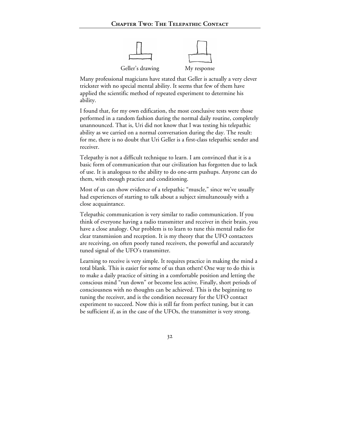### **Chapter Two: The Telepathic Contact**



Many professional magicians have stated that Geller is actually a very clever trickster with no special mental ability. It seems that few of them have applied the scientific method of repeated experiment to determine his ability.

I found that, for my own edification, the most conclusive tests were those performed in a random fashion during the normal daily routine, completely unannounced. That is, Uri did not know that I was testing his telepathic ability as we carried on a normal conversation during the day. The result: for me, there is no doubt that Uri Geller is a first-class telepathic sender and receiver.

Telepathy is not a difficult technique to learn. I am convinced that it is a basic form of communication that our civilization has forgotten due to lack of use. It is analogous to the ability to do one-arm pushups. Anyone can do them, with enough practice and conditioning.

Most of us can show evidence of a telepathic "muscle," since we've usually had experiences of starting to talk about a subject simultaneously with a close acquaintance.

Telepathic communication is very similar to radio communication. If you think of everyone having a radio transmitter and receiver in their brain, you have a close analogy. Our problem is to learn to tune this mental radio for clear transmission and reception. It is my theory that the UFO contactees are receiving, on often poorly tuned receivers, the powerful and accurately tuned signal of the UFO's transmitter.

Learning to receive is very simple. It requires practice in making the mind a total blank. This is easier for some of us than others! One way to do this is to make a daily practice of sitting in a comfortable position and letting the conscious mind "run down" or become less active. Finally, short periods of consciousness with no thoughts can be achieved. This is the beginning to tuning the receiver, and is the condition necessary for the UFO contact experiment to succeed. Now this is still far from perfect tuning, but it can be sufficient if, as in the case of the UFOs, the transmitter is very strong.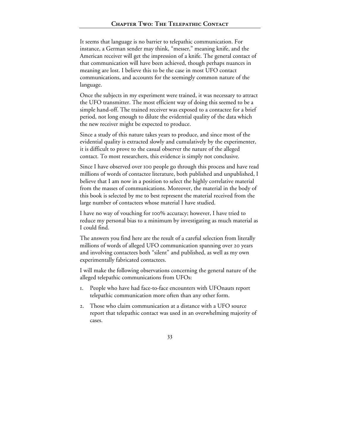It seems that language is no barrier to telepathic communication. For instance, a German sender may think, "messer," meaning knife, and the American receiver will get the impression of a knife. The general contact of that communication will have been achieved, though perhaps nuances in meaning are lost. I believe this to be the case in most UFO contact communications, and accounts for the seemingly common nature of the language.

Once the subjects in my experiment were trained, it was necessary to attract the UFO transmitter. The most efficient way of doing this seemed to be a simple hand-off. The trained receiver was exposed to a contactee for a brief period, not long enough to dilute the evidential quality of the data which the new receiver might be expected to produce.

Since a study of this nature takes years to produce, and since most of the evidential quality is extracted slowly and cumulatively by the experimenter, it is difficult to prove to the casual observer the nature of the alleged contact. To most researchers, this evidence is simply not conclusive.

Since I have observed over 100 people go through this process and have read millions of words of contactee literature, both published and unpublished, I believe that I am now in a position to select the highly correlative material from the masses of communications. Moreover, the material in the body of this book is selected by me to best represent the material received from the large number of contactees whose material I have studied.

I have no way of vouching for 100% accuracy; however, I have tried to reduce my personal bias to a minimum by investigating as much material as I could find.

The answers you find here are the result of a careful selection from literally millions of words of alleged UFO communication spanning over 20 years and involving contactees both "silent" and published, as well as my own experimentally fabricated contactees.

I will make the following observations concerning the general nature of the alleged telepathic communications from UFOs:

- 1. People who have had face-to-face encounters with UFOnauts report telepathic communication more often than any other form.
- 2. Those who claim communication at a distance with a UFO source report that telepathic contact was used in an overwhelming majority of cases.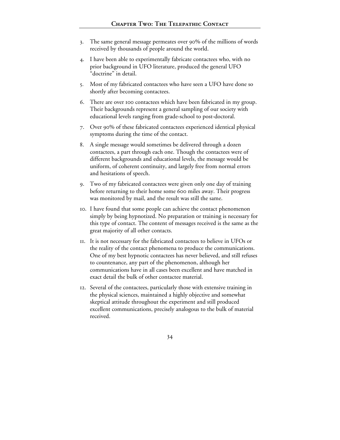- 3. The same general message permeates over 90% of the millions of words received by thousands of people around the world.
- 4. I have been able to experimentally fabricate contactees who, with no prior background in UFO literature, produced the general UFO "doctrine" in detail.
- 5. Most of my fabricated contactees who have seen a UFO have done so shortly after becoming contactees.
- 6. There are over 100 contactees which have been fabricated in my group. Their backgrounds represent a general sampling of our society with educational levels ranging from grade-school to post-doctoral.
- 7. Over 90% of these fabricated contactees experienced identical physical symptoms during the time of the contact.
- 8. A single message would sometimes be delivered through a dozen contactees, a part through each one. Though the contactees were of different backgrounds and educational levels, the message would be uniform, of coherent continuity, and largely free from normal errors and hesitations of speech.
- 9. Two of my fabricated contactees were given only one day of training before returning to their home some 600 miles away. Their progress was monitored by mail, and the result was still the same.
- 10. I have found that some people can achieve the contact phenomenon simply by being hypnotized. No preparation or training is necessary for this type of contact. The content of messages received is the same as the great majority of all other contacts.
- 11. It is not necessary for the fabricated contactees to believe in UFOs or the reality of the contact phenomena to produce the communications. One of my best hypnotic contactees has never believed, and still refuses to countenance, any part of the phenomenon, although her communications have in all cases been excellent and have matched in exact detail the bulk of other contactee material.
- 12. Several of the contactees, particularly those with extensive training in the physical sciences, maintained a highly objective and somewhat skeptical attitude throughout the experiment and still produced excellent communications, precisely analogous to the bulk of material received.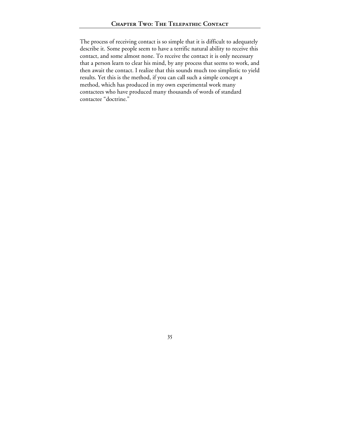The process of receiving contact is so simple that it is difficult to adequately describe it. Some people seem to have a terrific natural ability to receive this contact, and some almost none. To receive the contact it is only necessary that a person learn to clear his mind, by any process that seems to work, and then await the contact. I realize that this sounds much too simplistic to yield results. Yet this is the method, if you can call such a simple concept a method, which has produced in my own experimental work many contactees who have produced many thousands of words of standard contactee "doctrine."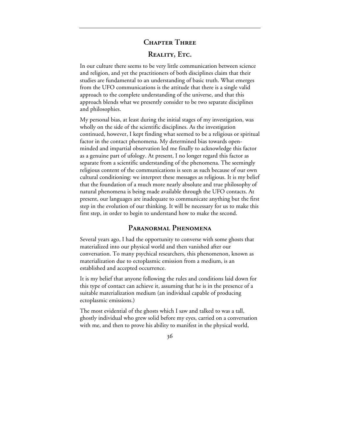# **Chapter Three Reality, Etc.**

In our culture there seems to be very little communication between science and religion, and yet the practitioners of both disciplines claim that their studies are fundamental to an understanding of basic truth. What emerges from the UFO communications is the attitude that there is a single valid approach to the complete understanding of the universe, and that this approach blends what we presently consider to be two separate disciplines and philosophies.

My personal bias, at least during the initial stages of my investigation, was wholly on the side of the scientific disciplines. As the investigation continued, however, I kept finding what seemed to be a religious or spiritual factor in the contact phenomena. My determined bias towards openminded and impartial observation led me finally to acknowledge this factor as a genuine part of ufology. At present, I no longer regard this factor as separate from a scientific understanding of the phenomena. The seemingly religious content of the communications is seen as such because of our own cultural conditioning: we interpret these messages as religious. It is my belief that the foundation of a much more nearly absolute and true philosophy of natural phenomena is being made available through the UFO contacts. At present, our languages are inadequate to communicate anything but the first step in the evolution of our thinking. It will be necessary for us to make this first step, in order to begin to understand how to make the second.

### **Paranormal Phenomena**

Several years ago, I had the opportunity to converse with some ghosts that materialized into our physical world and then vanished after our conversation. To many psychical researchers, this phenomenon, known as materialization due to ectoplasmic emission from a medium, is an established and accepted occurrence.

It is my belief that anyone following the rules and conditions laid down for this type of contact can achieve it, assuming that he is in the presence of a suitable materialization medium (an individual capable of producing ectoplasmic emissions.)

The most evidential of the ghosts which I saw and talked to was a tall, ghostly individual who grew solid before my eyes, carried on a conversation with me, and then to prove his ability to manifest in the physical world,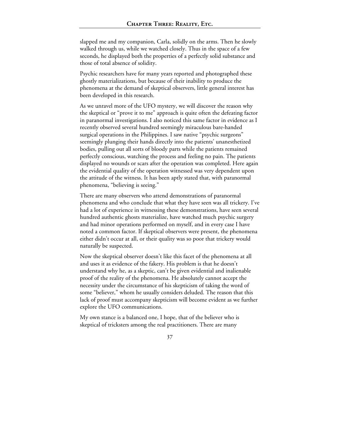slapped me and my companion, Carla, solidly on the arms. Then he slowly walked through us, while we watched closely. Thus in the space of a few seconds, he displayed both the properties of a perfectly solid substance and those of total absence of solidity.

Psychic researchers have for many years reported and photographed these ghostly materializations, but because of their inability to produce the phenomena at the demand of skeptical observers, little general interest has been developed in this research.

As we unravel more of the UFO mystery, we will discover the reason why the skeptical or "prove it to me" approach is quite often the defeating factor in paranormal investigations. I also noticed this same factor in evidence as I recently observed several hundred seemingly miraculous bare-handed surgical operations in the Philippines. I saw native "psychic surgeons" seemingly plunging their hands directly into the patients' unanesthetized bodies, pulling out all sorts of bloody parts while the patients remained perfectly conscious, watching the process and feeling no pain. The patients displayed no wounds or scars after the operation was completed. Here again the evidential quality of the operation witnessed was very dependent upon the attitude of the witness. It has been aptly stated that, with paranormal phenomena, "believing is seeing."

There are many observers who attend demonstrations of paranormal phenomena and who conclude that what they have seen was all trickery. I've had a lot of experience in witnessing these demonstrations, have seen several hundred authentic ghosts materialize, have watched much psychic surgery and had minor operations performed on myself, and in every case I have noted a common factor. If skeptical observers were present, the phenomena either didn't occur at all, or their quality was so poor that trickery would naturally be suspected.

Now the skeptical observer doesn't like this facet of the phenomena at all and uses it as evidence of the fakery. His problem is that he doesn't understand why he, as a skeptic, can't be given evidential and inalienable proof of the reality of the phenomena. He absolutely cannot accept the necessity under the circumstance of his skepticism of taking the word of some "believer," whom he usually considers deluded. The reason that this lack of proof must accompany skepticism will become evident as we further explore the UFO communications.

My own stance is a balanced one, I hope, that of the believer who is skeptical of tricksters among the real practitioners. There are many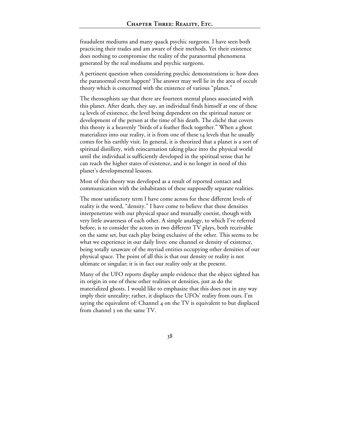fraudulent mediums and many quack psychic surgeons. I have seen both practicing their trades and am aware of their methods. Yet their existence does nothing to compromise the reality of the paranormal phenomena generated by the real mediums and psychic surgeons.

A pertinent question when considering psychic demonstrations is: how does the paranormal event happen? The answer may well lie in the area of occult theory which is concerned with the existence of various "planes."

The theosophists say that there are fourteen mental planes associated with this planet. After death, they say, an individual finds himself at one of these 14 levels of existence, the level being dependent on the spiritual nature or development of the person at the time of his death. The cliché that covers this theory is a heavenly "birds of a feather flock together." When a ghost materializes into our reality, it is from one of these 14 levels that he usually comes for his earthly visit. In general, it is theorized that a planet is a sort of spiritual distillery, with reincarnation taking place into the physical world until the individual is sufficiently developed in the spiritual sense that he can reach the higher states of existence, and is no longer in need of this planet's developmental lessons.

Most of this theory was developed as a result of reported contact and communication with the inhabitants of these supposedly separate realities.

The most satisfactory term I have come across for these different levels of reality is the word, "density." I have come to believe that these densities interpenetrate with our physical space and mutually coexist, though with very little awareness of each other. A simple analogy, to which I've referred before, is to consider the actors in two different TV plays, both receivable on the same set, but each play being exclusive of the other. This seems to be what we experience in our daily lives: one channel or density of existence, being totally unaware of the myriad entities occupying other densities of our physical space. The point of all this is that our density or reality is not ultimate or singular; it is in fact our reality only at the present.

Many of the UFO reports display ample evidence that the object sighted has its origin in one of these other realities or densities, just as do the materialized ghosts. I would like to emphasize that this does not in any way imply their unreality; rather, it displaces the UFOs' reality from ours. I'm saying the equivalent of: Channel 4 on the TV is equivalent to but displaced from channel 3 on the same TV.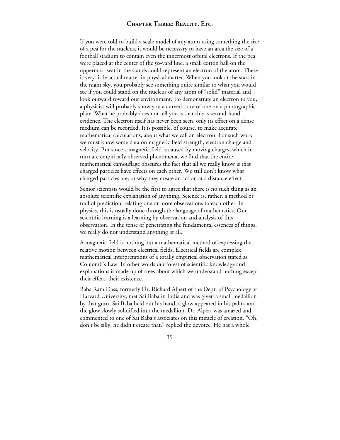If you were told to build a scale model of any atom using something the size of a pea for the nucleus, it would be necessary to have an area the size of a football stadium to contain even the innermost orbital electrons. If the pea were placed at the center of the 50-yard line, a small cotton ball on the uppermost seat in the stands could represent an electron of the atom. There is very little actual matter in physical matter. When you look at the stars in the night sky, you probably see something quite similar to what you would see if you could stand on the nucleus of any atom of "solid" material and look outward toward our environment. To demonstrate an electron to you, a physicist will probably show you a curved trace of one on a photographic plate. What he probably does not tell you is that this is second-hand evidence. The electron itself has never been seen, only its effect on a dense medium can be recorded. It is possible, of course, to make accurate mathematical calculations, about what we call an electron. For such work we must know some data on magnetic field strength, electron charge and velocity. But since a magnetic field is caused by moving charges, which in turn are empirically observed phenomena, we find that the entire mathematical camouflage obscures the fact that all we really know is that charged particles have effects on each other. We still don't know what charged particles are, or why they create an action at a distance effect.

Senior scientists would be the first to agree that there is no such thing as an absolute scientific explanation of anything. Science is, rather, a method or tool of prediction, relating one or more observations to each other. In physics, this is usually done through the language of mathematics. Our scientific learning is a learning by observation and analysis of this observation. In the sense of penetrating the fundamental essences of things, we really do not understand anything at all.

A magnetic field is nothing but a mathematical method of expressing the relative motion between electrical fields. Electrical fields are complex mathematical interpretations of a totally empirical observation stated as Coulomb's Law. In other words our forest of scientific knowledge and explanations is made up of trees about which we understand nothing except their effect, their existence.

Baba Ram Dass, formerly Dr. Richard Alpert of the Dept. of Psychology at Harvard University, met Sai Baba in India and was given a small medallion by that guru. Sai Baba held out his hand, a glow appeared in his palm, and the glow slowly solidified into the medallion. Dr. Alpert was amazed and commented to one of Sai Baba's associates on this miracle of creation. "Oh, don't be silly, he didn't create that," replied the devotee. He has a whole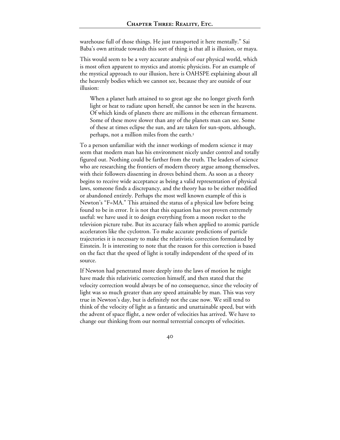warehouse full of those things. He just transported it here mentally." Sai Baba's own attitude towards this sort of thing is that all is illusion, or maya.

This would seem to be a very accurate analysis of our physical world, which is most often apparent to mystics and atomic physicists. For an example of the mystical approach to our illusion, here is OAHSPE explaining about all the heavenly bodies which we cannot see, because they are outside of our illusion:

When a planet hath attained to so great age she no longer giveth forth light or heat to radiate upon herself, she cannot be seen in the heavens. Of which kinds of planets there are millions in the etherean firmament. Some of these move slower than any of the planets man can see. Some of these at times eclipse the sun, and are taken for sun-spots, although, perhaps, not a million miles from the earth.1

To a person unfamiliar with the inner workings of modern science it may seem that modern man has his environment nicely under control and totally figured out. Nothing could be farther from the truth. The leaders of science who are researching the frontiers of modern theory argue among themselves, with their followers dissenting in droves behind them. As soon as a theory begins to receive wide acceptance as being a valid representation of physical laws, someone finds a discrepancy, and the theory has to be either modified or abandoned entirely. Perhaps the most well known example of this is Newton's "F=MA." This attained the status of a physical law before being found to be in error. It is not that this equation has not proven extremely useful: we have used it to design everything from a moon rocket to the television picture tube. But its accuracy fails when applied to atomic particle accelerators like the cyclotron. To make accurate predictions of particle trajectories it is necessary to make the relativistic correction formulated by Einstein. It is interesting to note that the reason for this correction is based on the fact that the speed of light is totally independent of the speed of its source.

If Newton had penetrated more deeply into the laws of motion he might have made this relativistic correction himself, and then stated that the velocity correction would always be of no consequence, since the velocity of light was so much greater than any speed attainable by man. This was very true in Newton's day, but is definitely not the case now. We still tend to think of the velocity of light as a fantastic and unattainable speed, but with the advent of space flight, a new order of velocities has arrived. We have to change our thinking from our normal terrestrial concepts of velocities.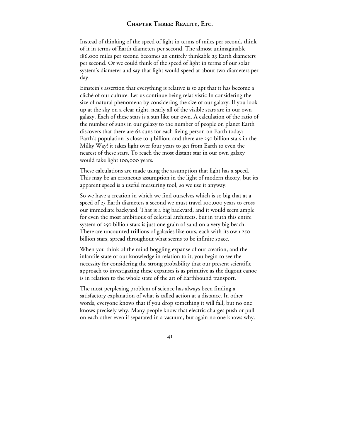Instead of thinking of the speed of light in terms of miles per second, think of it in terms of Earth diameters per second. The almost unimaginable 186,000 miles per second becomes an entirely thinkable 23 Earth diameters per second. Or we could think of the speed of light in terms of our solar system's diameter and say that light would speed at about two diameters per day.

Einstein's assertion that everything is relative is so apt that it has become a cliché of our culture. Let us continue being relativistic In considering the size of natural phenomena by considering the size of our galaxy. If you look up at the sky on a clear night, nearly all of the visible stars are in our own galaxy. Each of these stars is a sun like our own. A calculation of the ratio of the number of suns in our galaxy to the number of people on planet Earth discovers that there are 62 suns for each living person on Earth today: Earth's population is close to 4 billion; and there are 250 billion stars in the Milky Way! it takes light over four years to get from Earth to even the nearest of these stars. To reach the most distant star in our own galaxy would take light 100,000 years.

These calculations are made using the assumption that light has a speed. This may be an erroneous assumption in the light of modern theory, but its apparent speed is a useful measuring tool, so we use it anyway.

So we have a creation in which we find ourselves which is so big that at a speed of 23 Earth diameters a second we must travel 100,000 years to cross our immediate backyard. That is a big backyard, and it would seem ample for even the most ambitious of celestial architects, but in truth this entire system of 250 billion stars is just one grain of sand on a very big beach. There are uncounted trillions of galaxies like ours, each with its own 250 billion stars, spread throughout what seems to be infinite space.

When you think of the mind boggling expanse of our creation, and the infantile state of our knowledge in relation to it, you begin to see the necessity for considering the strong probability that our present scientific approach to investigating these expanses is as primitive as the dugout canoe is in relation to the whole state of the art of Earthbound transport.

The most perplexing problem of science has always been finding a satisfactory explanation of what is called action at a distance. In other words, everyone knows that if you drop something it will fall, but no one knows precisely why. Many people know that electric charges push or pull on each other even if separated in a vacuum, but again no one knows why.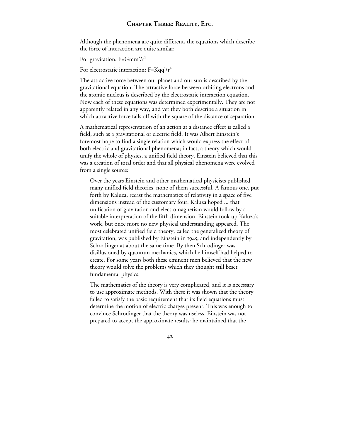Although the phenomena are quite different, the equations which describe the force of interaction are quite similar:

For gravitation:  $F = Gmm/r^2$ 

For electrostatic interaction:  $F = Kqq'/r^2$ 

The attractive force between our planet and our sun is described by the gravitational equation. The attractive force between orbiting electrons and the atomic nucleus is described by the electrostatic interaction equation. Now each of these equations was determined experimentally. They are not apparently related in any way, and yet they both describe a situation in which attractive force falls off with the square of the distance of separation.

A mathematical representation of an action at a distance effect is called a field, such as a gravitational or electric field. It was Albert Einstein's foremost hope to find a single relation which would express the effect of both electric and gravitational phenomena; in fact, a theory which would unify the whole of physics, a unified field theory. Einstein believed that this was a creation of total order and that all physical phenomena were evolved from a single source:

Over the years Einstein and other mathematical physicists published many unified field theories, none of them successful. A famous one, put forth by Kaluza, recast the mathematics of relativity in a space of five dimensions instead of the customary four. Kaluza hoped ... that unification of gravitation and electromagnetism would follow by a suitable interpretation of the fifth dimension. Einstein took up Kaluza's work, but once more no new physical understanding appeared. The most celebrated unified field theory, called the generalized theory of gravitation, was published by Einstein in 1945, and independently by Schrodinger at about the same time. By then Schrodinger was disillusioned by quantum mechanics, which he himself had helped to create. For some years both these eminent men believed that the new theory would solve the problems which they thought still beset fundamental physics.

The mathematics of the theory is very complicated, and it is necessary to use approximate methods. With these it was shown that the theory failed to satisfy the basic requirement that its field equations must determine the motion of electric charges present. This was enough to convince Schrodinger that the theory was useless. Einstein was not prepared to accept the approximate results: he maintained that the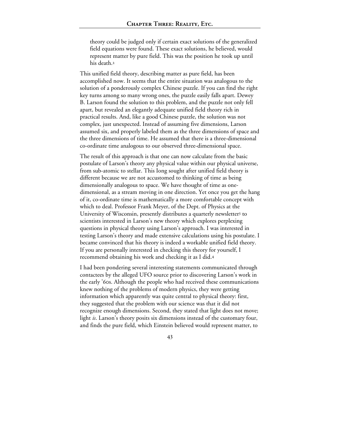theory could be judged only if certain exact solutions of the generalized field equations were found. These exact solutions, he believed, would represent matter by pure field. This was the position he took up until his death.<sup>2</sup>

This unified field theory, describing matter as pure field, has been accomplished now. It seems that the entire situation was analogous to the solution of a ponderously complex Chinese puzzle. If you can find the right key turns among so many wrong ones, the puzzle easily falls apart. Dewey B. Larson found the solution to this problem, and the puzzle not only fell apart, but revealed an elegantly adequate unified field theory rich in practical results. And, like a good Chinese puzzle, the solution was not complex, just unexpected. Instead of assuming five dimensions, Larson assumed six, and properly labeled them as the three dimensions of space and the three dimensions of time. He assumed that there is a three-dimensional co-ordinate time analogous to our observed three-dimensional space.

The result of this approach is that one can now calculate from the basic postulate of Larson's theory any physical value within our physical universe, from sub-atomic to stellar. This Iong sought after unified field theory is different because we are not accustomed to thinking of time as being dimensionally analogous to space. We have thought of time as onedimensional, as a stream moving in one direction. Yet once you get the hang of it, co-ordinate time is mathematically a more comfortable concept with which to deal. Professor Frank Meyer, of the Dept. of Physics at the University of Wisconsin, presently distributes a quarterly newsletter3 to scientists interested in Larson's new theory which explores perplexing questions in physical theory using Larson's approach. I was interested in testing Larson's theory and made extensive calculations using his postulate. I became convinced that his theory is indeed a workable unified field theory. If you are personally interested in checking this theory for yourself, I recommend obtaining his work and checking it as I did.4

I had been pondering several interesting statements communicated through contactees by the alleged UFO source prior to discovering Larson's work in the early '60s. Although the people who had received these communications knew nothing of the problems of modern physics, they were getting information which apparently was quite central to physical theory: first, they suggested that the problem with our science was that it did not recognize enough dimensions. Second, they stated that light does not move; light *is*. Larson's theory posits six dimensions instead of the customary four, and finds the pure field, which Einstein believed would represent matter, to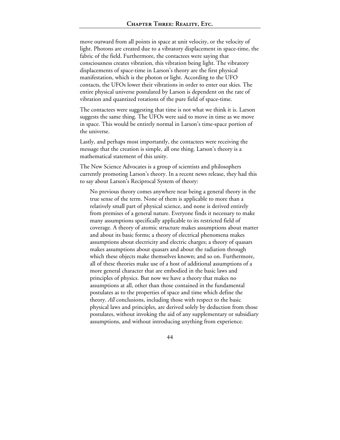move outward from all points in space at unit velocity, or the velocity of light. Photons are created due to a vibratory displacement in space-time, the fabric of the field. Furthermore, the contactees were saying that consciousness creates vibration, this vibration being light. The vibratory displacements of space-time in Larson's theory are the first physical manifestation, which is the photon or light. According to the UFO contacts, the UFOs lower their vibrations in order to enter our skies. The entire physical universe postulated by Larson is dependent on the rate of vibration and quantized rotations of the pure field of space-time.

The contactees were suggesting that time is not what we think it is. Larson suggests the same thing. The UFOs were said to move in time as we move in space. This would be entirely normal in Larson's time-space portion of the universe.

Lastly, and perhaps most importantly, the contactees were receiving the message that the creation is simple, all one thing. Larson's theory is a mathematical statement of this unity.

The New Science Advocates is a group of scientists and philosophers currently promoting Larson's theory. In a recent news release, they had this to say about Larson's Reciprocal System of theory:

No previous theory comes anywhere near being a general theory in the true sense of the term. None of them is applicable to more than a relatively small part of physical science, and none is derived entirely from premises of a general nature. Everyone finds it necessary to make many assumptions specifically applicable to its restricted field of coverage. A theory of atomic structure makes assumptions about matter and about its basic forms; a theory of electrical phenomena makes assumptions about electricity and electric charges; a theory of quasars makes assumptions about quasars and about the radiation through which these objects make themselves known; and so on. Furthermore, all of these theories make use of a host of additional assumptions of a more general character that are embodied in the basic laws and principles of physics. But now we have a theory that makes no assumptions at all, other than those contained in the fundamental postulates as to the properties of space and time which define the theory. *All* conclusions, including those with respect to the basic physical laws and principles, are derived solely by deduction from those postulates, without invoking the aid of any supplementary or subsidiary assumptions, and without introducing anything from experience.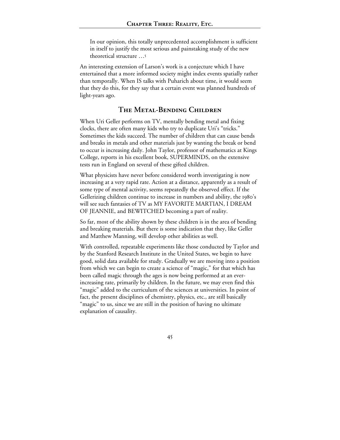In our opinion, this totally unprecedented accomplishment is sufficient in itself to justify the most serious and painstaking study of the new theoretical structure …5

An interesting extension of Larson's work is a conjecture which I have entertained that a more informed society might index events spatially rather than temporally. When IS talks with Puharich about time, it would seem that they do this, for they say that a certain event was planned hundreds of light-years ago.

## **The Metal-Bending Children**

When Uri Geller performs on TV, mentally bending metal and fixing clocks, there are often many kids who try to duplicate Uri's "tricks." Sometimes the kids succeed. The number of children that can cause bends and breaks in metals and other materials just by wanting the break or bend to occur is increasing daily. John Taylor, professor of mathematics at Kings College, reports in his excellent book, SUPERMINDS, on the extensive tests run in England on several of these gifted children.

What physicists have never before considered worth investigating is now increasing at a very rapid rate. Action at a distance, apparently as a result of some type of mental activity, seems repeatedly the observed effect. If the Gellerizing children continue to increase in numbers and ability, the 1980's will see such fantasies of TV as MY FAVORITE MARTIAN, I DREAM OF JEANNIE, and BEWITCHED becoming a part of reality.

So far, most of the ability shown by these children is in the area of bending and breaking materials. But there is some indication that they, like Geller and Matthew Manning, will develop other abilities as well.

With controlled, repeatable experiments like those conducted by Taylor and by the Stanford Research Institute in the United States, we begin to have good, solid data available for study. Gradually we are moving into a position from which we can begin to create a science of "magic," for that which has been called magic through the ages is now being performed at an everincreasing rate, primarily by children. In the future, we may even find this "magic" added to the curriculum of the sciences at universities. In point of fact, the present disciplines of chemistry, physics, etc., are still basically "magic" to us, since we are still in the position of having no ultimate explanation of causality.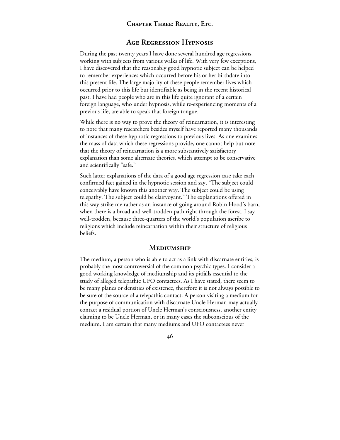### **Age Regression Hypnosis**

During the past twenty years I have done several hundred age regressions, working with subjects from various walks of life. With very few exceptions, I have discovered that the reasonably good hypnotic subject can be helped to remember experiences which occurred before his or her birthdate into this present life. The large majority of these people remember lives which occurred prior to this life but identifiable as being in the recent historical past. I have had people who are in this life quite ignorant of a certain foreign language, who under hypnosis, while re-experiencing moments of a previous life, are able to speak that foreign tongue.

While there is no way to prove the theory of reincarnation, it is interesting to note that many researchers besides myself have reported many thousands of instances of these hypnotic regressions to previous lives. As one examines the mass of data which these regressions provide, one cannot help but note that the theory of reincarnation is a more substantively satisfactory explanation than some alternate theories, which attempt to be conservative and scientifically "safe."

Such latter explanations of the data of a good age regression case take each confirmed fact gained in the hypnotic session and say, "The subject could conceivably have known this another way. The subject could be using telepathy. The subject could be clairvoyant." The explanations offered in this way strike me rather as an instance of going around Robin Hood's barn, when there is a broad and well-trodden path right through the forest. I say well-trodden, because three-quarters of the world's population ascribe to religions which include reincarnation within their structure of religious beliefs.

### **Mediumship**

The medium, a person who is able to act as a link with discarnate entities, is probably the most controversial of the common psychic types. I consider a good working knowledge of mediumship and its pitfalls essential to the study of alleged telepathic UFO contactees. As I have stated, there seem to be many planes or densities of existence, therefore it is not always possible to be sure of the source of a telepathic contact. A person visiting a medium for the purpose of communication with discarnate Uncle Herman may actually contact a residual portion of Uncle Herman's consciousness, another entity claiming to be Uncle Herman, or in many cases the subconscious of the medium. I am certain that many mediums and UFO contactees never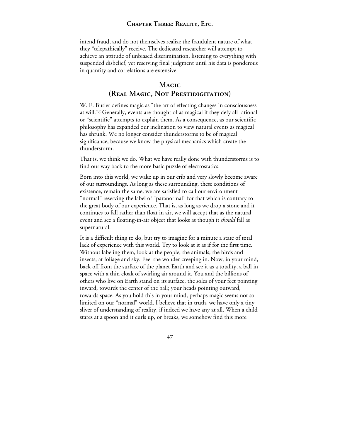intend fraud, and do not themselves realize the fraudulent nature of what they "telepathically" receive. The dedicated researcher will attempt to achieve an attitude of unbiased discrimination, listening to everything with suspended disbelief, yet reserving final judgment until his data is ponderous in quantity and correlations are extensive.

# **Magic (Real Magic, Not Prestidigitation)**

W. E. Butler defines magic as "the art of effecting changes in consciousness at will."6 Generally, events are thought of as magical if they defy all rational or "scientific" attempts to explain them. As a consequence, as our scientific philosophy has expanded our inclination to view natural events as magical has shrunk. We no longer consider thunderstorms to be of magical significance, because we know the physical mechanics which create the thunderstorm.

That is, we think we do. What we have really done with thunderstorms is to find our way back to the more basic puzzle of electrostatics.

Born into this world, we wake up in our crib and very slowly become aware of our surroundings. As long as these surrounding, these conditions of existence, remain the same, we are satisfied to call our environment "normal" reserving the label of "paranormal" for that which is contrary to the great body of our experience. That is, as long as we drop a stone and it continues to fall rather than float in air, we will accept that as the natural event and see a floating-in-air object that looks as though it *should* fall as supernatural.

It is a difficult thing to do, but try to imagine for a minute a state of total lack of experience with this world. Try to look at it as if for the first time. Without labeling them, look at the people, the animals, the birds and insects; at foliage and sky. Feel the wonder creeping in. Now, in your mind, back off from the surface of the planet Earth and see it as a totality, a ball in space with a thin cloak of swirling air around it. You and the billions of others who live on Earth stand on its surface, the soles of your feet pointing inward, towards the center of the ball; your heads pointing outward, towards space. As you hold this in your mind, perhaps magic seems not so limited on our "normal" world. I believe that in truth, we have only a tiny sliver of understanding of reality, if indeed we have any at all. When a child stares at a spoon and it curls up, or breaks, we somehow find this more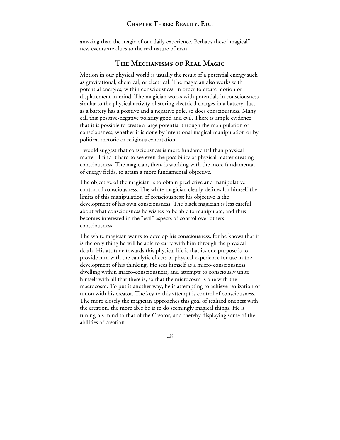amazing than the magic of our daily experience. Perhaps these "magical" new events are clues to the real nature of man.

## **The Mechanisms of Real Magic**

Motion in our physical world is usually the result of a potential energy such as gravitational, chemical, or electrical. The magician also works with potential energies, within consciousness, in order to create motion or displacement in mind. The magician works with potentials in consciousness similar to the physical activity of storing electrical charges in a battery. Just as a battery has a positive and a negative pole, so does consciousness. Many call this positive-negative polarity good and evil. There is ample evidence that it is possible to create a large potential through the manipulation of consciousness, whether it is done by intentional magical manipulation or by political rhetoric or religious exhortation.

I would suggest that consciousness is more fundamental than physical matter. I find it hard to see even the possibility of physical matter creating consciousness. The magician, then, is working with the more fundamental of energy fields, to attain a more fundamental objective.

The objective of the magician is to obtain predictive and manipulative control of consciousness. The white magician clearly defines for himself the limits of this manipulation of consciousness: his objective is the development of his own consciousness. The black magician is less careful about what consciousness he wishes to be able to manipulate, and thus becomes interested in the "evil" aspects of control over others' consciousness.

The white magician wants to develop his consciousness, for he knows that it is the only thing he will be able to carry with him through the physical death. His attitude towards this physical life is that its one purpose is to provide him with the catalytic effects of physical experience for use in the development of his thinking. He sees himself as a micro-consciousness dwelling within macro-consciousness, and attempts to consciously unite himself with all that there is, so that the microcosm is one with the macrocosm. To put it another way, he is attempting to achieve realization of union with his creator. The key to this attempt is control of consciousness. The more closely the magician approaches this goal of realized oneness with the creation, the more able he is to do seemingly magical things. He is tuning his mind to that of the Creator, and thereby displaying some of the abilities of creation.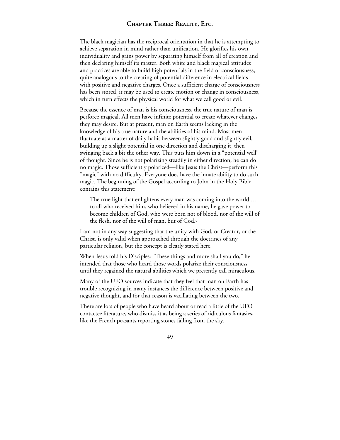The black magician has the reciprocal orientation in that he is attempting to achieve separation in mind rather than unification. He glorifies his own individuality and gains power by separating himself from all of creation and then declaring himself its master. Both white and black magical attitudes and practices are able to build high potentials in the field of consciousness, quite analogous to the creating of potential difference in electrical fields with positive and negative charges. Once a sufficient charge of consciousness has been stored, it may be used to create motion or change in consciousness, which in turn effects the physical world for what we call good or evil.

Because the essence of man is his consciousness, the true nature of man is perforce magical. All men have infinite potential to create whatever changes they may desire. But at present, man on Earth seems lacking in the knowledge of his true nature and the abilities of his mind. Most men fluctuate as a matter of daily habit between slightly good and slightly evil, building up a slight potential in one direction and discharging it, then swinging back a bit the other way. This puts him down in a "potential well" of thought. Since he is not polarizing steadily in either direction, he can do no magic. Those sufficiently polarized—like Jesus the Christ—perform this "magic" with no difficulty. Everyone does have the innate ability to do such magic. The beginning of the Gospel according to John in the Holy Bible contains this statement:

The true light that enlightens every man was coming into the world … to all who received him, who believed in his name, he gave power to become children of God, who were born not of blood, nor of the will of the flesh, nor of the will of man, but of God.7

I am not in any way suggesting that the unity with God, or Creator, or the Christ, is only valid when approached through the doctrines of any particular religion, but the concept is clearly stated here.

When Jesus told his Disciples: "These things and more shall you do," he intended that those who heard those words polarize their consciousness until they regained the natural abilities which we presently call miraculous.

Many of the UFO sources indicate that they feel that man on Earth has trouble recognizing in many instances the difference between positive and negative thought, and for that reason is vacillating between the two.

There are lots of people who have heard about or read a little of the UFO contactee literature, who dismiss it as being a series of ridiculous fantasies, like the French peasants reporting stones falling from the sky.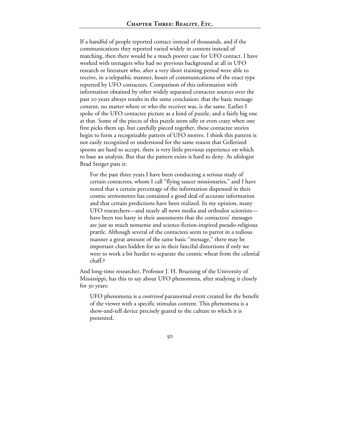If a handful of people reported contact instead of thousands, and if the communications they reported varied widely in content instead of matching, then there would be a much poorer case for UFO contact. I have worked with teenagers who had no previous background at all in UFO research or literature who, after a very short training period were able to receive, in a telepathic manner, hours of communications of the exact type reported by UFO contactees. Comparison of this information with information obtained by other widely separated contactee sources over the past 20 years always results in the same conclusion: that the basic message content, no matter where or who the receiver was, is the same. Earlier I spoke of the UFO contactee picture as a kind of puzzle, and a fairly big one at that. Some of the pieces of this puzzle seem silly or even crazy when one first picks them up, but carefully pieced together, these contactee stories begin to form a recognizable pattern of UFO motive. I think this pattern is not easily recognized or understood for the same reason that Gellerized spoons are hard to accept, there is very little previous experience on which to base an analysis. But that the pattern exists is hard to deny. As ufologist Brad Steiger puts it:

For the past three years I have been conducting a serious study of certain contactees, whom I call "flying saucer missionaries," and I have noted that a certain percentage of the information dispensed in their cosmic sermonettes has contained a good deal of accurate information and that certain predictions have been realized. In my opinion, many UFO researchers—and nearly all news media and orthodox scientists have been too hasty in their assessments that the contactees' messages are just so much nonsense and science-fiction-inspired pseudo-religious prattle. Although several of the contactees seem to parrot in a tedious manner a great amount of the same basic "message," there may be important clues hidden for us in their fanciful distortions if only we were to work a bit harder to separate the cosmic wheat from the celestial chaff.8

And long-time researcher, Professor J. H. Bruening of the University of Mississippi, has this to say about UFO phenomena, after studying it closely for 30 years:

UFO phenomena is a *contrived* paranormal event created for the benefit of the viewer with a specific stimulus content. This phenomena is a show-and-tell device precisely geared to the culture to which it is presented.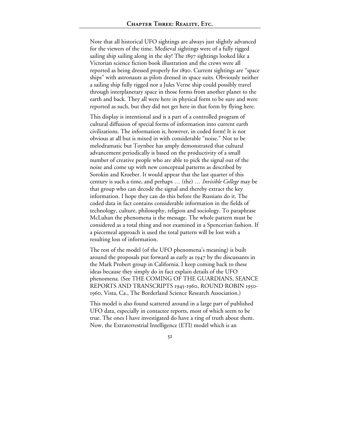Note that all historical UFO sightings are always just slightly advanced for the viewers of the time. Medieval sightings were of a fully rigged sailing ship sailing along in the sky! The 1897 sightings looked like a Victorian science fiction book illustration and the crews were all reported as being dressed properly for 1890. Current sightings are "space ships" with astronauts as pilots dressed in space suits. Obviously neither a sailing ship fully rigged nor a Jules Verne ship could possibly travel through interplanetary space in those forms from another planet to the earth and back. They all were here in physical form to be sure and were reported as such, but they did not get here in that form by flying here.

This display is intentional and is a part of a controlled program of cultural diffusion of special forms of information into current earth civilizations. The information is, however, in coded form! It is not obvious at all but is mixed in with considerable "noise." Not to be melodramatic but Toynbee has amply demonstrated that cultural advancement periodically is based on the productivity of a small number of creative people who are able to pick the signal out of the noise and come up with new conceptual patterns as described by Sorokin and Kroeber. It would appear that the last quarter of this century is such a time, and perhaps … (the) … *Invisible College* may be that group who can decode the signal and thereby extract the key information. I hope they can do this before the Russians do it. The coded data in fact contains considerable information in the fields of technology, culture, philosophy, religion and sociology. To paraphrase McLuhan the phenomena is the message. The whole pattern must be considered as a total thing and not examined in a Spencerian fashion. If a piecemeal approach is used the total pattern will be lost with a resulting loss of information.

The rest of the model (of the UFO phenomena's meaning) is built around the proposals put forward as early as 1947 by the discussants in the Mark Probert group in California. I keep coming back to these ideas because they simply do in fact explain details of the UFO phenomena. (See THE COMING OF THE GUARDIANS, SEANCE REPORTS AND TRANSCRIPTS 1945-1960, ROUND ROBIN 1950- 1960, Vista, Ca., The Borderland Science Research Association.)

This model is also found scattered around in a large part of published UFO data, especially in contactee reports, most of which seem to be true. The ones I have investigated do have a ring of truth about them. Now, the Extraterrestrial Intelligence (ETI) model which is an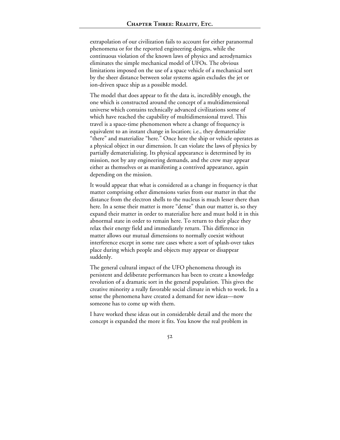extrapolation of our civilization fails to account for either paranormal phenomena or for the reported engineering designs, while the continuous violation of the known laws of physics and aerodynamics eliminates the simple mechanical model of UFOs. The obvious limitations imposed on the use of a space vehicle of a mechanical sort by the sheer distance between solar systems again excludes the jet or ion-driven space ship as a possible model.

The model that does appear to fit the data is, incredibly enough, the one which is constructed around the concept of a multidimensional universe which contains technically advanced civilizations some of which have reached the capability of multidimensional travel. This travel is a space-time phenomenon where a change of frequency is equivalent to an instant change in location; i.e., they dematerialize "there" and materialize "here." Once here the ship or vehicle operates as a physical object in our dimension. It can violate the laws of physics by partially dematerializing. Its physical appearance is determined by its mission, not by any engineering demands, and the crew may appear either as themselves or as manifesting a contrived appearance, again depending on the mission.

It would appear that what is considered as a change in frequency is that matter comprising other dimensions varies from our matter in that the distance from the electron shells to the nucleus is much lesser there than here. In a sense their matter is more "dense" than our matter is, so they expand their matter in order to materialize here and must hold it in this abnormal state in order to remain here. To return to their place they relax their energy field and immediately return. This difference in matter allows our mutual dimensions to normally coexist without interference except in some rare cases where a sort of splash-over takes place during which people and objects may appear or disappear suddenly.

The general cultural impact of the UFO phenomena through its persistent and deliberate performances has been to create a knowledge revolution of a dramatic sort in the general population. This gives the creative minority a really favorable social climate in which to work. In a sense the phenomena have created a demand for new ideas—now someone has to come up with them.

I have worked these ideas out in considerable detail and the more the concept is expanded the more it fits. You know the real problem in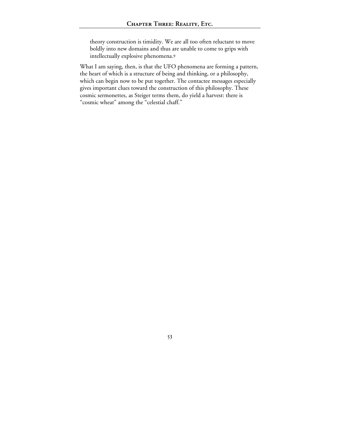theory construction is timidity. We are all too often reluctant to move boldly into new domains and thus are unable to come to grips with intellectually explosive phenomena.9

What I am saying, then, is that the UFO phenomena are forming a pattern, the heart of which is a structure of being and thinking, or a philosophy, which can begin now to be put together. The contactee messages especially gives important clues toward the construction of this philosophy. These cosmic sermonettes, as Steiger terms them, do yield a harvest: there is "cosmic wheat" among the "celestial chaff."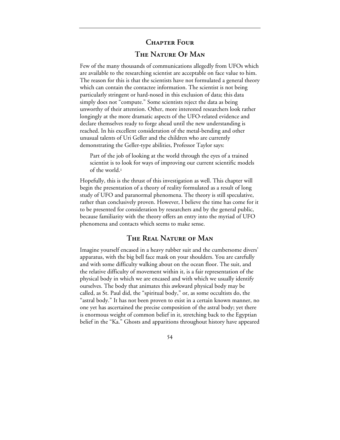# **Chapter Four The Nature Of Man**

Few of the many thousands of communications allegedly from UFOs which are available to the researching scientist are acceptable on face value to him. The reason for this is that the scientists have not formulated a general theory which can contain the contactee information. The scientist is not being particularly stringent or hard-nosed in this exclusion of data; this data simply does not "compute." Some scientists reject the data as being unworthy of their attention. Other, more interested researchers look rather longingly at the more dramatic aspects of the UFO-related evidence and declare themselves ready to forge ahead until the new understanding is reached. In his excellent consideration of the metal-bending and other unusual talents of Uri Geller and the children who are currently demonstrating the Geller-type abilities, Professor Taylor says:

Part of the job of looking at the world through the eyes of a trained scientist is to look for ways of improving our current scientific models of the world.1

Hopefully, this is the thrust of this investigation as well. This chapter will begin the presentation of a theory of reality formulated as a result of long study of UFO and paranormal phenomena. The theory is still speculative, rather than conclusively proven. However, I believe the time has come for it to be presented for consideration by researchers and by the general public, because familiarity with the theory offers an entry into the myriad of UFO phenomena and contacts which seems to make sense.

# **The Real Nature of Man**

Imagine yourself encased in a heavy rubber suit and the cumbersome divers' apparatus, with the big bell face mask on your shoulders. You are carefully and with some difficulty walking about on the ocean floor. The suit, and the relative difficulty of movement within it, is a fair representation of the physical body in which we are encased and with which we usually identify ourselves. The body that animates this awkward physical body may be called, as St. Paul did, the "spiritual body," or, as some occultists do, the "astral body." It has not been proven to exist in a certain known manner, no one yet has ascertained the precise composition of the astral body; yet there is enormous weight of common belief in it, stretching back to the Egyptian belief in the "Ka." Ghosts and apparitions throughout history have appeared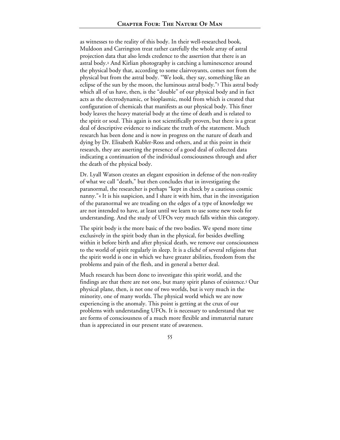as witnesses to the reality of this body. In their well-researched book, Muldoon and Carrington treat rather carefully the whole array of astral projection data that also lends credence to the assertion that there is an astral body.2 And Kirlian photography is catching a luminescence around the physical body that, according to some clairvoyants, comes not from the physical but from the astral body. "We look, they say, something like an eclipse of the sun by the moon, the luminous astral body."3 This astral body which all of us have, then, is the "double" of our physical body and in fact acts as the electrodynamic, or bioplasmic, mold from which is created that configuration of chemicals that manifests as our physical body. This finer body leaves the heavy material body at the time of death and is related to the spirit or soul. This again is not scientifically proven, but there is a great deal of descriptive evidence to indicate the truth of the statement. Much research has been done and is now in progress on the nature of death and dying by Dr. Elisabeth Kubler-Ross and others, and at this point in their research, they are asserting the presence of a good deal of collected data indicating a continuation of the individual consciousness through and after the death of the physical body.

Dr. Lyall Watson creates an elegant exposition in defense of the non-reality of what we call "death," but then concludes that in investigating the paranormal, the researcher is perhaps "kept in check by a cautious cosmic nanny."4 It is his suspicion, and I share it with him, that in the investigation of the paranormal we are treading on the edges of a type of knowledge we are not intended to have, at least until we learn to use some new tools for understanding. And the study of UFOs very much falls within this category.

The spirit body is the more basic of the two bodies. We spend more time exclusively in the spirit body than in the physical, for besides dwelling within it before birth and after physical death, we remove our consciousness to the world of spirit regularly in sleep. It is a cliché of several religions that the spirit world is one in which we have greater abilities, freedom from the problems and pain of the flesh, and in general a better deal.

Much research has been done to investigate this spirit world, and the findings are that there are not one, but many spirit planes of existence.5 Our physical plane, then, is not one of two worlds, but is very much in the minority, one of many worlds. The physical world which we are now experiencing is the anomaly. This point is getting at the crux of our problems with understanding UFOs. It is necessary to understand that we are forms of consciousness of a much more flexible and immaterial nature than is appreciated in our present state of awareness.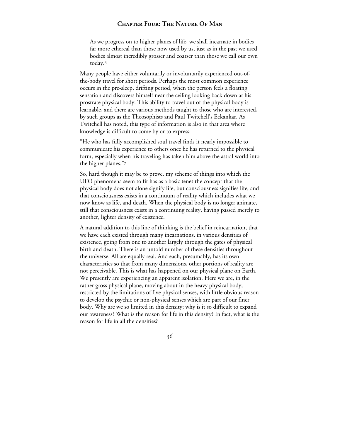As we progress on to higher planes of life, we shall incarnate in bodies far more ethereal than those now used by us, just as in the past we used bodies almost incredibly grosser and coarser than those we call our own today.6

Many people have either voluntarily or involuntarily experienced out-ofthe-body travel for short periods. Perhaps the most common experience occurs in the pre-sleep, drifting period, when the person feels a floating sensation and discovers himself near the ceiling looking back down at his prostrate physical body. This ability to travel out of the physical body is learnable, and there are various methods taught to those who are interested, by such groups as the Theosophists and Paul Twitchell's Eckankar. As Twitchell has noted, this type of information is also in that area where knowledge is difficult to come by or to express:

"He who has fully accomplished soul travel finds it nearly impossible to communicate his experience to others once he has returned to the physical form, especially when his traveling has taken him above the astral world into the higher planes."7

So, hard though it may be to prove, my scheme of things into which the UFO phenomena seem to fit has as a basic tenet the concept that the physical body does not alone signify life, but consciousness signifies life, and that consciousness exists in a continuum of reality which includes what we now know as life, and death. When the physical body is no longer animate, still that consciousness exists in a continuing reality, having passed merely to another, lighter density of existence.

A natural addition to this line of thinking is the belief in reincarnation, that we have each existed through many incarnations, in various densities of existence, going from one to another largely through the gates of physical birth and death. There is an untold number of these densities throughout the universe. All are equally real. And each, presumably, has its own characteristics so that from many dimensions, other portions of reality are not perceivable. This is what has happened on our physical plane on Earth. We presently are experiencing an apparent isolation. Here we are, in the rather gross physical plane, moving about in the heavy physical body, restricted by the limitations of five physical senses, with little obvious reason to develop the psychic or non-physical senses which are part of our finer body. Why are we so limited in this density; why is it so difficult to expand our awareness? What is the reason for life in this density? In fact, what is the reason for life in all the densities?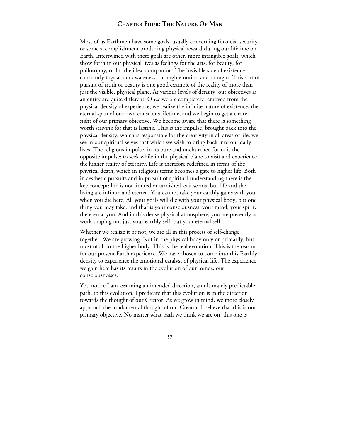Most of us Earthmen have some goals, usually concerning financial security or some accomplishment producing physical reward during our lifetime on Earth. Intertwined with these goals are other, more intangible goals, which show forth in our physical lives as feelings for the arts, for beauty, for philosophy, or for the ideal companion. The invisible side of existence constantly tugs at our awareness, through emotion and thought. This sort of pursuit of truth or beauty is one good example of the reality of more than just the visible, physical plane. At various levels of density, our objectives as an entity are quite different. Once we are completely removed from the physical density of experience, we realize the infinite nature of existence, the eternal span of our own conscious lifetime, and we begin to get a clearer sight of our primary objective. We become aware that there is something worth striving for that is lasting. This is the impulse, brought back into the physical density, which is responsible for the creativity in all areas of life: we see in our spiritual selves that which we wish to bring back into our daily lives. The religious impulse, in its pure and unchurched form, is the opposite impulse: to seek while in the physical plane to visit and experience the higher reality of eternity. Life is therefore redefined in terms of the physical death, which in religious terms becomes a gate to higher life. Both in aesthetic pursuits and in pursuit of spiritual understanding there is the key concept: life is not limited or tarnished as it seems, but life and the living are infinite and eternal. You cannot take your earthly gains with you when you die here. All your goals will die with your physical body, but one thing you may take, and that is your consciousness: your mind, your spirit, the eternal you. And in this dense physical atmosphere, you are presently at work shaping not just your earthly self, but your eternal self.

Whether we realize it or not, we are all in this process of self-change together. We are growing. Not in the physical body only or primarily, but most of all in the higher body. This is the real evolution. This is the reason for our present Earth experience. We have chosen to come into this Earthly density to experience the emotional catalyst of physical life. The experience we gain here has its results in the evolution of our minds, our consciousnesses.

You notice I am assuming an intended direction, an ultimately predictable path, to this evolution. I predicate that this evolution is in the direction towards the thought of our Creator. As we grow in mind, we more closely approach the fundamental thought of our Creator. I believe that this is our primary objective. No matter what path we think we are on, this one is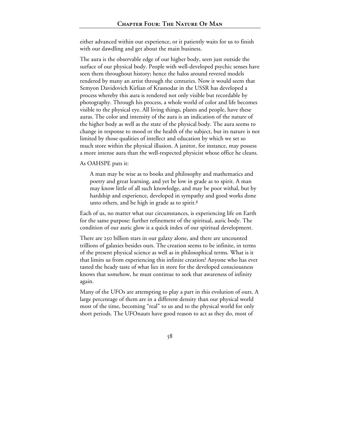either advanced within our experience, or it patiently waits for us to finish with our dawdling and get about the main business.

The aura is the observable edge of our higher body, seen just outside the surface of our physical body. People with well-developed psychic senses have seen them throughout history; hence the halos around revered models rendered by many an artist through the centuries. Now it would seem that Semyon Davidovich Kirlian of Krasnodar in the USSR has developed a process whereby this aura is rendered not only visible but recordable by photography. Through his process, a whole world of color and life becomes visible to the physical eye. All living things, plants and people, have these auras. The color and intensity of the aura is an indication of the nature of the higher body as well as the state of the physical body. The aura seems to change in response to mood or the health of the subject, but its nature is not limited by those qualities of intellect and education by which we set so much store within the physical illusion. A janitor, for instance, may possess a more intense aura than the well-respected physicist whose office he cleans.

#### As OAHSPE puts it:

A man may be wise as to books and philosophy and mathematics and poetry and great learning, and yet be low in grade as to spirit. A man may know little of all such knowledge, and may be poor withal, but by hardship and experience, developed in sympathy and good works done unto others, and be high in grade as to spirit.8

Each of us, no matter what our circumstances, is experiencing life on Earth for the same purpose: further refinement of the spiritual, auric body. The condition of our auric glow is a quick index of our spiritual development.

There are 250 billion stars in our galaxy alone, and there are uncounted trillions of galaxies besides ours. The creation seems to be infinite, in terms of the present physical science as well as in philosophical terms. What is it that limits us from experiencing this infinite creation? Anyone who has ever tasted the heady taste of what lies in store for the developed consciousness knows that somehow, he must continue to seek that awareness of infinity again.

Many of the UFOs are attempting to play a part in this evolution of ours. A large percentage of them are in a different density than our physical world most of the time, becoming "real" to us and to the physical world for only short periods. The UFOnauts have good reason to act as they do, most of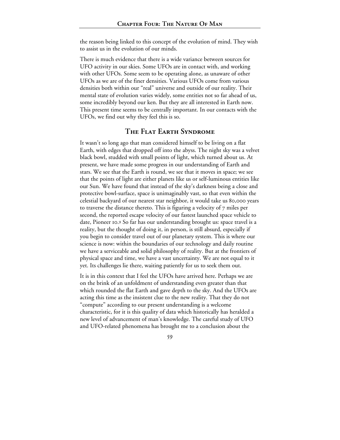the reason being linked to this concept of the evolution of mind. They wish to assist us in the evolution of our minds.

There is much evidence that there is a wide variance between sources for UFO activity in our skies. Some UFOs are in contact with, and working with other UFOs. Some seem to be operating alone, as unaware of other UFOs as we are of the finer densities. Various UFOs come from various densities both within our "real" universe and outside of our reality. Their mental state of evolution varies widely, some entities not so far ahead of us, some incredibly beyond our ken. But they are all interested in Earth now. This present time seems to be centrally important. In our contacts with the UFOs, we find out why they feel this is so.

### **The Flat Earth Syndrome**

It wasn't so long ago that man considered himself to be living on a flat Earth, with edges that dropped off into the abyss. The night sky was a velvet black bowl, studded with small points of light, which turned about us. At present, we have made some progress in our understanding of Earth and stars. We see that the Earth is round, we see that it moves in space; we see that the points of light are either planets like us or self-luminous entities like our Sun. We have found that instead of the sky's darkness being a close and protective bowl-surface, space is unimaginably vast, so that even within the celestial backyard of our nearest star neighbor, it would take us 80,000 years to traverse the distance thereto. This is figuring a velocity of 7 miles per second, the reported escape velocity of our fastest launched space vehicle to date, Pioneer 10.9 So far has our understanding brought us: space travel is a reality, but the thought of doing it, in person, is still absurd, especially if you begin to consider travel out of our planetary system. This is where our science is now: within the boundaries of our technology and daily routine we have a serviceable and solid philosophy of reality. But at the frontiers of physical space and time, we have a vast uncertainty. We are not equal to it yet. Its challenges lie there, waiting patiently for us to seek them out.

It is in this context that I feel the UFOs have arrived here. Perhaps we are on the brink of an unfoldment of understanding even greater than that which rounded the flat Earth and gave depth to the sky. And the UFOs are acting this time as the insistent clue to the new reality. That they do not "compute" according to our present understanding is a welcome characteristic, for it is this quality of data which historically has heralded a new level of advancement of man's knowledge. The careful study of UFO and UFO-related phenomena has brought me to a conclusion about the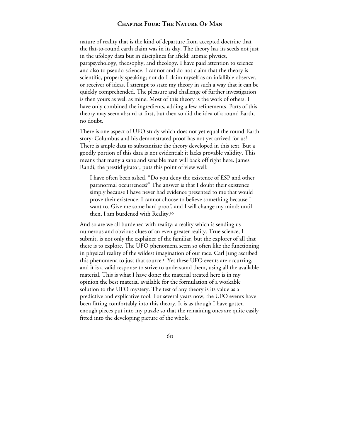nature of reality that is the kind of departure from accepted doctrine that the flat-to-round earth claim was in its day. The theory has its seeds not just in the ufology data but in disciplines far afield: atomic physics, parapsychology, theosophy, and theology. I have paid attention to science and also to pseudo-science. I cannot and do not claim that the theory is scientific, properly speaking; nor do I claim myself as an infallible observer, or receiver of ideas. I attempt to state my theory in such a way that it can be quickly comprehended. The pleasure and challenge of further investigation is then yours as well as mine. Most of this theory is the work of others. I have only combined the ingredients, adding a few refinements. Parts of this theory may seem absurd at first, but then so did the idea of a round Earth, no doubt.

There is one aspect of UFO study which does not yet equal the round-Earth story: Columbus and his demonstrated proof has not yet arrived for us! There is ample data to substantiate the theory developed in this text. But a goodly portion of this data is not evidential: it lacks provable validity. This means that many a sane and sensible man will back off right here. James Randi, the prestidigitator, puts this point of view well:

I have often been asked, "Do you deny the existence of ESP and other paranormal occurrences?" The answer is that I doubt their existence simply because I have never had evidence presented to me that would prove their existence. I cannot choose to believe something because I want to. Give me some hard proof, and I will change my mind: until then, I am burdened with Reality.10

And so are we all burdened with reality: a reality which is sending us numerous and obvious clues of an even greater reality. True science, I submit, is not only the explainer of the familiar, but the explorer of all that there is to explore. The UFO phenomena seem so often like the functioning in physical reality of the wildest imagination of our race. Carl Jung ascribed this phenomena to just that source.11 Yet these UFO events are occurring, and it is a valid response to strive to understand them, using all the available material. This is what I have done; the material treated here is in my opinion the best material available for the formulation of a workable solution to the UFO mystery. The test of any theory is its value as a predictive and explicative tool. For several years now, the UFO events have been fitting comfortably into this theory. It is as though I have gotten enough pieces put into my puzzle so that the remaining ones are quite easily fitted into the developing picture of the whole.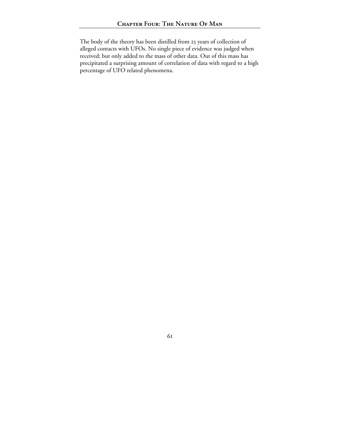The body of the theory has been distilled from 25 years of collection of alleged contacts with UFOs. No single piece of evidence was judged when received; but only added to the mass of other data. Out of this mass has precipitated a surprising amount of correlation of data with regard to a high percentage of UFO related phenomena.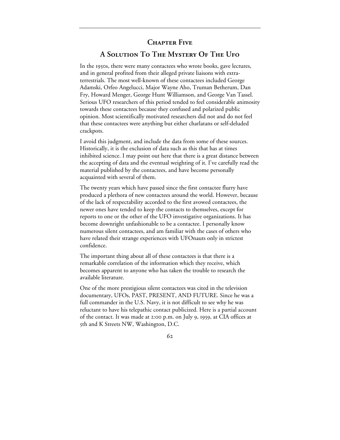# **Chapter Five**

# **A Solution To The Mystery Of The Ufo**

In the 1950s, there were many contactees who wrote books, gave lectures, and in general profited from their alleged private liaisons with extraterrestrials. The most well-known of these contactees included George Adamski, Orfeo Angelucci, Major Wayne Aho, Truman Betherum, Dan Fry, Howard Menger, George Hunt Williamson, and George Van Tassel. Serious UFO researchers of this period tended to feel considerable animosity towards these contactees because they confused and polarized public opinion. Most scientifically motivated researchers did not and do not feel that these contactees were anything but either charlatans or self-deluded crackpots.

I avoid this judgment, and include the data from some of these sources. Historically, it is the exclusion of data such as this that has at times inhibited science. I may point out here that there is a great distance between the accepting of data and the eventual weighting of it. I've carefully read the material published by the contactees, and have become personally acquainted with several of them.

The twenty years which have passed since the first contactee flurry have produced a plethora of new contactees around the world. However, because of the lack of respectability accorded to the first avowed contactees, the newer ones have tended to keep the contacts to themselves, except for reports to one or the other of the UFO investigative organizations. It has become downright unfashionable to be a contactee. I personally know numerous silent contactees, and am familiar with the cases of others who have related their strange experiences with UFOnauts only in strictest confidence.

The important thing about all of these contactees is that there is a remarkable correlation of the information which they receive, which becomes apparent to anyone who has taken the trouble to research the available literature.

One of the more prestigious silent contactees was cited in the television documentary, UFOs, PAST, PRESENT, AND FUTURE. Since he was a full commander in the U.S. Navy, it is not difficult to see why he was reluctant to have his telepathic contact publicized. Here is a partial account of the contact. It was made at 2:00 p.m. on July 9, 1959, at CIA offices at 5th and K Streets NW, Washington, D.C.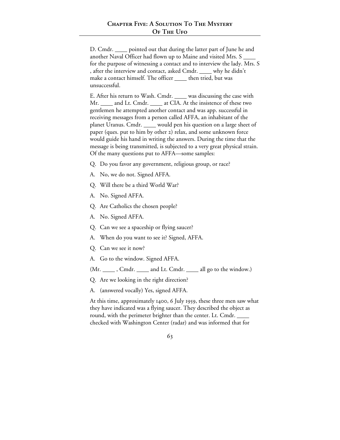D. Cmdr. sumpointed out that during the latter part of June he and another Naval Officer had flown up to Maine and visited Mrs. S for the purpose of witnessing a contact and to interview the lady. Mrs. S , after the interview and contact, asked Cmdr. \_\_\_\_ why he didn't make a contact himself. The officer <u>seem</u> then tried, but was unsuccessful.

E. After his return to Wash. Cmdr. \_\_\_\_ was discussing the case with Mr. \_\_\_\_ and Lt. Cmdr. \_\_\_\_ at CIA. At the insistence of these two gentlemen he attempted another contact and was app. successful in receiving messages from a person called AFFA, an inhabitant of the planet Uranus. Cmdr. \_\_\_\_ would pen his question on a large sheet of paper (ques. put to him by other 2) relax, and some unknown force would guide his hand in writing the answers. During the time that the message is being transmitted, is subjected to a very great physical strain. Of the many questions put to AFFA—some samples:

- Q. Do you favor any government, religious group, or race?
- A. No, we do not. Signed AFFA.
- Q. Will there be a third World War?
- A. No. Signed AFFA.
- Q. Are Catholics the chosen people?
- A. No. Signed AFFA.
- Q. Can we see a spaceship or flying saucer?
- A. When do you want to see it? Signed, AFFA.
- Q. Can we see it now?
- A. Go to the window. Signed AFFA.
- (Mr. \_\_\_\_\_, Cmdr. \_\_\_\_\_ and Lt. Cmdr. \_\_\_\_\_ all go to the window.)
- Q. Are we looking in the right direction?

A. (answered vocally) Yes, signed AFFA.

At this time, approximately 1400, 6 July 1959, these three men saw what they have indicated was a flying saucer. They described the object as round, with the perimeter brighter than the center. Lt. Cmdr. checked with Washington Center (radar) and was informed that for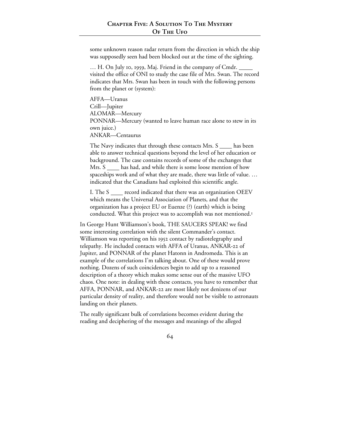some unknown reason radar return from the direction in which the ship was supposedly seen had been blocked out at the time of the sighting.

… H. On July 10, 1959, Maj. Friend in the company of Cmdr. visited the office of ONI to study the case file of Mrs. Swan. The record indicates that Mrs. Swan has been in touch with the following persons from the planet or (system):

AFFA—Uranus Crill—Jupiter ALOMAR—Mercury PONNAR—Mercury (wanted to leave human race alone to stew in its own juice.) ANKAR—Centaurus

The Navy indicates that through these contacts Mrs.  $S$  \_\_\_\_\_ has been able to answer technical questions beyond the level of her education or background. The case contains records of some of the exchanges that Mrs. S \_\_\_\_\_ has had, and while there is some loose mention of how spaceships work and of what they are made, there was little of value. … indicated that the Canadians had exploited this scientific angle.

I. The  $S \_\_\_\$ record indicated that there was an organization OEEV which means the Universal Association of Planets, and that the organization has a project EU or Euenze (?) (earth) which is being conducted. What this project was to accomplish was not mentioned.<sup>1</sup>

In George Hunt Williamson's book, THE SAUCERS SPEAK! we find some interesting correlation with the silent Commander's contact. Williamson was reporting on his 1952 contact by radiotelegraphy and telepathy. He included contacts with AFFA of Uranus, ANKAR-22 of Jupiter, and PONNAR of the planet Hatonn in Andromeda. This is an example of the correlations I'm talking about. One of these would prove nothing. Dozens of such coincidences begin to add up to a reasoned description of a theory which makes some sense out of the massive UFO chaos. One note: in dealing with these contacts, you have to remember that AFFA, PONNAR, and ANKAR-22 are most likely not denizens of our particular density of reality, and therefore would not be visible to astronauts landing on their planets.

The really significant bulk of correlations becomes evident during the reading and deciphering of the messages and meanings of the alleged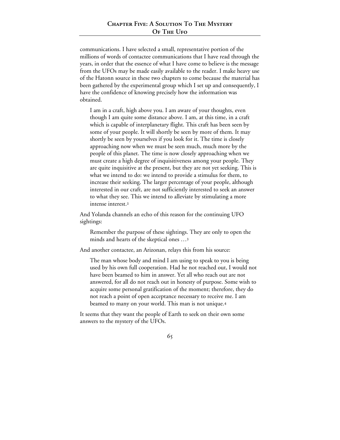communications. I have selected a small, representative portion of the millions of words of contactee communications that I have read through the years, in order that the essence of what I have come to believe is the message from the UFOs may be made easily available to the reader. I make heavy use of the Hatonn source in these two chapters to come because the material has been gathered by the experimental group which I set up and consequently, I have the confidence of knowing precisely how the information was obtained.

I am in a craft, high above you. I am aware of your thoughts, even though I am quite some distance above. I am, at this time, in a craft which is capable of interplanetary flight. This craft has been seen by some of your people. It will shortly be seen by more of them. It may shortly be seen by yourselves if you look for it. The time is closely approaching now when we must be seen much, much more by the people of this planet. The time is now closely approaching when we must create a high degree of inquisitiveness among your people. They are quite inquisitive at the present, but they are not yet seeking. This is what we intend to do: we intend to provide a stimulus for them, to increase their seeking. The larger percentage of your people, although interested in our craft, are not sufficiently interested to seek an answer to what they see. This we intend to alleviate by stimulating a more intense interest.2

And Yolanda channels an echo of this reason for the continuing UFO sightings:

Remember the purpose of these sightings. They are only to open the minds and hearts of the skeptical ones …3

And another contactee, an Arizonan, relays this from his source:

The man whose body and mind I am using to speak to you is being used by his own full cooperation. Had he not reached out, I would not have been beamed to him in answer. Yet all who reach out are not answered, for all do not reach out in honesty of purpose. Some wish to acquire some personal gratification of the moment; therefore, they do not reach a point of open acceptance necessary to receive me. I am beamed to many on your world. This man is not unique.4

It seems that they want the people of Earth to seek on their own some answers to the mystery of the UFOs.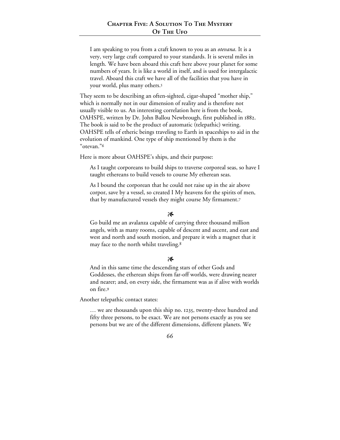I am speaking to you from a craft known to you as an *otevana*. It is a very, very large craft compared to your standards. It is several miles in length. We have been aboard this craft here above your planet for some numbers of years. It is like a world in itself, and is used for intergalactic travel. Aboard this craft we have all of the facilities that you have in your world, plus many others.5

They seem to be describing an often-sighted, cigar-shaped "mother ship," which is normally not in our dimension of reality and is therefore not usually visible to us. An interesting correlation here is from the book, OAHSPE, written by Dr. John Ballou Newbrough, first published in 1882. The book is said to be the product of automatic (telepathic) writing. OAHSPE tells of etheric beings traveling to Earth in spaceships to aid in the evolution of mankind. One type of ship mentioned by them is the "otevan."6

Here is more about OAHSPE's ships, and their purpose:

As I taught corporeans to build ships to traverse corporeal seas, so have I taught ethereans to build vessels to course My etherean seas.

As I bound the corporean that he could not raise up in the air above corpor, save by a vessel, so created I My heavens for the spirits of men, that by manufactured vessels they might course My firmament.7

#### $\partial$

Go build me an avalanza capable of carrying three thousand million angels, with as many rooms, capable of descent and ascent, and east and west and north and south motion, and prepare it with a magnet that it may face to the north whilst traveling.8

#### $\partial$ k

And in this same time the descending stars of other Gods and Goddesses, the etherean ships from far-off worlds, were drawing nearer and nearer; and, on every side, the firmament was as if alive with worlds on fire.9

Another telepathic contact states:

… we are thousands upon this ship no. 1235, twenty-three hundred and fifty three persons, to be exact. We are not persons exactly as you see persons but we are of the different dimensions, different planets. We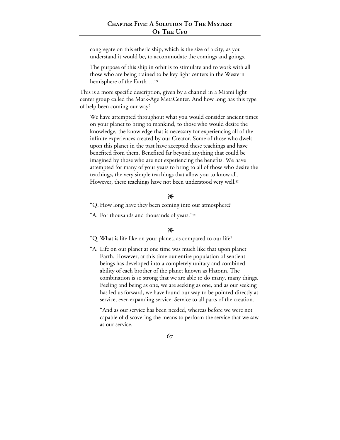congregate on this etheric ship, which is the size of a city; as you understand it would be, to accommodate the comings and goings.

The purpose of this ship in orbit is to stimulate and to work with all those who are being trained to be key light centers in the Western hemisphere of the Earth …10

This is a more specific description, given by a channel in a Miami light center group called the Mark-Age MetaCenter. And how long has this type of help been coming our way?

We have attempted throughout what you would consider ancient times on your planet to bring to mankind, to those who would desire the knowledge, the knowledge that is necessary for experiencing all of the infinite experiences created by our Creator. Some of those who dwelt upon this planet in the past have accepted these teachings and have benefited from them. Benefited far beyond anything that could be imagined by those who are not experiencing the benefits. We have attempted for many of your years to bring to all of those who desire the teachings, the very simple teachings that allow you to know all. However, these teachings have not been understood very well.<sup>11</sup>

#### $\partial$

"Q. How long have they been coming into our atmosphere?

"A. For thousands and thousands of years."12

#### $\partial$

"Q. What is life like on your planet, as compared to our life?

"A. Life on our planet at one time was much like that upon planet Earth. However, at this time our entire population of sentient beings has developed into a completely unitary and combined ability of each brother of the planet known as Hatonn. The combination is so strong that we are able to do many, many things. Feeling and being as one, we are seeking as one, and as our seeking has led us forward, we have found our way to be pointed directly at service, ever-expanding service. Service to all parts of the creation.

"And as our service has been needed, whereas before we were not capable of discovering the means to perform the service that we saw as our service.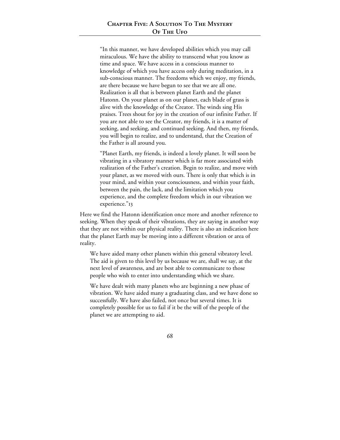"In this manner, we have developed abilities which you may call miraculous. We have the ability to transcend what you know as time and space. We have access in a conscious manner to knowledge of which you have access only during meditation, in a sub-conscious manner. The freedoms which we enjoy, my friends, are there because we have begun to see that we are all one. Realization is all that is between planet Earth and the planet Hatonn. On your planet as on our planet, each blade of grass is alive with the knowledge of the Creator. The winds sing His praises. Trees shout for joy in the creation of our infinite Father. If you are not able to see the Creator, my friends, it is a matter of seeking, and seeking, and continued seeking. And then, my friends, you will begin to realize, and to understand, that the Creation of the Father is all around you.

"Planet Earth, my friends, is indeed a lovely planet. It will soon be vibrating in a vibratory manner which is far more associated with realization of the Father's creation. Begin to realize, and move with your planet, as we moved with ours. There is only that which is in your mind, and within your consciousness, and within your faith, between the pain, the lack, and the limitation which you experience, and the complete freedom which in our vibration we experience."13

Here we find the Hatonn identification once more and another reference to seeking. When they speak of their vibrations, they are saying in another way that they are not within our physical reality. There is also an indication here that the planet Earth may be moving into a different vibration or area of reality.

We have aided many other planets within this general vibratory level. The aid is given to this level by us because we are, shall we say, at the next level of awareness, and are best able to communicate to those people who wish to enter into understanding which we share.

We have dealt with many planets who are beginning a new phase of vibration. We have aided many a graduating class, and we have done so successfully. We have also failed, not once but several times. It is completely possible for us to fail if it be the will of the people of the planet we are attempting to aid.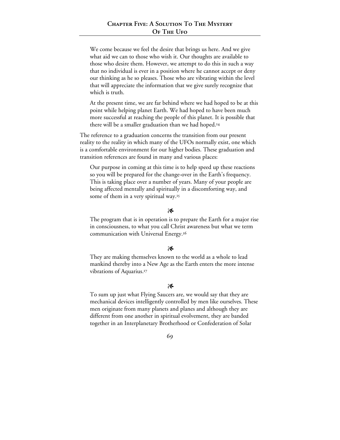We come because we feel the desire that brings us here. And we give what aid we can to those who wish it. Our thoughts are available to those who desire them. However, we attempt to do this in such a way that no individual is ever in a position where he cannot accept or deny our thinking as he so pleases. Those who are vibrating within the level that will appreciate the information that we give surely recognize that which is truth.

At the present time, we are far behind where we had hoped to be at this point while helping planet Earth. We had hoped to have been much more successful at reaching the people of this planet. It is possible that there will be a smaller graduation than we had hoped.14

The reference to a graduation concerns the transition from our present reality to the reality in which many of the UFOs normally exist, one which is a comfortable environment for our higher bodies. These graduation and transition references are found in many and various places:

Our purpose in coming at this time is to help speed up these reactions so you will be prepared for the change-over in the Earth's frequency. This is taking place over a number of years. Many of your people are being affected mentally and spiritually in a discomforting way, and some of them in a very spiritual way.<sup>15</sup>

#### $\partial$

The program that is in operation is to prepare the Earth for a major rise in consciousness, to what you call Christ awareness but what we term communication with Universal Energy.16

#### $\partial$

They are making themselves known to the world as a whole to lead mankind thereby into a New Age as the Earth enters the more intense vibrations of Aquarius.17

#### $\partial$

To sum up just what Flying Saucers are, we would say that they are mechanical devices intelligently controlled by men like ourselves. These men originate from many planets and planes and although they are different from one another in spiritual evolvement, they are banded together in an Interplanetary Brotherhood or Confederation of Solar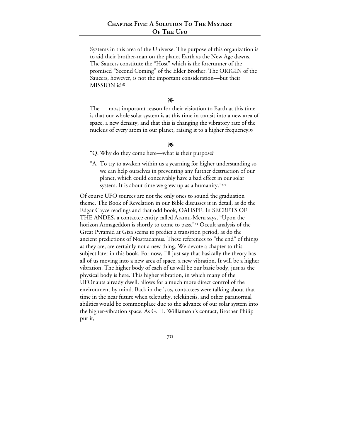Systems in this area of the Universe. The purpose of this organization is to aid their brother-man on the planet Earth as the New Age dawns. The Saucers constitute the "Host" which is the forerunner of the promised "Second Coming" of the Elder Brother. The ORIGIN of the Saucers, however, is not the important consideration—but their MISSION is<sup>118</sup>

#### $\partial$

The … most important reason for their visitation to Earth at this time is that our whole solar system is at this time in transit into a new area of space, a new density, and that this is changing the vibratory rate of the nucleus of every atom in our planet, raising it to a higher frequency.19

#### $\partial$

"Q. Why do they come here—what is their purpose?

"A. To try to awaken within us a yearning for higher understanding so we can help ourselves in preventing any further destruction of our planet, which could conceivably have a bad effect in our solar system. It is about time we grew up as a humanity."20

Of course UFO sources are not the only ones to sound the graduation theme. The Book of Revelation in our Bible discusses it in detail, as do the Edgar Cayce readings and that odd book, OAHSPE. In SECRETS OF THE ANDES, a contactee entity called Aramu-Meru says, "Upon the horizon Armageddon is shortly to come to pass."21 Occult analysis of the Great Pyramid at Giza seems to predict a transition period, as do the ancient predictions of Nostradamus. These references to "the end" of things as they are, are certainly not a new thing. We devote a chapter to this subject later in this book. For now, I'll just say that basically the theory has all of us moving into a new area of space, a new vibration. It will be a higher vibration. The higher body of each of us will be our basic body, just as the physical body is here. This higher vibration, in which many of the UFOnauts already dwell, allows for a much more direct control of the environment by mind. Back in the '50s, contactees were talking about that time in the near future when telepathy, telekinesis, and other paranormal abilities would be commonplace due to the advance of our solar system into the higher-vibration space. As G. H. Williamson's contact, Brother Philip put it,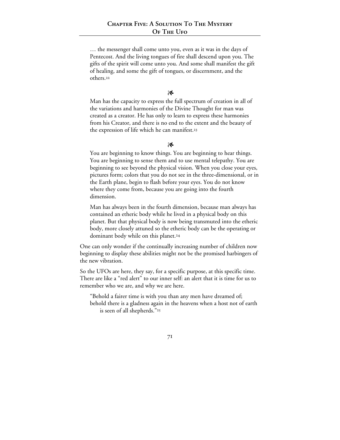… the messenger shall come unto you, even as it was in the days of Pentecost. And the living tongues of fire shall descend upon you. The gifts of the spirit will come unto you. And some shall manifest the gift of healing, and some the gift of tongues, or discernment, and the others.22

#### $\partial$

Man has the capacity to express the full spectrum of creation in all of the variations and harmonies of the Divine Thought for man was created as a creator. He has only to learn to express these harmonies from his Creator, and there is no end to the extent and the beauty of the expression of life which he can manifest.23

#### $\partial$

You are beginning to know things. You are beginning to hear things. You are beginning to sense them and to use mental telepathy. You are beginning to see beyond the physical vision. When you close your eyes, pictures form; colors that you do not see in the three-dimensional, or in the Earth plane, begin to flash before your eyes. You do not know where they come from, because you are going into the fourth dimension.

Man has always been in the fourth dimension, because man always has contained an etheric body while he lived in a physical body on this planet. But that physical body is now being transmuted into the etheric body, more closely attuned so the etheric body can be the operating or dominant body while on this planet.24

One can only wonder if the continually increasing number of children now beginning to display these abilities might not be the promised harbingers of the new vibration.

So the UFOs are here, they say, for a specific purpose, at this specific time. There are like a "red alert" to our inner self: an alert that it is time for us to remember who we are, and why we are here.

"Behold a fairer time is with you than any men have dreamed of; behold there is a gladness again in the heavens when a host not of earth is seen of all shepherds."25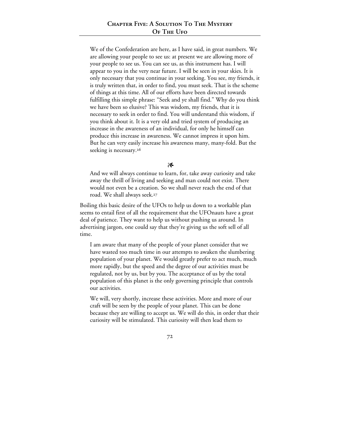We of the Confederation are here, as I have said, in great numbers. We are allowing your people to see us: at present we are allowing more of your people to see us. You can see us, as this instrument has. I will appear to you in the very near future. I will be seen in your skies. It is only necessary that you continue in your seeking. You see, my friends, it is truly written that, in order to find, you must seek. That is the scheme of things at this time. All of our efforts have been directed towards fulfilling this simple phrase: "Seek and ye shall find." Why do you think we have been so elusive? This was wisdom, my friends, that it is necessary to seek in order to find. You will understand this wisdom, if you think about it. It is a very old and tried system of producing an increase in the awareness of an individual, for only he himself can produce this increase in awareness. We cannot impress it upon him. But he can very easily increase his awareness many, many-fold. But the seeking is necessary.<sup>26</sup>

#### $\partial$

And we will always continue to learn, for, take away curiosity and take away the thrill of living and seeking and man could not exist. There would not even be a creation. So we shall never reach the end of that road. We shall always seek.27

Boiling this basic desire of the UFOs to help us down to a workable plan seems to entail first of all the requirement that the UFOnauts have a great deal of patience. They want to help us without pushing us around. In advertising jargon, one could say that they're giving us the soft sell of all time.

I am aware that many of the people of your planet consider that we have wasted too much time in our attempts to awaken the slumbering population of your planet. We would greatly prefer to act much, much more rapidly, but the speed and the degree of our activities must be regulated, not by us, but by you. The acceptance of us by the total population of this planet is the only governing principle that controls our activities.

We will, very shortly, increase these activities. More and more of our craft will be seen by the people of your planet. This can be done because they are willing to accept us. We will do this, in order that their curiosity will be stimulated. This curiosity will then lead them to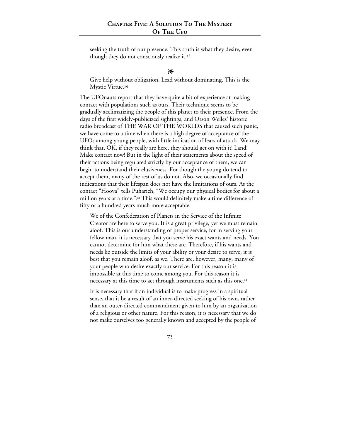seeking the truth of our presence. This truth is what they desire, even though they do not consciously realize it.28

### 22

Give help without obligation. Lead without dominating. This is the Mystic Virtue.29

The UFOnauts report that they have quite a bit of experience at making contact with populations such as ours. Their technique seems to be gradually acclimatizing the people of this planet to their presence. From the days of the first widely-publicized sightings, and Orson Welles' historic radio broadcast of THE WAR OF THE WORLDS that caused such panic, we have come to a time when there is a high degree of acceptance of the UFOs among young people, with little indication of fears of attack. We may think that, OK, if they really are here, they should get on with it! Land! Make contact now! But in the light of their statements about the speed of their actions being regulated strictly by our acceptance of them, we can begin to understand their elusiveness. For though the young do tend to accept them, many of the rest of us do not. Also, we occasionally find indications that their lifespan does not have the limitations of ours. As the contact "Hoova" tells Puharich, "We occupy our physical bodies for about a million years at a time."30 This would definitely make a time difference of fifty or a hundred years much more acceptable.

We of the Confederation of Planets in the Service of the Infinite Creator are here to serve you. It is a great privilege, yet we must remain aloof. This is our understanding of proper service, for in serving your fellow man, it is necessary that you serve his exact wants and needs. You cannot determine for him what these are. Therefore, if his wants and needs lie outside the limits of your ability or your desire to serve, it is best that you remain aloof, as we. There are, however, many, many of your people who desire exactly our service. For this reason it is impossible at this time to come among you. For this reason it is necessary at this time to act through instruments such as this one.31

It is necessary that if an individual is to make progress in a spiritual sense, that it be a result of an inner-directed seeking of his own, rather than an outer-directed commandment given to him by an organization of a religious or other nature. For this reason, it is necessary that we do not make ourselves too generally known and accepted by the people of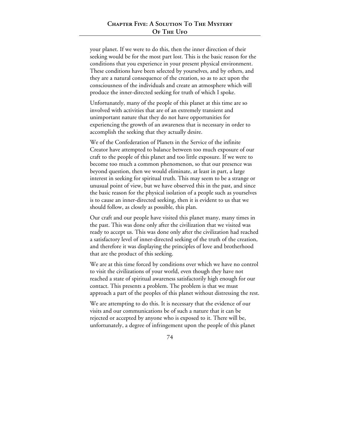your planet. If we were to do this, then the inner direction of their seeking would be for the most part lost. This is the basic reason for the conditions that you experience in your present physical environment. These conditions have been selected by yourselves, and by others, and they are a natural consequence of the creation, so as to act upon the consciousness of the individuals and create an atmosphere which will produce the inner-directed seeking for truth of which I spoke.

Unfortunately, many of the people of this planet at this time are so involved with activities that are of an extremely transient and unimportant nature that they do not have opportunities for experiencing the growth of an awareness that is necessary in order to accomplish the seeking that they actually desire.

We of the Confederation of Planets in the Service of the infinite Creator have attempted to balance between too much exposure of our craft to the people of this planet and too little exposure. If we were to become too much a common phenomenon, so that our presence was beyond question, then we would eliminate, at least in part, a large interest in seeking for spiritual truth. This may seem to be a strange or unusual point of view, but we have observed this in the past, and since the basic reason for the physical isolation of a people such as yourselves is to cause an inner-directed seeking, then it is evident to us that we should follow, as closely as possible, this plan.

Our craft and our people have visited this planet many, many times in the past. This was done only after the civilization that we visited was ready to accept us. This was done only after the civilization had reached a satisfactory level of inner-directed seeking of the truth of the creation, and therefore it was displaying the principles of love and brotherhood that are the product of this seeking.

We are at this time forced by conditions over which we have no control to visit the civilizations of your world, even though they have not reached a state of spiritual awareness satisfactorily high enough for our contact. This presents a problem. The problem is that we must approach a part of the peoples of this planet without distressing the rest.

We are attempting to do this. It is necessary that the evidence of our visits and our communications be of such a nature that it can be rejected or accepted by anyone who is exposed to it. There will be, unfortunately, a degree of infringement upon the people of this planet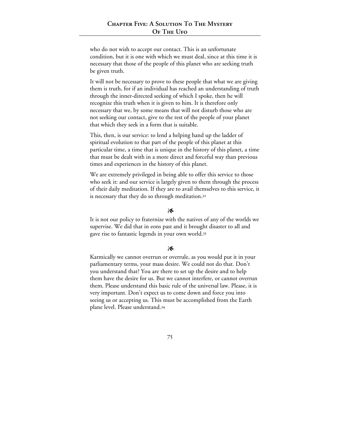who do not wish to accept our contact. This is an unfortunate condition, but it is one with which we must deal, since at this time it is necessary that those of the people of this planet who are seeking truth be given truth.

It will not be necessary to prove to these people that what we are giving them is truth, for if an individual has reached an understanding of truth through the inner-directed seeking of which I spoke, then he will recognize this truth when it is given to him. It is therefore only necessary that we, by some means that will not disturb those who are not seeking our contact, give to the rest of the people of your planet that which they seek in a form that is suitable.

This, then, is our service: to lend a helping hand up the ladder of spiritual evolution to that part of the people of this planet at this particular time, a time that is unique in the history of this planet, a time that must be dealt with in a more direct and forceful way than previous times and experiences in the history of this planet.

We are extremely privileged in being able to offer this service to those who seek it: and our service is largely given to them through the process of their daily meditation. If they are to avail themselves to this service, it is necessary that they do so through meditation.32

# $\partial$

It is not our policy to fraternize with the natives of any of the worlds we supervise. We did that in eons past and it brought disaster to all and gave rise to fantastic legends in your own world.33

# $\partial$

Karmically we cannot overrun or overrule, as you would put it in your parliamentary terms, your mass desire. We could not do that. Don't you understand that? You are there to set up the desire and to help them have the desire for us. But we cannot interfere, or cannot overrun them. Please understand this basic rule of the universal law. Please, it is very important. Don't expect us to come down and force you into seeing us or accepting us. This must be accomplished from the Earth plane level. Please understand.34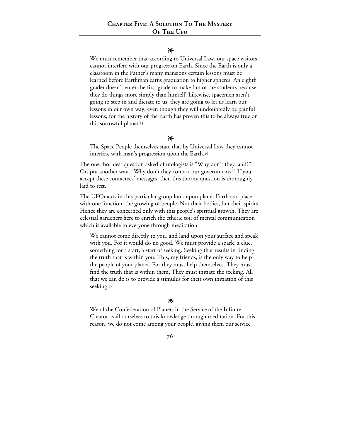# $\partial$

We must remember that according to Universal Law, our space visitors cannot interfere with our progress on Earth. Since the Earth is only a classroom in the Father's many mansions certain lessons must be learned before Earthman earns graduation to higher spheres. An eighth grader doesn't enter the first grade to make fun of the students because they do things more simply than himself. Likewise, spacemen aren't going to step in and dictate to us; they are going to let us learn our lessons in our own way, even though they will undoubtedly be painful lessons, for the history of the Earth has proven this to be always true on this sorrowful planet!35

### $\partial$

The Space People themselves state that by Universal Law they cannot interfere with man's progression upon the Earth.36

The one thorniest question asked of ufologists is "Why don't they land?" Or, put another way, "Why don't they contact our governments?" If you accept these contactees' messages, then this thorny question is thoroughly laid to rest.

The UFOnauts in this particular group look upon planet Earth as a place with one function: the growing of people. Not their bodies, but their spirits. Hence they are concerned only with this people's spiritual growth. They are celestial gardeners here to enrich the etheric soil of mental communication which is available to everyone through meditation.

We cannot come directly to you, and land upon your surface and speak with you. For it would do no good. We must provide a spark, a clue, something for a start, a start of seeking. Seeking that results in finding the truth that is within you. This, my friends, is the only way to help the people of your planet. For they must help themselves. They must find the truth that is within them. They must initiate the seeking. All that we can do is to provide a stimulus for their own initiation of this seeking.37

# $\partial$

We of the Confederation of Planets in the Service of the Infinite Creator avail ourselves to this knowledge through meditation. For this reason, we do not come among your people, giving them our service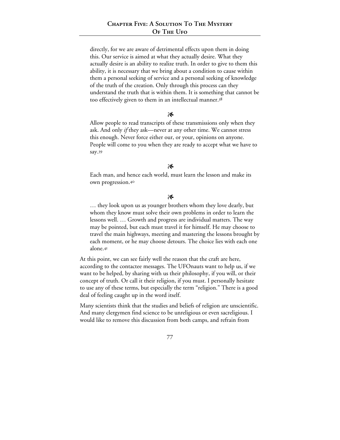directly, for we are aware of detrimental effects upon them in doing this. Our service is aimed at what they actually desire. What they actually desire is an ability to realize truth. In order to give to them this ability, it is necessary that we bring about a condition to cause within them a personal seeking of service and a personal seeking of knowledge of the truth of the creation. Only through this process can they understand the truth that is within them. It is something that cannot be too effectively given to them in an intellectual manner.38

### $\partial$

Allow people to read transcripts of these transmissions only when they ask. And only *if* they ask—never at any other time. We cannot stress this enough. Never force either our, or your, opinions on anyone. People will come to you when they are ready to accept what we have to say.39

#### $\partial$

Each man, and hence each world, must learn the lesson and make its own progression.40

### $\partial$

… they look upon us as younger brothers whom they love dearly, but whom they know must solve their own problems in order to learn the lessons well. … Growth and progress are individual matters. The way may be pointed, but each must travel it for himself. He may choose to travel the main highways, meeting and mastering the lessons brought by each moment, or he may choose detours. The choice lies with each one alone.41

At this point, we can see fairly well the reason that the craft are here, according to the contactee messages. The UFOnauts want to help us, if we want to be helped, by sharing with us their philosophy, if you will, or their concept of truth. Or call it their religion, if you must. I personally hesitate to use any of these terms, but especially the term "religion." There is a good deal of feeling caught up in the word itself.

Many scientists think that the studies and beliefs of religion are unscientific. And many clergymen find science to be unreligious or even sacreligious. I would like to remove this discussion from both camps, and refrain from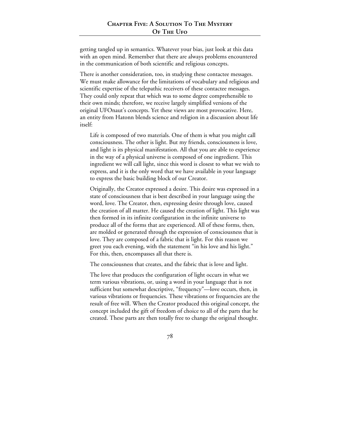getting tangled up in semantics. Whatever your bias, just look at this data with an open mind. Remember that there are always problems encountered in the communication of both scientific and religious concepts.

There is another consideration, too, in studying these contactee messages. We must make allowance for the limitations of vocabulary and religious and scientific expertise of the telepathic receivers of these contactee messages. They could only repeat that which was to some degree comprehensible to their own minds; therefore, we receive largely simplified versions of the original UFOnaut's concepts. Yet these views are most provocative. Here, an entity from Hatonn blends science and religion in a discussion about life itself:

Life is composed of two materials. One of them is what you might call consciousness. The other is light. But my friends, consciousness is love, and light is its physical manifestation. All that you are able to experience in the way of a physical universe is composed of one ingredient. This ingredient we will call light, since this word is closest to what we wish to express, and it is the only word that we have available in your language to express the basic building block of our Creator.

Originally, the Creator expressed a desire. This desire was expressed in a state of consciousness that is best described in your language using the word, love. The Creator, then, expressing desire through love, caused the creation of all matter. He caused the creation of light. This light was then formed in its infinite configuration in the infinite universe to produce all of the forms that are experienced. All of these forms, then, are molded or generated through the expression of consciousness that is love. They are composed of a fabric that is light. For this reason we greet you each evening, with the statement "in his love and his light." For this, then, encompasses all that there is.

The consciousness that creates, and the fabric that is love and light.

The love that produces the configuration of light occurs in what we term various vibrations, or, using a word in your language that is not sufficient but somewhat descriptive, "frequency"—love occurs, then, in various vibrations or frequencies. These vibrations or frequencies are the result of free will. When the Creator produced this original concept, the concept included the gift of freedom of choice to all of the parts that he created. These parts are then totally free to change the original thought.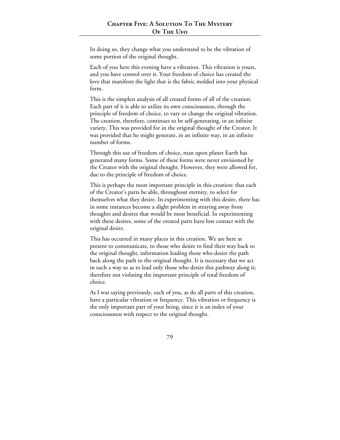In doing so, they change what you understand to be the vibration of some portion of the original thought.

Each of you here this evening have a vibration. This vibration is yours, and you have control over it. Your freedom of choice has created the love that manifests the light that is the fabric molded into your physical form.

This is the simplest analysis of all created forms of all of the creation. Each part of it is able to utilize its own consciousness, through the principle of freedom of choice, to vary or change the original vibration. The creation, therefore, continues to be self-generating, in an infinite variety. This was provided for in the original thought of the Creator. It was provided that he might generate, in an infinite way, in an infinite number of forms.

Through this use of freedom of choice, man upon planet Earth has generated many forms. Some of these forms were never envisioned by the Creator with the original thought. However, they were allowed for, due to the principle of freedom of choice.

This is perhaps the most important principle in this creation: that each of the Creator's parts be able, throughout eternity, to select for themselves what they desire. In experimenting with this desire, there has in some instances become a slight problem in straying away from thoughts and desires that would be most beneficial. In experimenting with these desires, some of the created parts have lost contact with the original desire.

This has occurred in many places in this creation. We are here at present to communicate, to those who desire to find their way back to the original thought, information leading those who desire the path back along the path to the original thought. It is necessary that we act in such a way so as to lead only those who desire this pathway along it; therefore not violating the important principle of total freedom of choice.

As I was saying previously, each of you, as do all parts of this creation, have a particular vibration or frequency. This vibration or frequency is the only important part of your being, since it is an index of your consciousness with respect to the original thought.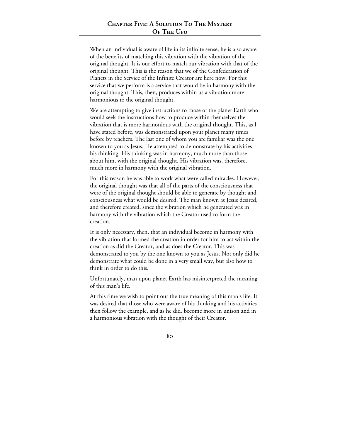# **Chapter Five: A Solution To The Mystery Of The Ufo**

When an individual is aware of life in its infinite sense, he is also aware of the benefits of matching this vibration with the vibration of the original thought. It is our effort to match our vibration with that of the original thought. This is the reason that we of the Confederation of Planets in the Service of the Infinite Creator are here now. For this service that we perform is a service that would be in harmony with the original thought. This, then, produces within us a vibration more harmonious to the original thought.

We are attempting to give instructions to those of the planet Earth who would seek the instructions how to produce within themselves the vibration that is more harmonious with the original thought. This, as I have stated before, was demonstrated upon your planet many times before by teachers. The last one of whom you are familiar was the one known to you as Jesus. He attempted to demonstrate by his activities his thinking. His thinking was in harmony, much more than those about him, with the original thought. His vibration was, therefore, much more in harmony with the original vibration.

For this reason he was able to work what were called miracles. However, the original thought was that all of the parts of the consciousness that were of the original thought should be able to generate by thought and consciousness what would be desired. The man known as Jesus desired, and therefore created, since the vibration which he generated was in harmony with the vibration which the Creator used to form the creation.

It is only necessary, then, that an individual become in harmony with the vibration that formed the creation in order for him to act within the creation as did the Creator, and as does the Creator. This was demonstrated to you by the one known to you as Jesus. Not only did he demonstrate what could be done in a very small way, but also how to think in order to do this.

Unfortunately, man upon planet Earth has misinterpreted the meaning of this man's life.

At this time we wish to point out the true meaning of this man's life. It was desired that those who were aware of his thinking and his activities then follow the example, and as he did, become more in unison and in a harmonious vibration with the thought of their Creator.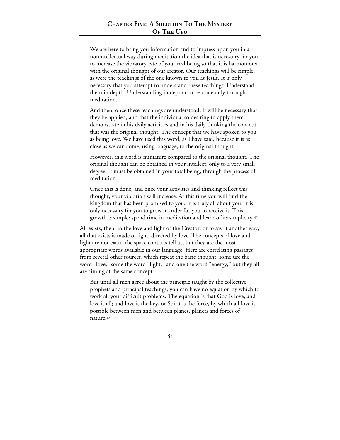We are here to bring you information and to impress upon you in a nonintellectual way during meditation the idea that is necessary for you to increase the vibratory rate of your real being so that it is harmonious with the original thought of our creator. Our teachings will be simple, as were the teachings of the one known to you as Jesus. It is only necessary that you attempt to understand these teachings. Understand them in depth. Understanding in depth can be done only through meditation.

And then, once these teachings are understood, it will be necessary that they be applied, and that the individual so desiring to apply them demonstrate in his daily activities and in his daily thinking the concept that was the original thought. The concept that we have spoken to you as being love. We have used this word, as I have said, because it is as close as we can come, using language, to the original thought.

However, this word is miniature compared to the original thought. The original thought can be obtained in your intellect, only to a very small degree. It must be obtained in your total being, through the process of meditation.

Once this is done, and once your activities and thinking reflect this thought, your vibration will increase. At this time you will find the kingdom that has been promised to you. It is truly all about you. It is only necessary for you to grow in order for you to receive it. This growth is simple: spend time in meditation and learn of its simplicity.42

All exists, then, in the love and light of the Creator, or to say it another way, all that exists is made of light, directed by love. The concepts of love and light are not exact, the space contacts tell us, but they are the most appropriate words available in our language. Here are correlating passages from several other sources, which repeat the basic thought: some use the word "love," some the word "light," and one the word "energy," but they all are aiming at the same concept.

But until all men agree about the principle taught by the collective prophets and principal teachings, you can have no equation by which to work all your difficult problems. The equation is that God is love, and love is all; and love is the key, or Spirit is the force, by which all love is possible between men and between planes, planets and forces of nature.43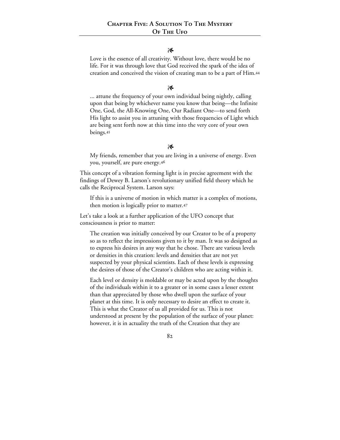# $\partial$

Love is the essence of all creativity. Without love, there would be no life. For it was through love that God received the spark of the idea of creation and conceived the vision of creating man to be a part of Him.44

### $\partial$

... attune the frequency of your own individual being nightly, calling upon that being by whichever name you know that being—the Infinite One, God, the All-Knowing One, Our Radiant One—to send forth His light to assist you in attuning with those frequencies of Light which are being sent forth now at this time into the very core of your own beings.45

#### $\partial$

My friends, remember that you are living in a universe of energy. Even you, yourself, are pure energy.46

This concept of a vibration forming light is in precise agreement with the findings of Dewey B. Larson's revolutionary unified field theory which he calls the Reciprocal System. Larson says:

If this is a universe of motion in which matter is a complex of motions, then motion is logically prior to matter.47

Let's take a look at a further application of the UFO concept that consciousness is prior to matter:

The creation was initially conceived by our Creator to be of a property so as to reflect the impressions given to it by man. It was so designed as to express his desires in any way that he chose. There are various levels or densities in this creation: levels and densities that are not yet suspected by your physical scientists. Each of these levels is expressing the desires of those of the Creator's children who are acting within it.

Each level or density is moldable or may be acted upon by the thoughts of the individuals within it to a greater or in some cases a lesser extent than that appreciated by those who dwell upon the surface of your planet at this time. It is only necessary to desire an effect to create it. This is what the Creator of us all provided for us. This is not understood at present by the population of the surface of your planet: however, it is in actuality the truth of the Creation that they are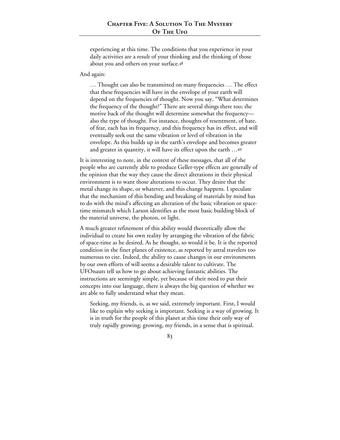experiencing at this time. The conditions that you experience in your daily activities are a result of your thinking and the thinking of those about you and others on your surface.48

### And again:

… Thought can also be transmitted on many frequencies … The effect that these frequencies will have in the envelope of your earth will depend on the frequencies of thought. Now you say, "What determines the frequency of the thought?" There are several things there too; the motive back of the thought will determine somewhat the frequency also the type of thought. For instance, thoughts of resentment, of hate, of fear, each has its frequency, and this frequency has its effect, and will eventually seek out the same vibration or level of vibration in the envelope. As this builds up in the earth's envelope and becomes greater and greater in quantity, it will have its effect upon the earth …49

It is interesting to note, in the context of these messages, that all of the people who are currently able to produce Geller-type effects are generally of the opinion that the way they cause the direct alterations in their physical environment is to want those alterations to occur. They desire that the metal change its shape, or whatever, and this change happens. I speculate that the mechanism of this bending and breaking of materials by mind has to do with the mind's affecting an alteration of the basic vibration or spacetime mismatch which Larson identifies as the most basic building block of the material universe, the photon, or light.

A much greater refinement of this ability would theoretically allow the individual to create his own reality by arranging the vibration of the fabric of space-time as he desired. As he thought, so would it be. It is the reported condition in the finer planes of existence, as reported by astral travelers too numerous to cite. Indeed, the ability to cause changes in our environments by our own efforts of will seems a desirable talent to cultivate. The UFOnauts tell us how to go about achieving fantastic abilities. The instructions are seemingly simple, yet because of their need to put their concepts into our language, there is always the big question of whether we are able to fully understand what they mean.

Seeking, my friends, is, as we said, extremely important. First, I would like to explain why seeking is important. Seeking is a way of growing. It is in truth for the people of this planet at this time their only way of truly rapidly growing; growing, my friends, in a sense that is spiritual.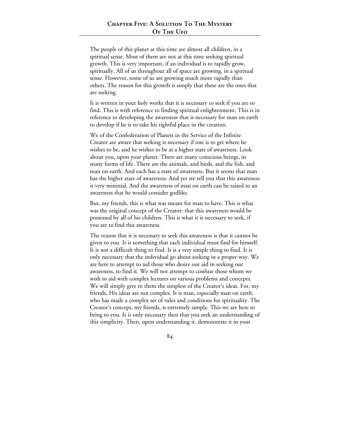The people of this planet at this time are almost all children, in a spiritual sense. Most of them are not at this time seeking spiritual growth. This is very important, if an individual is to rapidly grow, spiritually. All of us throughout all of space are growing, in a spiritual sense. However, some of us are growing much more rapidly than others. The reason for this growth is simply that these are the ones that are seeking.

It is written in your holy works that it is necessary to seek if you are to find. This is with reference to finding spiritual enlightenment. This is in reference to developing the awareness that is necessary for man on earth to develop if he is to take his rightful place in the creation.

We of the Confederation of Planets in the Service of the Infinite Creator are aware that seeking is necessary if one is to get where he wishes to be, and he wishes to be at a higher state of awareness. Look about you, upon your planet. There are many conscious beings, in many forms of life. There are the animals, and birds, and the fish, and man on earth. And each has a state of awareness. But it seems that man has the higher state of awareness. And yet we tell you that this awareness is very minimal. And the awareness of man on earth can be raised to an awareness that he would consider godlike.

But, my friends, this is what was meant for man to have. This is what was the original concept of the Creator: that this awareness would be possessed by all of his children. This is what it is necessary to seek, if you are to find this awareness.

The reason that it is necessary to seek this awareness is that it cannot be given to you. It is something that each individual must find for himself. It is not a difficult thing to find. It is a very simple thing to find. It is only necessary that the individual go about seeking in a proper way. We are here to attempt to aid those who desire our aid in seeking our awareness, to find it. We will not attempt to confuse those whom we wish to aid with complex lectures on various problems and concepts. We will simply give to them the simplest of the Creator's ideas. For, my friends, His ideas are not complex. It is man, especially man on earth, who has made a complex set of rules and conditions for spirituality. The Creator's concept, my friends, is extremely simple. This we are here to bring to you. It is only necessary then that you seek an understanding of this simplicity. Then, upon understanding it, demonstrate it in your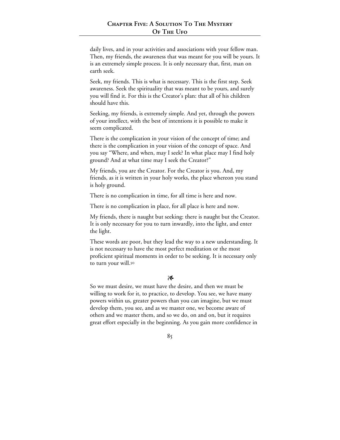daily lives, and in your activities and associations with your fellow man. Then, my friends, the awareness that was meant for you will be yours. It is an extremely simple process. It is only necessary that, first, man on earth seek.

Seek, my friends. This is what is necessary. This is the first step. Seek awareness. Seek the spirituality that was meant to be yours, and surely you will find it. For this is the Creator's plan: that all of his children should have this.

Seeking, my friends, is extremely simple. And yet, through the powers of your intellect, with the best of intentions it is possible to make it seem complicated.

There is the complication in your vision of the concept of time; and there is the complication in your vision of the concept of space. And you say "Where, and when, may I seek? In what place may I find holy ground? And at what time may I seek the Creator?"

My friends, you are the Creator. For the Creator is you. And, my friends, as it is written in your holy works, the place whereon you stand is holy ground.

There is no complication in time, for all time is here and now.

There is no complication in place, for all place is here and now.

My friends, there is naught but seeking: there is naught but the Creator. It is only necessary for you to turn inwardly, into the light, and enter the light.

These words are poor, but they lead the way to a new understanding. It is not necessary to have the most perfect meditation or the most proficient spiritual moments in order to be seeking. It is necessary only to turn your will.50

# 22

So we must desire, we must have the desire, and then we must be willing to work for it, to practice, to develop. You see, we have many powers within us, greater powers than you can imagine, but we must develop them, you see, and as we master one, we become aware of others and we master them, and so we do, on and on, but it requires great effort especially in the beginning. As you gain more confidence in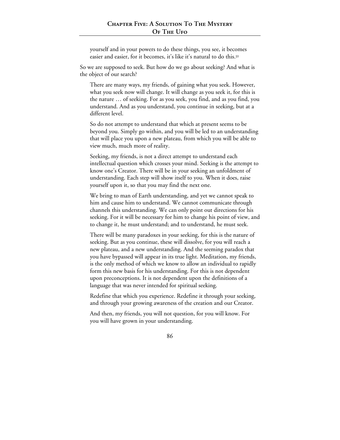yourself and in your powers to do these things, you see, it becomes easier and easier, for it becomes, it's like it's natural to do this.51

So we are supposed to seek. But how do we go about seeking? And what is the object of our search?

There are many ways, my friends, of gaining what you seek. However, what you seek now will change. It will change as you seek it, for this is the nature … of seeking. For as you seek, you find, and as you find, you understand. And as you understand, you continue in seeking, but at a different level.

So do not attempt to understand that which at present seems to be beyond you. Simply go within, and you will be led to an understanding that will place you upon a new plateau, from which you will be able to view much, much more of reality.

Seeking, my friends, is not a direct attempt to understand each intellectual question which crosses your mind. Seeking is the attempt to know one's Creator. There will be in your seeking an unfoldment of understanding. Each step will show itself to you. When it does, raise yourself upon it, so that you may find the next one.

We bring to man of Earth understanding, and yet we cannot speak to him and cause him to understand. We cannot communicate through channels this understanding. We can only point out directions for his seeking. For it will be necessary for him to change his point of view, and to change it, he must understand; and to understand, he must seek.

There will be many paradoxes in your seeking, for this is the nature of seeking. But as you continue, these will dissolve, for you will reach a new plateau, and a new understanding. And the seeming paradox that you have bypassed will appear in its true light. Meditation, my friends, is the only method of which we know to allow an individual to rapidly form this new basis for his understanding. For this is not dependent upon preconceptions. It is not dependent upon the definitions of a language that was never intended for spiritual seeking.

Redefine that which you experience. Redefine it through your seeking, and through your growing awareness of the creation and our Creator.

And then, my friends, you will not question, for you will know. For you will have grown in your understanding.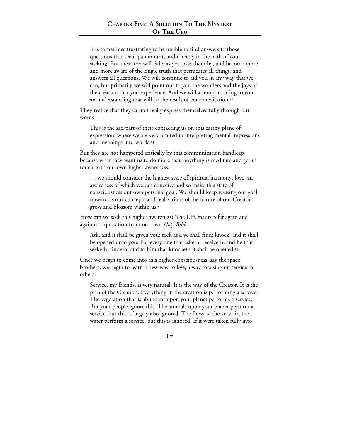It is sometimes frustrating to be unable to find answers to those questions that seem paramount, and directly in the path of your seeking. But these too will fade, as you pass them by, and become more and more aware of the single truth that permeates all things, and answers all questions. We will continue to aid you in any way that we can, but primarily we will point out to you the wonders and the joys of the creation that you experience. And we will attempt to bring to you an understanding that will be the result of your meditation.52

They realize that they cannot really express themselves fully through our words:

This is the sad part of their contacting us on this earthy plane of expression, where we are very limited in interpreting mental impressions and meanings into words.53

But they are not hampered critically by this communication handicap, because what they want us to do more than anything is meditate and get in touch with our own higher awareness:

… we should consider the highest state of spiritual harmony, love, an awareness of which we can conceive and so make this state of consciousness our own personal goal. We should keep revising our goal upward as our concepts and realizations of the nature of our Creator grow and blossom within us.54

How can we seek this higher awareness? The UFOnauts refer again and again to a quotation from our own *Holy Bible*:

Ask, and it shall be given you; seek and ye shall find; knock, and it shall be opened unto you. For every one that asketh, receiveth; and he that seeketh, findeth; and to him that knocketh it shall be opened.<sup>55</sup>

Once we begin to come into this higher consciousness, say the space brothers, we begin to learn a new way to live, a way focusing on service to others:

Service, my friends, is very natural. It is the way of the Creator. It is the plan of the Creation. Everything in the creation is performing a service. The vegetation that is abundant upon your planet performs a service. But your people ignore this. The animals upon your planet perform a service, but this is largely also ignored. The flowers, the very air, the water perform a service, but this is ignored. If it were taken fully into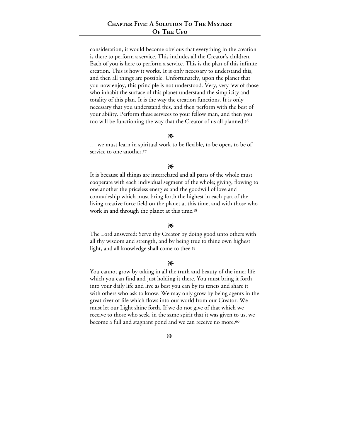consideration, it would become obvious that everything in the creation is there to perform a service. This includes all the Creator's children. Each of you is here to perform a service. This is the plan of this infinite creation. This is how it works. It is only necessary to understand this, and then all things are possible. Unfortunately, upon the planet that you now enjoy, this principle is not understood. Very, very few of those who inhabit the surface of this planet understand the simplicity and totality of this plan. It is the way the creation functions. It is only necessary that you understand this, and then perform with the best of your ability. Perform these services to your fellow man, and then you too will be functioning the way that the Creator of us all planned.56

 $\partial$ 

… we must learn in spiritual work to be flexible, to be open, to be of service to one another.57

#### $\partial$

It is because all things are interrelated and all parts of the whole must cooperate with each individual segment of the whole; giving, flowing to one another the priceless energies and the goodwill of love and comradeship which must bring forth the highest in each part of the living creative force field on the planet at this time, and with those who work in and through the planet at this time.58

#### $\partial$ k

The Lord answered: Serve thy Creator by doing good unto others with all thy wisdom and strength, and by being true to thine own highest light, and all knowledge shall come to thee.59

#### $\partial$

You cannot grow by taking in all the truth and beauty of the inner life which you can find and just holding it there. You must bring it forth into your daily life and live as best you can by its tenets and share it with others who ask to know. We may only grow by being agents in the great river of life which flows into our world from our Creator. We must let our Light shine forth. If we do not give of that which we receive to those who seek, in the same spirit that it was given to us, we become a full and stagnant pond and we can receive no more.<sup>60</sup>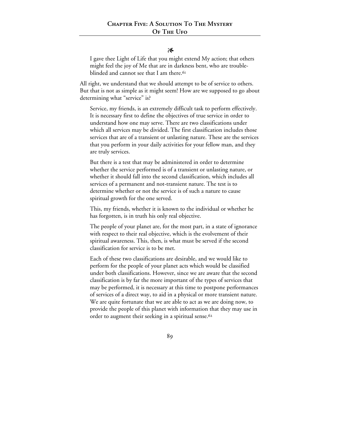# 

I gave thee Light of Life that you might extend My action; that others might feel the joy of Me that are in darkness bent, who are troubleblinded and cannot see that I am there.<sup>61</sup>

All right, we understand that we should attempt to be of service to others. But that is not as simple as it might seem! How are we supposed to go about determining what "service" is?

Service, my friends, is an extremely difficult task to perform effectively. It is necessary first to define the objectives of true service in order to understand how one may serve. There are two classifications under which all services may be divided. The first classification includes those services that are of a transient or unlasting nature. These are the services that you perform in your daily activities for your fellow man, and they are truly services.

But there is a test that may be administered in order to determine whether the service performed is of a transient or unlasting nature, or whether it should fall into the second classification, which includes all services of a permanent and not-transient nature. The test is to determine whether or not the service is of such a nature to cause spiritual growth for the one served.

This, my friends, whether it is known to the individual or whether he has forgotten, is in truth his only real objective.

The people of your planet are, for the most part, in a state of ignorance with respect to their real objective, which is the evolvement of their spiritual awareness. This, then, is what must be served if the second classification for service is to be met.

Each of these two classifications are desirable, and we would like to perform for the people of your planet acts which would be classified under both classifications. However, since we are aware that the second classification is by far the more important of the types of services that may be performed, it is necessary at this time to postpone performances of services of a direct way, to aid in a physical or more transient nature. We are quite fortunate that we are able to act as we are doing now, to provide the people of this planet with information that they may use in order to augment their seeking in a spiritual sense.62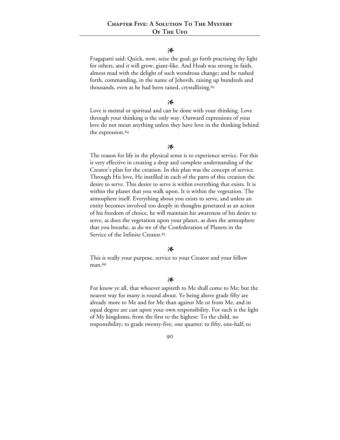#### $\partial$

Fragapatti said: Quick, now, seize the goal; go forth practising thy light for others, and it will grow, giant-like. And Hoab was strong in faith, almost mad with the delight of such wondrous change; and he rushed forth, commanding, in the name of Jehovih, raising up hundreds and thousands, even as he had been raised, crystallizing.63

#### $\partial$ K

Love is mental or spiritual and can be done with your thinking. Love through your thinking is the only way. Outward expressions of your love do not mean anything unless they have love in the thinking behind the expression.64

#### $\partial$

The reason for life in the physical sense is to experience service. For this is very effective in creating a deep and complete understanding of the Creator's plan for the creation. In this plan was the concept of service. Through His love, He instilled in each of the parts of this creation the desire to serve. This desire to serve is within everything that exists. It is within the planet that you walk upon. It is within the vegetation. The atmosphere itself. Everything about you exists to serve, and unless an entity becomes involved too deeply in thoughts generated as an action of his freedom of choice, he will maintain his awareness of his desire to serve, as does the vegetation upon your planet, as does the atmosphere that you breathe, as do we of the Confederation of Planets in the Service of the Infinite Creator.<sup>65</sup>

### $\partial$

This is really your purpose, service to your Creator and your fellow man.<sup>66</sup>

#### $\partial$

For know ye all, that whoever aspireth to Me shall come to Me; but the nearest way for many is round about. Ye being above grade fifty are already more to Me and for Me than against Me or from Me, and in equal degree are cast upon your own responsibility. For such is the light of My kingdoms, from the first to the highest: To the child, no responsibility; to grade twenty-five, one quarter; to fifty, one-half; to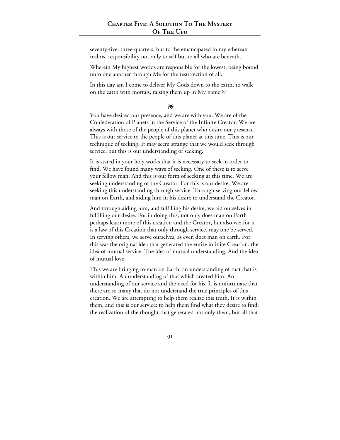seventy-five, three-quarters; but to the emancipated in my etherean realms, responsibility not only to self but to all who are beneath.

Wherein My highest worlds are responsible for the lowest, being bound unto one another through Me for the resurrection of all.

In this day am I come to deliver My Gods down to the earth, to walk on the earth with mortals, raising them up in My name.<sup>67</sup>

# $\partial$

You have desired our presence, and we are with you. We are of the Confederation of Planets in the Service of the Infinite Creator. We are always with those of the people of this planet who desire our presence. This is our service to the people of this planet at this time. This is our technique of seeking. It may seem strange that we would seek through service, but this is our understanding of seeking.

It is stated in your holy works that it is necessary to seek in order to find. We have found many ways of seeking. One of these is to serve your fellow man. And this is our form of seeking at this time. We are seeking understanding of the Creator. For this is our desire. We are seeking this understanding through service. Through serving our fellow man on Earth, and aiding him in his desire to understand the Creator.

And through aiding him, and fulfilling his desire, we aid ourselves in fulfilling our desire. For in doing this, not only does man on Earth perhaps learn more of this creation and the Creator, but also we: for it is a law of this Creation that only through service, may one be served. In serving others, we serve ourselves, as even does man on earth. For this was the original idea that generated the entire infinite Creation: the idea of mutual service. The idea of mutual understanding. And the idea of mutual love.

This we are bringing to man on Earth: an understanding of that that is within him. An understanding of that which created him. An understanding of our service and the need for his. It is unfortunate that there are so many that do not understand the true principles of this creation. We are attempting to help them realize this truth. It is within them, and this is our service: to help them find what they desire to find: the realization of the thought that generated not only them, but all that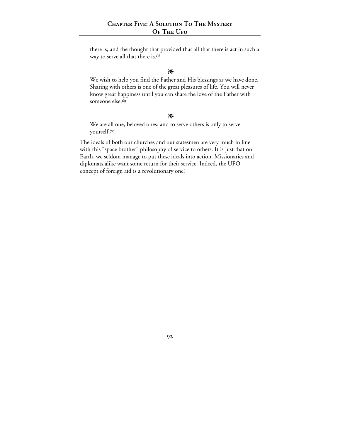there is, and the thought that provided that all that there is act in such a way to serve all that there is.68

# 22

We wish to help you find the Father and His blessings as we have done. Sharing with others is one of the great pleasures of life. You will never know great happiness until you can share the love of the Father with someone else.<sup>69</sup>

# $\partial$

We are all one, beloved ones: and to serve others is only to serve yourself.70

The ideals of both our churches and our statesmen are very much in line with this "space brother" philosophy of service to others. It is just that on Earth, we seldom manage to put these ideals into action. Missionaries and diplomats alike want some return for their service. Indeed, the UFO concept of foreign aid is a revolutionary one!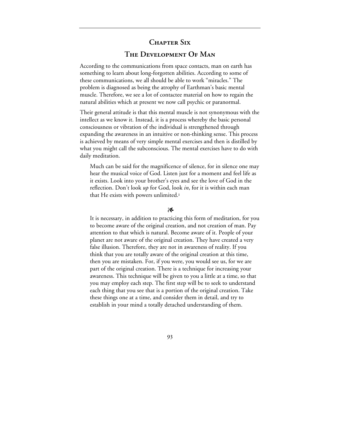# **Chapter Six**

# **The Development Of Man**

According to the communications from space contacts, man on earth has something to learn about long-forgotten abilities. According to some of these communications, we all should be able to work "miracles." The problem is diagnosed as being the atrophy of Earthman's basic mental muscle. Therefore, we see a lot of contactee material on how to regain the natural abilities which at present we now call psychic or paranormal.

Their general attitude is that this mental muscle is not synonymous with the intellect as we know it. Instead, it is a process whereby the basic personal consciousness or vibration of the individual is strengthened through expanding the awareness in an intuitive or non-thinking sense. This process is achieved by means of very simple mental exercises and then is distilled by what you might call the subconscious. The mental exercises have to do with daily meditation.

Much can be said for the magnificence of silence, for in silence one may hear the musical voice of God. Listen just for a moment and feel life as it exists. Look into your brother's eyes and see the love of God in the reflection. Don't look *up* for God, look *in*, for it is within each man that He exists with powers unlimited.1

#### $\partial$

It is necessary, in addition to practicing this form of meditation, for you to become aware of the original creation, and not creation of man. Pay attention to that which is natural. Become aware of it. People of your planet are not aware of the original creation. They have created a very false illusion. Therefore, they are not in awareness of reality. If you think that you are totally aware of the original creation at this time, then you are mistaken. For, if you were, you would see us, for we are part of the original creation. There is a technique for increasing your awareness. This technique will be given to you a little at a time, so that you may employ each step. The first step will be to seek to understand each thing that you see that is a portion of the original creation. Take these things one at a time, and consider them in detail, and try to establish in your mind a totally detached understanding of them.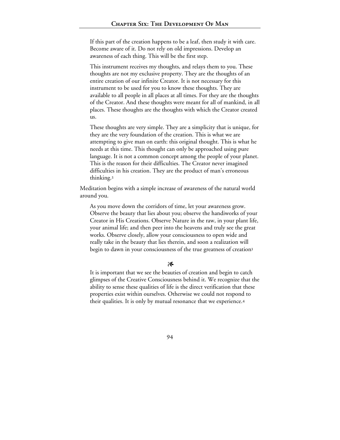If this part of the creation happens to be a leaf, then study it with care. Become aware of it. Do not rely on old impressions. Develop an awareness of each thing. This will be the first step.

This instrument receives my thoughts, and relays them to you. These thoughts are not my exclusive property. They are the thoughts of an entire creation of our infinite Creator. It is not necessary for this instrument to be used for you to know these thoughts. They are available to all people in all places at all times. For they are the thoughts of the Creator. And these thoughts were meant for all of mankind, in all places. These thoughts are the thoughts with which the Creator created us.

These thoughts are very simple. They are a simplicity that is unique, for they are the very foundation of the creation. This is what we are attempting to give man on earth: this original thought. This is what he needs at this time. This thought can only be approached using pure language. It is not a common concept among the people of your planet. This is the reason for their difficulties. The Creator never imagined difficulties in his creation. They are the product of man's erroneous thinking.2

Meditation begins with a simple increase of awareness of the natural world around you.

As you move down the corridors of time, let your awareness grow. Observe the beauty that lies about you; observe the handiworks of your Creator in His Creations. Observe Nature in the raw, in your plant life, your animal life; and then peer into the heavens and truly see the great works. Observe closely, allow your consciousness to open wide and really take in the beauty that lies therein, and soon a realization will begin to dawn in your consciousness of the true greatness of creation3

# $\partial$

It is important that we see the beauties of creation and begin to catch glimpses of the Creative Consciousness behind it. We recognize that the ability to sense these qualities of life is the direct verification that these properties exist within ourselves. Otherwise we could not respond to their qualities. It is only by mutual resonance that we experience.4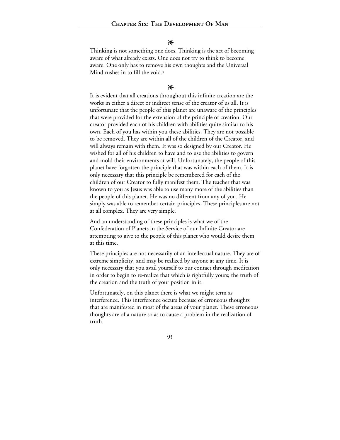### $\partial$

Thinking is not something one does. Thinking is the act of becoming aware of what already exists. One does not try to think to become aware. One only has to remove his own thoughts and the Universal Mind rushes in to fill the void.5

#### $\partial$

It is evident that all creations throughout this infinite creation are the works in either a direct or indirect sense of the creator of us all. It is unfortunate that the people of this planet are unaware of the principles that were provided for the extension of the principle of creation. Our creator provided each of his children with abilities quite similar to his own. Each of you has within you these abilities. They are not possible to be removed. They are within all of the children of the Creator, and will always remain with them. It was so designed by our Creator. He wished for all of his children to have and to use the abilities to govern and mold their environments at will. Unfortunately, the people of this planet have forgotten the principle that was within each of them. It is only necessary that this principle be remembered for each of the children of our Creator to fully manifest them. The teacher that was known to you as Jesus was able to use many more of the abilities than the people of this planet. He was no different from any of you. He simply was able to remember certain principles. These principles are not at all complex. They are very simple.

And an understanding of these principles is what we of the Confederation of Planets in the Service of our Infinite Creator are attempting to give to the people of this planet who would desire them at this time.

These principles are not necessarily of an intellectual nature. They are of extreme simplicity, and may be realized by anyone at any time. It is only necessary that you avail yourself to our contact through meditation in order to begin to re-realize that which is rightfully yours; the truth of the creation and the truth of your position in it.

Unfortunately, on this planet there is what we might term as interference. This interference occurs because of erroneous thoughts that are manifested in most of the areas of your planet. These erroneous thoughts are of a nature so as to cause a problem in the realization of truth.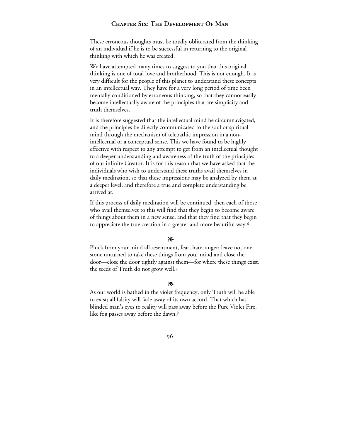These erroneous thoughts must be totally obliterated from the thinking of an individual if he is to be successful in returning to the original thinking with which he was created.

We have attempted many times to suggest to you that this original thinking is one of total love and brotherhood. This is not enough. It is very difficult for the people of this planet to understand these concepts in an intellectual way. They have for a very long period of time been mentally conditioned by erroneous thinking, so that they cannot easily become intellectually aware of the principles that are simplicity and truth themselves.

It is therefore suggested that the intellectual mind be circumnavigated, and the principles be directly communicated to the soul or spiritual mind through the mechanism of telepathic impression in a nonintellectual or a conceptual sense. This we have found to be highly effective with respect to any attempt to get from an intellectual thought to a deeper understanding and awareness of the truth of the principles of our infinite Creator. It is for this reason that we have asked that the individuals who wish to understand these truths avail themselves in daily meditation, so that these impressions may be analyzed by them at a deeper level, and therefore a true and complete understanding be arrived at.

If this process of daily meditation will be continued, then each of those who avail themselves to this will find that they begin to become aware of things about them in a new sense, and that they find that they begin to appreciate the true creation in a greater and more beautiful way.6

# $\partial$

Pluck from your mind all resentment, fear, hate, anger; leave not one stone unturned to take these things from your mind and close the door—close the door tightly against them—for where these things exist, the seeds of Truth do not grow well.7

# $\partial$

As our world is bathed in the violet frequency, only Truth will be able to exist; all falsity will fade away of its own accord. That which has blinded man's eyes to reality will pass away before the Pure Violet Fire, like fog passes away before the dawn.<sup>8</sup>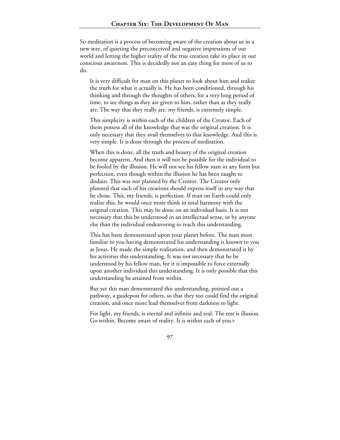So meditation is a process of becoming aware of the creation about us in a new way, of quieting the preconceived and negative impressions of our world and letting the higher reality of the true creation take its place in our conscious awareness. This is decidedly not an easy thing for most of us to do.

It is very difficult for man on this planet to look about him and realize the truth for what it actually is. He has been conditioned, through his thinking and through the thoughts of others, for a very long period of time, to see things as they are given to him, rather than as they really are. The way that they really are, my friends, is extremely simple.

This simplicity is within each of the children of the Creator. Each of them possess all of the knowledge that was the original creation. It is only necessary that they avail themselves to that knowledge. And this is very simple. It is done through the process of meditation.

When this is done, all the truth and beauty of the original creation become apparent. And then it will not be possible for the individual to be fooled by the illusion. He will not see his fellow man in any form but perfection, even though within the illusion he has been taught to disdain. This was not planned by the Creator. The Creator only planned that each of his creations should express itself in any way that he chose. This, my friends, is perfection. If man on Earth could only realize this, he would once more think in total harmony with the original creation. This may be done on an individual basis. It is not necessary that this be understood in an intellectual sense, or by anyone else than the individual endeavoring to reach this understanding.

This has been demonstrated upon your planet before. The man most familiar to you having demonstrated his understanding is known to you as Jesus. He made the simple realization, and then demonstrated it by his activities this understanding. It was not necessary that he be understood by his fellow man, for it is impossible to force externally upon another individual this understanding. It is only possible that this understanding be attained from within.

But yet this man demonstrated this understanding, pointed out a pathway, a guidepost for others, so that they too could find the original creation, and once more lead themselves from darkness to light.

For light, my friends, is eternal and infinite and real. The rest is illusion. Go within. Become aware of reality. It is within each of you.9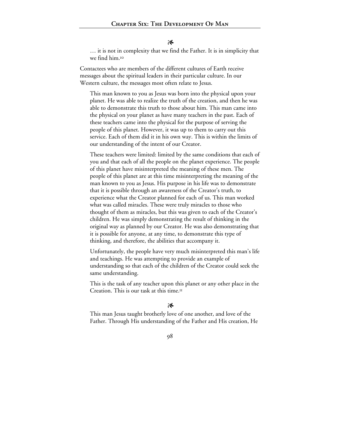### $\partial$

… it is not in complexity that we find the Father. It is in simplicity that we find him.10

Contactees who are members of the different cultures of Earth receive messages about the spiritual leaders in their particular culture. In our Western culture, the messages most often relate to Jesus.

This man known to you as Jesus was born into the physical upon your planet. He was able to realize the truth of the creation, and then he was able to demonstrate this truth to those about him. This man came into the physical on your planet as have many teachers in the past. Each of these teachers came into the physical for the purpose of serving the people of this planet. However, it was up to them to carry out this service. Each of them did it in his own way. This is within the limits of our understanding of the intent of our Creator.

These teachers were limited: limited by the same conditions that each of you and that each of all the people on the planet experience. The people of this planet have misinterpreted the meaning of these men. The people of this planet are at this time misinterpreting the meaning of the man known to you as Jesus. His purpose in his life was to demonstrate that it is possible through an awareness of the Creator's truth, to experience what the Creator planned for each of us. This man worked what was called miracles. These were truly miracles to those who thought of them as miracles, but this was given to each of the Creator's children. He was simply demonstrating the result of thinking in the original way as planned by our Creator. He was also demonstrating that it is possible for anyone, at any time, to demonstrate this type of thinking, and therefore, the abilities that accompany it.

Unfortunately, the people have very much misinterpreted this man's life and teachings. He was attempting to provide an example of understanding so that each of the children of the Creator could seek the same understanding.

This is the task of any teacher upon this planet or any other place in the Creation. This is our task at this time.11

# $\partial$

This man Jesus taught brotherly love of one another, and love of the Father. Through His understanding of the Father and His creation, He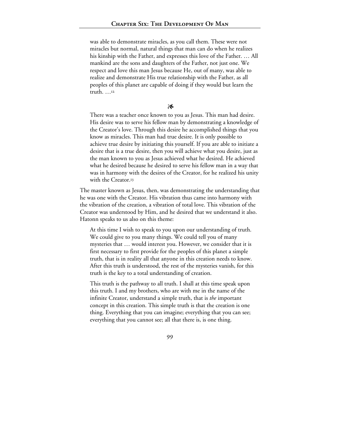was able to demonstrate miracles, as you call them. These were not miracles but normal, natural things that man can do when he realizes his kinship with the Father, and expresses this love of the Father. … All mankind are the sons and daughters of the Father, not just one. We respect and love this man Jesus because He, out of many, was able to realize and demonstrate His true relationship with the Father, as all peoples of this planet are capable of doing if they would but learn the truth.  $\ldots$ <sup>12</sup>

22

There was a teacher once known to you as Jesus. This man had desire. His desire was to serve his fellow man by demonstrating a knowledge of the Creator's love. Through this desire he accomplished things that you know as miracles. This man had true desire. It is only possible to achieve true desire by initiating this yourself. If you are able to initiate a desire that is a true desire, then you will achieve what you desire, just as the man known to you as Jesus achieved what he desired. He achieved what he desired because he desired to serve his fellow man in a way that was in harmony with the desires of the Creator, for he realized his unity with the Creator.13

The master known as Jesus, then, was demonstrating the understanding that he was one with the Creator. His vibration thus came into harmony with the vibration of the creation, a vibration of total love. This vibration of the Creator was understood by Him, and he desired that we understand it also. Hatonn speaks to us also on this theme:

At this time I wish to speak to you upon our understanding of truth. We could give to you many things. We could tell you of many mysteries that … would interest you. However, we consider that it is first necessary to first provide for the peoples of this planet a simple truth, that is in reality all that anyone in this creation needs to know. After this truth is understood, the rest of the mysteries vanish, for this truth is the key to a total understanding of creation.

This truth is the pathway to all truth. I shall at this time speak upon this truth. I and my brothers, who are with me in the name of the infinite Creator, understand a simple truth, that is *the* important concept in this creation. This simple truth is that the creation is one thing. Everything that you can imagine; everything that you can see; everything that you cannot see; all that there is, is one thing.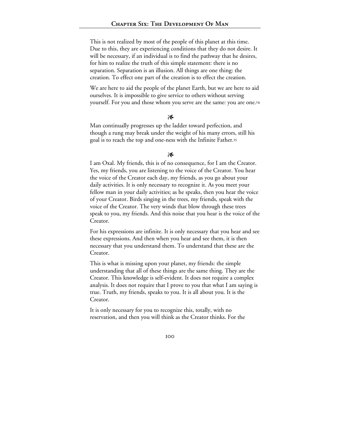This is not realized by most of the people of this planet at this time. Due to this, they are experiencing conditions that they do not desire. It will be necessary, if an individual is to find the pathway that he desires, for him to realize the truth of this simple statement: there is no separation. Separation is an illusion. All things are one thing: the creation. To effect one part of the creation is to effect the creation.

We are here to aid the people of the planet Earth, but we are here to aid ourselves. It is impossible to give service to others without serving yourself. For you and those whom you serve are the same: you are one.14

Man continually progresses up the ladder toward perfection, and though a rung may break under the weight of his many errors, still his goal is to reach the top and one-ness with the Infinite Father.15

# $\partial$  2

I am Oxal. My friends, this is of no consequence, for I am the Creator. Yes, my friends, you are listening to the voice of the Creator. You hear the voice of the Creator each day, my friends, as you go about your daily activities. It is only necessary to recognize it. As you meet your fellow man in your daily activities; as he speaks, then you hear the voice of your Creator. Birds singing in the trees, my friends, speak with the voice of the Creator. The very winds that blow through these trees speak to you, my friends. And this noise that you hear is the voice of the Creator.

For his expressions are infinite. It is only necessary that you hear and see these expressions. And then when you hear and see them, it is then necessary that you understand them. To understand that these are the Creator.

This is what is missing upon your planet, my friends: the simple understanding that all of these things are the same thing. They are the Creator. This knowledge is self-evident. It does not require a complex analysis. It does not require that I prove to you that what I am saying is true. Truth, my friends, speaks to you. It is all about you. It is the Creator.

It is only necessary for you to recognize this, totally, with no reservation, and then you will think as the Creator thinks. For the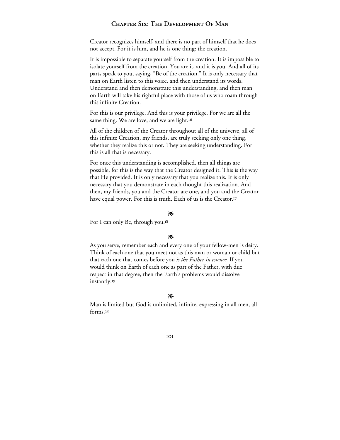Creator recognizes himself, and there is no part of himself that he does not accept. For it is him, and he is one thing: the creation.

It is impossible to separate yourself from the creation. It is impossible to isolate yourself from the creation. You are it, and it is you. And all of its parts speak to you, saying, "Be of the creation." It is only necessary that man on Earth listen to this voice, and then understand its words. Understand and then demonstrate this understanding, and then man on Earth will take his rightful place with those of us who roam through this infinite Creation.

For this is our privilege. And this is your privilege. For we are all the same thing. We are love, and we are light.<sup>16</sup>

All of the children of the Creator throughout all of the universe, all of this infinite Creation, my friends, are truly seeking only one thing, whether they realize this or not. They are seeking understanding. For this is all that is necessary.

For once this understanding is accomplished, then all things are possible, for this is the way that the Creator designed it. This is the way that He provided. It is only necessary that you realize this. It is only necessary that you demonstrate in each thought this realization. And then, my friends, you and the Creator are one, and you and the Creator have equal power. For this is truth. Each of us is the Creator.<sup>17</sup>

### 

For I can only Be, through you.<sup>18</sup>

# $\partial$

As you serve, remember each and every one of your fellow-men is deity. Think of each one that you meet not as this man or woman or child but that each one that comes before you *is the Father in essence.* If you would think on Earth of each one as part of the Father, with due respect in that degree, then the Earth's problems would dissolve instantly.19

### $\partial$

Man is limited but God is unlimited, infinite, expressing in all men, all forms.20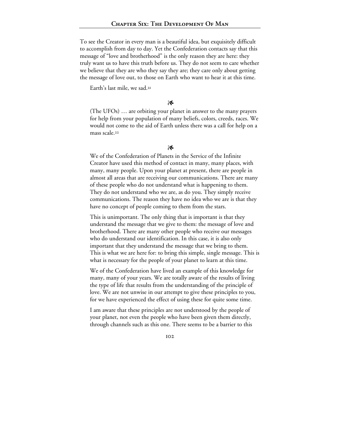To see the Creator in every man is a beautiful idea, but exquisitely difficult to accomplish from day to day. Yet the Confederation contacts say that this message of "love and brotherhood" is the only reason they are here: they truly want us to have this truth before us. They do not seem to care whether we believe that they are who they say they are; they care only about getting the message of love out, to those on Earth who want to hear it at this time.

Earth's last mile, we sad.21

### $\partial$

(The UFOs) … are orbiting your planet in answer to the many prayers for help from your population of many beliefs, colors, creeds, races. We would not come to the aid of Earth unless there was a call for help on a mass scale.22

# $\partial$

We of the Confederation of Planets in the Service of the Infinite Creator have used this method of contact in many, many places, with many, many people. Upon your planet at present, there are people in almost all areas that are receiving our communications. There are many of these people who do not understand what is happening to them. They do not understand who we are, as do you. They simply receive communications. The reason they have no idea who we are is that they have no concept of people coming to them from the stars.

This is unimportant. The only thing that is important is that they understand the message that we give to them: the message of love and brotherhood. There are many other people who receive our messages who do understand our identification. In this case, it is also only important that they understand the message that we bring to them. This is what we are here for: to bring this simple, single message. This is what is necessary for the people of your planet to learn at this time.

We of the Confederation have lived an example of this knowledge for many, many of your years. We are totally aware of the results of living the type of life that results from the understanding of the principle of love. We are not unwise in our attempt to give these principles to you, for we have experienced the effect of using these for quite some time.

I am aware that these principles are not understood by the people of your planet, not even the people who have been given them directly, through channels such as this one. There seems to be a barrier to this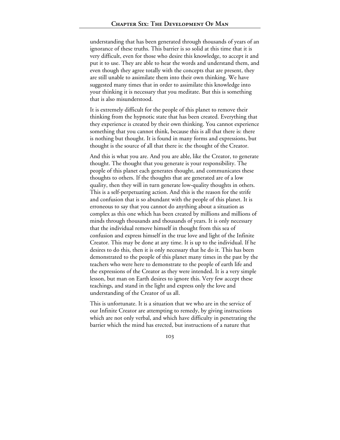understanding that has been generated through thousands of years of an ignorance of these truths. This barrier is so solid at this time that it is very difficult, even for those who desire this knowledge, to accept it and put it to use. They are able to hear the words and understand them, and even though they agree totally with the concepts that are present, they are still unable to assimilate them into their own thinking. We have suggested many times that in order to assimilate this knowledge into your thinking it is necessary that you meditate. But this is something that is also misunderstood.

It is extremely difficult for the people of this planet to remove their thinking from the hypnotic state that has been created. Everything that they experience is created by their own thinking. You cannot experience something that you cannot think, because this is all that there is: there is nothing but thought. It is found in many forms and expressions, but thought is the source of all that there is: the thought of the Creator.

And this is what you are. And you are able, like the Creator, to generate thought. The thought that you generate is your responsibility. The people of this planet each generates thought, and communicates these thoughts to others. If the thoughts that are generated are of a low quality, then they will in turn generate low-quality thoughts in others. This is a self-perpetuating action. And this is the reason for the strife and confusion that is so abundant with the people of this planet. It is erroneous to say that you cannot do anything about a situation as complex as this one which has been created by millions and millions of minds through thousands and thousands of years. It is only necessary that the individual remove himself in thought from this sea of confusion and express himself in the true love and light of the Infinite Creator. This may be done at any time. It is up to the individual. If he desires to do this, then it is only necessary that he do it. This has been demonstrated to the people of this planet many times in the past by the teachers who were here to demonstrate to the people of earth life and the expressions of the Creator as they were intended. It is a very simple lesson, but man on Earth desires to ignore this. Very few accept these teachings, and stand in the light and express only the love and understanding of the Creator of us all.

This is unfortunate. It is a situation that we who are in the service of our Infinite Creator are attempting to remedy, by giving instructions which are not only verbal, and which have difficulty in penetrating the barrier which the mind has erected, but instructions of a nature that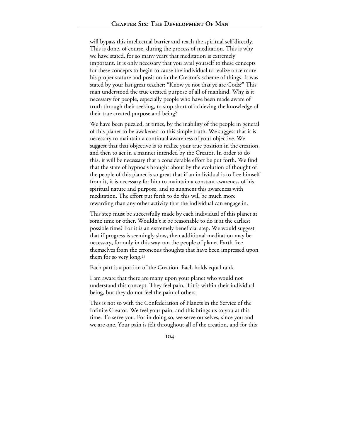will bypass this intellectual barrier and reach the spiritual self directly. This is done, of course, during the process of meditation. This is why we have stated, for so many years that meditation is extremely important. It is only necessary that you avail yourself to these concepts for these concepts to begin to cause the individual to realize once more his proper stature and position in the Creator's scheme of things. It was stated by your last great teacher: "Know ye not that ye are Gods?" This man understood the true created purpose of all of mankind. Why is it necessary for people, especially people who have been made aware of truth through their seeking, to stop short of achieving the knowledge of their true created purpose and being?

We have been puzzled, at times, by the inability of the people in general of this planet to be awakened to this simple truth. We suggest that it is necessary to maintain a continual awareness of your objective. We suggest that that objective is to realize your true position in the creation, and then to act in a manner intended by the Creator. In order to do this, it will be necessary that a considerable effort be put forth. We find that the state of hypnosis brought about by the evolution of thought of the people of this planet is so great that if an individual is to free himself from it, it is necessary for him to maintain a constant awareness of his spiritual nature and purpose, and to augment this awareness with meditation. The effort put forth to do this will be much more rewarding than any other activity that the individual can engage in.

This step must be successfully made by each individual of this planet at some time or other. Wouldn't it be reasonable to do it at the earliest possible time? For it is an extremely beneficial step. We would suggest that if progress is seemingly slow, then additional meditation may be necessary, for only in this way can the people of planet Earth free themselves from the erroneous thoughts that have been impressed upon them for so very long.23

Each part is a portion of the Creation. Each holds equal rank.

I am aware that there are many upon your planet who would not understand this concept. They feel pain, if it is within their individual being, but they do not feel the pain of others.

This is not so with the Confederation of Planets in the Service of the Infinite Creator. We feel your pain, and this brings us to you at this time. To serve you. For in doing so, we serve ourselves, since you and we are one. Your pain is felt throughout all of the creation, and for this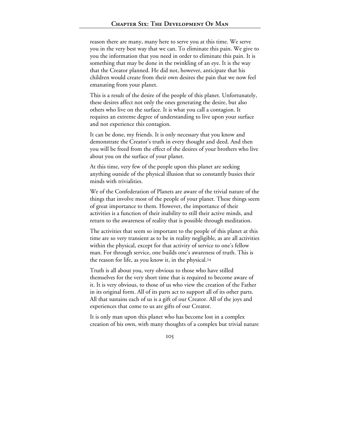reason there are many, many here to serve you at this time. We serve you in the very best way that we can. To eliminate this pain. We give to you the information that you need in order to eliminate this pain. It is something that may be done in the twinkling of an eye. It is the way that the Creator planned. He did not, however, anticipate that his children would create from their own desires the pain that we now feel emanating from your planet.

This is a result of the desire of the people of this planet. Unfortunately, these desires affect not only the ones generating the desire, but also others who live on the surface. It is what you call a contagion. It requires an extreme degree of understanding to live upon your surface and not experience this contagion.

It can be done, my friends. It is only necessary that you know and demonstrate the Creator's truth in every thought and deed. And then you will be freed from the effect of the desires of your brothers who live about you on the surface of your planet.

At this time, very few of the people upon this planet are seeking anything outside of the physical illusion that so constantly busies their minds with trivialities.

We of the Confederation of Planets are aware of the trivial nature of the things that involve most of the people of your planet. These things seem of great importance to them. However, the importance of their activities is a function of their inability to still their active minds, and return to the awareness of reality that is possible through meditation.

The activities that seem so important to the people of this planet at this time are so very transient as to be in reality negligible, as are all activities within the physical, except for that activity of service to one's fellow man. For through service, one builds one's awareness of truth. This is the reason for life, as you know it, in the physical.24

Truth is all about you, very obvious to those who have stilled themselves for the very short time that is required to become aware of it. It is very obvious, to those of us who view the creation of the Father in its original form. All of its parts act to support all of its other parts. All that sustains each of us is a gift of our Creator. All of the joys and experiences that come to us are gifts of our Creator.

It is only man upon this planet who has become lost in a complex creation of his own, with many thoughts of a complex but trivial nature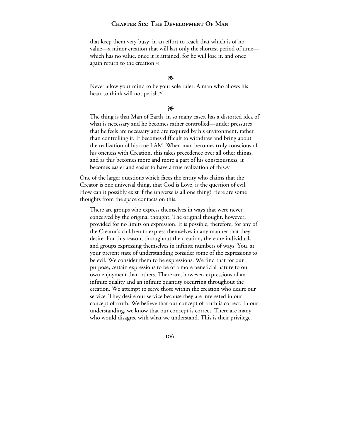that keep them very busy, in an effort to reach that which is of no value—a minor creation that will last only the shortest period of time which has no value, once it is attained, for he will lose it, and once again return to the creation.25

### 22

Never allow your mind to be your sole ruler. A man who allows his heart to think will not perish.26

#### $\partial$

The thing is that Man of Earth, in so many cases, has a distorted idea of what is necessary and he becomes rather controlled—under pressures that he feels are necessary and are required by his environment, rather than controlling it. It becomes difficult to withdraw and bring about the realization of his true I AM. When man becomes truly conscious of his oneness with Creation, this takes precedence over all other things, and as this becomes more and more a part of his consciousness, it becomes easier and easier to have a true realization of this.27

One of the larger questions which faces the entity who claims that the Creator is one universal thing, that God is Love, is the question of evil. How can it possibly exist if the universe is all one thing? Here are some thoughts from the space contacts on this.

There are groups who express themselves in ways that were never conceived by the original thought. The original thought, however, provided for no limits on expression. It is possible, therefore, for any of the Creator's children to express themselves in any manner that they desire. For this reason, throughout the creation, there are individuals and groups expressing themselves in infinite numbers of ways. You, at your present state of understanding consider some of the expressions to be evil. We consider them to be expressions. We find that for our purpose, certain expressions to be of a more beneficial nature to our own enjoyment than others. There are, however, expressions of an infinite quality and an infinite quantity occurring throughout the creation. We attempt to serve those within the creation who desire our service. They desire our service because they are interested in our concept of truth. We believe that our concept of truth is correct. In our understanding, we know that our concept is correct. There are many who would disagree with what we understand. This is their privilege.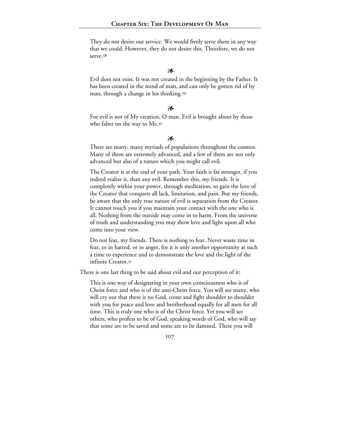They do not desire our service. We would freely serve them in any way that we could. However, they do not desire this. Therefore, we do not serve.28

### $\partial$

Evil does not exist. It was not created in the beginning by the Father. It has been created in the mind of man, and can only be gotten rid of by man, through a change in his thinking.29

# $\partial$

For evil is not of My creation, O man. Evil is brought about by those who falter on the way to Me.30

### $\partial$

There are many, many myriads of populations throughout the cosmos. Many of them are extremely advanced, and a few of them are not only advanced but also of a nature which you might call evil.

The Creator is at the end of your path. Your faith is far stronger, if you indeed realize it, than any evil. Remember this, my friends. It is completely within your power, through meditation, to gain the love of the Creator that conquers all lack, limitation, and pain. But my friends, be aware that the only true nature of evil is separation from the Creator. It cannot touch you if you maintain your contact with the one who is all. Nothing from the outside may come in to harm. From the universe of truth and understanding you may show love and light upon all who come into your view.

Do not fear, my friends. There is nothing to fear. Never waste time in fear, or in hatred, or in anger, for it is only another opportunity at such a time to experience and to demonstrate the love and the light of the infinite Creator.31

There is one last thing to be said about evil and our perception of it:

This is one way of designating in your own consciousness who is of Christ force and who is of the anti-Christ force. You will see many, who will cry out that there is no God, come and fight shoulder to shoulder with you for peace and love and brotherhood equally for all men for all time. This is truly one who is of the Christ force. Yet you will see others, who profess to be of God, speaking words of God, who will say that some are to be saved and some are to be damned. These you will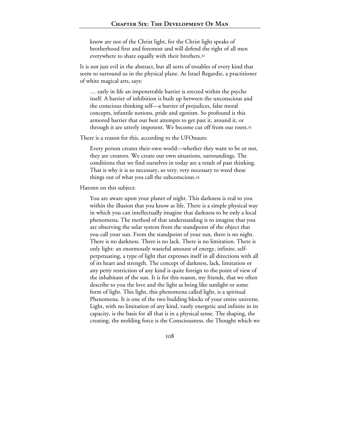know are not of the Christ light, for the Christ light speaks of brotherhood first and foremost and will defend the right of all men everywhere to share equally with their brothers.32

It is not just evil in the abstract, but all sorts of troubles of every kind that seem to surround us in the physical plane. As Israel Regardie, a practitioner of white magical arts, says:

… early in life an impenetrable barrier is erected within the psyche itself. A barrier of inhibition is built up between the unconscious and the conscious thinking self—a barrier of prejudices, false moral concepts, infantile notions, pride and egotism. So profound is this armored barrier that our best attempts to get past it, around it, or through it are utterly impotent. We become cut off from our roots.33

There is a reason for this, according to the UFOnauts:

Every person creates their own world—whether they want to be or not, they are creators. We create our own situations, surroundings. The conditions that we find ourselves in today are a result of past thinking. That is why it is so necessary, so very, very necessary to weed these things out of what you call the subconscious.34

Hatonn on this subject:

You are aware upon your planet of night. This darkness is real to you within the illusion that you know as life. There is a simple physical way in which you can intellectually imagine that darkness to be only a local phenomena. The method of that understanding is to imagine that you are observing the solar system from the standpoint of the object that you call your sun. From the standpoint of your sun, there is no night. There is no darkness. There is no lack. There is no limitation. There is only light: an enormously wasteful amount of energy, infinite, selfperpetuating, a type of light that expresses itself in all directions with all of its heart and strength. The concept of darkness, lack, limitation or any petty restriction of any kind is quite foreign to the point of view of the inhabitant of the sun. It is for this reason, my friends, that we often describe to you the love and the light as being like sunlight or some form of light. This light, this phenomena called light, is a spiritual Phenomena. It is one of the two building blocks of your entire universe. Light, with no limitation of any kind, vastly energetic and infinite in its capacity, is the basis for all that is in a physical sense. The shaping, the creating, the molding force is the Consciousness, the Thought which we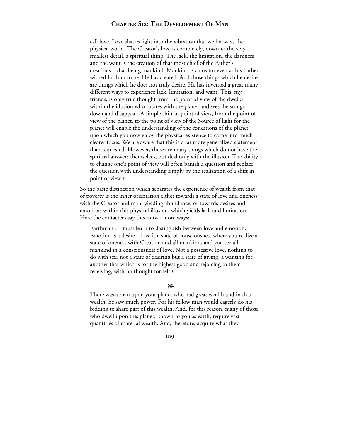call love. Love shapes light into the vibration that we know as the physical world. The Creator's love is completely, down to the very smallest detail, a spiritual thing. The lack, the limitation, the darkness and the want is the creation of that most chief of the Father's creations—that being mankind. Mankind is a creator even as his Father wished for him to be. He has created. And those things which he desires are things which he does not truly desire. He has invented a great many different ways to experience lack, limitation, and want. This, my friends, is only true thought from the point of view of the dweller within the illusion who rotates with the planet and sees the sun go down and disappear. A simple shift in point of view, from the point of view of the planet, to the point of view of the Source of light for the planet will enable the understanding of the conditions of the planet upon which you now enjoy the physical existence to come into much clearer focus. We are aware that this is a far more generalized statement than requested. However, there are many things which do not have the spiritual answers themselves, but deal only with the illusion. The ability to change one's point of view will often banish a question and replace the question with understanding simply by the realization of a shift in point of view.35

So the basic distinction which separates the experience of wealth from that of poverty is the inner orientation either towards a state of love and oneness with the Creator and man, yielding abundance, or towards desires and emotions within this physical illusion, which yields lack and limitation. Here the contactees say this in two more ways:

Earthman … must learn to distinguish between love and emotion. Emotion is a desire—love is a state of consciousness where you realize a state of oneness with Creation and all mankind, and you see all mankind in a consciousness of love. Not a possessive love, nothing to do with sex, not a state of desiring but a state of giving, a wanting for another that which is for the highest good and rejoicing in them receiving, with no thought for self.36

#### $\partial$

There was a man upon your planet who had great wealth and in this wealth, he saw much power. For his fellow man would eagerly do his bidding to share part of this wealth. And, for this reason, many of those who dwell upon this planet, known to you as earth, require vast quantities of material wealth. And, therefore, acquire what they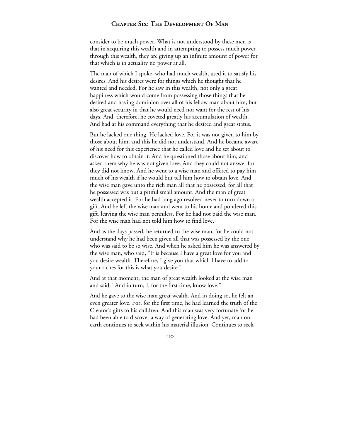consider to be much power. What is not understood by these men is that in acquiring this wealth and in attempting to possess much power through this wealth, they are giving up an infinite amount of power for that which is in actuality no power at all.

The man of which I spoke, who had much wealth, used it to satisfy his desires. And his desires were for things which he thought that he wanted and needed. For he saw in this wealth, not only a great happiness which would come from possessing those things that he desired and having dominion over all of his fellow man about him, but also great security in that he would need nor want for the rest of his days. And, therefore, he coveted greatly his accumulation of wealth. And had at his command everything that he desired and great status.

But he lacked one thing. He lacked love. For it was not given to him by those about him, and this he did not understand. And he became aware of his need for this experience that he called love and he set about to discover how to obtain it. And he questioned those about him, and asked them why he was not given love. And they could not answer for they did not know. And he went to a wise man and offered to pay him much of his wealth if he would but tell him how to obtain love. And the wise man gave unto the rich man all that he possessed, for all that he possessed was but a pitiful small amount. And the man of great wealth accepted it. For he had long ago resolved never to turn down a gift. And he left the wise man and went to his home and pondered this gift, leaving the wise man penniless. For he had not paid the wise man. For the wise man had not told him how to find love.

And as the days passed, he returned to the wise man, for he could not understand why he had been given all that was possessed by the one who was said to be so wise. And when he asked him he was answered by the wise man, who said, "It is because I have a great love for you and you desire wealth. Therefore, I give you that which I have to add to your riches for this is what you desire."

And at that moment, the man of great wealth looked at the wise man and said: "And in turn, I, for the first time, know love."

And he gave to the wise man great wealth. And in doing so, he felt an even greater love. For, for the first time, he had learned the truth of the Creator's gifts to his children. And this man was very fortunate for he had been able to discover a way of generating love. And yet, man on earth continues to seek within his material illusion. Continues to seek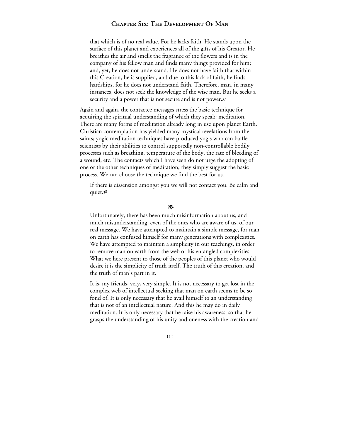that which is of no real value. For he lacks faith. He stands upon the surface of this planet and experiences all of the gifts of his Creator. He breathes the air and smells the fragrance of the flowers and is in the company of his fellow man and finds many things provided for him; and, yet, he does not understand. He does not have faith that within this Creation, he is supplied, and due to this lack of faith, he finds hardships, for he does not understand faith. Therefore, man, in many instances, does not seek the knowledge of the wise man. But he seeks a security and a power that is not secure and is not power.<sup>37</sup>

Again and again, the contactee messages stress the basic technique for acquiring the spiritual understanding of which they speak: meditation. There are many forms of meditation already long in use upon planet Earth. Christian contemplation has yielded many mystical revelations from the saints; yogic meditation techniques have produced yogis who can baffle scientists by their abilities to control supposedly non-controllable bodily processes such as breathing, temperature of the body, the rate of bleeding of a wound, etc. The contacts which I have seen do not urge the adopting of one or the other techniques of meditation; they simply suggest the basic process. We can choose the technique we find the best for us.

If there is dissension amongst you we will not contact you. Be calm and quiet.38

## $\partial$

Unfortunately, there has been much misinformation about us, and much misunderstanding, even of the ones who are aware of us, of our real message. We have attempted to maintain a simple message, for man on earth has confused himself for many generations with complexities. We have attempted to maintain a simplicity in our teachings, in order to remove man on earth from the web of his entangled complexities. What we here present to those of the peoples of this planet who would desire it is the simplicity of truth itself. The truth of this creation, and the truth of man's part in it.

It is, my friends, very, very simple. It is not necessary to get lost in the complex web of intellectual seeking that man on earth seems to be so fond of. It is only necessary that he avail himself to an understanding that is not of an intellectual nature. And this he may do in daily meditation. It is only necessary that he raise his awareness, so that he grasps the understanding of his unity and oneness with the creation and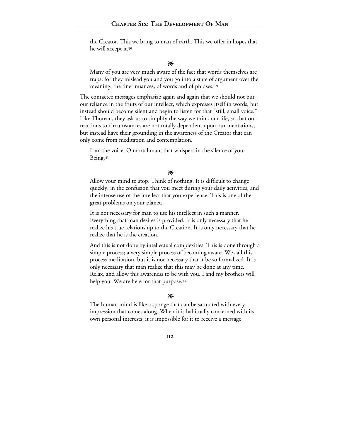the Creator. This we bring to man of earth. This we offer in hopes that he will accept it.39

#### $\partial$ k

Many of you are very much aware of the fact that words themselves are traps, for they mislead you and you go into a state of argument over the meaning, the finer nuances, of words and of phrases.40

The contactee messages emphasize again and again that we should not put our reliance in the fruits of our intellect, which expresses itself in words, but instead should become silent and begin to listen for that "still, small voice." Like Thoreau, they ask us to simplify the way we think our life, so that our reactions to circumstances are not totally dependent upon our mentations, but instead have their grounding in the awareness of the Creator that can only come from meditation and contemplation.

I am the voice, O mortal man, that whispers in the silence of your Being.41

## 22

Allow your mind to stop. Think of nothing. It is difficult to change quickly, in the confusion that you meet during your daily activities, and the intense use of the intellect that you experience. This is one of the great problems on your planet.

It is not necessary for man to use his intellect in such a manner. Everything that man desires is provided. It is only necessary that he realize his true relationship to the Creation. It is only necessary that he realize that he is the creation.

And this is not done by intellectual complexities. This is done through a simple process; a very simple process of becoming aware. We call this process meditation, but it is not necessary that it be so formalized. It is only necessary that man realize that this may be done at any time. Relax, and allow this awareness to be with you. I and my brothers will help you. We are here for that purpose.42

#### $\partial$

The human mind is like a sponge that can be saturated with every impression that comes along. When it is habitually concerned with its own personal interests, it is impossible for it to receive a message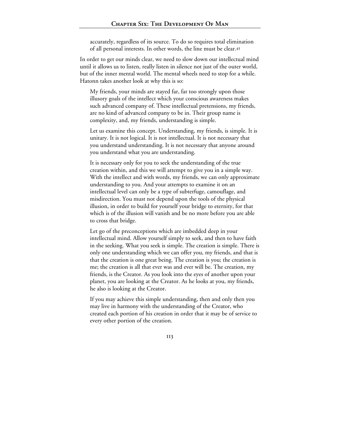accurately, regardless of its source. To do so requires total elimination of all personal interests. In other words, the line must be clear.43

In order to get our minds clear, we need to slow down our intellectual mind until it allows us to listen, really listen in silence not just of the outer world, but of the inner mental world. The mental wheels need to stop for a while. Hatonn takes another look at why this is so:

My friends, your minds are stayed far, far too strongly upon those illusory goals of the intellect which your conscious awareness makes such advanced company of. These intellectual pretensions, my friends, are no kind of advanced company to be in. Their group name is complexity, and, my friends, understanding is simple.

Let us examine this concept. Understanding, my friends, is simple. It is unitary. It is not logical. It is not intellectual. It is not necessary that you understand understanding. It is not necessary that anyone around you understand what you are understanding.

It is necessary only for you to seek the understanding of the true creation within, and this we will attempt to give you in a simple way. With the intellect and with words, my friends, we can only approximate understanding to you. And your attempts to examine it on an intellectual level can only be a type of subterfuge, camouflage, and misdirection. You must not depend upon the tools of the physical illusion, in order to build for yourself your bridge to eternity, for that which is of the illusion will vanish and be no more before you are able to cross that bridge.

Let go of the preconceptions which are imbedded deep in your intellectual mind. Allow yourself simply to seek, and then to have faith in the seeking. What you seek is simple. The creation is simple. There is only one understanding which we can offer you, my friends, and that is that the creation is one great being. The creation is you; the creation is me; the creation is all that ever was and ever will be. The creation, my friends, is the Creator. As you look into the eyes of another upon your planet, you are looking at the Creator. As he looks at you, my friends, he also is looking at the Creator.

If you may achieve this simple understanding, then and only then you may live in harmony with the understanding of the Creator, who created each portion of his creation in order that it may be of service to every other portion of the creation.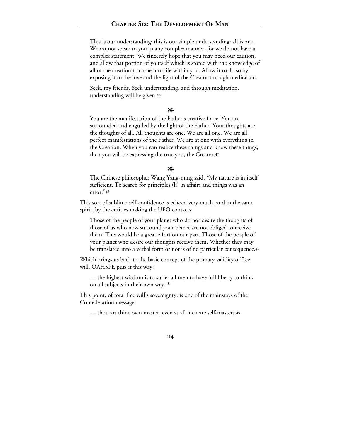This is our understanding; this is our simple understanding: all is one. We cannot speak to you in any complex manner, for we do not have a complex statement. We sincerely hope that you may heed our caution, and allow that portion of yourself which is stored with the knowledge of all of the creation to come into life within you. Allow it to do so by exposing it to the love and the light of the Creator through meditation.

Seek, my friends. Seek understanding, and through meditation, understanding will be given.44

#### 22

You are the manifestation of the Father's creative force. You are surrounded and engulfed by the light of the Father. Your thoughts are the thoughts of all. All thoughts are one. We are all one. We are all perfect manifestations of the Father. We are at one with everything in the Creation. When you can realize these things and know these things, then you will be expressing the true you, the Creator.45

## $\partial$

The Chinese philosopher Wang Yang-ming said, "My nature is in itself sufficient. To search for principles (li) in affairs and things was an error."46

This sort of sublime self-confidence is echoed very much, and in the same spirit, by the entities making the UFO contacts:

Those of the people of your planet who do not desire the thoughts of those of us who now surround your planet are not obliged to receive them. This would be a great effort on our part. Those of the people of your planet who desire our thoughts receive them. Whether they may be translated into a verbal form or not is of no particular consequence.47

Which brings us back to the basic concept of the primary validity of free will. OAHSPE puts it this way:

… the highest wisdom is to suffer all men to have full liberty to think on all subjects in their own way.48

This point, of total free will's sovereignty, is one of the mainstays of the Confederation message:

… thou art thine own master, even as all men are self-masters.49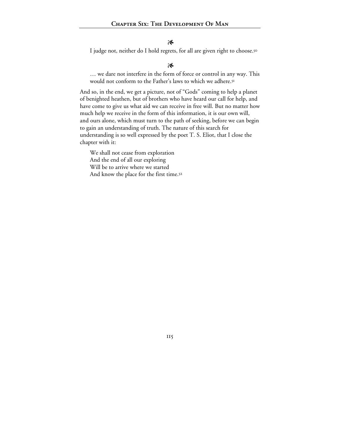#### $\partial$

I judge not, neither do I hold regrets, for all are given right to choose.50

## 

… we dare not interfere in the form of force or control in any way. This would not conform to the Father's laws to which we adhere.51

And so, in the end, we get a picture, not of "Gods" coming to help a planet of benighted heathen, but of brothers who have heard our call for help, and have come to give us what aid we can receive in free will. But no matter how much help we receive in the form of this information, it is our own will, and ours alone, which must turn to the path of seeking, before we can begin to gain an understanding of truth. The nature of this search for understanding is so well expressed by the poet T. S. Eliot, that I close the chapter with it:

We shall not cease from exploration And the end of all our exploring Will be to arrive where we started And know the place for the first time.52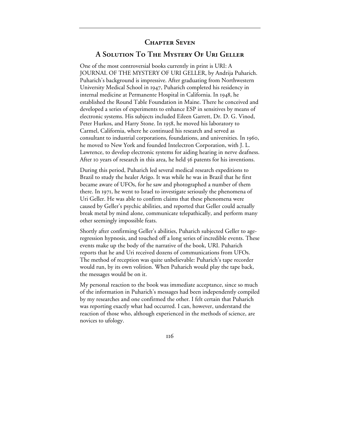## **Chapter Seven**

# **A Solution To The Mystery Of Uri Geller**

One of the most controversial books currently in print is URI: A JOURNAL OF THE MYSTERY OF URI GELLER, by Andrija Puharich. Puharich's background is impressive. After graduating from Northwestern University Medical School in 1947, Puharich completed his residency in internal medicine at Permanente Hospital in California. In 1948, he established the Round Table Foundation in Maine. There he conceived and developed a series of experiments to enhance ESP in sensitives by means of electronic systems. His subjects included Eileen Garrett, Dr. D. G. Vinod, Peter Hurkos, and Harry Stone. In 1958, he moved his laboratory to Carmel, California, where he continued his research and served as consultant to industrial corporations, foundations, and universities. In 1960, he moved to New York and founded Intelectron Corporation, with J. L. Lawrence, to develop electronic systems for aiding hearing in nerve deafness. After 10 years of research in this area, he held 56 patents for his inventions.

During this period, Puharich led several medical research expeditions to Brazil to study the healer Arigo. It was while he was in Brazil that he first became aware of UFOs, for he saw and photographed a number of them there. In 1971, he went to Israel to investigate seriously the phenomena of Uri Geller. He was able to confirm claims that these phenomena were caused by Geller's psychic abilities, and reported that Geller could actually break metal by mind alone, communicate telepathically, and perform many other seemingly impossible feats.

Shortly after confirming Geller's abilities, Puharich subjected Geller to ageregression hypnosis, and touched off a long series of incredible events. These events make up the body of the narrative of the book, URI. Puharich reports that he and Uri received dozens of communications from UFOs. The method of reception was quite unbelievable: Puharich's tape recorder would run, by its own volition. When Puharich would play the tape back, the messages would be on it.

My personal reaction to the book was immediate acceptance, since so much of the information in Puharich's messages had been independently compiled by my researches and one confirmed the other. I felt certain that Puharich was reporting exactly what had occurred. I can, however, understand the reaction of those who, although experienced in the methods of science, are novices to ufology.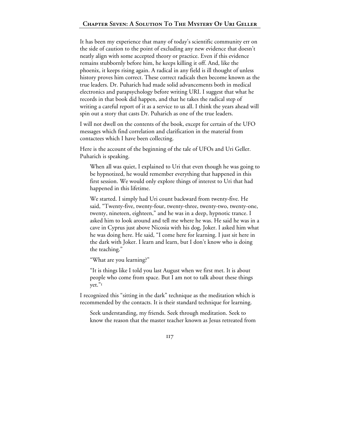It has been my experience that many of today's scientific community err on the side of caution to the point of excluding any new evidence that doesn't neatly align with some accepted theory or practice. Even if this evidence remains stubbornly before him, he keeps killing it off. And, like the phoenix, it keeps rising again. A radical in any field is ill thought of unless history proves him correct. These correct radicals then become known as the true leaders. Dr. Puharich had made solid advancements both in medical electronics and parapsychology before writing URI. I suggest that what he records in that book did happen, and that he takes the radical step of writing a careful report of it as a service to us all. I think the years ahead will spin out a story that casts Dr. Puharich as one of the true leaders.

I will not dwell on the contents of the book, except for certain of the UFO messages which find correlation and clarification in the material from contactees which I have been collecting.

Here is the account of the beginning of the tale of UFOs and Uri Geller. Puharich is speaking.

When all was quiet, I explained to Uri that even though he was going to be hypnotized, he would remember everything that happened in this first session. We would only explore things of interest to Uri that had happened in this lifetime.

We started. I simply had Uri count backward from twenty-five. He said, "Twenty-five, twenty-four, twenty-three, twenty-two, twenty-one, twenty, nineteen, eighteen," and he was in a deep, hypnotic trance. I asked him to look around and tell me where he was. He said he was in a cave in Cyprus just above Nicosia with his dog, Joker. I asked him what he was doing here. He said, "I come here for learning. I just sit here in the dark with Joker. I learn and learn, but I don't know who is doing the teaching."

"What are you learning?"

"It is things like I told you last August when we first met. It is about people who come from space. But I am not to talk about these things yet."1

I recognized this "sitting in the dark" technique as the meditation which is recommended by the contacts. It is their standard technique for learning.

Seek understanding, my friends. Seek through meditation. Seek to know the reason that the master teacher known as Jesus retreated from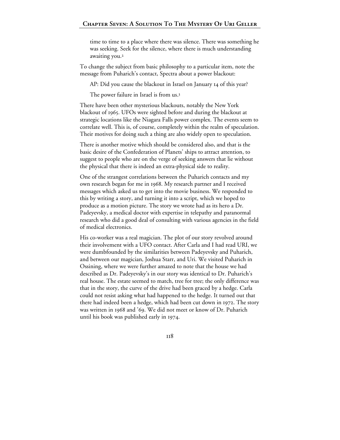time to time to a place where there was silence. There was something he was seeking. Seek for the silence, where there is much understanding awaiting you.2

To change the subject from basic philosophy to a particular item, note the message from Puharich's contact, Spectra about a power blackout:

AP: Did you cause the blackout in Israel on January 14 of this year?

The power failure in Israel is from us.3

There have been other mysterious blackouts, notably the New York blackout of 1965. UFOs were sighted before and during the blackout at strategic locations like the Niagara Falls power complex. The events seem to correlate well. This is, of course, completely within the realm of speculation. Their motives for doing such a thing are also widely open to speculation.

There is another motive which should be considered also, and that is the basic desire of the Confederation of Planets' ships to attract attention, to suggest to people who are on the verge of seeking answers that lie without the physical that there is indeed an extra-physical side to reality.

One of the strangest correlations between the Puharich contacts and my own research began for me in 1968. My research partner and I received messages which asked us to get into the movie business. We responded to this by writing a story, and turning it into a script, which we hoped to produce as a motion picture. The story we wrote had as its hero a Dr. Padeyevsky, a medical doctor with expertise in telepathy and paranormal research who did a good deal of consulting with various agencies in the field of medical electronics.

His co-worker was a real magician. The plot of our story revolved around their involvement with a UFO contact. After Carla and I had read URI, we were dumbfounded by the similarities between Padeyevsky and Puharich, and between our magician, Joshua Starr, and Uri. We visited Puharich in Ossining, where we were further amazed to note that the house we had described as Dr. Padeyevsky's in our story was identical to Dr. Puharich's real house. The estate seemed to match, tree for tree; the only difference was that in the story, the curve of the drive had been graced by a hedge. Carla could not resist asking what had happened to the hedge. It turned out that there had indeed been a hedge, which had been cut down in 1972. The story was written in 1968 and '69. We did not meet or know of Dr. Puharich until his book was published early in 1974.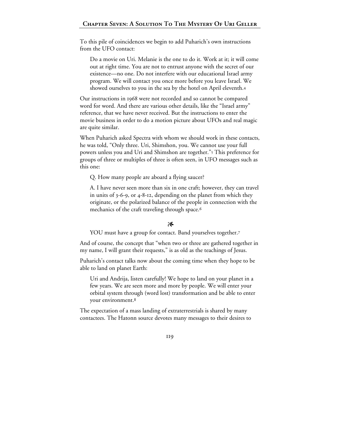To this pile of coincidences we begin to add Puharich's own instructions from the UFO contact:

Do a movie on Uri. Melanie is the one to do it. Work at it; it will come out at right time. You are not to entrust anyone with the secret of our existence—no one. Do not interfere with our educational Israel army program. We will contact you once more before you leave Israel. We showed ourselves to you in the sea by the hotel on April eleventh.4

Our instructions in 1968 were not recorded and so cannot be compared word for word. And there are various other details, like the "Israel army" reference, that we have never received. But the instructions to enter the movie business in order to do a motion picture about UFOs and real magic are quite similar.

When Puharich asked Spectra with whom we should work in these contacts, he was told, "Only three. Uri, Shimshon, you. We cannot use your full powers unless you and Uri and Shimshon are together."5 This preference for groups of three or multiples of three is often seen, in UFO messages such as this one:

Q. How many people are aboard a flying saucer?

A. I have never seen more than six in one craft; however, they can travel in units of 3-6-9, or 4-8-12, depending on the planet from which they originate, or the polarized balance of the people in connection with the mechanics of the craft traveling through space.<sup>6</sup>

## 22

YOU must have a group for contact. Band yourselves together.7

And of course, the concept that "when two or three are gathered together in my name, I will grant their requests," is as old as the teachings of Jesus.

Puharich's contact talks now about the coming time when they hope to be able to land on planet Earth:

Uri and Andrija, listen carefully! We hope to land on your planet in a few years. We are seen more and more by people. We will enter your orbital system through (word lost) transformation and be able to enter your environment.8

The expectation of a mass landing of extraterrestrials is shared by many contactees. The Hatonn source devotes many messages to their desires to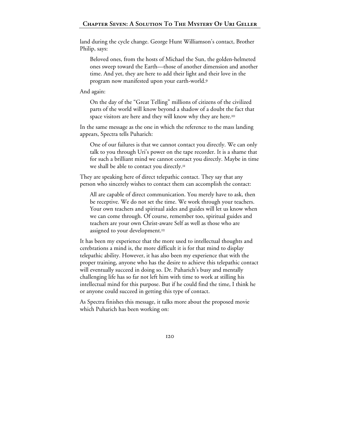land during the cycle change. George Hunt Williamson's contact, Brother Philip, says:

Beloved ones, from the hosts of Michael the Sun, the golden-helmeted ones sweep toward the Earth—those of another dimension and another time. And yet, they are here to add their light and their love in the program now manifested upon your earth-world.9

And again:

On the day of the "Great Telling" millions of citizens of the civilized parts of the world will know beyond a shadow of a doubt the fact that space visitors are here and they will know why they are here.<sup>10</sup>

In the same message as the one in which the reference to the mass landing appears, Spectra tells Puharich:

One of our failures is that we cannot contact you directly. We can only talk to you through Uri's power on the tape recorder. It is a shame that for such a brilliant mind we cannot contact you directly. Maybe in time we shall be able to contact you directly.11

They are speaking here of direct telepathic contact. They say that any person who sincerely wishes to contact them can accomplish the contact:

All are capable of direct communication. You merely have to ask, then be receptive. We do not set the time. We work through your teachers. Your own teachers and spiritual aides and guides will let us know when we can come through. Of course, remember too, spiritual guides and teachers are your own Christ-aware Self as well as those who are assigned to your development.12

It has been my experience that the more used to intellectual thoughts and cerebrations a mind is, the more difficult it is for that mind to display telepathic ability. However, it has also been my experience that with the proper training, anyone who has the desire to achieve this telepathic contact will eventually succeed in doing so. Dr. Puharich's busy and mentally challenging life has so far not left him with time to work at stilling his intellectual mind for this purpose. But if he could find the time, I think he or anyone could succeed in getting this type of contact.

As Spectra finishes this message, it talks more about the proposed movie which Puharich has been working on: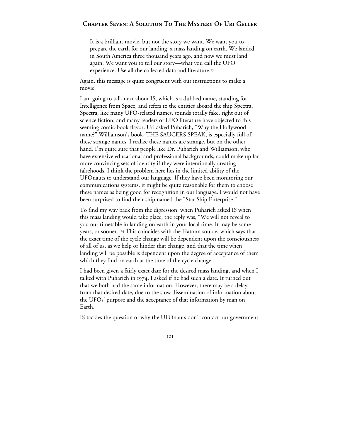It is a brilliant movie, but not the story we want. We want you to prepare the earth for our landing, a mass landing on earth. We landed in South America three thousand years ago, and now we must land again. We want you to tell our story—what you call the UFO experience. Use all the collected data and literature.13

Again, this message is quite congruent with our instructions to make a movie.

I am going to talk next about IS, which is a dubbed name, standing for Intelligence from Space, and refers to the entities aboard the ship Spectra. Spectra, like many UFO-related names, sounds totally fake, right out of science fiction, and many readers of UFO literature have objected to this seeming comic-book flavor. Uri asked Puharich, "Why the Hollywood name?" Williamson's book, THE SAUCERS SPEAK, is especially full of these strange names. I realize these names are strange, but on the other hand, I'm quite sure that people like Dr. Puharich and Williamson, who have extensive educational and professional backgrounds, could make up far more convincing sets of identity if they were intentionally creating falsehoods. I think the problem here lies in the limited ability of the UFOnauts to understand our language. If they have been monitoring our communications systems, it might be quite reasonable for them to choose these names as being good for recognition in our language. I would not have been surprised to find their ship named the "Star Ship Enterprise."

To find my way back from the digression: when Puharich asked IS when this mass landing would take place, the reply was, "We will not reveal to you our timetable in landing on earth in your local time. It may be some years, or sooner."14 This coincides with the Hatonn source, which says that the exact time of the cycle change will be dependent upon the consciousness of all of us, as we help or hinder that change, and that the time when landing will be possible is dependent upon the degree of acceptance of them which they find on earth at the time of the cycle change.

I had been given a fairly exact date for the desired mass landing, and when I talked with Puharich in 1974, I asked if he had such a date. It turned out that we both had the same information. However, there may be a delay from that desired date, due to the slow dissemination of information about the UFOs' purpose and the acceptance of that information by man on Earth.

IS tackles the question of why the UFOnauts don't contact our government: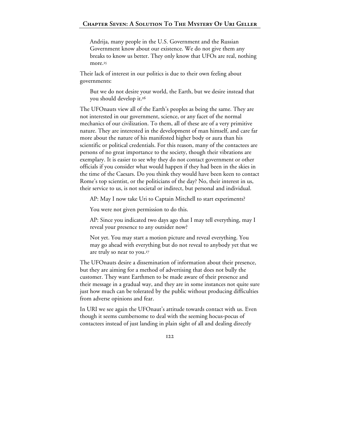Andrija, many people in the U.S. Government and the Russian Government know about our existence. We do not give them any breaks to know us better. They only know that UFOs are real, nothing more.<sup>15</sup>

Their lack of interest in our politics is due to their own feeling about governments:

But we do not desire your world, the Earth, but we desire instead that you should develop it.16

The UFOnauts view all of the Earth's peoples as being the same. They are not interested in our government, science, or any facet of the normal mechanics of our civilization. To them, all of these are of a very primitive nature. They are interested in the development of man himself, and care far more about the nature of his manifested higher body or aura than his scientific or political credentials. For this reason, many of the contactees are persons of no great importance to the society, though their vibrations are exemplary. It is easier to see why they do not contact government or other officials if you consider what would happen if they had been in the skies in the time of the Caesars. Do you think they would have been keen to contact Rome's top scientist, or the politicians of the day? No, their interest in us, their service to us, is not societal or indirect, but personal and individual.

AP: May I now take Uri to Captain Mitchell to start experiments?

You were not given permission to do this.

AP: Since you indicated two days ago that I may tell everything, may I reveal your presence to any outsider now?

Not yet. You may start a motion picture and reveal everything. You may go ahead with everything but do not reveal to anybody yet that we are truly so near to you.17

The UFOnauts desire a dissemination of information about their presence, but they are aiming for a method of advertising that does not bully the customer. They want Earthmen to be made aware of their presence and their message in a gradual way, and they are in some instances not quite sure just how much can be tolerated by the public without producing difficulties from adverse opinions and fear.

In URI we see again the UFOnaut's attitude towards contact with us. Even though it seems cumbersome to deal with the seeming hocus-pocus of contactees instead of just landing in plain sight of all and dealing directly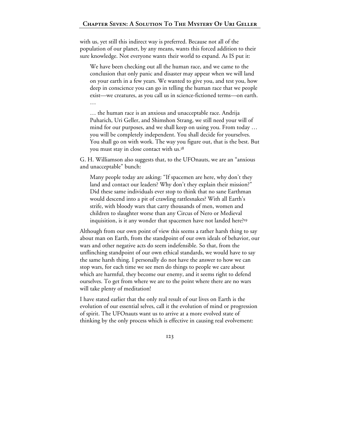with us, yet still this indirect way is preferred. Because not all of the population of our planet, by any means, wants this forced addition to their sure knowledge. Not everyone wants their world to expand. As IS put it:

We have been checking out all the human race, and we came to the conclusion that only panic and disaster may appear when we will land on your earth in a few years. We wanted to give you, and test you, how deep in conscience you can go in telling the human race that we people exist—we creatures, as you call us in science-fictioned terms—on earth. …

… the human race is an anxious and unacceptable race. Andrija Puharich, Uri Geller, and Shimshon Strang, we still need your will of mind for our purposes, and we shall keep on using you. From today … you will be completely independent. You shall decide for yourselves. You shall go on with work. The way you figure out, that is the best. But you must stay in close contact with us.18

G. H. Williamson also suggests that, to the UFOnauts, we are an "anxious and unacceptable" bunch:

Many people today are asking: "If spacemen are here, why don't they land and contact our leaders? Why don't they explain their mission?" Did these same individuals ever stop to think that no sane Earthman would descend into a pit of crawling rattlesnakes? With all Earth's strife, with bloody wars that carry thousands of men, women and children to slaughter worse than any Circus of Nero or Medieval inquisition, is it any wonder that spacemen have not landed here?19

Although from our own point of view this seems a rather harsh thing to say about man on Earth, from the standpoint of our own ideals of behavior, our wars and other negative acts do seem indefensible. So that, from the unflinching standpoint of our own ethical standards, we would have to say the same harsh thing. I personally do not have the answer to how we can stop wars, for each time we see men do things to people we care about which are harmful, they become our enemy, and it seems right to defend ourselves. To get from where we are to the point where there are no wars will take plenty of meditation!

I have stated earlier that the only real result of our lives on Earth is the evolution of our essential selves, call it the evolution of mind or progression of spirit. The UFOnauts want us to arrive at a more evolved state of thinking by the only process which is effective in causing real evolvement: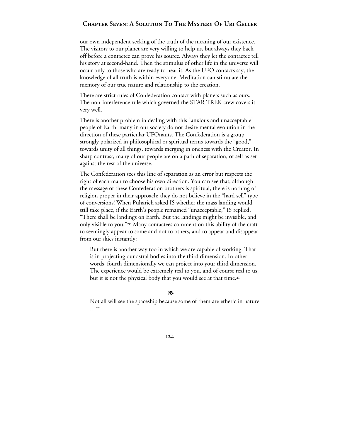our own independent seeking of the truth of the meaning of our existence. The visitors to our planet are very willing to help us, but always they back off before a contactee can prove his source. Always they let the contactee tell his story at second-hand. Then the stimulus of other life in the universe will occur only to those who are ready to hear it. As the UFO contacts say, the knowledge of all truth is within everyone. Meditation can stimulate the memory of our true nature and relationship to the creation.

There are strict rules of Confederation contact with planets such as ours. The non-interference rule which governed the STAR TREK crew covers it very well.

There is another problem in dealing with this "anxious and unacceptable" people of Earth: many in our society do not desire mental evolution in the direction of these particular UFOnauts. The Confederation is a group strongly polarized in philosophical or spiritual terms towards the "good," towards unity of all things, towards merging in oneness with the Creator. In sharp contrast, many of our people are on a path of separation, of self as set against the rest of the universe.

The Confederation sees this line of separation as an error but respects the right of each man to choose his own direction. You can see that, although the message of these Confederation brothers is spiritual, there is nothing of religion proper in their approach: they do not believe in the "hard sell" type of conversions! When Puharich asked IS whether the mass landing would still take place, if the Earth's people remained "unacceptable," IS replied, "There shall be landings on Earth. But the landings might be invisible, and only visible to you."20 Many contactees comment on this ability of the craft to seemingly appear to some and not to others, and to appear and disappear from our skies instantly:

But there is another way too in which we are capable of working. That is in projecting our astral bodies into the third dimension. In other words, fourth dimensionally we can project into your third dimension. The experience would be extremely real to you, and of course real to us, but it is not the physical body that you would see at that time.21

## $\partial$

Not all will see the spaceship because some of them are etheric in nature …22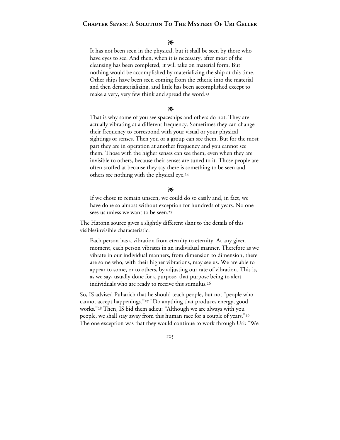## $\partial$

It has not been seen in the physical, but it shall be seen by those who have eyes to see. And then, when it is necessary, after most of the cleansing has been completed, it will take on material form. But nothing would be accomplished by materializing the ship at this time. Other ships have been seen coming from the etheric into the material and then dematerializing, and little has been accomplished except to make a very, very few think and spread the word.23

## $\partial$

That is why some of you see spaceships and others do not. They are actually vibrating at a different frequency. Sometimes they can change their frequency to correspond with your visual or your physical sightings or senses. Then you or a group can see them. But for the most part they are in operation at another frequency and you cannot see them. Those with the higher senses can see them, even when they are invisible to others, because their senses are tuned to it. Those people are often scoffed at because they say there is something to be seen and others see nothing with the physical eye.24

## $\partial$   $\mathbf{k}$

If we chose to remain unseen, we could do so easily and, in fact, we have done so almost without exception for hundreds of years. No one sees us unless we want to be seen.25

The Hatonn source gives a slightly different slant to the details of this visible/invisible characteristic:

Each person has a vibration from eternity to eternity. At any given moment, each person vibrates in an individual manner. Therefore as we vibrate in our individual manners, from dimension to dimension, there are some who, with their higher vibrations, may see us. We are able to appear to some, or to others, by adjusting our rate of vibration. This is, as we say, usually done for a purpose, that purpose being to alert individuals who are ready to receive this stimulus.26

So, IS advised Puharich that he should teach people, but not "people who cannot accept happenings."27 "Do anything that produces energy, good works."28 Then, IS bid them adieu: "Although we are always with you people, we shall stay away from this human race for a couple of years."29 The one exception was that they would continue to work through Uri: "We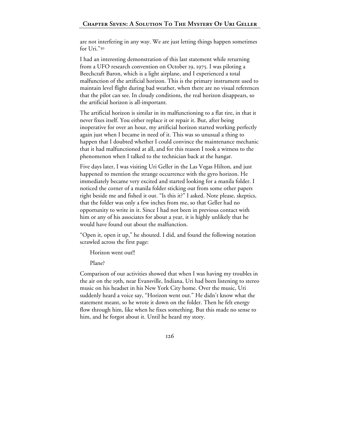are not interfering in any way. We are just letting things happen sometimes for Uri."30

I had an interesting demonstration of this last statement while returning from a UFO research convention on October 19, 1975. I was piloting a Beechcraft Baron, which is a light airplane, and I experienced a total malfunction of the artificial horizon. This is the primary instrument used to maintain level flight during bad weather, when there are no visual references that the pilot can see. In cloudy conditions, the real horizon disappears, so the artificial horizon is all-important.

The artificial horizon is similar in its malfunctioning to a flat tire, in that it never fixes itself. You either replace it or repair it. But, after being inoperative for over an hour, my artificial horizon started working perfectly again just when I became in need of it. This was so unusual a thing to happen that I doubted whether I could convince the maintenance mechanic that it had malfunctioned at all, and for this reason I took a witness to the phenomenon when I talked to the technician back at the hangar.

Five days later, I was visiting Uri Geller in the Las Vegas Hilton, and just happened to mention the strange occurrence with the gyro horizon. He immediately became very excited and started looking for a manila folder. I noticed the corner of a manila folder sticking out from some other papers right beside me and fished it out. "Is this it?" I asked. Note please, skeptics, that the folder was only a few inches from me, so that Geller had no opportunity to write in it. Since I had not been in previous contact with him or any of his associates for about a year, it is highly unlikely that he would have found out about the malfunction.

"Open it, open it up," he shouted. I did, and found the following notation scrawled across the first page:

Horizon went out!!

Plane?

Comparison of our activities showed that when I was having my troubles in the air on the 19th, near Evansville, Indiana, Uri had been listening to stereo music on his headset in his New York City home. Over the music, Uri suddenly heard a voice say, "Horizon went out." He didn't know what the statement meant, so he wrote it down on the folder. Then he felt energy flow through him, like when he fixes something. But this made no sense to him, and he forgot about it. Until he heard my story.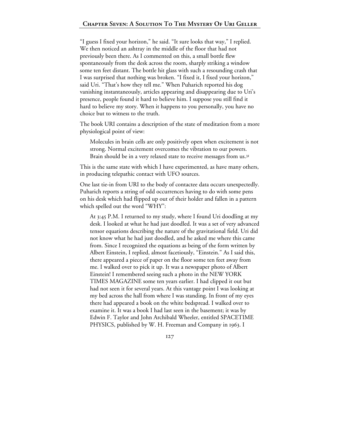## **Chapter Seven: A Solution To The Mystery Of Uri Geller**

"I guess I fixed your horizon," he said. "It sure looks that way," I replied. We then noticed an ashtray in the middle of the floor that had not previously been there. As I commented on this, a small bottle flew spontaneously from the desk across the room, sharply striking a window some ten feet distant. The bottle hit glass with such a resounding crash that I was surprised that nothing was broken. "I fixed it, I fixed your horizon," said Uri. "That's how they tell me." When Puharich reported his dog vanishing instantaneously, articles appearing and disappearing due to Uri's presence, people found it hard to believe him. I suppose you still find it hard to believe my story. When it happens to you personally, you have no choice but to witness to the truth.

The book URI contains a description of the state of meditation from a more physiological point of view:

Molecules in brain cells are only positively open when excitement is not strong. Normal excitement overcomes the vibration to our powers. Brain should be in a very relaxed state to receive messages from us.31

This is the same state with which I have experimented, as have many others, in producing telepathic contact with UFO sources.

One last tie-in from URI to the body of contactee data occurs unexpectedly. Puharich reports a string of odd occurrences having to do with some pens on his desk which had flipped up out of their holder and fallen in a pattern which spelled out the word "WHY":

At 3:45 P.M. I returned to my study, where I found Uri doodling at my desk. I looked at what he had just doodled. It was a set of very advanced tensor equations describing the nature of the gravitational field. Uri did not know what he had just doodled, and he asked me where this came from. Since I recognized the equations as being of the form written by Albert Einstein, I replied, almost facetiously, "Einstein." As I said this, there appeared a piece of paper on the floor some ten feet away from me. I walked over to pick it up. It was a newspaper photo of Albert Einstein! I remembered seeing such a photo in the NEW YORK TIMES MAGAZINE some ten years earlier. I had clipped it out but had not seen it for several years. At this vantage point I was looking at my bed across the hall from where I was standing. In front of my eyes there had appeared a book on the white bedspread. I walked over to examine it. It was a book I had last seen in the basement; it was by Edwin F. Taylor and John Archibald Wheeler, entitled SPACETIME PHYSICS, published by W. H. Freeman and Company in 1963. I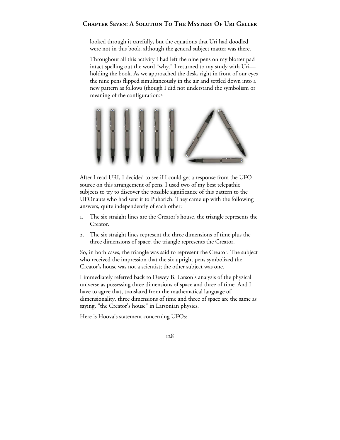looked through it carefully, but the equations that Uri had doodled were not in this book, although the general subject matter was there.

Throughout all this activity I had left the nine pens on my blotter pad intact spelling out the word "why." I returned to my study with Uri holding the book. As we approached the desk, right in front of our eyes the nine pens flipped simultaneously in the air and settled down into a new pattern as follows (though I did not understand the symbolism or meaning of the configuration<sup>32</sup>



After I read URI, I decided to see if I could get a response from the UFO source on this arrangement of pens. I used two of my best telepathic subjects to try to discover the possible significance of this pattern to the UFOnauts who had sent it to Puharich. They came up with the following answers, quite independently of each other:

- 1. The six straight lines are the Creator's house, the triangle represents the Creator.
- 2. The six straight lines represent the three dimensions of time plus the three dimensions of space; the triangle represents the Creator.

So, in both cases, the triangle was said to represent the Creator. The subject who received the impression that the six upright pens symbolized the Creator's house was not a scientist; the other subject was one.

I immediately referred back to Dewey B. Larson's analysis of the physical universe as possessing three dimensions of space and three of time. And I have to agree that, translated from the mathematical language of dimensionality, three dimensions of time and three of space are the same as saying, "the Creator's house" in Larsonian physics.

Here is Hoova's statement concerning UFOs: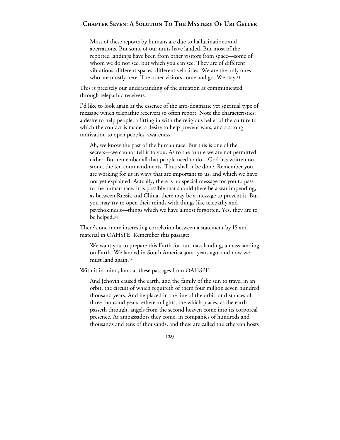Most of these reports by humans are due to hallucinations and aberrations. But some of our units have landed. But most of the reported landings have been from other visitors from space—some of whom we do not see, but which you can see. They are of different vibrations, different spaces, different velocities. We are the only ones who are mostly here. The other visitors come and go. We stay.<sup>33</sup>

This is precisely our understanding of the situation as communicated through telepathic receivers.

I'd like to look again at the essence of the anti-dogmatic yet spiritual type of message which telepathic receivers so often report. Note the characteristics: a desire to help people, a fitting in with the religious belief of the culture to which the contact is made, a desire to help prevent wars, and a strong motivation to open peoples' awareness:

Ah, we know the past of the human race. But this is one of the secrets—we cannot tell it to you. As to the future we are not permitted either. But remember all that people need to do—God has written on stone, the ten commandments. Thus shall it be done. Remember you are working for us in ways that are important to us, and which we have not yet explained. Actually, there is no special message for you to pass to the human race. It is possible that should there be a war impending, as between Russia and China, there may be a message to prevent it. But you may try to open their minds with things like telepathy and psychokinesis—things which we have almost forgotten. Yes, they are to be helped.34

There's one more interesting correlation between a statement by IS and material in OAHSPE. Remember this passage:

We want you to prepare this Earth for our mass landing, a mass landing on Earth. We landed in South America 3000 years ago, and now we must land again.35

With it in mind, look at these passages from OAHSPE:

And Jehovih caused the earth, and the family of the sun to travel in an orbit, the circuit of which requireth of them four million seven hundred thousand years. And he placed in the line of the orbit, at distances of three thousand years, etherean lights, the which places, as the earth passeth through, angels from the second heaven come into its corporeal presence. As ambassadors they come, in companies of hundreds and thousands and tens of thousands, and these are called the etherean hosts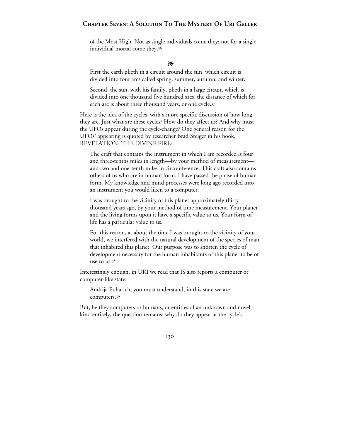of the Most High. Not as single individuals come they: not for a single individual mortal come they.36

## $\partial$ k

First the earth plieth in a circuit around the sun, which circuit is divided into four arcs called spring, summer, autumn, and winter.

Second, the sun, with his family, plieth in a large circuit, which is divided into one thousand five hundred arcs, the distance of which for each arc is about three thousand years, or one cycle.37

Here is the idea of the cycles, with a more specific discussion of how long they are. Just what are these cycles? How do they affect us? And why must the UFOs appear during the cycle-change? One general reason for the UFOs' appearing is quoted by researcher Brad Steiger in his book, REVELATION: THE DIVINE FIRE:

The craft that contains the instrument in which I am recorded is four and three-tenths miles in length—by your method of measurement and two and one-tenth miles in circumference. This craft also contains others of us who are in human form. I have passed the phase of human form. My knowledge and mind processes were long ago recorded into an instrument you would liken to a computer.

I was brought to the vicinity of this planet approximately thirty thousand years ago, by your method of time measurement. Your planet and the living forms upon it have a specific value to us. Your form of life has a particular value to us.

For this reason, at about the time I was brought to the vicinity of your world, we interfered with the natural development of the species of man that inhabited this planet. Our purpose was to shorten the cycle of development necessary for the human inhabitants of this planet to be of use to us.38

Interestingly enough, in URI we read that IS also reports a computer or computer-like state:

Andrija Puharich, you must understand, in this state we are computers.39

But, be they computers or humans, or entities of an unknown and novel kind entirely, the question remains: why do they appear at the cycle's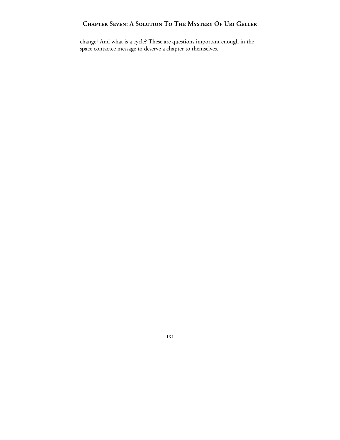change? And what is a cycle? These are questions important enough in the space contactee message to deserve a chapter to themselves.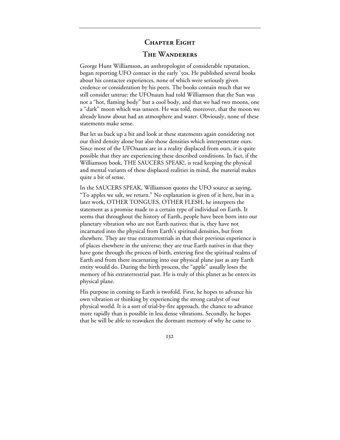# **Chapter Eight The Wanderers**

George Hunt Williamson, an anthropologist of considerable reputation, began reporting UFO contact in the early '50s. He published several books about his contactee experiences, none of which were seriously given credence or consideration by his peers. The books contain much that we still consider untrue: the UFOnauts had told Williamson that the Sun was not a "hot, flaming body" but a cool body, and that we had two moons, one a "dark" moon which was unseen. He was told, moreover, that the moon we already know about had an atmosphere and water. Obviously, none of these statements make sense.

But let us back up a bit and look at these statements again considering not our third density alone but also those densities which interpenetrate ours. Since most of the UFOnauts are in a reality displaced from ours, it is quite possible that they are experiencing these described conditions. In fact, if the Williamson book, THE SAUCERS SPEAK!, is read keeping the physical and mental variants of these displaced realities in mind, the material makes quite a bit of sense.

In the SAUCERS SPEAK, Williamson quotes the UFO source as saying, "To apples we salt, we return." No explanation is given of it here, but in a later work, OTHER TONGUES, OTHER FLESH, he interprets the statement as a promise made to a certain type of individual on Earth. It seems that throughout the history of Earth, people have been born into our planetary vibration who are not Earth natives; that is, they have not incarnated into the physical from Earth's spiritual densities, but from elsewhere. They are true extraterrestrials in that their previous experience is of places elsewhere in the universe; they are true Earth natives in that they have gone through the process of birth, entering first the spiritual realms of Earth and from there incarnating into our physical plane just as any Earth entity would do. During the birth process, the "apple" usually loses the memory of his extraterrestrial past. He is truly of this planet as he enters its physical plane.

His purpose in coming to Earth is twofold. First, he hopes to advance his own vibration or thinking by experiencing the strong catalyst of our physical world. It is a sort of trial-by-fire approach, the chance to advance more rapidly than is possible in less dense vibrations. Secondly, he hopes that he will be able to reawaken the dormant memory of why he came to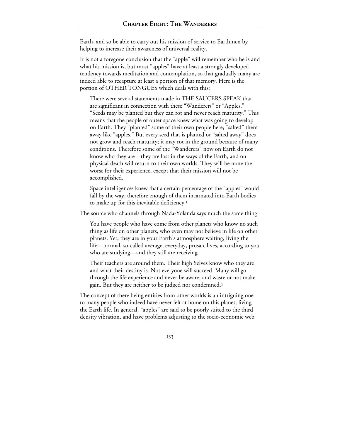Earth, and so be able to carry out his mission of service to Earthmen by helping to increase their awareness of universal reality.

It is not a foregone conclusion that the "apple" will remember who he is and what his mission is, but most "apples" have at least a strongly developed tendency towards meditation and contemplation, so that gradually many are indeed able to recapture at least a portion of that memory. Here is the portion of OTHER TONGUES which deals with this:

There were several statements made in THE SAUCERS SPEAK that are significant in connection with these "Wanderers" or "Apples." "Seeds may be planted but they can rot and never reach maturity." This means that the people of outer space knew what was going to develop on Earth. They "planted" some of their own people here; "salted" them away like "apples." But every seed that is planted or "salted away" does not grow and reach maturity; it may rot in the ground because of many conditions. Therefore some of the "Wanderers" now on Earth do not know who they are—they are lost in the ways of the Earth, and on physical death will return to their own worlds. They will be none the worse for their experience, except that their mission will not be accomplished.

Space intelligences knew that a certain percentage of the "apples" would fall by the way, therefore enough of them incarnated into Earth bodies to make up for this inevitable deficiency.1

The source who channels through Nada-Yolanda says much the same thing:

You have people who have come from other planets who know no such thing as life on other planets, who even may not believe in life on other planets. Yet, they are in your Earth's atmosphere waiting, living the life—normal, so-called average, everyday, prosaic lives, according to you who are studying—and they still are receiving.

Their teachers are around them. Their high Selves know who they are and what their destiny is. Not everyone will succeed. Many will go through the life experience and never be aware, and waste or not make gain. But they are neither to be judged nor condemned.2

The concept of there being entities from other worlds is an intriguing one to many people who indeed have never felt at home on this planet, living the Earth life. In general, "apples" are said to be poorly suited to the third density vibration, and have problems adjusting to the socio-economic web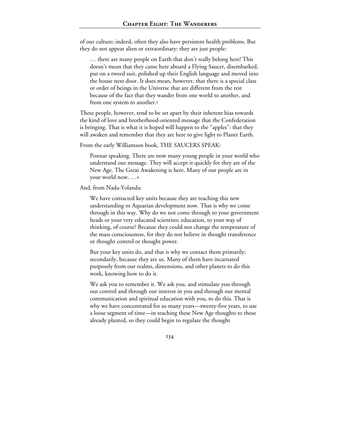of our culture; indeed, often they also have persistent health problems. But they do not appear alien or extraordinary: they are just people:

… there are many people on Earth that don't really belong here! This doesn't mean that they came here aboard a Flying Saucer, disembarked, put on a tweed suit, polished up their English language and moved into the house next door. It does mean, however, that there is a special class or order of beings in the Universe that are different from the rest because of the fact that they wander from one world to another, and from one system to another.3

These people, however, tend to be set apart by their inherent bias towards the kind of love and brotherhood-oriented message that the Confederation is bringing. That is what it is hoped will happen to the "apples": that they will awaken and remember that they are here to give light to Planet Earth.

From the early Williamson book, THE SAUCERS SPEAK:

Ponnar speaking. There are now many young people in your world who understand our message. They will accept it quickly for they are of the New Age. The Great Awakening is here. Many of our people are in your world now. …4

And, from Nada-Yolanda:

We have contacted key units because they are teaching this new understanding or Aquarian development now. That is why we come through in this way. Why do we not come through to your government heads or your very educated scientists; education, to your way of thinking, of course? Because they could not change the temperature of the mass consciousness, for they do not believe in thought transference or thought control or thought power.

But your key units do, and that is why we contact them primarily; secondarily, because they are us. Many of them have incarnated purposely from our realms, dimensions, and other planets to do this work, knowing how to do it.

We ask you to remember it. We ask you, and stimulate you through our control and through our interest in you and through our mental communication and spiritual education with you, to do this. That is why we have concentrated for so many years—twenty-five years, to use a loose segment of time—in teaching these New Age thoughts to those already planted, so they could begin to regulate the thought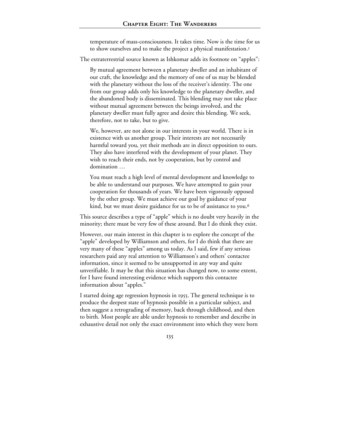temperature of mass-consciousness. It takes time. Now is the time for us to show ourselves and to make the project a physical manifestation.5

The extraterrestrial source known as Ishkomar adds its footnote on "apples":

By mutual agreement between a planetary dweller and an inhabitant of our craft, the knowledge and the memory of one of us may be blended with the planetary without the loss of the receiver's identity. The one from our group adds only his knowledge to the planetary dweller, and the abandoned body is disseminated. This blending may not take place without mutual agreement between the beings involved, and the planetary dweller must fully agree and desire this blending. We seek, therefore, not to take, but to give.

We, however, are not alone in our interests in your world. There is in existence with us another group. Their interests are not necessarily harmful toward you, yet their methods are in direct opposition to ours. They also have interfered with the development of your planet. They wish to reach their ends, not by cooperation, but by control and domination …

You must reach a high level of mental development and knowledge to be able to understand our purposes. We have attempted to gain your cooperation for thousands of years. We have been vigorously opposed by the other group. We must achieve our goal by guidance of your kind, but we must desire guidance for us to be of assistance to you.<sup>6</sup>

This source describes a type of "apple" which is no doubt very heavily in the minority; there must be very few of these around. But I do think they exist.

However, our main interest in this chapter is to explore the concept of the "apple" developed by Williamson and others, for I do think that there are very many of these "apples" among us today. As I said, few if any serious researchers paid any real attention to Williamson's and others' contactee information, since it seemed to be unsupported in any way and quite unverifiable. It may be that this situation has changed now, to some extent, for I have found interesting evidence which supports this contactee information about "apples."

I started doing age regression hypnosis in 1955. The general technique is to produce the deepest state of hypnosis possible in a particular subject, and then suggest a retrograding of memory, back through childhood, and then to birth. Most people are able under hypnosis to remember and describe in exhaustive detail not only the exact environment into which they were born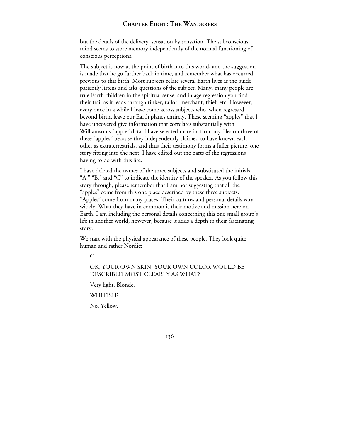but the details of the delivery, sensation by sensation. The subconscious mind seems to store memory independently of the normal functioning of conscious perceptions.

The subject is now at the point of birth into this world, and the suggestion is made that he go further back in time, and remember what has occurred previous to this birth. Most subjects relate several Earth lives as the guide patiently listens and asks questions of the subject. Many, many people are true Earth children in the spiritual sense, and in age regression you find their trail as it leads through tinker, tailor, merchant, thief, etc. However, every once in a while I have come across subjects who, when regressed beyond birth, leave our Earth planes entirely. These seeming "apples" that I have uncovered give information that correlates substantially with Williamson's "apple" data. I have selected material from my files on three of these "apples" because they independently claimed to have known each other as extraterrestrials, and thus their testimony forms a fuller picture, one story fitting into the next. I have edited out the parts of the regressions having to do with this life.

I have deleted the names of the three subjects and substituted the initials "A," "B," and "C" to indicate the identity of the speaker. As you follow this story through, please remember that I am not suggesting that all the "apples" come from this one place described by these three subjects. "Apples" come from many places. Their cultures and personal details vary widely. What they have in common is their motive and mission here on Earth. I am including the personal details concerning this one small group's life in another world, however, because it adds a depth to their fascinating story.

We start with the physical appearance of these people. They look quite human and rather Nordic:

 $\mathcal{C}$ 

## OK, YOUR OWN SKIN, YOUR OWN COLOR WOULD BE DESCRIBED MOST CLEARLY AS WHAT?

Very light. Blonde.

WHITISH?

No. Yellow.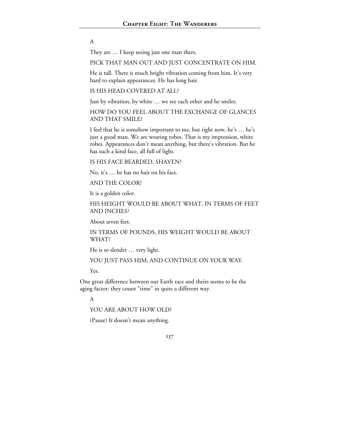A

They are … I keep seeing just one man there.

PICK THAT MAN OUT AND JUST CONCENTRATE ON HIM.

He is tall. There is much bright vibration coming from him. It's very hard to explain appearances. He has long hair.

IS HIS HEAD COVERED AT ALL?

Just by vibration, by white … we see each other and he smiles.

HOW DO YOU FEEL ABOUT THE EXCHANGE OF GLANCES AND THAT SMILE?

I feel that he is somehow important to me, but right now, he's … he's just a good man. We are wearing robes. That is my impression, white robes. Appearances don't mean anything, but there's vibration. But he has such a kind face, all full of light.

IS HIS FACE BEARDED, SHAVEN?

No, it's … he has no hair on his face.

## AND THE COLOR?

It is a golden color.

## HIS HEIGHT WOULD BE ABOUT WHAT, IN TERMS OF FEET AND INCHES?

About seven feet.

IN TERMS OF POUNDS, HIS WEIGHT WOULD BE ABOUT WHAT?

He is so slender … very light.

YOU JUST PASS HIM, AND CONTINUE ON YOUR WAY.

Yes.

One great difference between our Earth race and theirs seems to be the aging factor: they count "time" in quite a different way.

A

YOU ARE ABOUT HOW OLD?

(Pause) It doesn't mean anything.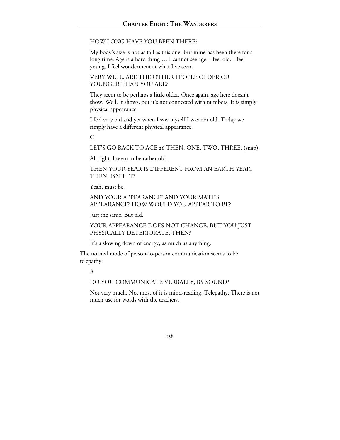## HOW LONG HAVE YOU BEEN THERE?

My body's size is not as tall as this one. But mine has been there for a long time. Age is a hard thing … I cannot see age. I feel old. I feel young. I feel wonderment at what I've seen.

VERY WELL. ARE THE OTHER PEOPLE OLDER OR YOUNGER THAN YOU ARE?

They seem to be perhaps a little older. Once again, age here doesn't show. Well, it shows, but it's not connected with numbers. It is simply physical appearance.

I feel very old and yet when I saw myself I was not old. Today we simply have a different physical appearance.

 $\overline{C}$ 

LET'S GO BACK TO AGE 26 THEN. ONE, TWO, THREE, (snap).

All right. I seem to be rather old.

THEN YOUR YEAR IS DIFFERENT FROM AN EARTH YEAR, THEN, ISN'T IT?

Yeah, must be.

AND YOUR APPEARANCE? AND YOUR MATE'S APPEARANCE? HOW WOULD YOU APPEAR TO BE?

Just the same. But old.

YOUR APPEARANCE DOES NOT CHANGE, BUT YOU JUST PHYSICALLY DETERIORATE, THEN?

It's a slowing down of energy, as much as anything.

The normal mode of person-to-person communication seems to be telepathy:

A

DO YOU COMMUNICATE VERBALLY, BY SOUND?

Not very much. No, most of it is mind-reading. Telepathy. There is not much use for words with the teachers.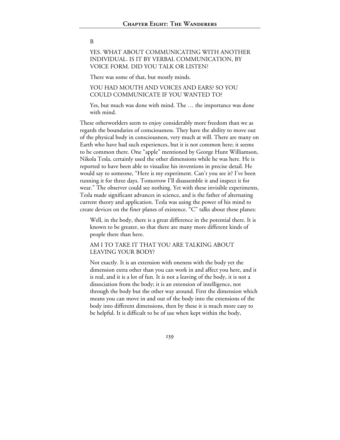#### B

## YES. WHAT ABOUT COMMUNICATING WITH ANOTHER INDIVIDUAL. IS IT BY VERBAL COMMUNICATION, BY VOICE FORM. DID YOU TALK OR LISTEN?

There was some of that, but mostly minds.

## YOU HAD MOUTH AND VOICES AND EARS? SO YOU COULD COMMUNICATE IF YOU WANTED TO?

Yes, but much was done with mind. The … the importance was done with mind.

These otherworlders seem to enjoy considerably more freedom than we as regards the boundaries of consciousness. They have the ability to move out of the physical body in consciousness, very much at will. There are many on Earth who have had such experiences, but it is not common here; it seems to be common there. One "apple" mentioned by George Hunt Williamson, Nikola Tesla, certainly used the other dimensions while he was here. He is reported to have been able to visualize his inventions in precise detail. He would say to someone, "Here is my experiment. Can't you see it? I've been running it for three days. Tomorrow I'll disassemble it and inspect it for wear." The observer could see nothing. Yet with these invisible experiments, Tesla made significant advances in science, and is the father of alternating current theory and application. Tesla was using the power of his mind to create devices on the finer planes of existence. "C" talks about these planes:

Well, in the body, there is a great difference in the potential there. It is known to be greater, so that there are many more different kinds of people there than here.

## AM I TO TAKE IT THAT YOU ARE TALKING ABOUT LEAVING YOUR BODY?

Not exactly. It is an extension with oneness with the body yet the dimension extra other than you can work in and affect you here, and it is real, and it is a lot of fun. It is not a leaving of the body, it is not a dissociation from the body; it is an extension of intelligence, not through the body but the other way around. First the dimension which means you can move in and out of the body into the extensions of the body into different dimensions, then by these it is much more easy to be helpful. It is difficult to be of use when kept within the body,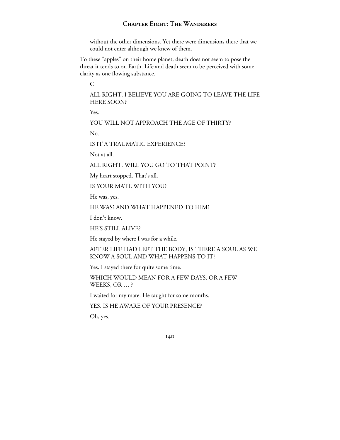without the other dimensions. Yet there were dimensions there that we could not enter although we knew of them.

To these "apples" on their home planet, death does not seem to pose the threat it tends to on Earth. Life and death seem to be perceived with some clarity as one flowing substance.

 $\mathcal{C}$ 

ALL RIGHT. I BELIEVE YOU ARE GOING TO LEAVE THE LIFE HERE SOON?

Yes.

YOU WILL NOT APPROACH THE AGE OF THIRTY?

No.

IS IT A TRAUMATIC EXPERIENCE?

Not at all.

ALL RIGHT. WILL YOU GO TO THAT POINT?

My heart stopped. That's all.

IS YOUR MATE WITH YOU?

He was, yes.

HE WAS? AND WHAT HAPPENED TO HIM?

I don't know.

HE'S STILL ALIVE?

He stayed by where I was for a while.

AFTER LIFE HAD LEFT THE BODY, IS THERE A SOUL AS WE KNOW A SOUL AND WHAT HAPPENS TO IT?

Yes. I stayed there for quite some time.

WHICH WOULD MEAN FOR A FEW DAYS, OR A FEW WEEKS, OR … ?

I waited for my mate. He taught for some months.

YES. IS HE AWARE OF YOUR PRESENCE?

Oh, yes.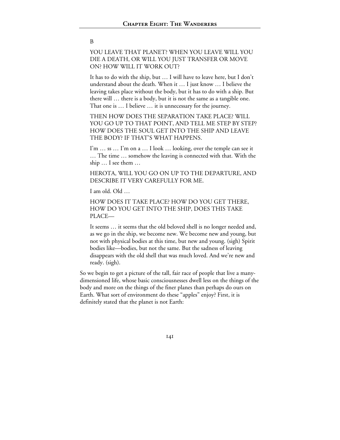#### B

YOU LEAVE THAT PLANET? WHEN YOU LEAVE WILL YOU DIE A DEATH, OR WILL YOU JUST TRANSFER OR MOVE ON? HOW WILL IT WORK OUT?

It has to do with the ship, but … I will have to leave here, but I don't understand about the death. When it … I just know … I believe the leaving takes place without the body, but it has to do with a ship. But there will … there is a body, but it is not the same as a tangible one. That one is … I believe … it is unnecessary for the journey.

THEN HOW DOES THE SEPARATION TAKE PLACE? WILL YOU GO UP TO THAT POINT, AND TELL ME STEP BY STEP? HOW DOES THE SOUL GET INTO THE SHIP AND LEAVE THE BODY? IF THAT'S WHAT HAPPENS.

I'm ... ss ... I'm on a ... I look ... looking, over the temple can see it … The time … somehow the leaving is connected with that. With the ship … I see them …

HEROTA, WILL YOU GO ON UP TO THE DEPARTURE, AND DESCRIBE IT VERY CAREFULLY FOR ME.

I am old. Old …

HOW DOES IT TAKE PLACE? HOW DO YOU GET THERE, HOW DO YOU GET INTO THE SHIP, DOES THIS TAKE PLACE—

It seems … it seems that the old beloved shell is no longer needed and, as we go in the ship, we become new. We become new and young, but not with physical bodies at this time, but new and young. (sigh) Spirit bodies like—bodies, but not the same. But the sadness of leaving disappears with the old shell that was much loved. And we're new and ready. (sigh).

So we begin to get a picture of the tall, fair race of people that live a manydimensioned life, whose basic consciousnesses dwell less on the things of the body and more on the things of the finer planes than perhaps do ours on Earth. What sort of environment do these "apples" enjoy? First, it is definitely stated that the planet is not Earth: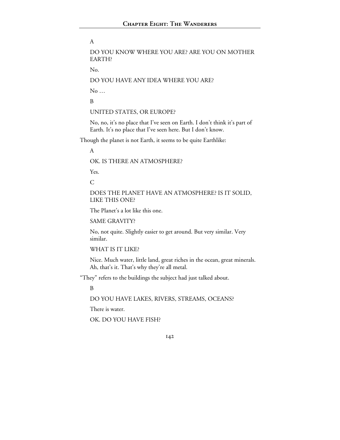A

DO YOU KNOW WHERE YOU ARE? ARE YOU ON MOTHER EARTH?

No.

## DO YOU HAVE ANY IDEA WHERE YOU ARE?

No …

B

UNITED STATES, OR EUROPE?

No, no, it's no place that I've seen on Earth. I don't think it's part of Earth. It's no place that I've seen here. But I don't know.

Though the planet is not Earth, it seems to be quite Earthlike:

A

OK. IS THERE AN ATMOSPHERE?

Yes.

 $\overline{C}$ 

DOES THE PLANET HAVE AN ATMOSPHERE? IS IT SOLID, LIKE THIS ONE?

The Planet's a lot like this one.

SAME GRAVITY?

No, not quite. Slightly easier to get around. But very similar. Very similar.

WHAT IS IT LIKE?

Nice. Much water, little land, great riches in the ocean, great minerals. Ah, that's it. That's why they're all metal.

"They" refers to the buildings the subject had just talked about.

B

DO YOU HAVE LAKES, RIVERS, STREAMS, OCEANS?

There is water.

OK. DO YOU HAVE FISH?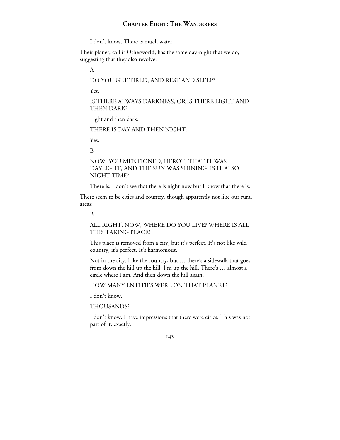I don't know. There is much water.

Their planet, call it Otherworld, has the same day-night that we do, suggesting that they also revolve.

A

DO YOU GET TIRED, AND REST AND SLEEP?

Yes.

IS THERE ALWAYS DARKNESS, OR IS THERE LIGHT AND THEN DARK?

Light and then dark.

THERE IS DAY AND THEN NIGHT.

Yes.

B

NOW, YOU MENTIONED, HEROT, THAT IT WAS DAYLIGHT, AND THE SUN WAS SHINING. IS IT ALSO NIGHT TIME?

There is. I don't see that there is night now but I know that there is.

There seem to be cities and country, though apparently not like our rural areas:

## B

ALL RIGHT. NOW, WHERE DO YOU LIVE? WHERE IS ALL THIS TAKING PLACE?

This place is removed from a city, but it's perfect. It's not like wild country, it's perfect. It's harmonious.

Not in the city. Like the country, but … there's a sidewalk that goes from down the hill up the hill. I'm up the hill. There's … almost a circle where I am. And then down the hill again.

HOW MANY ENTITIES WERE ON THAT PLANET?

I don't know.

THOUSANDS?

I don't know. I have impressions that there were cities. This was not part of it, exactly.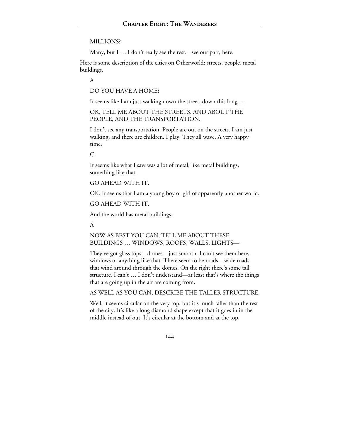MILLIONS?

Many, but I … I don't really see the rest. I see our part, here.

Here is some description of the cities on Otherworld: streets, people, metal buildings.

A

DO YOU HAVE A HOME?

It seems like I am just walking down the street, down this long …

OK, TELL ME ABOUT THE STREETS. AND ABOUT THE PEOPLE, AND THE TRANSPORTATION.

I don't see any transportation. People are out on the streets. I am just walking, and there are children. I play. They all wave. A very happy time.

 $\mathcal{C}$ 

It seems like what I saw was a lot of metal, like metal buildings, something like that.

GO AHEAD WITH IT.

OK. It seems that I am a young boy or girl of apparently another world.

GO AHEAD WITH IT.

And the world has metal buildings.

A

NOW AS BEST YOU CAN, TELL ME ABOUT THESE BUILDINGS … WINDOWS, ROOFS, WALLS, LIGHTS—

They've got glass tops—domes—just smooth. I can't see them here, windows or anything like that. There seem to be roads—wide roads that wind around through the domes. On the right there's some tall structure, I can't … I don't understand—at least that's where the things that are going up in the air are coming from.

AS WELL AS YOU CAN, DESCRIBE THE TALLER STRUCTURE.

Well, it seems circular on the very top, but it's much taller than the rest of the city. It's like a long diamond shape except that it goes in in the middle instead of out. It's circular at the bottom and at the top.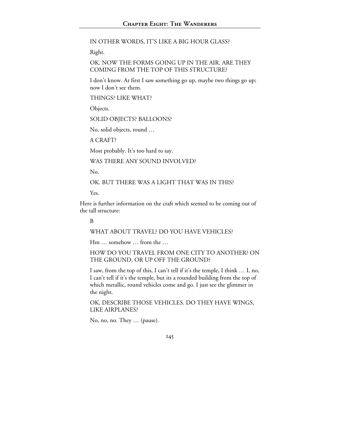IN OTHER WORDS, IT'S LIKE A BIG HOUR GLASS?

Right.

OK. NOW THE FORMS GOING UP IN THE AIR. ARE THEY COMING FROM THE TOP OF THIS STRUCTURE?

I don't know. At first I saw something go up, maybe two things go up; now I don't see them.

THINGS? LIKE WHAT?

Objects.

SOLID OBJECTS? BALLOONS?

No, solid objects, round …

A CRAFT?

Most probably. It's too hard to say.

WAS THERE ANY SOUND INVOLVED?

No.

OK. BUT THERE WAS A LIGHT THAT WAS IN THIS?

Yes.

Here is further information on the craft which seemed to be coming out of the tall structure:

B

WHAT ABOUT TRAVEL? DO YOU HAVE VEHICLES?

Hm … somehow … from the …

HOW DO YOU TRAVEL FROM ONE CITY TO ANOTHER? ON THE GROUND, OR UP OFF THE GROUND?

I saw, from the top of this, I can't tell if it's the temple, I think … I, no, I can't tell if it's the temple, but its a rounded building from the top of which metallic, round vehicles come and go. I just see the glimmer in the night.

OK, DESCRIBE THOSE VEHICLES. DO THEY HAVE WINGS, LIKE AIRPLANES?

No, no, no. They … (pause).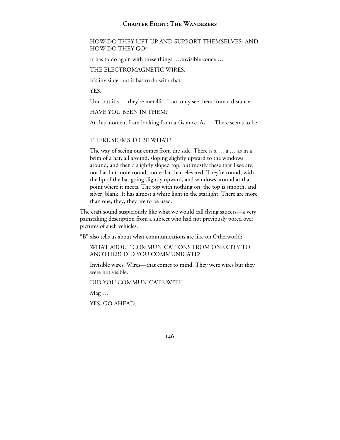## HOW DO THEY LIFT UP AND SUPPORT THEMSELVES? AND HOW DO THEY GO?

It has to do again with these things. …invisible conce …

THE ELECTROMAGNETIC WIRES.

It's invisible, but it has to do with that.

YES.

Um, but it's … they're metallic. I can only see them from a distance.

HAVE YOU BEEN IN THEM?

At this moment I am looking from a distance. As … There seems to be …

THERE SEEMS TO BE WHAT?

The way of seeing out comes from the side. There is a … a … as in a brim of a hat, all around, sloping slightly upward to the windows around, and then a slightly sloped top, but mostly these that I see are, not flat but more round, more flat than elevated. They're round, with the lip of the hat going slightly upward, and windows around at that point where it meets. The top with nothing on, the top is smooth, and silver, blank. It has almost a white light in the starlight. There are more than one, they, they are to be used.

The craft sound suspiciously like what we would call flying saucers—a very painstaking description from a subject who had not previously pored over pictures of such vehicles.

"B" also tells us about what communications are like on Otherworld:

WHAT ABOUT COMMUNICATIONS FROM ONE CITY TO ANOTHER? DID YOU COMMUNICATE?

Invisible wires. Wires—that comes to mind. They were wires but they were not visible.

DID YOU COMMUNICATE WITH …

Mag …

YES, GO AHEAD.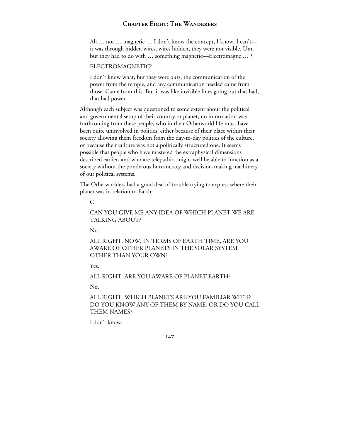Ah … not … magnetic … I don't know the concept, I know, I can't it was through hidden wires, wires hidden, they were not visible. Um, but they had to do with … something magnetic—Electromagne … ?

## ELECTROMAGNETIC?

I don't know what, but they were ours, the communication of the power from the temple, and any communication needed came from those. Came from this. But it was like invisible lines going out that had, that had power.

Although each subject was questioned to some extent about the political and governmental setup of their country or planet, no information was forthcoming from these people, who in their Otherworld life must have been quite uninvolved in politics, either because of their place within their society allowing them freedom from the day-to-day politics of the culture, or because their culture was not a politically structured one. It seems possible that people who have mastered the extraphysical dimensions described earlier, and who are telepathic, might well be able to function as a society without the ponderous bureaucracy and decision-making machinery of our political systems.

The Otherworlders had a good deal of trouble trying to express where their planet was in relation to Earth:

 $\overline{C}$ 

### CAN YOU GIVE ME ANY IDEA OF WHICH PLANET WE ARE TALKING ABOUT?

No.

### ALL RIGHT. NOW, IN TERMS OF EARTH TIME, ARE YOU AWARE OF OTHER PLANETS IN THE SOLAR SYSTEM OTHER THAN YOUR OWN?

Yes.

ALL RIGHT. ARE YOU AWARE OF PLANET EARTH?

 $N_{\Omega}$ 

### ALL RIGHT. WHICH PLANETS ARE YOU FAMILIAR WITH? DO YOU KNOW ANY OF THEM BY NAME, OR DO YOU CALL THEM NAMES?

I don't know.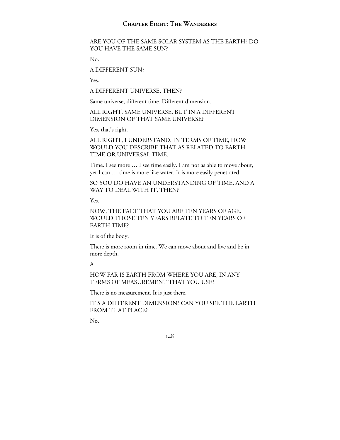ARE YOU OF THE SAME SOLAR SYSTEM AS THE EARTH? DO YOU HAVE THE SAME SUN?

No.

A DIFFERENT SUN?

Yes.

A DIFFERENT UNIVERSE, THEN?

Same universe, different time. Different dimension.

ALL RIGHT. SAME UNIVERSE, BUT IN A DIFFERENT DIMENSION OF THAT SAME UNIVERSE?

Yes, that's right.

ALL RIGHT, I UNDERSTAND. IN TERMS OF TIME, HOW WOULD YOU DESCRIBE THAT AS RELATED TO EARTH TIME OR UNIVERSAL TIME.

Time. I see more … I see time easily. I am not as able to move about, yet I can … time is more like water. It is more easily penetrated.

SO YOU DO HAVE AN UNDERSTANDING OF TIME, AND A WAY TO DEAL WITH IT, THEN?

Yes.

NOW, THE FACT THAT YOU ARE TEN YEARS OF AGE. WOULD THOSE TEN YEARS RELATE TO TEN YEARS OF EARTH TIME?

It is of the body.

There is more room in time. We can move about and live and be in more depth.

A

HOW FAR IS EARTH FROM WHERE YOU ARE, IN ANY TERMS OF MEASUREMENT THAT YOU USE?

There is no measurement. It is just there.

IT'S A DIFFERENT DIMENSION? CAN YOU SEE THE EARTH FROM THAT PLACE?

No.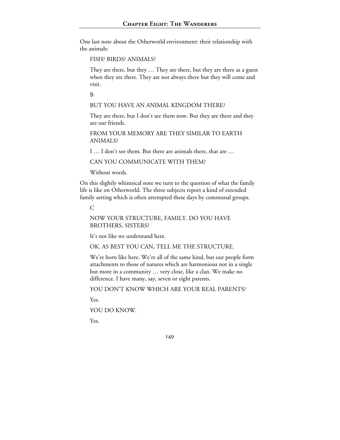One last note about the Otherworld environment: their relationship with the animals:

FISH? BIRDS? ANIMALS?

They are there, but they … They are there, but they are there as a guest when they are there. They are not always there but they will come and visit.

B

BUT YOU HAVE AN ANIMAL KINGDOM THERE?

They are there, but I don't see them now. But they are there and they are our friends.

FROM YOUR MEMORY ARE THEY SIMILAR TO EARTH ANIMALS?

I … I don't see them. But there are animals there, that are …

CAN YOU COMMUNICATE WITH THEM?

Without words.

On this slightly whimsical note we turn to the question of what the family life is like on Otherworld. The three subjects report a kind of extended family setting which is often attempted these days by communal groups.

 $\mathcal{C}$ 

NOW YOUR STRUCTURE, FAMILY. DO YOU HAVE BROTHERS, SISTERS?

It's not like we understand here.

OK. AS BEST YOU CAN, TELL ME THE STRUCTURE.

We're born like here. We're all of the same kind, but our people form attachments to those of natures which are harmonious not in a single but more in a community … very close, like a clan. We make no difference. I have many, say, seven or eight parents.

YOU DON'T KNOW WHICH ARE YOUR REAL PARENTS?

Yes.

YOU DO KNOW.

Yes.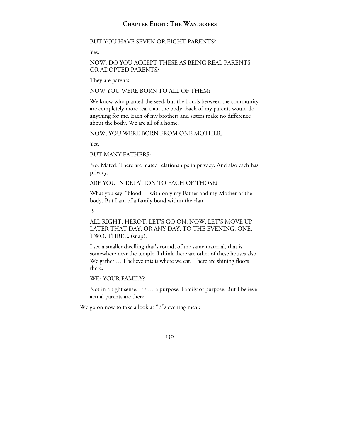### BUT YOU HAVE SEVEN OR EIGHT PARENTS?

Yes.

### NOW, DO YOU ACCEPT THESE AS BEING REAL PARENTS OR ADOPTED PARENTS?

They are parents.

NOW YOU WERE BORN TO ALL OF THEM?

We know who planted the seed, but the bonds between the community are completely more real than the body. Each of my parents would do anything for me. Each of my brothers and sisters make no difference about the body. We are all of a home.

NOW, YOU WERE BORN FROM ONE MOTHER.

Yes.

BUT MANY FATHERS?

No. Mated. There are mated relationships in privacy. And also each has privacy.

#### ARE YOU IN RELATION TO EACH OF THOSE?

What you say, "blood"—with only my Father and my Mother of the body. But I am of a family bond within the clan.

B

ALL RIGHT. HEROT, LET'S GO ON, NOW. LET'S MOVE UP LATER THAT DAY, OR ANY DAY, TO THE EVENING. ONE, TWO, THREE, (snap).

I see a smaller dwelling that's round, of the same material, that is somewhere near the temple. I think there are other of these houses also. We gather … I believe this is where we eat. There are shining floors there.

#### WE? YOUR FAMILY?

Not in a tight sense. It's … a purpose. Family of purpose. But I believe actual parents are there.

We go on now to take a look at "B"s evening meal: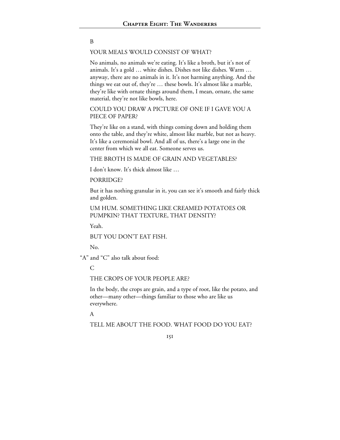#### B

### YOUR MEALS WOULD CONSIST OF WHAT?

No animals, no animals we're eating. It's like a broth, but it's not of animals. It's a gold … white dishes. Dishes not like dishes. Warm … anyway, there are no animals in it. It's not harming anything. And the things we eat out of, they're … these bowls. It's almost like a marble, they're like with ornate things around them, I mean, ornate, the same material, they're not like bowls, here.

COULD YOU DRAW A PICTURE OF ONE IF I GAVE YOU A PIECE OF PAPER?

They're like on a stand, with things coming down and holding them onto the table, and they're white, almost like marble, but not as heavy. It's like a ceremonial bowl. And all of us, there's a large one in the center from which we all eat. Someone serves us.

THE BROTH IS MADE OF GRAIN AND VEGETABLES?

I don't know. It's thick almost like …

PORRIDGE?

But it has nothing granular in it, you can see it's smooth and fairly thick and golden.

UM HUM. SOMETHING LIKE CREAMED POTATOES OR PUMPKIN? THAT TEXTURE, THAT DENSITY?

Yeah.

BUT YOU DON'T EAT FISH.

No.

"A" and "C" also talk about food:

 $\overline{C}$ 

THE CROPS OF YOUR PEOPLE ARE?

In the body, the crops are grain, and a type of root, like the potato, and other—many other—things familiar to those who are like us everywhere.

A

TELL ME ABOUT THE FOOD. WHAT FOOD DO YOU EAT?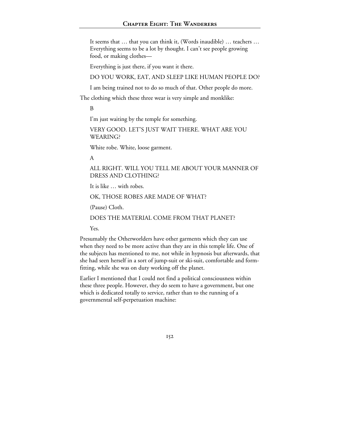It seems that … that you can think it, (Words inaudible) … teachers … Everything seems to be a lot by thought. I can't see people growing food, or making clothes—

Everything is just there, if you want it there.

DO YOU WORK, EAT, AND SLEEP LIKE HUMAN PEOPLE DO?

I am being trained not to do so much of that. Other people do more.

The clothing which these three wear is very simple and monklike:

B

I'm just waiting by the temple for something.

VERY GOOD. LET'S JUST WAIT THERE. WHAT ARE YOU WEARING?

White robe. White, loose garment.

A

ALL RIGHT. WILL YOU TELL ME ABOUT YOUR MANNER OF DRESS AND CLOTHING?

It is like … with robes.

OK, THOSE ROBES ARE MADE OF WHAT?

(Pause) Cloth.

DOES THE MATERIAL COME FROM THAT PLANET?

Yes.

Presumably the Otherworlders have other garments which they can use when they need to be more active than they are in this temple life. One of the subjects has mentioned to me, not while in hypnosis but afterwards, that she had seen herself in a sort of jump-suit or ski-suit, comfortable and formfitting, while she was on duty working off the planet.

Earlier I mentioned that I could not find a political consciousness within these three people. However, they do seem to have a government, but one which is dedicated totally to service, rather than to the running of a governmental self-perpetuation machine: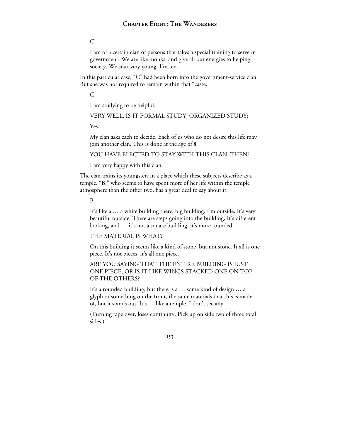$\mathcal{C}$ 

I am of a certain clan of persons that takes a special training to serve in government. We are like monks, and give all our energies to helping society. We start very young. I'm ten.

In this particular case, "C" had been born into the government-service clan. But she was not required to remain within that "caste."

 $\mathcal{C}_{\mathcal{C}}$ 

I am studying to be helpful.

VERY WELL. IS IT FORMAL STUDY, ORGANIZED STUDY?

Yes.

My clan asks each to decide. Each of us who do not desire this life may join another clan. This is done at the age of 8.

YOU HAVE ELECTED TO STAY WITH THIS CLAN, THEN?

I am very happy with this clan.

The clan trains its youngsters in a place which these subjects describe as a temple. "B," who seems to have spent more of her life within the temple atmosphere than the other two, has a great deal to say about it:

B

It's like a … a white building there, big building. I'm outside. It's very beautiful outside. There are steps going into the building. It's different looking, and ... it's not a square building, it's more rounded.

#### THE MATERIAL IS WHAT?

On this building it seems like a kind of stone, but not stone. It all is one piece. It's not pieces, it's all one piece.

ARE YOU SAYING THAT THE ENTIRE BUILDING IS JUST ONE PIECE, OR IS IT LIKE WINGS STACKED ONE ON TOP OF THE OTHERS?

It's a rounded building, but there is a … some kind of design … a glyph or something on the front, the same materials that this is made of, but it stands out. It's … like a temple. I don't see any …

(Turning tape over, loses continuity. Pick up on side two of three total sides.)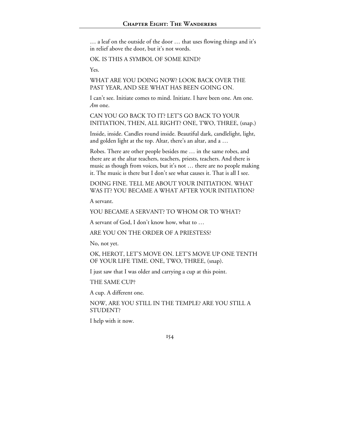… a leaf on the outside of the door … that uses flowing things and it's in relief above the door, but it's not words.

OK. IS THIS A SYMBOL OF SOME KIND?

Yes.

WHAT ARE YOU DOING NOW? LOOK BACK OVER THE PAST YEAR, AND SEE WHAT HAS BEEN GOING ON.

I can't see. Initiate comes to mind. Initiate. I have been one. Am one. *Am* one.

CAN YOU GO BACK TO IT? LET'S GO BACK TO YOUR INITIATION, THEN, ALL RIGHT? ONE, TWO, THREE, (snap.)

Inside, inside. Candles round inside. Beautiful dark, candlelight, light, and golden light at the top. Altar, there's an altar, and a …

Robes. There are other people besides me … in the same robes, and there are at the altar teachers, teachers, priests, teachers. And there is music as though from voices, but it's not … there are no people making it. The music is there but I don't see what causes it. That is all I see.

DOING FINE. TELL ME ABOUT YOUR INITIATION. WHAT WAS IT? YOU BECAME A WHAT AFTER YOUR INITIATION?

A servant.

YOU BECAME A SERVANT? TO WHOM OR TO WHAT?

A servant of God, I don't know how, what to …

ARE YOU ON THE ORDER OF A PRIESTESS?

No, not yet.

OK, HEROT, LET'S MOVE ON. LET'S MOVE UP ONE TENTH OF YOUR LIFE TIME. ONE, TWO, THREE, (snap).

I just saw that I was older and carrying a cup at this point.

THE SAME CUP?

A cup. A different one.

NOW, ARE YOU STILL IN THE TEMPLE? ARE YOU STILL A STUDENT?

I help with it now.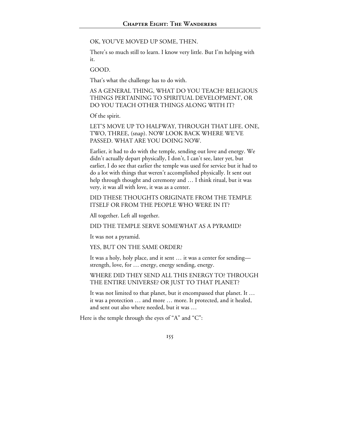OK, YOU'VE MOVED UP SOME, THEN.

There's so much still to learn. I know very little. But I'm helping with it.

GOOD.

That's what the challenge has to do with.

AS A GENERAL THING, WHAT DO YOU TEACH? RELIGIOUS THINGS PERTAINING TO SPIRITUAL DEVELOPMENT, OR DO YOU TEACH OTHER THINGS ALONG WITH IT?

Of the spirit.

LET'S MOVE UP TO HALFWAY, THROUGH THAT LIFE. ONE, TWO, THREE, (snap). NOW LOOK BACK WHERE WE'VE PASSED. WHAT ARE YOU DOING NOW.

Earlier, it had to do with the temple, sending out love and energy. We didn't actually depart physically, I don't, I can't see, later yet, but earlier, I do see that earlier the temple was used for service but it had to do a lot with things that weren't accomplished physically. It sent out help through thought and ceremony and ... I think ritual, but it was very, it was all with love, it was as a center.

DID THESE THOUGHTS ORIGINATE FROM THE TEMPLE ITSELF OR FROM THE PEOPLE WHO WERE IN IT?

All together. Left all together.

DID THE TEMPLE SERVE SOMEWHAT AS A PYRAMID?

It was not a pyramid.

YES, BUT ON THE SAME ORDER?

It was a holy, holy place, and it sent … it was a center for sending strength, love, for … energy, energy sending, energy.

WHERE DID THEY SEND ALL THIS ENERGY TO? THROUGH THE ENTIRE UNIVERSE? OR JUST TO THAT PLANET?

It was not limited to that planet, but it encompassed that planet. It … it was a protection … and more … more. It protected, and it healed, and sent out also where needed, but it was …

Here is the temple through the eyes of "A" and " $C$ ":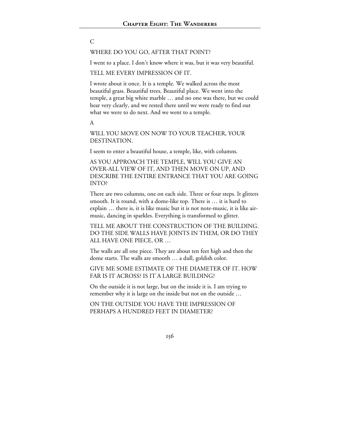# $\overline{C}$

# WHERE DO YOU GO, AFTER THAT POINT?

I went to a place. I don't know where it was, but it was very beautiful.

TELL ME EVERY IMPRESSION OF IT.

I wrote about it once. It is a temple. We walked across the most beautiful grass. Beautiful trees. Beautiful place. We went into the temple, a great big white marble … and no one was there, but we could hear very clearly, and we rested there until we were ready to find out what we were to do next. And we went to a temple.

A

WILL YOU MOVE ON NOW TO YOUR TEACHER, YOUR DESTINATION.

I seem to enter a beautiful house, a temple, like, with columns.

AS YOU APPROACH THE TEMPLE, WILL YOU GIVE AN OVER-ALL VIEW OF IT, AND THEN MOVE ON UP, AND DESCRIBE THE ENTIRE ENTRANCE THAT YOU ARE GOING INTO?

There are two columns, one on each side. Three or four steps. It glitters smooth. It is round, with a dome-like top. There is … it is hard to explain … there is, it is like music but it is not note-music, it is like airmusic, dancing in sparkles. Everything is transformed to glitter.

TELL ME ABOUT THE CONSTRUCTION OF THE BUILDING. DO THE SIDE WALLS HAVE JOINTS IN THEM, OR DO THEY ALL HAVE ONE PIECE, OR …

The walls are all one piece. They are about ten feet high and then the dome starts. The walls are smooth … a dull, goldish color.

GIVE ME SOME ESTIMATE OF THE DIAMETER OF IT. HOW FAR IS IT ACROSS? IS IT A LARGE BUILDING?

On the outside it is not large, but on the inside it is. I am trying to remember why it is large on the inside but not on the outside …

ON THE OUTSIDE YOU HAVE THE IMPRESSION OF PERHAPS A HUNDRED FEET IN DIAMETER?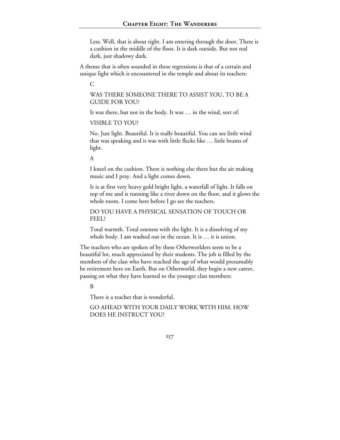Less. Well, that is about right. I am entering through the door. There is a cushion in the middle of the floor. It is dark outside. But not real dark, just shadowy dark.

A theme that is often sounded in these regressions is that of a certain and unique light which is encountered in the temple and about its teachers:

C

WAS THERE SOMEONE THERE TO ASSIST YOU, TO BE A GUIDE FOR YOU?

It was there, but not in the body. It was … in the wind, sort of.

VISIBLE TO YOU?

No. Just light. Beautiful. It is really beautiful. You can see little wind that was speaking and it was with little flecks like … little beams of light.

A

I kneel on the cushion. There is nothing else there but the air making music and I pray. And a light comes down.

It is at first very heavy gold bright light, a waterfall of light. It falls on top of me and is running like a river down on the floor, and it glows the whole room. I come here before I go see the teachers.

DO YOU HAVE A PHYSICAL SENSATION OF TOUCH OR FEEL?

Total warmth. Total oneness with the light. It is a dissolving of my whole body. I am washed out in the ocean. It is … it is union.

The teachers who are spoken of by these Otherworlders seem to be a beautiful lot, much appreciated by their students. The job is filled by the members of the clan who have reached the age of what would presumably be retirement here on Earth. But on Otherworld, they begin a new career, passing on what they have learned to the younger clan members:

B

There is a teacher that is wonderful.

GO AHEAD WITH YOUR DAILY WORK WITH HIM. HOW DOES HE INSTRUCT YOU?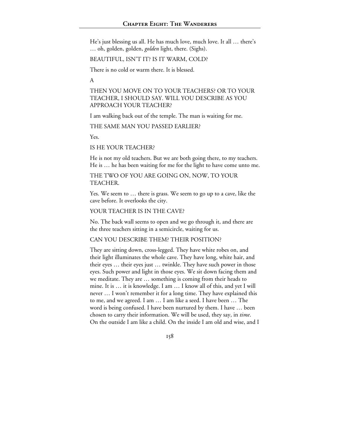He's just blessing us all. He has much love, much love. It all … there's … oh, golden, golden, *golden* light, there. (Sighs).

BEAUTIFUL, ISN'T IT? IS IT WARM, COLD?

There is no cold or warm there. It is blessed.

A

THEN YOU MOVE ON TO YOUR TEACHERS? OR TO YOUR TEACHER, I SHOULD SAY. WILL YOU DESCRIBE AS YOU APPROACH YOUR TEACHER?

I am walking back out of the temple. The man is waiting for me.

THE SAME MAN YOU PASSED EARLIER?

Yes.

IS HE YOUR TEACHER?

He is not my old teachers. But we are both going there, to my teachers. He is … he has been waiting for me for the light to have come unto me.

THE TWO OF YOU ARE GOING ON, NOW, TO YOUR TEACHER.

Yes. We seem to … there is grass. We seem to go up to a cave, like the cave before. It overlooks the city.

### YOUR TEACHER IS IN THE CAVE?

No. The back wall seems to open and we go through it, and there are the three teachers sitting in a semicircle, waiting for us.

CAN YOU DESCRIBE THEM? THEIR POSITION?

They are sitting down, cross-legged. They have white robes on, and their light illuminates the whole cave. They have long, white hair, and their eyes … their eyes just … twinkle. They have such power in those eyes. Such power and light in those eyes. We sit down facing them and we meditate. They are … something is coming from their heads to mine. It is … it is knowledge. I am … I know all of this, and yet I will never … I won't remember it for a long time. They have explained this to me, and we agreed. I am … I am like a seed. I have been … The word is being confused. I have been nurtured by them. I have … been chosen to carry their information. We will be used, they say, in *time*. On the outside I am like a child. On the inside I am old and wise, and I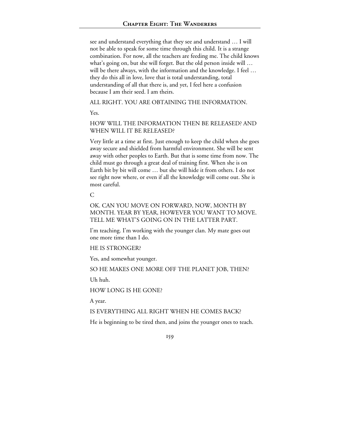see and understand everything that they see and understand … I will not be able to speak for some time through this child. It is a strange combination. For now, all the teachers are feeding me. The child knows what's going on, but she will forget. But the old person inside will … will be there always, with the information and the knowledge. I feel ... they do this all in love, love that is total understanding, total understanding of all that there is, and yet, I feel here a confusion because I am their seed. I am theirs.

ALL RIGHT. YOU ARE OBTAINING THE INFORMATION. Yes.

### HOW WILL THE INFORMATION THEN BE RELEASED? AND WHEN WILL IT BE RELEASED?

Very little at a time at first. Just enough to keep the child when she goes away secure and shielded from harmful environment. She will be sent away with other peoples to Earth. But that is some time from now. The child must go through a great deal of training first. When she is on Earth bit by bit will come … but she will hide it from others. I do not see right now where, or even if all the knowledge will come out. She is most careful.

C

OK. CAN YOU MOVE ON FORWARD, NOW, MONTH BY MONTH. YEAR BY YEAR, HOWEVER YOU WANT TO MOVE. TELL ME WHAT'S GOING ON IN THE LATTER PART.

I'm teaching. I'm working with the younger clan. My mate goes out one more time than I do.

HE IS STRONGER?

Yes, and somewhat younger.

```
SO HE MAKES ONE MORE OFF THE PLANET JOB, THEN?
```
Uh huh.

### HOW LONG IS HE GONE?

A year.

IS EVERYTHING ALL RIGHT WHEN HE COMES BACK?

He is beginning to be tired then, and joins the younger ones to teach.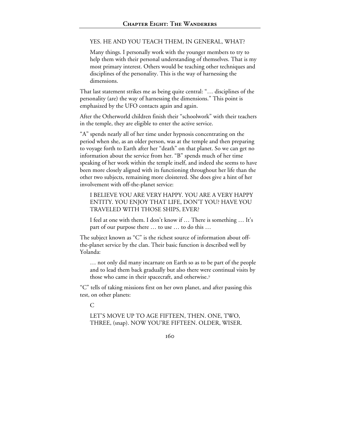### YES. HE AND YOU TEACH THEM, IN GENERAL, WHAT?

Many things. I personally work with the younger members to try to help them with their personal understanding of themselves. That is my most primary interest. Others would be teaching other techniques and disciplines of the personality. This is the way of harnessing the dimensions.

That last statement strikes me as being quite central: "… disciplines of the personality (are) the way of harnessing the dimensions." This point is emphasized by the UFO contacts again and again.

After the Otherworld children finish their "schoolwork" with their teachers in the temple, they are eligible to enter the active service.

"A" spends nearly all of her time under hypnosis concentrating on the period when she, as an older person, was at the temple and then preparing to voyage forth to Earth after her "death" on that planet. So we can get no information about the service from her. "B" spends much of her time speaking of her work within the temple itself, and indeed she seems to have been more closely aligned with its functioning throughout her life than the other two subjects, remaining more cloistered. She does give a hint of her involvement with off-the-planet service:

I BELIEVE YOU ARE VERY HAPPY. YOU ARE A VERY HAPPY ENTITY. YOU ENJOY THAT LIFE, DON'T YOU? HAVE YOU TRAVELED WITH THOSE SHIPS, EVER?

I feel at one with them. I don't know if … There is something … It's part of our purpose there … to use … to do this …

The subject known as "C" is the richest source of information about offthe-planet service by the clan. Their basic function is described well by Yolanda:

… not only did many incarnate on Earth so as to be part of the people and to lead them back gradually but also there were continual visits by those who came in their spacecraft, and otherwise.7

"C" tells of taking missions first on her own planet, and after passing this test, on other planets:

 $\mathcal{C}$ 

LET'S MOVE UP TO AGE FIFTEEN, THEN. ONE, TWO, THREE, (snap). NOW YOU'RE FIFTEEN. OLDER, WISER.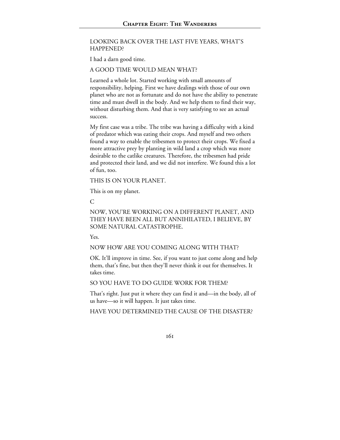### LOOKING BACK OVER THE LAST FIVE YEARS, WHAT'S HAPPENED?

I had a darn good time.

A GOOD TIME WOULD MEAN WHAT?

Learned a whole lot. Started working with small amounts of responsibility, helping. First we have dealings with those of our own planet who are not as fortunate and do not have the ability to penetrate time and must dwell in the body. And we help them to find their way, without disturbing them. And that is very satisfying to see an actual success.

My first case was a tribe. The tribe was having a difficulty with a kind of predator which was eating their crops. And myself and two others found a way to enable the tribesmen to protect their crops. We fixed a more attractive prey by planting in wild land a crop which was more desirable to the catlike creatures. Therefore, the tribesmen had pride and protected their land, and we did not interfere. We found this a lot of fun, too.

THIS IS ON YOUR PLANET.

This is on my planet.

 $\mathcal{C}$ 

NOW, YOU'RE WORKING ON A DIFFERENT PLANET, AND THEY HAVE BEEN ALL BUT ANNIHILATED, I BELIEVE, BY SOME NATURAL CATASTROPHE.

Yes.

#### NOW HOW ARE YOU COMING ALONG WITH THAT?

OK. It'll improve in time. See, if you want to just come along and help them, that's fine, but then they'll never think it out for themselves. It takes time.

#### SO YOU HAVE TO DO GUIDE WORK FOR THEM?

That's right. Just put it where they can find it and—in the body, all of us have—so it will happen. It just takes time.

HAVE YOU DETERMINED THE CAUSE OF THE DISASTER?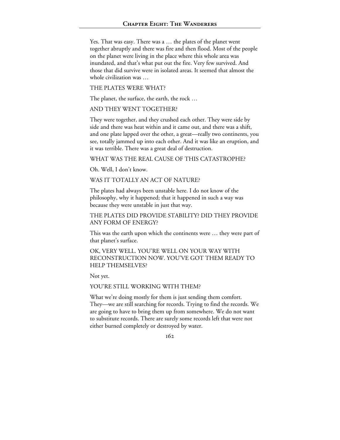Yes. That was easy. There was a … the plates of the planet went together abruptly and there was fire and then flood. Most of the people on the planet were living in the place where this whole area was inundated, and that's what put out the fire. Very few survived. And those that did survive were in isolated areas. It seemed that almost the whole civilization was …

THE PLATES WERE WHAT?

The planet, the surface, the earth, the rock …

AND THEY WENT TOGETHER?

They were together, and they crushed each other. They were side by side and there was heat within and it came out, and there was a shift, and one plate lapped over the other, a great—really two continents, you see, totally jammed up into each other. And it was like an eruption, and it was terrible. There was a great deal of destruction.

WHAT WAS THE REAL CAUSE OF THIS CATASTROPHE?

Oh. Well, I don't know.

WAS IT TOTALLY AN ACT OF NATURE?

The plates had always been unstable here. I do not know of the philosophy, why it happened; that it happened in such a way was because they were unstable in just that way.

THE PLATES DID PROVIDE STABILITY? DID THEY PROVIDE ANY FORM OF ENERGY?

This was the earth upon which the continents were … they were part of that planet's surface.

OK, VERY WELL. YOU'RE WELL ON YOUR WAY WITH RECONSTRUCTION NOW. YOU'VE GOT THEM READY TO HELP THEMSELVES?

Not yet.

YOU'RE STILL WORKING WITH THEM?

What we're doing mostly for them is just sending them comfort. They—we are still searching for records. Trying to find the records. We are going to have to bring them up from somewhere. We do not want to substitute records. There are surely some records left that were not either burned completely or destroyed by water.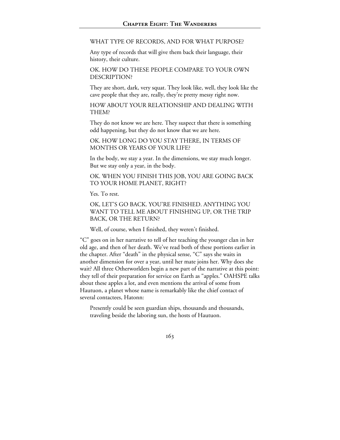WHAT TYPE OF RECORDS, AND FOR WHAT PURPOSE?

Any type of records that will give them back their language, their history, their culture.

OK. HOW DO THESE PEOPLE COMPARE TO YOUR OWN DESCRIPTION?

They are short, dark, very squat. They look like, well, they look like the cave people that they are, really, they're pretty messy right now.

HOW ABOUT YOUR RELATIONSHIP AND DEALING WITH THEM?

They do not know we are here. They suspect that there is something odd happening, but they do not know that we are here.

OK. HOW LONG DO YOU STAY THERE, IN TERMS OF MONTHS OR YEARS OF YOUR LIFE?

In the body, we stay a year. In the dimensions, we stay much longer. But we stay only a year, in the body.

OK. WHEN YOU FINISH THIS JOB, YOU ARE GOING BACK TO YOUR HOME PLANET, RIGHT?

Yes. To rest.

OK, LET'S GO BACK. YOU'RE FINISHED. ANYTHING YOU WANT TO TELL ME ABOUT FINISHING UP, OR THE TRIP BACK, OR THE RETURN?

Well, of course, when I finished, they weren't finished.

"C" goes on in her narrative to tell of her teaching the younger clan in her old age, and then of her death. We've read both of these portions earlier in the chapter. After "death" in the physical sense, "C" says she waits in another dimension for over a year, until her mate joins her. Why does she wait? All three Otherworlders begin a new part of the narrative at this point: they tell of their preparation for service on Earth as "apples." OAHSPE talks about these apples a lot, and even mentions the arrival of some from Hautuon, a planet whose name is remarkably like the chief contact of several contactees, Hatonn:

Presently could be seen guardian ships, thousands and thousands, traveling beside the laboring sun, the hosts of Hautuon.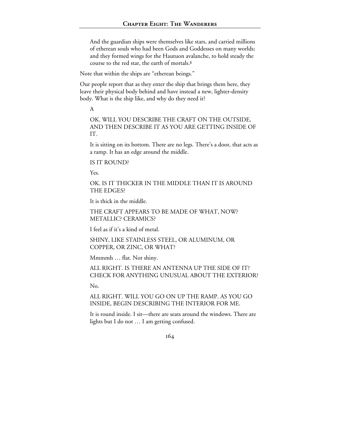And the guardian ships were themselves like stars, and carried millions of etherean souls who had been Gods and Goddesses on many worlds; and they formed wings for the Hautuon avalanche, to hold steady the course to the red star, the earth of mortals.8

Note that within the ships are "etherean beings."

Our people report that as they enter the ship that brings them here, they leave their physical body behind and have instead a new, lighter-density body. What is the ship like, and why do they need it?

A

OK. WILL YOU DESCRIBE THE CRAFT ON THE OUTSIDE, AND THEN DESCRIBE IT AS YOU ARE GETTING INSIDE OF IT.

It is sitting on its bottom. There are no legs. There's a door, that acts as a ramp. It has an edge around the middle.

IS IT ROUND?

Yes.

OK. IS IT THICKER IN THE MIDDLE THAN IT IS AROUND THE EDGES?

It is thick in the middle.

THE CRAFT APPEARS TO BE MADE OF WHAT, NOW? METALLIC? CERAMICS?

I feel as if it's a kind of metal.

SHINY, LIKE STAINLESS STEEL, OR ALUMINUM, OR COPPER, OR ZINC, OR WHAT?

Mmmmh … flat. Not shiny.

ALL RIGHT. IS THERE AN ANTENNA UP THE SIDE OF IT? CHECK FOR ANYTHING UNUSUAL ABOUT THE EXTERIOR?

No.

ALL RIGHT. WILL YOU GO ON UP THE RAMP. AS YOU GO INSIDE, BEGIN DESCRIBING THE INTERIOR FOR ME.

It is round inside. I sit—there are seats around the windows. There are lights but I do not … I am getting confused.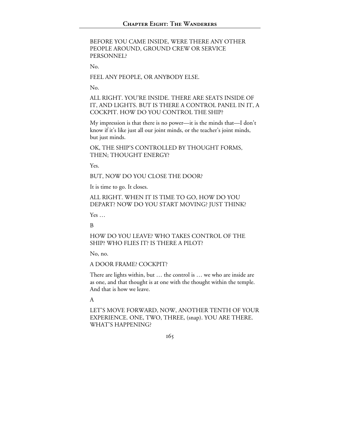BEFORE YOU CAME INSIDE, WERE THERE ANY OTHER PEOPLE AROUND, GROUND CREW OR SERVICE PERSONNEL?

No.

FEEL ANY PEOPLE, OR ANYBODY ELSE.

No.

ALL RIGHT. YOU'RE INSIDE. THERE ARE SEATS INSIDE OF IT, AND LIGHTS. BUT IS THERE A CONTROL PANEL IN IT, A COCKPIT. HOW DO YOU CONTROL THE SHIP?

My impression is that there is no power—it is the minds that—I don't know if it's like just all our joint minds, or the teacher's joint minds, but just minds.

OK, THE SHIP'S CONTROLLED BY THOUGHT FORMS, THEN; THOUGHT ENERGY?

Yes.

BUT, NOW DO YOU CLOSE THE DOOR?

It is time to go. It closes.

ALL RIGHT. WHEN IT IS TIME TO GO, HOW DO YOU DEPART? NOW DO YOU START MOVING? JUST THINK?

Yes …

B

HOW DO YOU LEAVE? WHO TAKES CONTROL OF THE SHIP? WHO FLIES IT? IS THERE A PILOT?

No, no.

A DOOR FRAME? COCKPIT?

There are lights within, but … the control is … we who are inside are as one, and that thought is at one with the thought within the temple. And that is how we leave.

A

LET'S MOVE FORWARD, NOW, ANOTHER TENTH OF YOUR EXPERIENCE. ONE, TWO, THREE, (snap). YOU ARE THERE. WHAT'S HAPPENING?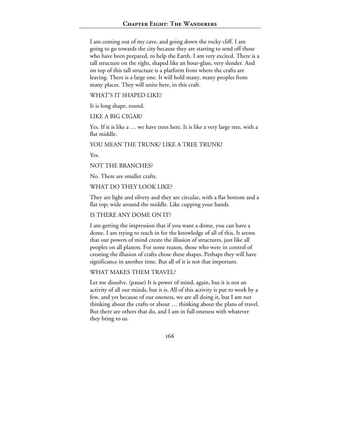I am coming out of my cave, and going down the rocky cliff. I am going to go towards the city because they are starting to send off those who have been prepared, to help the Earth. I am very excited. There is a tall structure on the right, shaped like an hour-glass, very slender. And on top of this tall structure is a platform from where the crafts are leaving. There is a large one. It will hold many, many peoples from many places. They will unite here, in this craft.

WHAT'S IT SHAPED LIKE?

It is long shape, round.

LIKE A BIG CIGAR?

Yes. If it is like a … we have trees here. It is like a very large tree, with a flat middle.

YOU MEAN THE TRUNK? LIKE A TREE TRUNK?

Yes.

NOT THE BRANCHES?

No. There are smaller crafts.

WHAT DO THEY LOOK LIKE?

They are light and silvery and they are circular, with a flat bottom and a flat top; wide around the middle. Like cupping your hands.

#### IS THERE ANY DOME ON IT?

I am getting the impression that if you want a dome, you can have a dome. I am trying to reach in for the knowledge of all of this. It seems that our powers of mind create the illusion of structures, just like all peoples on all planets. For some reason, those who were in control of creating the illusion of crafts chose these shapes. Perhaps they will have significance in another time. But all of it is not that important.

#### WHAT MAKES THEM TRAVEL?

Let me dissolve. (pause) It is power of mind, again, but it is not an activity of all our minds, but it is. All of this activity is put to work by a few, and yet because of our oneness, we are all doing it, but I am not thinking about the crafts or about … thinking about the plans of travel. But there are others that do, and I am in full oneness with whatever they bring to us.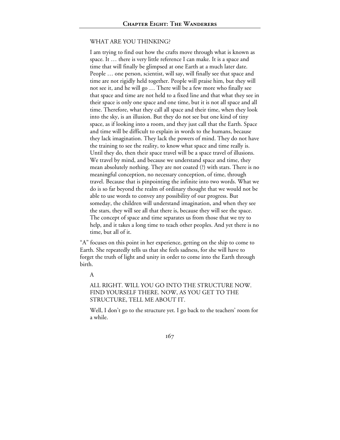### WHAT ARE YOU THINKING?

I am trying to find out how the crafts move through what is known as space. It … there is very little reference I can make. It is a space and time that will finally be glimpsed at one Earth at a much later date. People … one person, scientist, will say, will finally see that space and time are not rigidly held together. People will praise him, but they will not see it, and he will go … There will be a few more who finally see that space and time are not held to a fixed line and that what they see in their space is only one space and one time, but it is not all space and all time. Therefore, what they call all space and their time, when they look into the sky, is an illusion. But they do not see but one kind of tiny space, as if looking into a room, and they just call that the Earth. Space and time will be difficult to explain in words to the humans, because they lack imagination. They lack the powers of mind. They do not have the training to see the reality, to know what space and time really is. Until they do, then their space travel will be a space travel of illusions. We travel by mind, and because we understand space and time, they mean absolutely nothing. They are not coated (?) with stars. There is no meaningful conception, no necessary conception, of time, through travel. Because that is pinpointing the infinite into two words. What we do is so far beyond the realm of ordinary thought that we would not be able to use words to convey any possibility of our progress. But someday, the children will understand imagination, and when they see the stars, they will see all that there is, because they will see the space. The concept of space and time separates us from those that we try to help, and it takes a long time to teach other peoples. And yet there is no time, but all of it.

"A" focuses on this point in her experience, getting on the ship to come to Earth. She repeatedly tells us that she feels sadness, for she will have to forget the truth of light and unity in order to come into the Earth through birth.

A

ALL RIGHT. WILL YOU GO INTO THE STRUCTURE NOW. FIND YOURSELF THERE. NOW, AS YOU GET TO THE STRUCTURE, TELL ME ABOUT IT.

Well, I don't go to the structure yet. I go back to the teachers' room for a while.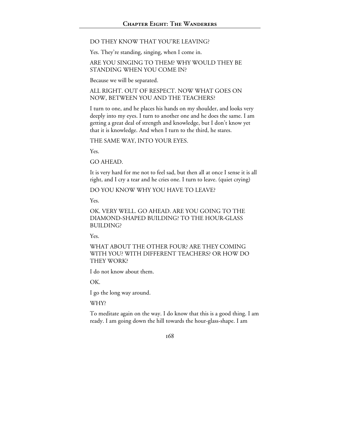### DO THEY KNOW THAT YOU'RE LEAVING?

Yes. They're standing, singing, when I come in.

ARE YOU SINGING TO THEM? WHY WOULD THEY BE STANDING WHEN YOU COME IN?

Because we will be separated.

ALL RIGHT. OUT OF RESPECT. NOW WHAT GOES ON NOW, BETWEEN YOU AND THE TEACHERS?

I turn to one, and he places his hands on my shoulder, and looks very deeply into my eyes. I turn to another one and he does the same. I am getting a great deal of strength and knowledge, but I don't know yet that it is knowledge. And when I turn to the third, he stares.

THE SAME WAY, INTO YOUR EYES.

Yes.

GO AHEAD.

It is very hard for me not to feel sad, but then all at once I sense it is all right, and I cry a tear and he cries one. I turn to leave. (quiet crying)

DO YOU KNOW WHY YOU HAVE TO LEAVE?

Yes.

OK. VERY WELL. GO AHEAD. ARE YOU GOING TO THE DIAMOND-SHAPED BUILDING? TO THE HOUR-GLASS BUILDING?

Yes.

WHAT ABOUT THE OTHER FOUR? ARE THEY COMING WITH YOU? WITH DIFFERENT TEACHERS? OR HOW DO THEY WORK?

I do not know about them.

OK.

I go the long way around.

WHY?

To meditate again on the way. I do know that this is a good thing. I am ready. I am going down the hill towards the hour-glass-shape. I am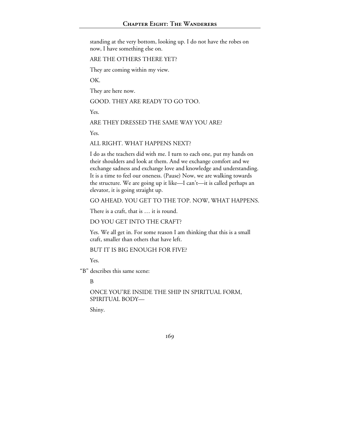standing at the very bottom, looking up. I do not have the robes on now, I have something else on.

ARE THE OTHERS THERE YET?

They are coming within my view.

OK.

They are here now.

GOOD. THEY ARE READY TO GO TOO.

Yes.

ARE THEY DRESSED THE SAME WAY YOU ARE?

Yes.

ALL RIGHT. WHAT HAPPENS NEXT?

I do as the teachers did with me. I turn to each one, put my hands on their shoulders and look at them. And we exchange comfort and we exchange sadness and exchange love and knowledge and understanding. It is a time to feel our oneness. (Pause) Now, we are walking towards the structure. We are going up it like—I can't—it is called perhaps an elevator, it is going straight up.

GO AHEAD. YOU GET TO THE TOP. NOW, WHAT HAPPENS.

There is a craft, that is … it is round.

DO YOU GET INTO THE CRAFT?

Yes. We all get in. For some reason I am thinking that this is a small craft, smaller than others that have left.

BUT IT IS BIG ENOUGH FOR FIVE?

Yes.

"B" describes this same scene:

B

ONCE YOU'RE INSIDE THE SHIP IN SPIRITUAL FORM, SPIRITUAL BODY—

Shiny.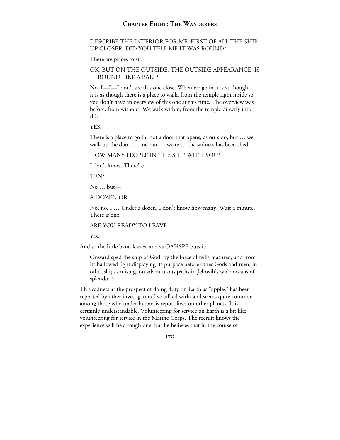DESCRIBE THE INTERIOR FOR ME. FIRST OF ALL THE SHIP UP CLOSER. DID YOU TELL ME IT WAS ROUND?

There are places to sit.

OK, BUT ON THE OUTSIDE, THE OUTSIDE APPEARANCE, IS IT ROUND LIKE A BALL?

No. I—I—I don't see this one close. When we go in it is as though … it is as though there is a place to walk, from the temple right inside so you don't have an overview of this one at this time. The overview was before, from without. We walk within, from the temple directly into this.

YES.

There is a place to go in, not a door that opens, as ours do, but … we walk up the door … and our … we're … the sadness has been shed.

HOW MANY PEOPLE IN THE SHIP WITH YOU?

I don't know. There're …

TEN?

No … but—

A DOZEN OR—

No, no. I … Under a dozen. I don't know how many. Wait a minute. There is one.

ARE YOU READY TO LEAVE.

Yes.

And so the little band leaves, and as OAHSPE puts it:

Onward sped the ship of God, by the force of wills matured; and from its hallowed light displaying its purpose before other Gods and men, in other ships cruising, on adventurous paths in Jehovih's wide oceans of splendor.9

This sadness at the prospect of doing duty on Earth as "apples" has been reported by other investigators I've talked with, and seems quite common among those who under hypnosis report lives on other planets. It is certainly understandable. Volunteering for service on Earth is a bit like volunteering for service in the Marine Corps. The recruit knows the experience will be a rough one, but he believes that in the course of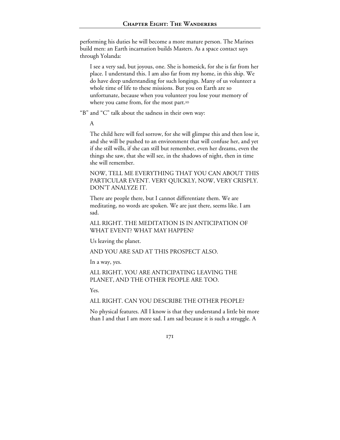performing his duties he will become a more mature person. The Marines build men: an Earth incarnation builds Masters. As a space contact says through Yolanda:

I see a very sad, but joyous, one. She is homesick, for she is far from her place. I understand this. I am also far from my home, in this ship. We do have deep understanding for such longings. Many of us volunteer a whole time of life to these missions. But you on Earth are so unfortunate, because when you volunteer you lose your memory of where you came from, for the most part.10

"B" and "C" talk about the sadness in their own way:

A

The child here will feel sorrow, for she will glimpse this and then lose it, and she will be pushed to an environment that will confuse her, and yet if she still wills, if she can still but remember, even her dreams, even the things she saw, that she will see, in the shadows of night, then in time she will remember.

NOW, TELL ME EVERYTHING THAT YOU CAN ABOUT THIS PARTICULAR EVENT. VERY QUICKLY, NOW, VERY CRISPLY. DON'T ANALYZE IT.

There are people there, but I cannot differentiate them. We are meditating, no words are spoken. We are just there, seems like. I am sad.

ALL RIGHT. THE MEDITATION IS IN ANTICIPATION OF WHAT EVENT? WHAT MAY HAPPEN?

Us leaving the planet.

AND YOU ARE SAD AT THIS PROSPECT ALSO.

In a way, yes.

ALL RIGHT, YOU ARE ANTICIPATING LEAVING THE PLANET, AND THE OTHER PEOPLE ARE TOO.

Yes.

ALL RIGHT. CAN YOU DESCRIBE THE OTHER PEOPLE?

No physical features. All I know is that they understand a little bit more than I and that I am more sad. I am sad because it is such a struggle. A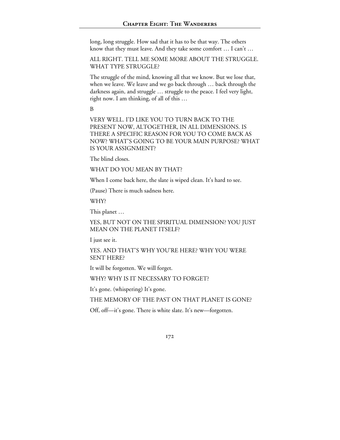long, long struggle. How sad that it has to be that way. The others know that they must leave. And they take some comfort … I can't …

ALL RIGHT. TELL ME SOME MORE ABOUT THE STRUGGLE. WHAT TYPE STRUGGLE?

The struggle of the mind, knowing all that we know. But we lose that, when we leave. We leave and we go back through … back through the darkness again, and struggle … struggle to the peace. I feel very light, right now. I am thinking, of all of this …

B

VERY WELL. I'D LIKE YOU TO TURN BACK TO THE PRESENT NOW, ALTOGETHER, IN ALL DIMENSIONS. IS THERE A SPECIFIC REASON FOR YOU TO COME BACK AS NOW? WHAT'S GOING TO BE YOUR MAIN PURPOSE? WHAT IS YOUR ASSIGNMENT?

The blind closes.

WHAT DO YOU MEAN BY THAT?

When I come back here, the slate is wiped clean. It's hard to see.

(Pause) There is much sadness here.

WHY?

This planet …

YES, BUT NOT ON THE SPIRITUAL DIMENSION? YOU JUST MEAN ON THE PLANET ITSELF?

I just see it.

YES. AND THAT'S WHY YOU'RE HERE? WHY YOU WERE SENT HERE?

It will be forgotten. We will forget.

WHY? WHY IS IT NECESSARY TO FORGET?

It's gone. (whispering) It's gone.

THE MEMORY OF THE PAST ON THAT PLANET IS GONE?

Off, off—it's gone. There is white slate. It's new—forgotten.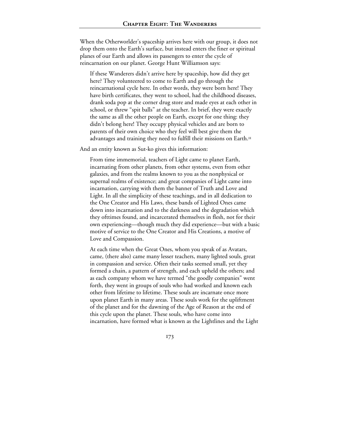When the Otherworlder's spaceship arrives here with our group, it does not drop them onto the Earth's surface, but instead enters the finer or spiritual planes of our Earth and allows its passengers to enter the cycle of reincarnation on our planet. George Hunt Williamson says:

If these Wanderers didn't arrive here by spaceship, how did they get here? They volunteered to come to Earth and go through the reincarnational cycle here. In other words, they were born here! They have birth certificates, they went to school, had the childhood diseases, drank soda pop at the corner drug store and made eyes at each other in school, or threw "spit balls" at the teacher. In brief, they were exactly the same as all the other people on Earth, except for one thing: they didn't belong here! They occupy physical vehicles and are born to parents of their own choice who they feel will best give them the advantages and training they need to fulfill their missions on Earth.<sup>11</sup>

And an entity known as Sut-ko gives this information:

From time immemorial, teachers of Light came to planet Earth, incarnating from other planets, from other systems, even from other galaxies, and from the realms known to you as the nonphysical or supernal realms of existence; and great companies of Light came into incarnation, carrying with them the banner of Truth and Love and Light. In all the simplicity of these teachings, and in all dedication to the One Creator and His Laws, these bands of Lighted Ones came down into incarnation and to the darkness and the degradation which they ofttimes found, and incarcerated themselves in flesh, not for their own experiencing—though much they did experience—but with a basic motive of service to the One Creator and His Creations, a motive of Love and Compassion.

At each time when the Great Ones, whom you speak of as Avatars, came, (there also) came many lesser teachers, many lighted souls, great in compassion and service. Often their tasks seemed small, yet they formed a chain, a pattern of strength, and each upheld the others; and as each company whom we have termed "the goodly companies" went forth, they went in groups of souls who had worked and known each other from lifetime to lifetime. These souls are incarnate once more upon planet Earth in many areas. These souls work for the upliftment of the planet and for the dawning of the Age of Reason at the end of this cycle upon the planet. These souls, who have come into incarnation, have formed what is known as the Lightlines and the Light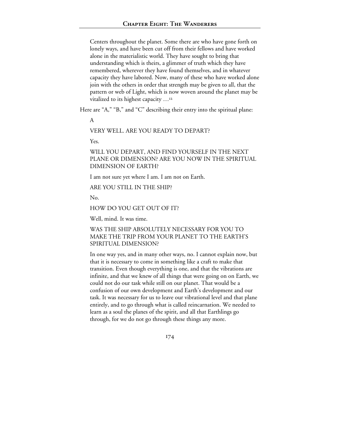Centers throughout the planet. Some there are who have gone forth on lonely ways, and have been cut off from their fellows and have worked alone in the materialistic world. They have sought to bring that understanding which is theirs, a glimmer of truth which they have remembered, wherever they have found themselves, and in whatever capacity they have labored. Now, many of these who have worked alone join with the others in order that strength may be given to all, that the pattern or web of Light, which is now woven around the planet may be vitalized to its highest capacity …12

Here are "A," "B," and "C" describing their entry into the spiritual plane:

A

#### VERY WELL. ARE YOU READY TO DEPART?

Yes.

WILL YOU DEPART, AND FIND YOURSELF IN THE NEXT PLANE OR DIMENSION? ARE YOU NOW IN THE SPIRITUAL DIMENSION OF EARTH?

I am not sure yet where I am. I am not on Earth.

ARE YOU STILL IN THE SHIP?

 $N<sub>0</sub>$ 

#### HOW DO YOU GET OUT OF IT?

Well, mind. It was time.

### WAS THE SHIP ABSOLUTELY NECESSARY FOR YOU TO MAKE THE TRIP FROM YOUR PLANET TO THE EARTH'S SPIRITUAL DIMENSION?

In one way yes, and in many other ways, no. I cannot explain now, but that it is necessary to come in something like a craft to make that transition. Even though everything is one, and that the vibrations are infinite, and that we knew of all things that were going on on Earth, we could not do our task while still on our planet. That would be a confusion of our own development and Earth's development and our task. It was necessary for us to leave our vibrational level and that plane entirely, and to go through what is called reincarnation. We needed to learn as a soul the planes of the spirit, and all that Earthlings go through, for we do not go through these things any more.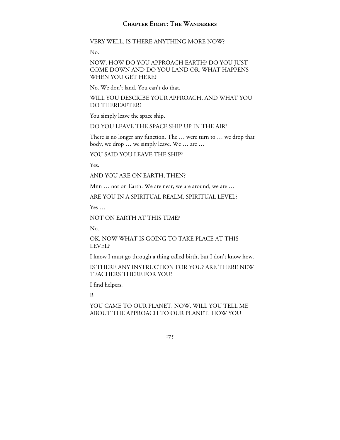VERY WELL. IS THERE ANYTHING MORE NOW?

No.

NOW, HOW DO YOU APPROACH EARTH? DO YOU JUST COME DOWN AND DO YOU LAND OR, WHAT HAPPENS WHEN YOU GET HERE?

No. We don't land. You can't do that.

WILL YOU DESCRIBE YOUR APPROACH, AND WHAT YOU DO THEREAFTER?

You simply leave the space ship.

DO YOU LEAVE THE SPACE SHIP UP IN THE AIR?

There is no longer any function. The … were turn to … we drop that body, we drop … we simply leave. We … are …

YOU SAID YOU LEAVE THE SHIP?

Yes.

AND YOU ARE ON EARTH, THEN?

Mnn … not on Earth. We are near, we are around, we are …

ARE YOU IN A SPIRITUAL REALM, SPIRITUAL LEVEL?

 $Yes...$ 

NOT ON EARTH AT THIS TIME?

No.

OK. NOW WHAT IS GOING TO TAKE PLACE AT THIS LEVEL?

I know I must go through a thing called birth, but I don't know how.

IS THERE ANY INSTRUCTION FOR YOU? ARE THERE NEW TEACHERS THERE FOR YOU?

I find helpers.

B

YOU CAME TO OUR PLANET. NOW, WILL YOU TELL ME ABOUT THE APPROACH TO OUR PLANET. HOW YOU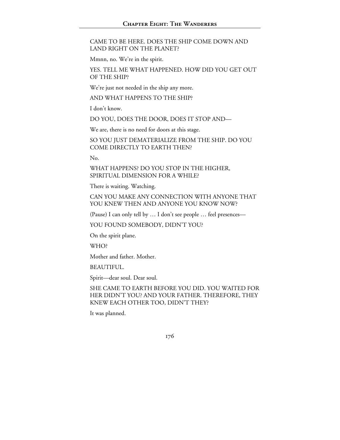CAME TO BE HERE. DOES THE SHIP COME DOWN AND LAND RIGHT ON THE PLANET?

Mmnn, no. We're in the spirit.

YES. TELL ME WHAT HAPPENED. HOW DID YOU GET OUT OF THE SHIP?

We're just not needed in the ship any more.

AND WHAT HAPPENS TO THE SHIP?

I don't know.

DO YOU, DOES THE DOOR, DOES IT STOP AND—

We are, there is no need for doors at this stage.

SO YOU JUST DEMATERIALIZE FROM THE SHIP. DO YOU COME DIRECTLY TO EARTH THEN?

No.

WHAT HAPPENS? DO YOU STOP IN THE HIGHER, SPIRITUAL DIMENSION FOR A WHILE?

There is waiting. Watching.

CAN YOU MAKE ANY CONNECTION WITH ANYONE THAT YOU KNEW THEN AND ANYONE YOU KNOW NOW?

(Pause) I can only tell by … I don't see people … feel presences—

YOU FOUND SOMEBODY, DIDN'T YOU?

On the spirit plane.

WHO?

Mother and father. Mother.

BEAUTIFUL.

Spirit—dear soul. Dear soul.

SHE CAME TO EARTH BEFORE YOU DID. YOU WAITED FOR HER DIDN'T YOU? AND YOUR FATHER. THEREFORE, THEY KNEW EACH OTHER TOO, DIDN'T THEY?

It was planned.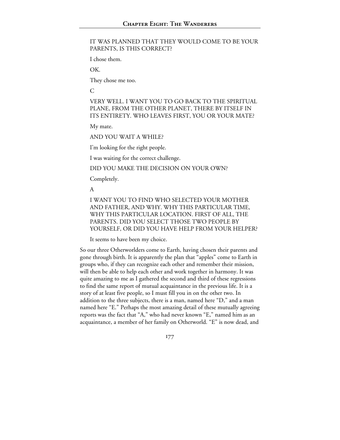#### IT WAS PLANNED THAT THEY WOULD COME TO BE YOUR PARENTS, IS THIS CORRECT?

I chose them.

OK.

They chose me too.

C

VERY WELL. I WANT YOU TO GO BACK TO THE SPIRITUAL PLANE, FROM THE OTHER PLANET, THERE BY ITSELF IN ITS ENTIRETY. WHO LEAVES FIRST, YOU OR YOUR MATE?

My mate.

AND YOU WAIT A WHILE?

I'm looking for the right people.

I was waiting for the correct challenge.

DID YOU MAKE THE DECISION ON YOUR OWN?

Completely.

A

I WANT YOU TO FIND WHO SELECTED YOUR MOTHER AND FATHER, AND WHY. WHY THIS PARTICULAR TIME, WHY THIS PARTICULAR LOCATION. FIRST OF ALL, THE PARENTS. DID YOU SELECT THOSE TWO PEOPLE BY YOURSELF, OR DID YOU HAVE HELP FROM YOUR HELPER?

It seems to have been my choice.

So our three Otherworlders come to Earth, having chosen their parents and gone through birth. It is apparently the plan that "apples" come to Earth in groups who, if they can recognize each other and remember their mission, will then be able to help each other and work together in harmony. It was quite amazing to me as I gathered the second and third of these regressions to find the same report of mutual acquaintance in the previous life. It is a story of at least five people, so I must fill you in on the other two. In addition to the three subjects, there is a man, named here "D," and a man named here "E." Perhaps the most amazing detail of these mutually agreeing reports was the fact that "A," who had never known "E," named him as an acquaintance, a member of her family on Otherworld. "E" is now dead, and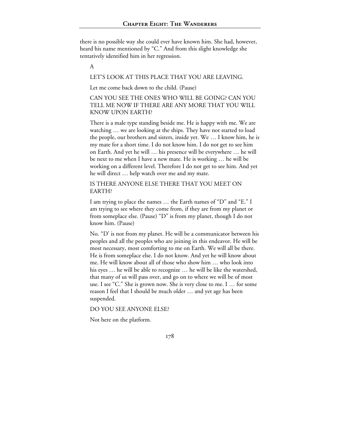there is no possible way she could ever have known him. She had, however, heard his name mentioned by "C." And from this slight knowledge she tentatively identified him in her regression.

A

### LET'S LOOK AT THIS PLACE THAT YOU ARE LEAVING.

Let me come back down to the child. (Pause)

### CAN YOU SEE THE ONES WHO WILL BE GOING? CAN YOU TELL ME NOW IF THERE ARE ANY MORE THAT YOU WILL KNOW UPON EARTH?

There is a male type standing beside me. He is happy with me. We are watching … we are looking at the ships. They have not started to load the people, our brothers and sisters, inside yet. We … I know him, he is my mate for a short time. I do not know him. I do not get to see him on Earth. And yet he will … his presence will be everywhere … he will be next to me when I have a new mate. He is working … he will be working on a different level. Therefore I do not get to see him. And yet he will direct … help watch over me and my mate.

### IS THERE ANYONE ELSE THERE THAT YOU MEET ON EARTH?

I am trying to place the names … the Earth names of "D" and "E." I am trying to see where they come from, if they are from my planet or from someplace else. (Pause) "D" is from my planet, though I do not know him. (Pause)

No. "D' is not from my planet. He will be a communicator between his peoples and all the peoples who are joining in this endeavor. He will be most necessary, most comforting to me on Earth. We will all be there. He is from someplace else. I do not know. And yet he will know about me. He will know about all of those who show him … who look into his eyes … he will be able to recognize … he will be like the watershed, that many of us will pass over, and go on to where we will be of most use. I see "C." She is grown now. She is very close to me. I … for some reason I feel that I should be much older … and yet age has been suspended.

#### DO YOU SEE ANYONE ELSE?

Not here on the platform.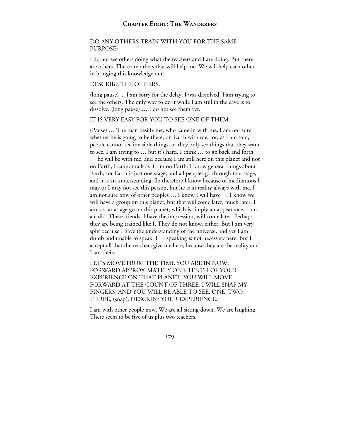#### DO ANY OTHERS TRAIN WITH YOU FOR THE SAME PURPOSE?

I do not see others doing what the teachers and I are doing. But there are others. There are others that will help me. We will help each other in bringing this knowledge out.

#### DESCRIBE THE OTHERS.

(long pause) ... I am sorry for the delay. I was dissolved. I am trying to see the others. The only way to do it while I am still in the cave is to dissolve. (long pause) … I do not see them yet.

#### IT IS VERY EASY FOR YOU TO SEE ONE OF THEM.

(Pause) … The man beside me, who came in with me, I am not sure whether he is going to be there, on Earth with me, for, as I am told, people cannot see invisible things, or they only see things that they want to see. I am trying to … but it's hard. I think … to go back and forth … he will be with me, and because I am still here on this planet and not on Earth, I cannot talk as if I'm on Earth. I know general things about Earth, for Earth is just one stage, and all peoples go through that stage, and it is an understanding. So therefore I know because of meditations I may or I may not see this person, but he is in reality always with me. I am not sure now of other peoples … I know I will have … I know we will have a group on this planet, but that will come later, much later. I am, as far as age go on this planet, which is simply an appearance, I am a child. These friends, I have the impression, will come later. Perhaps they are being trained like I. They do not know, either. But I am very split because I have the understanding of the universe, and yet I am dumb and unable to speak. I … speaking is not necessary here. But I accept all that the teachers give me here, because they are the reality and I am theirs.

LET'S MOVE FROM THE TIME YOU ARE IN NOW, FORWARD APPROXIMATELY ONE-TENTH OF YOUR EXPERIENCE ON THAT PLANET. YOU WILL MOVE FORWARD AT THE COUNT OF THREE, I WILL SNAP MY FINGERS, AND YOU WILL BE ABLE TO SEE. ONE, TWO, THREE, (snap). DESCRIBE YOUR EXPERIENCE.

I am with other people now. We are all sitting down. We are laughing. There seem to be five of us plus two teachers.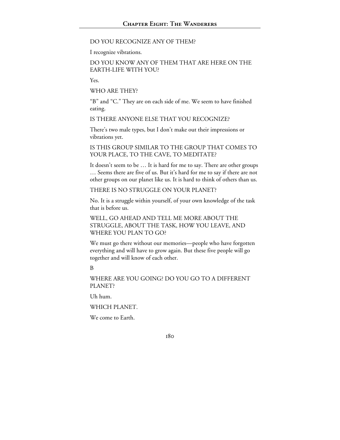### DO YOU RECOGNIZE ANY OF THEM?

I recognize vibrations.

DO YOU KNOW ANY OF THEM THAT ARE HERE ON THE EARTH-LIFE WITH YOU?

Yes.

WHO ARE THEY?

"B" and "C." They are on each side of me. We seem to have finished eating.

IS THERE ANYONE ELSE THAT YOU RECOGNIZE?

There's two male types, but I don't make out their impressions or vibrations yet.

IS THIS GROUP SIMILAR TO THE GROUP THAT COMES TO YOUR PLACE, TO THE CAVE, TO MEDITATE?

It doesn't seem to be … It is hard for me to say. There are other groups … Seems there are five of us. But it's hard for me to say if there are not other groups on our planet like us. It is hard to think of others than us.

THERE IS NO STRUGGLE ON YOUR PLANET?

No. It is a struggle within yourself, of your own knowledge of the task that is before us.

WELL, GO AHEAD AND TELL ME MORE ABOUT THE STRUGGLE, ABOUT THE TASK, HOW YOU LEAVE, AND WHERE YOU PLAN TO GO?

We must go there without our memories—people who have forgotten everything and will have to grow again. But these five people will go together and will know of each other.

B

WHERE ARE YOU GOING? DO YOU GO TO A DIFFERENT PLANET?

Uh hum.

WHICH PLANET.

We come to Earth.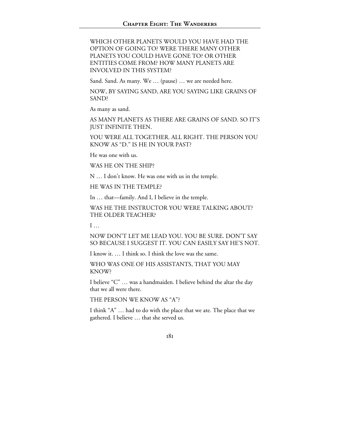WHICH OTHER PLANETS WOULD YOU HAVE HAD THE OPTION OF GOING TO? WERE THERE MANY OTHER PLANETS YOU COULD HAVE GONE TO? OR OTHER ENTITIES COME FROM? HOW MANY PLANETS ARE INVOLVED IN THIS SYSTEM?

Sand. Sand. As many. We … (pause) … we are needed here.

NOW, BY SAYING SAND, ARE YOU SAYING LIKE GRAINS OF SAND?

As many as sand.

AS MANY PLANETS AS THERE ARE GRAINS OF SAND. SO IT'S JUST INFINITE THEN.

YOU WERE ALL TOGETHER. ALL RIGHT. THE PERSON YOU KNOW AS "D." IS HE IN YOUR PAST?

He was one with us.

WAS HE ON THE SHIP?

N … I don't know. He was one with us in the temple.

HE WAS IN THE TEMPLE?

In … that—family. And I, I believe in the temple.

WAS HE THE INSTRUCTOR YOU WERE TALKING ABOUT? THE OLDER TEACHER?

 $I \dots$ 

NOW DON'T LET ME LEAD YOU. YOU BE SURE. DON'T SAY SO BECAUSE I SUGGEST IT. YOU CAN EASILY SAY HE'S NOT.

I know it. … I think so. I think the love was the same.

WHO WAS ONE OF HIS ASSISTANTS, THAT YOU MAY KNOW?

I believe "C" … was a handmaiden. I believe behind the altar the day that we all were there.

THE PERSON WE KNOW AS "A"?

I think "A" … had to do with the place that we ate. The place that we gathered. I believe … that she served us.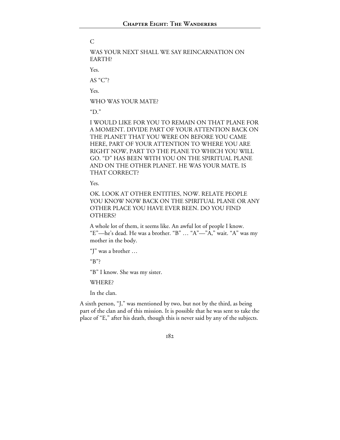$\overline{C}$ 

WAS YOUR NEXT SHALL WE SAY REINCARNATION ON EARTH?

Yes.

AS " $C$ "?

Yes.

WHO WAS YOUR MATE?

"D"

I WOULD LIKE FOR YOU TO REMAIN ON THAT PLANE FOR A MOMENT. DIVIDE PART OF YOUR ATTENTION BACK ON THE PLANET THAT YOU WERE ON BEFORE YOU CAME HERE, PART OF YOUR ATTENTION TO WHERE YOU ARE RIGHT NOW, PART TO THE PLANE TO WHICH YOU WILL GO. "D" HAS BEEN WITH YOU ON THE SPIRITUAL PLANE AND ON THE OTHER PLANET. HE WAS YOUR MATE. IS THAT CORRECT?

Yes.

OK. LOOK AT OTHER ENTITIES, NOW. RELATE PEOPLE YOU KNOW NOW BACK ON THE SPIRITUAL PLANE OR ANY OTHER PLACE YOU HAVE EVER BEEN. DO YOU FIND OTHERS?

A whole lot of them, it seems like. An awful lot of people I know. "E"—he's dead. He was a brother. "B" … "A"—"A," wait. "A" was my mother in the body.

"J" was a brother …

 $R$ "

"B" I know. She was my sister.

WHERE?

In the clan.

A sixth person, "J," was mentioned by two, but not by the third, as being part of the clan and of this mission. It is possible that he was sent to take the place of "E," after his death, though this is never said by any of the subjects.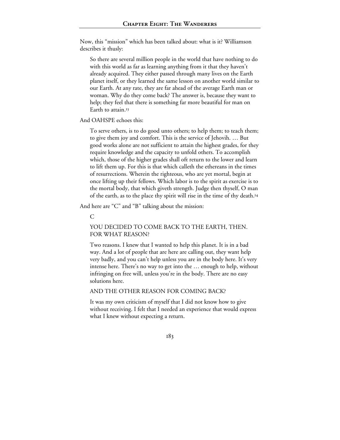Now, this "mission" which has been talked about: what is it? Williamson describes it thusly:

So there are several million people in the world that have nothing to do with this world as far as learning anything from it that they haven't already acquired. They either passed through many lives on the Earth planet itself, or they learned the same lesson on another world similar to our Earth. At any rate, they are far ahead of the average Earth man or woman. Why do they come back? The answer is, because they want to help; they feel that there is something far more beautiful for man on Earth to attain.<sup>13</sup>

And OAHSPE echoes this:

To serve others, is to do good unto others; to help them; to teach them; to give them joy and comfort. This is the service of Jehovih. … But good works alone are not sufficient to attain the highest grades, for they require knowledge and the capacity to unfold others. To accomplish which, those of the higher grades shall oft return to the lower and learn to lift them up. For this is that which calleth the ethereans in the times of resurrections. Wherein the righteous, who are yet mortal, begin at once lifting up their fellows. Which labor is to the spirit as exercise is to the mortal body, that which giveth strength. Judge then thyself, O man of the earth, as to the place thy spirit will rise in the time of thy death.14

And here are "C" and "B" talking about the mission:

 $\overline{C}$ 

## YOU DECIDED TO COME BACK TO THE EARTH, THEN. FOR WHAT REASON?

Two reasons. I knew that I wanted to help this planet. It is in a bad way. And a lot of people that are here are calling out, they want help very badly, and you can't help unless you are in the body here. It's very intense here. There's no way to get into the … enough to help, without infringing on free will, unless you're in the body. There are no easy solutions here.

## AND THE OTHER REASON FOR COMING BACK?

It was my own criticism of myself that I did not know how to give without receiving. I felt that I needed an experience that would express what I knew without expecting a return.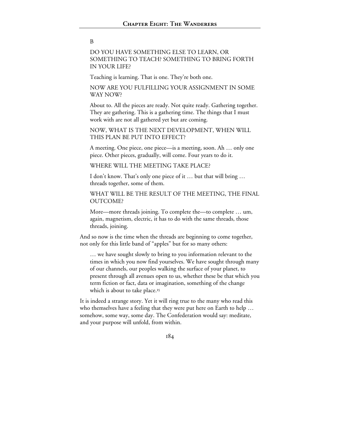#### B

#### DO YOU HAVE SOMETHING ELSE TO LEARN, OR SOMETHING TO TEACH? SOMETHING TO BRING FORTH IN YOUR LIFE?

Teaching is learning. That is one. They're both one.

NOW ARE YOU FULFILLING YOUR ASSIGNMENT IN SOME WAY NOW?

About to. All the pieces are ready. Not quite ready. Gathering together. They are gathering. This is a gathering time. The things that I must work with are not all gathered yet but are coming.

NOW, WHAT IS THE NEXT DEVELOPMENT, WHEN WILL THIS PLAN BE PUT INTO EFFECT?

A meeting. One piece, one piece—is a meeting, soon. Ah … only one piece. Other pieces, gradually, will come. Four years to do it.

WHERE WILL THE MEETING TAKE PLACE?

I don't know. That's only one piece of it … but that will bring … threads together, some of them.

WHAT WILL BE THE RESULT OF THE MEETING, THE FINAL OUTCOME?

More—more threads joining. To complete the—to complete … um, again, magnetism, electric, it has to do with the same threads, those threads, joining.

And so now is the time when the threads are beginning to come together, not only for this little band of "apples" but for so many others:

… we have sought slowly to bring to you information relevant to the times in which you now find yourselves. We have sought through many of our channels, our peoples walking the surface of your planet, to present through all avenues open to us, whether these be that which you term fiction or fact, data or imagination, something of the change which is about to take place.<sup>15</sup>

It is indeed a strange story. Yet it will ring true to the many who read this who themselves have a feeling that they were put here on Earth to help … somehow, some way, some day. The Confederation would say: meditate, and your purpose will unfold, from within.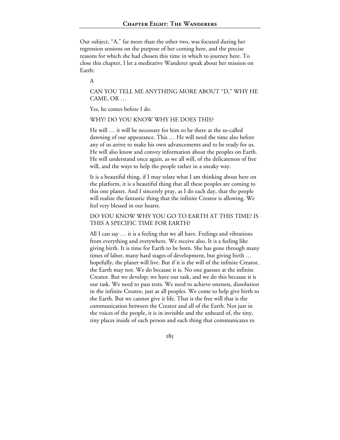Our subject, "A," far more than the other two, was focused during her regression sessions on the purpose of her coming here, and the precise reasons for which she had chosen this time in which to journey here. To close this chapter, I let a meditative Wanderer speak about her mission on Earth:

A

CAN YOU TELL ME ANYTHING MORE ABOUT "D," WHY HE CAME, OR …

Yes, he comes before I do.

WHY? DO YOU KNOW WHY HE DOES THIS?

He will … it will be necessary for him to be there at the so-called dawning of our appearance. This … He will need the time also before any of us arrive to make his own advancements and to be ready for us. He will also know and convey information about the peoples on Earth. He will understand once again, as we all will, of the delicateness of free will, and the ways to help the people rather in a sneaky way.

It is a beautiful thing, if I may relate what I am thinking about here on the platform, it is a beautiful thing that all these peoples are coming to this one planet. And I sincerely pray, as I do each day, that the people will realize the fantastic thing that the infinite Creator is allowing. We feel very blessed in our hearts.

#### DO YOU KNOW WHY YOU GO TO EARTH AT THIS TIME? IS THIS A SPECIFIC TIME FOR EARTH?

All I can say … it is a feeling that we all have. Feelings and vibrations from everything and everywhere. We receive also. It is a feeling like giving birth. It is time for Earth to be born. She has gone through many times of labor, many hard stages of development, but giving birth … hopefully, the planet will live. But if it is the will of the infinite Creator, the Earth may not. We do because it is. No one guesses at the infinite Creator. But we develop; we have our task, and we do this because it is our task. We need to pass tests. We need to achieve oneness, dissolution in the infinite Creator, just as all peoples. We come to help give birth to the Earth. But we cannot give it life. That is the free will that is the communication between the Creator and all of the Earth. Not just in the voices of the people, it is in invisible and the unheard of, the tiny, tiny places inside of each person and each thing that communicates to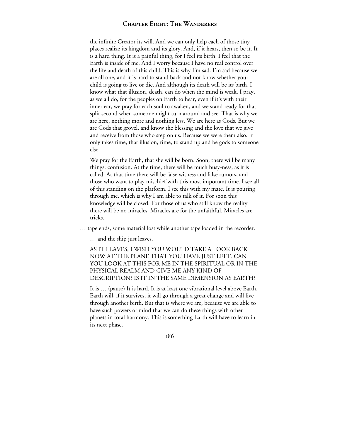the infinite Creator its will. And we can only help each of those tiny places realize its kingdom and its glory. And, if it hears, then so be it. It is a hard thing. It is a painful thing, for I feel its birth. I feel that the Earth is inside of me. And I worry because I have no real control over the life and death of this child. This is why I'm sad. I'm sad because we are all one, and it is hard to stand back and not know whether your child is going to live or die. And although its death will be its birth, I know what that illusion, death, can do when the mind is weak. I pray, as we all do, for the peoples on Earth to hear, even if it's with their inner ear, we pray for each soul to awaken, and we stand ready for that split second when someone might turn around and see. That is why we are here, nothing more and nothing less. We are here as Gods. But we are Gods that grovel, and know the blessing and the love that we give and receive from those who step on us. Because we were them also. It only takes time, that illusion, time, to stand up and be gods to someone else.

We pray for the Earth, that she will be born. Soon, there will be many things: confusion. At the time, there will be much busy-ness, as it is called. At that time there will be false witness and false rumors, and those who want to play mischief with this most important time. I see all of this standing on the platform. I see this with my mate. It is pouring through me, which is why I am able to talk of it. For soon this knowledge will be closed. For those of us who still know the reality there will be no miracles. Miracles are for the unfaithful. Miracles are tricks.

… tape ends, some material lost while another tape loaded in the recorder.

… and the ship just leaves.

AS IT LEAVES, I WISH YOU WOULD TAKE A LOOK BACK NOW AT THE PLANE THAT YOU HAVE JUST LEFT. CAN YOU LOOK AT THIS FOR ME IN THE SPIRITUAL OR IN THE PHYSICAL REALM AND GIVE ME ANY KIND OF DESCRIPTION? IS IT IN THE SAME DIMENSION AS EARTH?

It is … (pause) It is hard. It is at least one vibrational level above Earth. Earth will, if it survives, it will go through a great change and will live through another birth. But that is where we are, because we are able to have such powers of mind that we can do these things with other planets in total harmony. This is something Earth will have to learn in its next phase.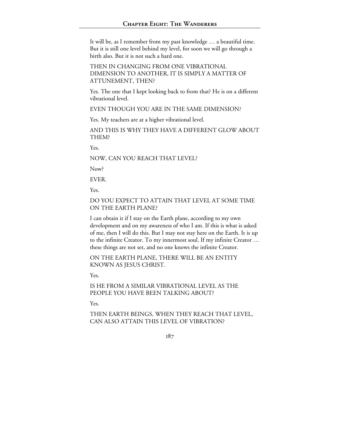It will be, as I remember from my past knowledge … a beautiful time. But it is still one level behind my level, for soon we will go through a birth also. But it is not such a hard one.

THEN IN CHANGING FROM ONE VIBRATIONAL DIMENSION TO ANOTHER, IT IS SIMPLY A MATTER OF ATTUNEMENT, THEN?

Yes. The one that I kept looking back to from that? He is on a different vibrational level.

EVEN THOUGH YOU ARE IN THE SAME DIMENSION?

Yes. My teachers are at a higher vibrational level.

AND THIS IS WHY THEY HAVE A DIFFERENT GLOW ABOUT THEM?

Yes.

NOW, CAN YOU REACH THAT LEVEL?

Now?

EVER.

Yes.

DO YOU EXPECT TO ATTAIN THAT LEVEL AT SOME TIME ON THE EARTH PLANE?

I can obtain it if I stay on the Earth plane, according to my own development and on my awareness of who I am. If this is what is asked of me, then I will do this. But I may not stay here on the Earth. It is up to the infinite Creator. To my innermost soul. If my infinite Creator … these things are not set, and no one knows the infinite Creator.

ON THE EARTH PLANE, THERE WILL BE AN ENTITY KNOWN AS JESUS CHRIST.

Yes.

IS HE FROM A SIMILAR VIBRATIONAL LEVEL AS THE PEOPLE YOU HAVE BEEN TALKING ABOUT?

Yes.

THEN EARTH BEINGS, WHEN THEY REACH THAT LEVEL, CAN ALSO ATTAIN THIS LEVEL OF VIBRATION?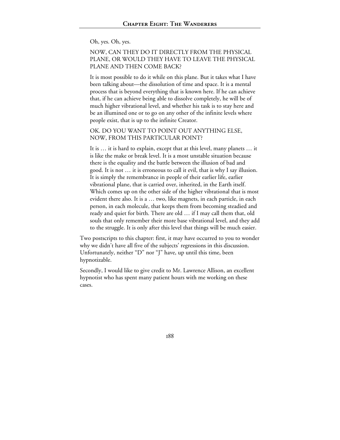Oh, yes. Oh, yes.

## NOW, CAN THEY DO IT DIRECTLY FROM THE PHYSICAL PLANE, OR WOULD THEY HAVE TO LEAVE THE PHYSICAL PLANE AND THEN COME BACK?

It is most possible to do it while on this plane. But it takes what I have been talking about—the dissolution of time and space. It is a mental process that is beyond everything that is known here. If he can achieve that, if he can achieve being able to dissolve completely, he will be of much higher vibrational level, and whether his task is to stay here and be an illumined one or to go on any other of the infinite levels where people exist, that is up to the infinite Creator.

OK. DO YOU WANT TO POINT OUT ANYTHING ELSE, NOW, FROM THIS PARTICULAR POINT?

It is … it is hard to explain, except that at this level, many planets … it is like the make or break level. It is a most unstable situation because there is the equality and the battle between the illusion of bad and good. It is not … it is erroneous to call it evil, that is why I say illusion. It is simply the remembrance in people of their earlier life, earlier vibrational plane, that is carried over, inherited, in the Earth itself. Which comes up on the other side of the higher vibrational that is most evident there also. It is a … two, like magnets, in each particle, in each person, in each molecule, that keeps them from becoming steadied and ready and quiet for birth. There are old … if I may call them that, old souls that only remember their more base vibrational level, and they add to the struggle. It is only after this level that things will be much easier.

Two postscripts to this chapter: first, it may have occurred to you to wonder why we didn't have all five of the subjects' regressions in this discussion. Unfortunately, neither "D" nor "J" have, up until this time, been hypnotizable.

Secondly, I would like to give credit to Mr. Lawrence Allison, an excellent hypnotist who has spent many patient hours with me working on these cases.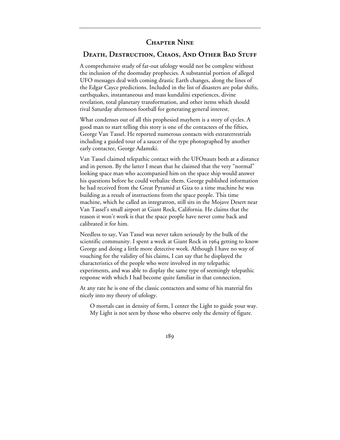# **Chapter Nine**

# DEATH, DESTRUCTION, CHAOS, AND OTHER BAD STUFF

A comprehensive study of far-out ufology would not be complete without the inclusion of the doomsday prophecies. A substantial portion of alleged UFO messages deal with coming drastic Earth changes, along the lines of the Edgar Cayce predictions. Included in the list of disasters are polar shifts, earthquakes, instantaneous and mass kundalini experiences, divine revelation, total planetary transformation, and other items which should rival Saturday afternoon football for generating general interest.

What condenses out of all this prophesied mayhem is a story of cycles. A good man to start telling this story is one of the contactees of the fifties, George Van Tassel. He reported numerous contacts with extraterrestrials including a guided tour of a saucer of the type photographed by another early contactee, George Adamski.

Van Tassel claimed telepathic contact with the UFOnauts both at a distance and in person. By the latter I mean that he claimed that the very "normal" looking space man who accompanied him on the space ship would answer his questions before he could verbalize them. George published information he had received from the Great Pyramid at Giza to a time machine he was building as a result of instructions from the space people. This time machine, which he called an integratron, still sits in the Mojave Desert near Van Tassel's small airport at Giant Rock, California. He claims that the reason it won't work is that the space people have never come back and calibrated it for him.

Needless to say, Van Tassel was never taken seriously by the bulk of the scientific community. I spent a week at Giant Rock in 1964 getting to know George and doing a little more detective work. Although I have no way of vouching for the validity of his claims, I can say that he displayed the characteristics of the people who were involved in my telepathic experiments, and was able to display the same type of seemingly telepathic response with which I had become quite familiar in that connection.

At any rate he is one of the classic contactees and some of his material fits nicely into my theory of ufology.

O mortals cast in density of form, I center the Light to guide your way. My Light is not seen by those who observe only the density of figure.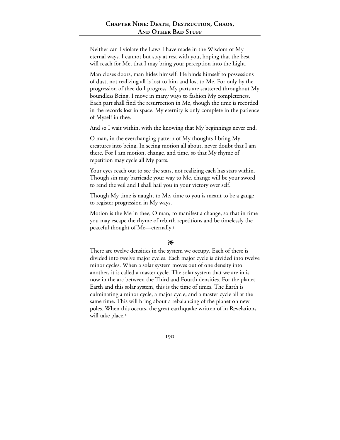Neither can I violate the Laws I have made in the Wisdom of My eternal ways. I cannot but stay at rest with you, hoping that the best will reach for Me, that I may bring your perception into the Light.

Man closes doors, man hides himself. He binds himself to possessions of dust, not realizing all is lost to him and lost to Me. For only by the progression of thee do I progress. My parts are scattered throughout My boundless Being. I move in many ways to fashion My completeness. Each part shall find the resurrection in Me, though the time is recorded in the records lost in space. My eternity is only complete in the patience of Myself in thee.

And so I wait within, with the knowing that My beginnings never end.

O man, in the everchanging pattern of My thoughts I bring My creatures into being. In seeing motion all about, never doubt that I am there. For I am motion, change, and time, so that My rhyme of repetition may cycle all My parts.

Your eyes reach out to see the stars, not realizing each has stars within. Though sin may barricade your way to Me, change will be your sword to rend the veil and I shall hail you in your victory over self.

Though My time is naught to Me, time to you is meant to be a gauge to register progression in My ways.

Motion is the Me in thee, O man, to manifest a change, so that in time you may escape the rhyme of rebirth repetitions and be timelessly the peaceful thought of Me—eternally.1

#### 22

There are twelve densities in the system we occupy. Each of these is divided into twelve major cycles. Each major cycle is divided into twelve minor cycles. When a solar system moves out of one density into another, it is called a master cycle. The solar system that we are in is now in the arc between the Third and Fourth densities. For the planet Earth and this solar system, this is the time of times. The Earth is culminating a minor cycle, a major cycle, and a master cycle all at the same time. This will bring about a rebalancing of the planet on new poles. When this occurs, the great earthquake written of in Revelations will take place.<sup>2</sup>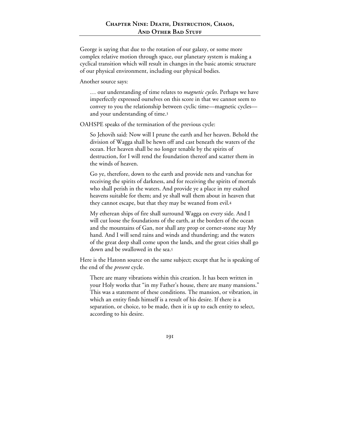George is saying that due to the rotation of our galaxy, or some more complex relative motion through space, our planetary system is making a cyclical transition which will result in changes in the basic atomic structure of our physical environment, including our physical bodies.

Another source says:

… our understanding of time relates to *magnetic cycles*. Perhaps we have imperfectly expressed ourselves on this score in that we cannot seem to convey to you the relationship between cyclic time—magnetic cycles and your understanding of time.3

OAHSPE speaks of the termination of the previous cycle:

So Jehovih said: Now will I prune the earth and her heaven. Behold the division of Wagga shall be hewn off and cast beneath the waters of the ocean. Her heaven shall be no longer tenable by the spirits of destruction, for I will rend the foundation thereof and scatter them in the winds of heaven.

Go ye, therefore, down to the earth and provide nets and vanchas for receiving the spirits of darkness, and for receiving the spirits of mortals who shall perish in the waters. And provide ye a place in my exalted heavens suitable for them; and ye shall wall them about in heaven that they cannot escape, but that they may be weaned from evil.4

My etherean ships of fire shall surround Wagga on every side. And I will cut loose the foundations of the earth, at the borders of the ocean and the mountains of Gan, nor shall any prop or corner-stone stay My hand. And I will send rains and winds and thundering; and the waters of the great deep shall come upon the lands, and the great cities shall go down and be swallowed in the sea.5

Here is the Hatonn source on the same subject; except that he is speaking of the end of the *present* cycle.

There are many vibrations within this creation. It has been written in your Holy works that "in my Father's house, there are many mansions." This was a statement of these conditions. The mansion, or vibration, in which an entity finds himself is a result of his desire. If there is a separation, or choice, to be made, then it is up to each entity to select, according to his desire.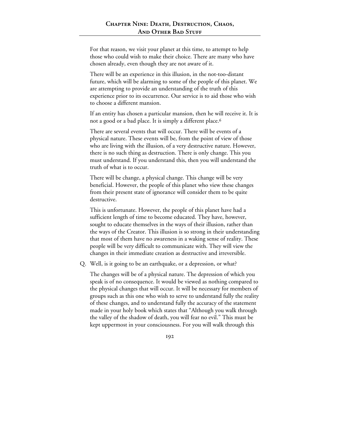For that reason, we visit your planet at this time, to attempt to help those who could wish to make their choice. There are many who have chosen already, even though they are not aware of it.

There will be an experience in this illusion, in the not-too-distant future, which will be alarming to some of the people of this planet. We are attempting to provide an understanding of the truth of this experience prior to its occurrence. Our service is to aid those who wish to choose a different mansion.

If an entity has chosen a particular mansion, then he will receive it. It is not a good or a bad place. It is simply a different place.<sup>6</sup>

There are several events that will occur. There will be events of a physical nature. These events will be, from the point of view of those who are living with the illusion, of a very destructive nature. However, there is no such thing as destruction. There is only change. This you must understand. If you understand this, then you will understand the truth of what is to occur.

There will be change, a physical change. This change will be very beneficial. However, the people of this planet who view these changes from their present state of ignorance will consider them to be quite destructive.

This is unfortunate. However, the people of this planet have had a sufficient length of time to become educated. They have, however, sought to educate themselves in the ways of their illusion, rather than the ways of the Creator. This illusion is so strong in their understanding that most of them have no awareness in a waking sense of reality. These people will be very difficult to communicate with. They will view the changes in their immediate creation as destructive and irreversible.

Q. Well, is it going to be an earthquake, or a depression, or what?

The changes will be of a physical nature. The depression of which you speak is of no consequence. It would be viewed as nothing compared to the physical changes that will occur. It will be necessary for members of groups such as this one who wish to serve to understand fully the reality of these changes, and to understand fully the accuracy of the statement made in your holy book which states that "Although you walk through the valley of the shadow of death, you will fear no evil." This must be kept uppermost in your consciousness. For you will walk through this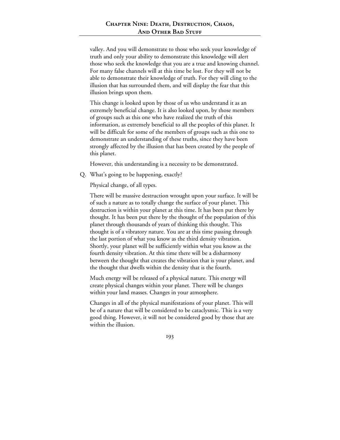valley. And you will demonstrate to those who seek your knowledge of truth and only your ability to demonstrate this knowledge will alert those who seek the knowledge that you are a true and knowing channel. For many false channels will at this time be lost. For they will not be able to demonstrate their knowledge of truth. For they will cling to the illusion that has surrounded them, and will display the fear that this illusion brings upon them.

This change is looked upon by those of us who understand it as an extremely beneficial change. It is also looked upon, by those members of groups such as this one who have realized the truth of this information, as extremely beneficial to all the peoples of this planet. It will be difficult for some of the members of groups such as this one to demonstrate an understanding of these truths, since they have been strongly affected by the illusion that has been created by the people of this planet.

However, this understanding is a necessity to be demonstrated.

Q. What's going to be happening, exactly?

Physical change, of all types.

There will be massive destruction wrought upon your surface. It will be of such a nature as to totally change the surface of your planet. This destruction is within your planet at this time. It has been put there by thought. It has been put there by the thought of the population of this planet through thousands of years of thinking this thought. This thought is of a vibratory nature. You are at this time passing through the last portion of what you know as the third density vibration. Shortly, your planet will be sufficiently within what you know as the fourth density vibration. At this time there will be a disharmony between the thought that creates the vibration that is your planet, and the thought that dwells within the density that is the fourth.

Much energy will be released of a physical nature. This energy will create physical changes within your planet. There will be changes within your land masses. Changes in your atmosphere.

Changes in all of the physical manifestations of your planet. This will be of a nature that will be considered to be cataclysmic. This is a very good thing. However, it will not be considered good by those that are within the illusion.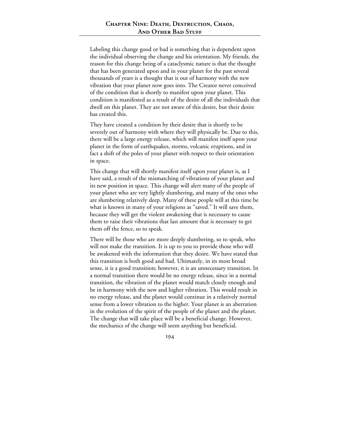Labeling this change good or bad is something that is dependent upon the individual observing the change and his orientation. My friends, the reason for this change being of a cataclysmic nature is that the thought that has been generated upon and in your planet for the past several thousands of years is a thought that is out of harmony with the new vibration that your planet now goes into. The Creator never conceived of the condition that is shortly to manifest upon your planet. This condition is manifested as a result of the desire of all the individuals that dwell on this planet. They are not aware of this desire, but their desire has created this.

They have created a condition by their desire that is shortly to be severely out of harmony with where they will physically be. Due to this, there will be a large energy release, which will manifest itself upon your planet in the form of earthquakes, storms, volcanic eruptions, and in fact a shift of the poles of your planet with respect to their orientation in space.

This change that will shortly manifest itself upon your planet is, as I have said, a result of the mismatching of vibrations of your planet and its new position in space. This change will alert many of the people of your planet who are very lightly slumbering, and many of the ones who are slumbering relatively deep. Many of these people will at this time be what is known in many of your religions as "saved." It will save them, because they will get the violent awakening that is necessary to cause them to raise their vibrations that last amount that is necessary to get them off the fence, so to speak.

There will be those who are more deeply slumbering, so to speak, who will not make the transition. It is up to you to provide those who will be awakened with the information that they desire. We have stated that this transition is both good and bad. Ultimately, in its most broad sense, it is a good transition; however, it is an unnecessary transition. In a normal transition there would be no energy release, since in a normal transition, the vibration of the planet would match closely enough and be in harmony with the new and higher vibration. This would result in no energy release, and the planet would continue in a relatively normal sense from a lower vibration to the higher. Your planet is an aberration in the evolution of the spirit of the people of the planet and the planet. The change that will take place will be a beneficial change. However, the mechanics of the change will seem anything but beneficial.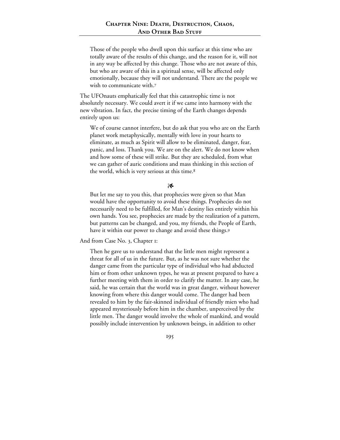Those of the people who dwell upon this surface at this time who are totally aware of the results of this change, and the reason for it, will not in any way be affected by this change. Those who are not aware of this, but who are aware of this in a spiritual sense, will be affected only emotionally, because they will not understand. There are the people we wish to communicate with 7

The UFOnauts emphatically feel that this catastrophic time is not absolutely necessary. We could avert it if we came into harmony with the new vibration. In fact, the precise timing of the Earth changes depends entirely upon us:

We of course cannot interfere, but do ask that you who are on the Earth planet work metaphysically, mentally with love in your hearts to eliminate, as much as Spirit will allow to be eliminated, danger, fear, panic, and loss. Thank you. We are on the alert. We do not know when and how some of these will strike. But they are scheduled, from what we can gather of auric conditions and mass thinking in this section of the world, which is very serious at this time.8

#### $\partial$

But let me say to you this, that prophecies were given so that Man would have the opportunity to avoid these things. Prophecies do not necessarily need to be fulfilled, for Man's destiny lies entirely within his own hands. You see, prophecies are made by the realization of a pattern, but patterns can be changed, and you, my friends, the People of Earth, have it within our power to change and avoid these things.<sup>9</sup>

And from Case No. 3, Chapter 1:

Then he gave us to understand that the little men might represent a threat for all of us in the future. But, as he was not sure whether the danger came from the particular type of individual who had abducted him or from other unknown types, he was at present prepared to have a further meeting with them in order to clarify the matter. In any case, he said, he was certain that the world was in great danger, without however knowing from where this danger would come. The danger had been revealed to him by the fair-skinned individual of friendly mien who had appeared mysteriously before him in the chamber, unperceived by the little men. The danger would involve the whole of mankind, and would possibly include intervention by unknown beings, in addition to other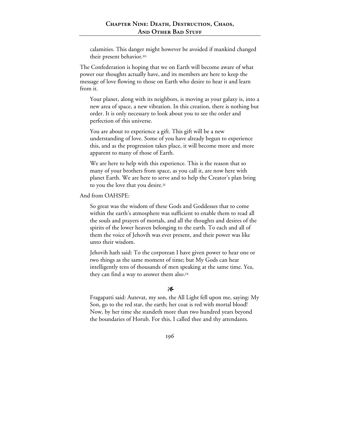calamities. This danger might however be avoided if mankind changed their present behavior.10

The Confederation is hoping that we on Earth will become aware of what power our thoughts actually have, and its members are here to keep the message of love flowing to those on Earth who desire to hear it and learn from it.

Your planet, along with its neighbors, is moving as your galaxy is, into a new area of space, a new vibration. In this creation, there is nothing but order. It is only necessary to look about you to see the order and perfection of this universe.

You are about to experience a gift. This gift will be a new understanding of love. Some of you have already begun to experience this, and as the progression takes place, it will become more and more apparent to many of those of Earth.

We are here to help with this experience. This is the reason that so many of your brothers from space, as you call it, are now here with planet Earth. We are here to serve and to help the Creator's plan bring to you the love that you desire.11

And from OAHSPE:

So great was the wisdom of these Gods and Goddesses that to come within the earth's atmosphere was sufficient to enable them to read all the souls and prayers of mortals, and all the thoughts and desires of the spirits of the lower heaven belonging to the earth. To each and all of them the voice of Jehovih was ever present, and their power was like unto their wisdom.

Jehovih hath said: To the corporean I have given power to hear one or two things as the same moment of time; but My Gods can hear intelligently tens of thousands of men speaking at the same time. Yea, they can find a way to answer them also.12

## $\partial$ k

Fragapatti said: Autevat, my son, the All Light fell upon me, saying: My Son, go to the red star, the earth; her coat is red with mortal blood! Now, by her time she standeth more than two hundred years beyond the boundaries of Horub. For this, I called thee and thy attendants.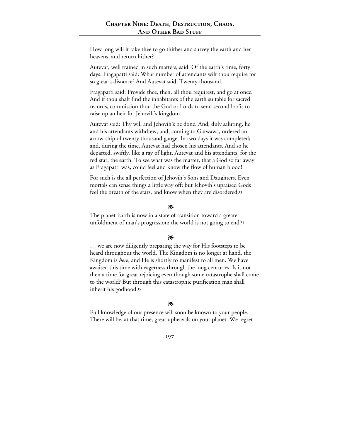How long will it take thee to go thither and survey the earth and her heavens, and return hither?

Autevat, well trained in such matters, said: Of the earth's time, forty days. Fragapatti said: What number of attendants wilt thou require for so great a distance? And Autevat said: Twenty thousand.

Fragapatti said: Provide thee, then, all thou requirest, and go at once. And if thou shalt find the inhabitants of the earth suitable for sacred records, commission thou the God or Lords to send second loo'is to raise up an heir for Jehovih's kingdom.

Autevat said: Thy will and Jehovih's be done. And, duly saluting, he and his attendants withdrew, and, coming to Gatwawa, ordered an arrow-ship of twenty thousand gauge. In two days it was completed; and, during the time, Autevat had chosen his attendants. And so he departed, swiftly, like a ray of light, Autevat and his attendants, for the red star, the earth. To see what was the matter, that a God so far away as Fragapatti was, could feel and know the flow of human blood!

For such is the all perfection of Jehovih's Sons and Daughters. Even mortals can sense things a little way off; but Jehovih's upraised Gods feel the breath of the stars, and know when they are disordered.13

## $\partial$

The planet Earth is now in a state of transition toward a greater unfoldment of man's progression; the world is not going to end!14

#### $\partial$

… we are now diligently preparing the way for His footsteps to be heard throughout the world. The Kingdom is no longer at hand, the Kingdom is *here*, and He is shortly to manifest to all men. We have awaited this time with eagerness through the long centuries. Is it not then a time for great rejoicing even though some catastrophe shall come to the world? But through this catastrophic purification man shall inherit his godhood.15

#### $\partial$ K

Full knowledge of our presence will soon be known to your people. There will be, at that time, great upheavals on your planet. We regret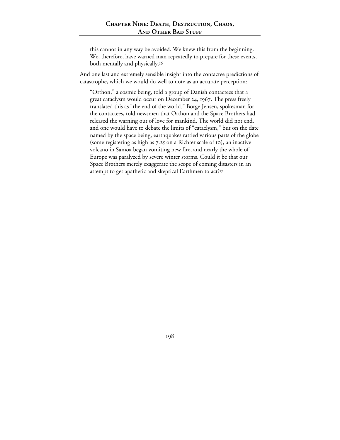# **Chapter Nine: Death, Destruction, Chaos, AND OTHER BAD STUFF**

this cannot in any way be avoided. We knew this from the beginning. We, therefore, have warned man repeatedly to prepare for these events, both mentally and physically.16

And one last and extremely sensible insight into the contactee predictions of catastrophe, which we would do well to note as an accurate perception:

"Orthon," a cosmic being, told a group of Danish contactees that a great cataclysm would occur on December 24, 1967. The press freely translated this as "the end of the world." Borge Jensen, spokesman for the contactees, told newsmen that Orthon and the Space Brothers had released the warning out of love for mankind. The world did not end, and one would have to debate the limits of "cataclysm," but on the date named by the space being, earthquakes rattled various parts of the globe (some registering as high as 7.25 on a Richter scale of 10), an inactive volcano in Samoa began vomiting new fire, and nearly the whole of Europe was paralyzed by severe winter storms. Could it be that our Space Brothers merely exaggerate the scope of coming disasters in an attempt to get apathetic and skeptical Earthmen to act?<sup>17</sup>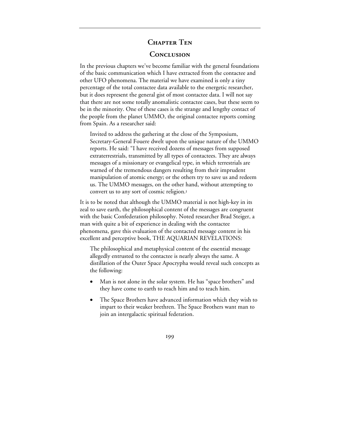# **Chapter Ten**

# **Conclusion**

In the previous chapters we've become familiar with the general foundations of the basic communication which I have extracted from the contactee and other UFO phenomena. The material we have examined is only a tiny percentage of the total contactee data available to the energetic researcher, but it does represent the general gist of most contactee data. I will not say that there are not some totally anomalistic contactee cases, but these seem to be in the minority. One of these cases is the strange and lengthy contact of the people from the planet UMMO, the original contactee reports coming from Spain. As a researcher said:

Invited to address the gathering at the close of the Symposium, Secretary-General Fouere dwelt upon the unique nature of the UMMO reports. He said: "I have received dozens of messages from supposed extraterrestrials, transmitted by all types of contactees. They are always messages of a missionary or evangelical type, in which terrestrials are warned of the tremendous dangers resulting from their imprudent manipulation of atomic energy; or the others try to save us and redeem us. The UMMO messages, on the other hand, without attempting to convert us to any sort of cosmic religion.1

It is to be noted that although the UMMO material is not high-key in its zeal to save earth, the philosophical content of the messages are congruent with the basic Confederation philosophy. Noted researcher Brad Steiger, a man with quite a bit of experience in dealing with the contactee phenomena, gave this evaluation of the contacted message content in his excellent and perceptive book, THE AQUARIAN REVELATIONS:

The philosophical and metaphysical content of the essential message allegedly entrusted to the contactee is nearly always the same. A distillation of the Outer Space Apocrypha would reveal such concepts as the following:

- Man is not alone in the solar system. He has "space brothers" and they have come to earth to reach him and to teach him.
- The Space Brothers have advanced information which they wish to impart to their weaker brethren. The Space Brothers want man to join an intergalactic spiritual federation.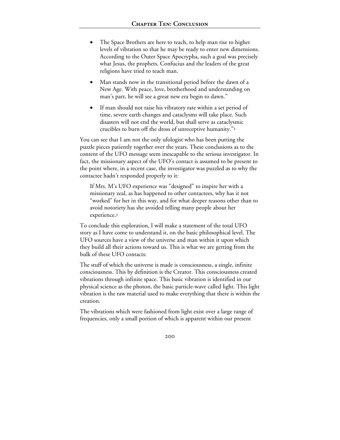- The Space Brothers are here to teach, to help man rise to higher levels of vibration so that he may be ready to enter new dimensions. According to the Outer Space Apocrypha, such a goal was precisely what Jesus, the prophets, Confucius and the leaders of the great religions have tried to teach man.
- Man stands now in the transitional period before the dawn of a New Age. With peace, love, brotherhood and understanding on man's part, he will see a great new era begin to dawn."
- If man should not raise his vibratory rate within a set period of time, severe earth changes and cataclysms will take place. Such disasters will not end the world, but shall serve as cataclysmic crucibles to burn off the dross of unreceptive humanity."2

You can see that I am not the only ufologist who has been putting the puzzle pieces patiently together over the years. These conclusions as to the content of the UFO message seem inescapable to the serious investigator. In fact, the missionary aspect of the UFO's contact is assumed to be present to the point where, in a recent case, the investigator was puzzled as to why the contactee hadn't responded properly to it:

If Mrs. M's UFO experience was "designed" to inspire her with a missionary zeal, as has happened to other contactees, why has it not "worked" for her in this way, and for what deeper reasons other than to avoid notoriety has she avoided telling many people about her experience.3

To conclude this exploration, I will make a statement of the total UFO story as I have come to understand it, on the basic philosophical level. The UFO sources have a view of the universe and man within it upon which they build all their actions toward us. This is what we are getting from the bulk of these UFO contacts:

The stuff of which the universe is made is consciousness, a single, infinite consciousness. This by definition is the Creator. This consciousness created vibrations through infinite space. This basic vibration is identified in our physical science as the photon, the basic particle-wave called light. This light vibration is the raw material used to make everything that there is within the creation.

The vibrations which were fashioned from light exist over a large range of frequencies, only a small portion of which is apparent within our present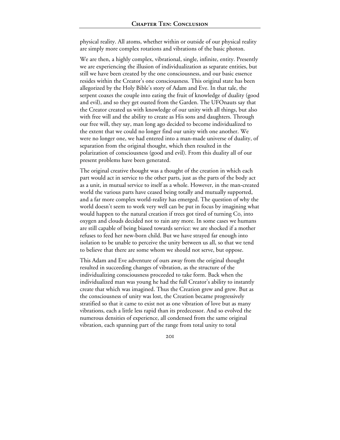physical reality. All atoms, whether within or outside of our physical reality are simply more complex rotations and vibrations of the basic photon.

We are then, a highly complex, vibrational, single, infinite, entity. Presently we are experiencing the illusion of individualization as separate entities, but still we have been created by the one consciousness, and our basic essence resides within the Creator's one consciousness. This original state has been allegorized by the Holy Bible's story of Adam and Eve. In that tale, the serpent coaxes the couple into eating the fruit of knowledge of duality (good and evil), and so they get ousted from the Garden. The UFOnauts say that the Creator created us with knowledge of our unity with all things, but also with free will and the ability to create as His sons and daughters. Through our free will, they say, man long ago decided to become individualized to the extent that we could no longer find our unity with one another. We were no longer one, we had entered into a man-made universe of duality, of separation from the original thought, which then resulted in the polarization of consciousness (good and evil). From this duality all of our present problems have been generated.

The original creative thought was a thought of the creation in which each part would act in service to the other parts, just as the parts of the body act as a unit, in mutual service to itself as a whole. However, in the man-created world the various parts have ceased being totally and mutually supported, and a far more complex world-reality has emerged. The question of why the world doesn't seem to work very well can be put in focus by imagining what would happen to the natural creation if trees got tired of turning  $Co<sub>2</sub>$  into oxygen and clouds decided not to rain any more. In some cases we humans are still capable of being biased towards service: we are shocked if a mother refuses to feed her new-born child. But we have strayed far enough into isolation to be unable to perceive the unity between us all, so that we tend to believe that there are some whom we should not serve, but oppose.

This Adam and Eve adventure of ours away from the original thought resulted in succeeding changes of vibration, as the structure of the individualizing consciousness proceeded to take form. Back when the individualized man was young he had the full Creator's ability to instantly create that which was imagined. Thus the Creation grew and grew. But as the consciousness of unity was lost, the Creation became progressively stratified so that it came to exist not as one vibration of love but as many vibrations, each a little less rapid than its predecessor. And so evolved the numerous densities of experience, all condensed from the same original vibration, each spanning part of the range from total unity to total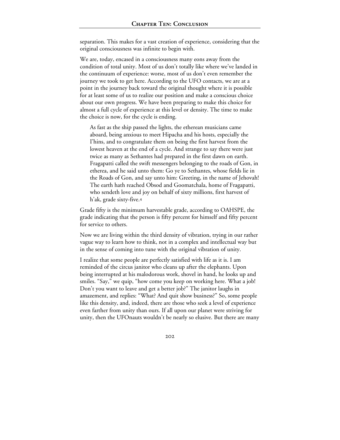separation. This makes for a vast creation of experience, considering that the original consciousness was infinite to begin with.

We are, today, encased in a consciousness many eons away from the condition of total unity. Most of us don't totally like where we've landed in the continuum of experience: worse, most of us don't even remember the journey we took to get here. According to the UFO contacts, we are at a point in the journey back toward the original thought where it is possible for at least some of us to realize our position and make a conscious choice about our own progress. We have been preparing to make this choice for almost a full cycle of experience at this level or density. The time to make the choice is now, for the cycle is ending.

As fast as the ship passed the lights, the etherean musicians came aboard, being anxious to meet Hipacha and his hosts, especially the I'hins, and to congratulate them on being the first harvest from the lowest heaven at the end of a cycle. And strange to say there were just twice as many as Sethantes had prepared in the first dawn on earth. Fragapatti called the swift messengers belonging to the roads of Gon, in etherea, and he said unto them: Go ye to Sethantes, whose fields lie in the Roads of Gon, and say unto him: Greeting, in the name of Jehovah! The earth hath reached Obsod and Goomatchala, home of Fragapatti, who sendeth love and joy on behalf of sixty millions, first harvest of h'ak, grade sixty-five.4

Grade fifty is the minimum harvestable grade, according to OAHSPE, the grade indicating that the person is fifty percent for himself and fifty percent for service to others.

Now we are living within the third density of vibration, trying in our rather vague way to learn how to think, not in a complex and intellectual way but in the sense of coming into tune with the original vibration of unity.

I realize that some people are perfectly satisfied with life as it is. I am reminded of the circus janitor who cleans up after the elephants. Upon being interrupted at his malodorous work, shovel in hand, he looks up and smiles. "Say," we quip, "how come you keep on working here. What a job! Don't you want to leave and get a better job?" The janitor laughs in amazement, and replies: "What? And quit show business?" So, some people like this density, and, indeed, there are those who seek a level of experience even farther from unity than ours. If all upon our planet were striving for unity, then the UFOnauts wouldn't be nearly so elusive. But there are many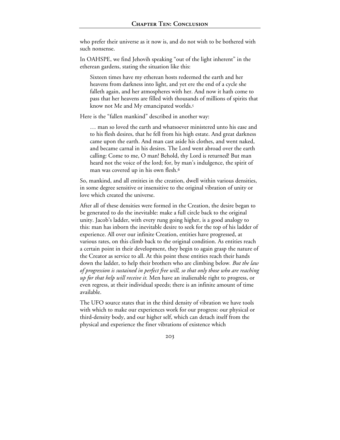who prefer their universe as it now is, and do not wish to be bothered with such nonsense.

In OAHSPE, we find Jehovih speaking "out of the light inherent" in the etherean gardens, stating the situation like this:

Sixteen times have my etherean hosts redeemed the earth and her heavens from darkness into light, and yet ere the end of a cycle she falleth again, and her atmospheres with her. And now it hath come to pass that her heavens are filled with thousands of millions of spirits that know not Me and My emancipated worlds.5

Here is the "fallen mankind" described in another way:

… man so loved the earth and whatsoever ministered unto his ease and to his flesh desires, that he fell from his high estate. And great darkness came upon the earth. And man cast aside his clothes, and went naked, and became carnal in his desires. The Lord went abroad over the earth calling: Come to me, O man! Behold, thy Lord is returned! But man heard not the voice of the lord; for, by man's indulgence, the spirit of man was covered up in his own flesh.6

So, mankind, and all entities in the creation, dwell within various densities, in some degree sensitive or insensitive to the original vibration of unity or love which created the universe.

After all of these densities were formed in the Creation, the desire began to be generated to do the inevitable: make a full circle back to the original unity. Jacob's ladder, with every rung going higher, is a good analogy to this: man has inborn the inevitable desire to seek for the top of his ladder of experience. All over our infinite Creation, entities have progressed, at various rates, on this climb back to the original condition. As entities reach a certain point in their development, they begin to again grasp the nature of the Creator as service to all. At this point these entities reach their hands down the ladder, to help their brothers who are climbing below*. But the law of progression is sustained in perfect free will, so that only those who are reaching up for that help will receive it.* Men have an inalienable right to progress, or even regress, at their individual speeds; there is an infinite amount of time available.

The UFO source states that in the third density of vibration we have tools with which to make our experiences work for our progress: our physical or third-density body, and our higher self, which can detach itself from the physical and experience the finer vibrations of existence which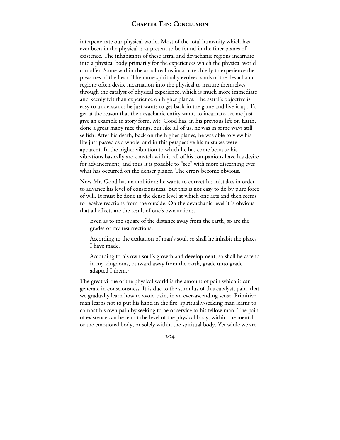interpenetrate our physical world. Most of the total humanity which has ever been in the physical is at present to be found in the finer planes of existence. The inhabitants of these astral and devachanic regions incarnate into a physical body primarily for the experiences which the physical world can offer. Some within the astral realms incarnate chiefly to experience the pleasures of the flesh. The more spiritually evolved souls of the devachanic regions often desire incarnation into the physical to mature themselves through the catalyst of physical experience, which is much more immediate and keenly felt than experience on higher planes. The astral's objective is easy to understand: he just wants to get back in the game and live it up. To get at the reason that the devachanic entity wants to incarnate, let me just give an example in story form. Mr. Good has, in his previous life on Earth, done a great many nice things, but like all of us, he was in some ways still selfish. After his death, back on the higher planes, he was able to view his life just passed as a whole, and in this perspective his mistakes were apparent. In the higher vibration to which he has come because his vibrations basically are a match with it, all of his companions have his desire for advancement, and thus it is possible to "see" with more discerning eyes what has occurred on the denser planes. The errors become obvious.

Now Mr. Good has an ambition: he wants to correct his mistakes in order to advance his level of consciousness. But this is not easy to do by pure force of will. It must be done in the dense level at which one acts and then seems to receive reactions from the outside. On the devachanic level it is obvious that all effects are the result of one's own actions.

Even as to the square of the distance away from the earth, so are the grades of my resurrections.

According to the exaltation of man's soul, so shall he inhabit the places I have made.

According to his own soul's growth and development, so shall he ascend in my kingdoms, outward away from the earth, grade unto grade adapted I them.7

The great virtue of the physical world is the amount of pain which it can generate in consciousness. It is due to the stimulus of this catalyst, pain, that we gradually learn how to avoid pain, in an ever-ascending sense. Primitive man learns not to put his hand in the fire: spiritually-seeking man learns to combat his own pain by seeking to be of service to his fellow man. The pain of existence can be felt at the level of the physical body, within the mental or the emotional body, or solely within the spiritual body. Yet while we are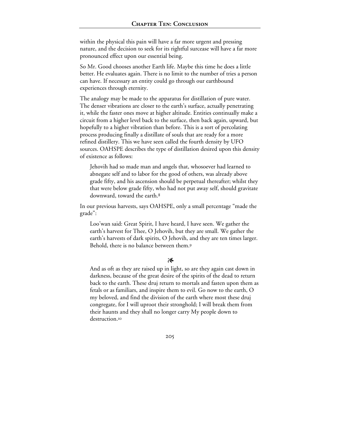within the physical this pain will have a far more urgent and pressing nature, and the decision to seek for its rightful surcease will have a far more pronounced effect upon our essential being.

So Mr. Good chooses another Earth life. Maybe this time he does a little better. He evaluates again. There is no limit to the number of tries a person can have. If necessary an entity could go through our earthbound experiences through eternity.

The analogy may be made to the apparatus for distillation of pure water. The denser vibrations are closer to the earth's surface, actually penetrating it, while the faster ones move at higher altitude. Entities continually make a circuit from a higher level back to the surface, then back again, upward, but hopefully to a higher vibration than before. This is a sort of percolating process producing finally a distillate of souls that are ready for a more refined distillery. This we have seen called the fourth density by UFO sources. OAHSPE describes the type of distillation desired upon this density of existence as follows:

Jehovih had so made man and angels that, whosoever had learned to abnegate self and to labor for the good of others, was already above grade fifty, and his ascension should be perpetual thereafter; whilst they that were below grade fifty, who had not put away self, should gravitate downward, toward the earth.<sup>8</sup>

In our previous harvests, says OAHSPE, only a small percentage "made the grade":

Loo'wan said: Great Spirit, I have heard, I have seen. We gather the earth's harvest for Thee, O Jehovih, but they are small. We gather the earth's harvests of dark spirits, O Jehovih, and they are ten times larger. Behold, there is no balance between them.9

#### $\partial$

And as oft as they are raised up in light, so are they again cast down in darkness, because of the great desire of the spirits of the dead to return back to the earth. These druj return to mortals and fasten upon them as fetals or as familiars, and inspire them to evil. Go now to the earth, O my beloved, and find the division of the earth where most these druj congregate, for I will uproot their stronghold; I will break them from their haunts and they shall no longer carry My people down to destruction.10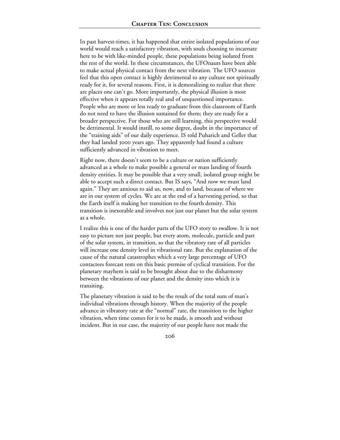In past harvest-times, it has happened that entire isolated populations of our world would reach a satisfactory vibration, with souls choosing to incarnate here to be with like-minded people, these populations being isolated from the rest of the world. In these circumstances, the UFOnauts have been able to make actual physical contact from the next vibration. The UFO sources feel that this open contact is highly detrimental to any culture not spiritually ready for it, for several reasons. First, it is demoralizing to realize that there are places one can't go. More importantly, the physical illusion is most effective when it appears totally real and of unquestioned importance. People who are more or less ready to graduate from this classroom of Earth do not need to have the illusion sustained for them; they are ready for a broader perspective. For those who are still learning, this perspective would be detrimental. It would instill, to some degree, doubt in the importance of the "training aids" of our daily experience. IS told Puharich and Geller that they had landed 3000 years ago. They apparently had found a culture sufficiently advanced in vibration to meet.

Right now, there doesn't seem to be a culture or nation sufficiently advanced as a whole to make possible a general or mass landing of fourth density entities. It may be possible that a very small, isolated group might be able to accept such a direct contact. But IS says, "And now we must land again." They are anxious to aid us, now, and to land, because of where we are in our system of cycles. We are at the end of a harvesting period, so that the Earth itself is making her transition to the fourth density. This transition is inexorable and involves not just our planet but the solar system as a whole.

I realize this is one of the harder parts of the UFO story to swallow. It is not easy to picture not just people, but every atom, molecule, particle and part of the solar system, in transition, so that the vibratory rate of all particles will increase one density level in vibrational rate. But the explanation of the cause of the natural catastrophes which a very large percentage of UFO contactees forecast rests on this basic premise of cyclical transition. For the planetary mayhem is said to be brought about due to the disharmony between the vibrations of our planet and the density into which it is transiting.

The planetary vibration is said to be the result of the total sum of man's individual vibrations through history. When the majority of the people advance in vibratory rate at the "normal" rate, the transition to the higher vibration, when time comes for it to be made, is smooth and without incident. But in our case, the majority of our people have not made the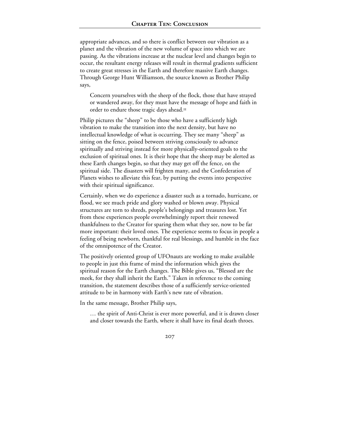appropriate advances, and so there is conflict between our vibration as a planet and the vibration of the new volume of space into which we are passing. As the vibrations increase at the nuclear level and changes begin to occur, the resultant energy releases will result in thermal gradients sufficient to create great stresses in the Earth and therefore massive Earth changes. Through George Hunt Williamson, the source known as Brother Philip says,

Concern yourselves with the sheep of the flock, those that have strayed or wandered away, for they must have the message of hope and faith in order to endure those tragic days ahead.<sup>11</sup>

Philip pictures the "sheep" to be those who have a sufficiently high vibration to make the transition into the next density, but have no intellectual knowledge of what is occurring. They see many "sheep" as sitting on the fence, poised between striving consciously to advance spiritually and striving instead for more physically-oriented goals to the exclusion of spiritual ones. It is their hope that the sheep may be alerted as these Earth changes begin, so that they may get off the fence, on the spiritual side. The disasters will frighten many, and the Confederation of Planets wishes to alleviate this fear, by putting the events into perspective with their spiritual significance.

Certainly, when we do experience a disaster such as a tornado, hurricane, or flood, we see much pride and glory washed or blown away. Physical structures are torn to shreds, people's belongings and treasures lost. Yet from these experiences people overwhelmingly report their renewed thankfulness to the Creator for sparing them what they see, now to be far more important: their loved ones. The experience seems to focus in people a feeling of being newborn, thankful for real blessings, and humble in the face of the omnipotence of the Creator.

The positively oriented group of UFOnauts are working to make available to people in just this frame of mind the information which gives the spiritual reason for the Earth changes. The Bible gives us, "Blessed are the meek, for they shall inherit the Earth." Taken in reference to the coming transition, the statement describes those of a sufficiently service-oriented attitude to be in harmony with Earth's new rate of vibration.

In the same message, Brother Philip says,

… the spirit of Anti-Christ is ever more powerful, and it is drawn closer and closer towards the Earth, where it shall have its final death throes.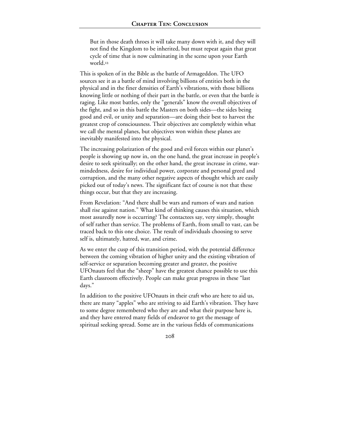But in those death throes it will take many down with it, and they will not find the Kingdom to be inherited, but must repeat again that great cycle of time that is now culminating in the scene upon your Earth world.12

This is spoken of in the Bible as the battle of Armageddon. The UFO sources see it as a battle of mind involving billions of entities both in the physical and in the finer densities of Earth's vibrations, with those billions knowing little or nothing of their part in the battle, or even that the battle is raging. Like most battles, only the "generals" know the overall objectives of the fight, and so in this battle the Masters on both sides—the sides being good and evil, or unity and separation—are doing their best to harvest the greatest crop of consciousness. Their objectives are completely within what we call the mental planes, but objectives won within these planes are inevitably manifested into the physical.

The increasing polarization of the good and evil forces within our planet's people is showing up now in, on the one hand, the great increase in people's desire to seek spiritually; on the other hand, the great increase in crime, warmindedness, desire for individual power, corporate and personal greed and corruption, and the many other negative aspects of thought which are easily picked out of today's news. The significant fact of course is not that these things occur, but that they are increasing.

From Revelation: "And there shall be wars and rumors of wars and nation shall rise against nation." What kind of thinking causes this situation, which most assuredly now is occurring? The contactees say, very simply, thought of self rather than service. The problems of Earth, from small to vast, can be traced back to this one choice. The result of individuals choosing to serve self is, ultimately, hatred, war, and crime.

As we enter the cusp of this transition period, with the potential difference between the coming vibration of higher unity and the existing vibration of self-service or separation becoming greater and greater, the positive UFOnauts feel that the "sheep" have the greatest chance possible to use this Earth classroom effectively. People can make great progress in these "last days."

In addition to the positive UFOnauts in their craft who are here to aid us, there are many "apples" who are striving to aid Earth's vibration. They have to some degree remembered who they are and what their purpose here is, and they have entered many fields of endeavor to get the message of spiritual seeking spread. Some are in the various fields of communications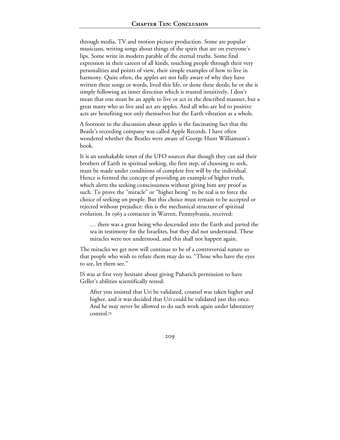through media, TV and motion picture production. Some are popular musicians, writing songs about things of the spirit that are on everyone's lips. Some write in modern parable of the eternal truths. Some find expression in their careers of all kinds, touching people through their very personalities and points of view, their simple examples of how to live in harmony. Quite often, the apples are not fully aware of why they have written these songs or words, lived this life, or done these deeds; he or she is simply following an inner direction which is trusted intuitively. I don't mean that one must be an apple to live or act in the described manner, but a great many who so live and act are apples. And all who are led to positive acts are benefiting not only themselves but the Earth vibration as a whole.

A footnote to the discussion about apples is the fascinating fact that the Beatle's recording company was called Apple Records. I have often wondered whether the Beatles were aware of George Hunt Williamson's book.

It is an unshakable tenet of the UFO sources that though they can aid their brothers of Earth in spiritual seeking, the first step, of choosing to seek, must be made under conditions of complete free will by the individual. Hence is formed the concept of providing an example of higher truth, which alerts the seeking consciousness without giving him any proof as such. To prove the "miracle" or "higher being" to be real is to force the choice of seeking on people. But this choice must remain to be accepted or rejected without prejudice: this is the mechanical structure of spiritual evolution. In 1963 a contactee in Warren, Pennsylvania, received:

… there was a great being who descended into the Earth and parted the sea in testimony for the Israelites, but they did not understand. These miracles were not understood, and this shall not happen again.

The miracles we get now will continue to be of a controversial nature so that people who wish to refute them may do so. "Those who have the eyes to see, let them see."

IS was at first very hesitant about giving Puharich permission to have Geller's abilities scientifically tested:

After you insisted that Uri be validated, counsel was taken higher and higher, and it was decided that Uri could be validated just this once. And he may never be allowed to do such work again under laboratory control.13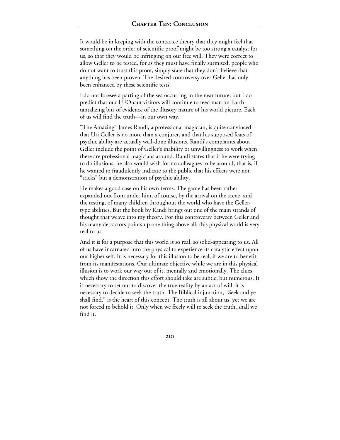It would be in keeping with the contactee theory that they might feel that something on the order of scientific proof might be too strong a catalyst for us, so that they would be infringing on our free will. They were correct to allow Geller to be tested, for as they must have finally surmised, people who do not want to trust this proof, simply state that they don't believe that anything has been proven. The desired controversy over Geller has only been enhanced by these scientific tests!

I do not foresee a parting of the sea occurring in the near future; but I do predict that our UFOnaut visitors will continue to feed man on Earth tantalizing bits of evidence of the illusory nature of his world picture. Each of us will find the truth—in our own way.

"The Amazing" James Randi, a professional magician, is quite convinced that Uri Geller is no more than a conjurer, and that his supposed feats of psychic ability are actually well-done illusions. Randi's complaints about Geller include the point of Geller's inability or unwillingness to work when there are professional magicians around. Randi states that if he were trying to do illusions, he also would wish for no colleagues to be around, that is, if he wanted to fraudulently indicate to the public that his effects were not "tricks" but a demonstration of psychic ability.

He makes a good case on his own terms. The game has been rather expanded out from under him, of course, by the arrival on the scene, and the testing, of many children throughout the world who have the Gellertype abilities. But the book by Randi brings out one of the main strands of thought that weave into my theory. For this controversy between Geller and his many detractors points up one thing above all: this physical world is very real to us.

And it is for a purpose that this world is so real, so solid-appearing to us. All of us have incarnated into the physical to experience its catalytic effect upon our higher self. It is necessary for this illusion to be real, if we are to benefit from its manifestations. Our ultimate objective while we are in this physical illusion is to work our way out of it, mentally and emotionally. The clues which show the direction this effort should take are subtle, but numerous. It is necessary to set out to discover the true reality by an act of will: it is necessary to decide to seek the truth. The Biblical injunction, "Seek and ye shall find," is the heart of this concept. The truth is all about us, yet we are not forced to behold it. Only when we freely will to seek the truth, shall we find it.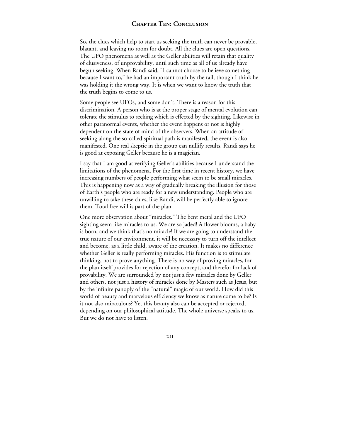So, the clues which help to start us seeking the truth can never be provable, blatant, and leaving no room for doubt. All the clues are open questions. The UFO phenomena as well as the Geller abilities will retain that quality of elusiveness, of unprovability, until such time as all of us already have begun seeking. When Randi said, "I cannot choose to believe something because I want to," he had an important truth by the tail, though I think he was holding it the wrong way. It is when we want to know the truth that the truth begins to come to us.

Some people see UFOs, and some don't. There is a reason for this discrimination. A person who is at the proper stage of mental evolution can tolerate the stimulus to seeking which is effected by the sighting. Likewise in other paranormal events, whether the event happens or not is highly dependent on the state of mind of the observers. When an attitude of seeking along the so-called spiritual path is manifested, the event is also manifested. One real skeptic in the group can nullify results. Randi says he is good at exposing Geller because he is a magician.

I say that I am good at verifying Geller's abilities because I understand the limitations of the phenomena. For the first time in recent history, we have increasing numbers of people performing what seem to be small miracles. This is happening now as a way of gradually breaking the illusion for those of Earth's people who are ready for a new understanding. People who are unwilling to take these clues, like Randi, will be perfectly able to ignore them. Total free will is part of the plan.

One more observation about "miracles." The bent metal and the UFO sighting seem like miracles to us. We are so jaded! A flower blooms, a baby is born, and we think that's no miracle! If we are going to understand the true nature of our environment, it will be necessary to turn off the intellect and become, as a little child, aware of the creation. It makes no difference whether Geller is really performing miracles. His function is to stimulate thinking, not to prove anything. There is no way of proving miracles, for the plan itself provides for rejection of any concept, and therefor for lack of provability. We are surrounded by not just a few miracles done by Geller and others, not just a history of miracles done by Masters such as Jesus, but by the infinite panoply of the "natural" magic of our world. How did this world of beauty and marvelous efficiency we know as nature come to be? Is it not also miraculous? Yet this beauty also can be accepted or rejected, depending on our philosophical attitude. The whole universe speaks to us. But we do not have to listen.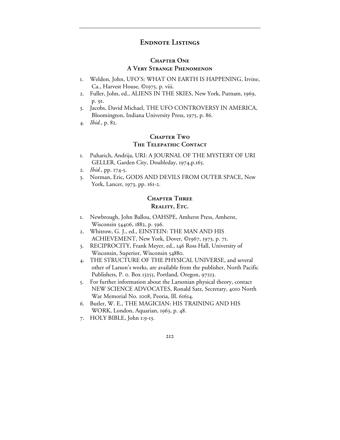# **Endnote Listings**

### **Chapter One A Very Strange Phenomenon**

- 1. Weldon, John, UFO'S: WHAT ON EARTH IS HAPPENING, Irvine, Ca., Harvest House, ©1975, p. viii.
- 2. Fuller, John, ed., ALIENS IN THE SKIES, New York, Putnam, 1969, p. 91.
- 3. Jacobs, David Michael, THE UFO CONTROVERSY IN AMERICA, Bloomington, Indiana University Press, 1975, p. 86.
- 4*. Ibid.*, p. 82.

# **Chapter Two The Telepathic Contact**

- 1*.* Puharich, Andrija, URI: A JOURNAL OF THE MYSTERY OF URI GELLER, Garden City, Doubleday, 1974,p.165.
- 2*. Ibid.*, pp. 174-5.
- 3. Norman, Eric, GODS AND DEVILS FROM OUTER SPACE, New York, Lancer, 1973, pp. 161-2.

# **Chapter Three Reality, Etc.**

- 1. Newbrough, John Ballou, OAHSPE, Amherst Press, Amherst, Wisconsin 54406, 1882, p. 596.
- 2. Whitrow, G. J., ed., EINSTEIN: THE MAN AND HIS ACHIEVEMENT, New York, Dover, ©1967, 1973, p. 71.
- 3. RECIPROCITY, Frank Meyer, ed., 146 Ross Hall, University of Wisconsin, Superior, Wisconsin 54880.
- 4. THE STRUCTURE OF THE PHYSICAL UNIVERSE, and several other of Larson's works, are available from the publisher, North Pacific Publishers, P. 0. Box 13255, Portland, Oregon, 97213.
- 5. For further information about the Larsonian physical theory, contact NEW SCIENCE ADVOCATES, Ronald Satz, Secretary, 4010 North War Memorial No. 1008, Peoria, Ill. 61614.
- 6. Butler, W. E., THE MAGICIAN: HIS TRAINING AND HIS WORK, London, Aquarian, 1963, p. 48.
- 7. HOLY BIBLE, John 1:9-13.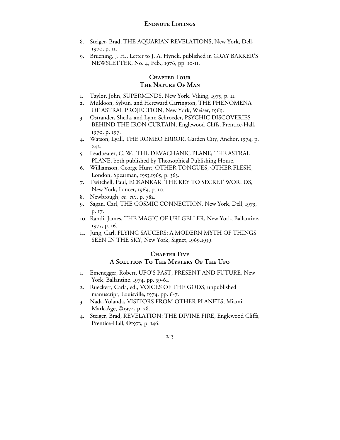- 8. Steiger, Brad, THE AQUARIAN REVELATIONS, New York, Dell, 1970, p. 11.
- 9. Bruening, J. H., Letter to J. A. Hynek, published in GRAY BARKER'S NEWSLETTER, No. 4, Feb., 1976, pp. 10-11.

# **Chapter Four The Nature Of Man**

- 1. Taylor, John, SUPERMINDS, New York, Viking, 1975, p. 11.
- 2. Muldoon, Sylvan, and Hereward Carrington, THE PHENOMENA OF ASTRAL PROJECTION, New York, Weiser, 1969.
- 3. Ostrander, Sheila, and Lynn Schroeder, PSYCHIC DISCOVERIES BEHIND THE IRON CURTAIN, Englewood Cliffs, Prentice-Hall, 1970, p. 197.
- 4. Watson, Lyall, THE ROMEO ERROR, Garden City, Anchor, 1974, p. 242.
- 5. Leadbeater, C. W., THE DEVACHANIC PLANE; THE ASTRAL PLANE, both published by Theosophical Publishing House.
- 6. Williamson, George Hunt, OTHER TONGUES, OTHER FLESH, London, Spearman, 1953,1965, p. 363.
- 7. Twitchell, Paul, ECKANKAR: THE KEY TO SECRET WORLDS, New York, Lancer, 1969, p. 10.
- 8. Newbrough, *op. cit.*, p. 782.
- 9. Sagan, Carl, THE COSMIC CONNECTION, New York, Dell, 1973, p. 17.
- 10. Randi, James, THE MAGIC OF URI GELLER, New York, Ballantine, 1975, p. 16.
- 11. Jung, Carl, FLYING SAUCERS: A MODERN MYTH OF THINGS SEEN IN THE SKY, New York, Signet, 1969,1959.

# **Chapter Five A Solution To The Mystery Of The Ufo**

- 1. Emenegger, Robert, UFO'S PAST, PRESENT AND FUTURE, New York, Ballantine, 1974, pp. 59-61.
- 2. Rueckert, Carla, ed., VOICES OF THE GODS, unpublished manuscript, Louisville, 1974, pp. 6-7.
- 3. Nada-Yolanda, VISITORS FROM OTHER PLANETS, Miami, Mark-Age, ©1974, p. 28.
- 4. Steiger, Brad, REVELATION: THE DIVINE FIRE, Englewood Cliffs, Prentice-Hall, ©1973, p. 146.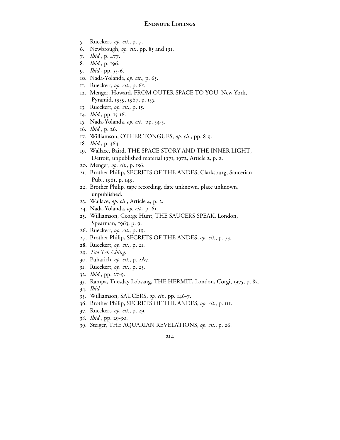- . Rueckert, *op. cit.*, p. 7.
- . Newbrough, *op. cit.*, pp. 85 and 191.
- *. Ibid.*, p. 477.
- *. Ibid.*, p. 196.
- *. Ibid.*, pp. 55-6.
- . Nada-Yolanda, *op. cit.*, p. 65.
- . Rueckert, *op. cit.*, p. 65.
- . Menger, Howard, FROM OUTER SPACE TO YOU, New York, Pyramid, 1959, 1967, p. 155.
- . Rueckert, *op. cit.*, p. 15.
- *. Ibid.*, pp. 15-16.
- . Nada-Yolanda, *op. cit.*, pp. 54-5.
- *. Ibid.*, p. 26.
- *.* Williamson, OTHER TONGUES, *op. cit.*, pp. 8-9.
- *. Ibid.*, p. 364.
- . Wallace, Baird, THE SPACE STORY AND THE INNER LIGHT, Detroit, unpublished material 1971, 1972, Article 2, p. 2.
- . Menger, *op. cit.*, p. 156.
- . Brother Philip, SECRETS OF THE ANDES, Clarksburg, Saucerian Pub., 1961, p. 149.
- . Brother Philip, tape recording, date unknown, place unknown, unpublished.
- . Wallace, *op. cit.*, Article 4, p. 2.
- . Nada-Yolanda, *op. cit.*, p. 61.
- . Williamson, George Hunt, THE SAUCERS SPEAK, London, Spearman, 1963, p. 9.
- . Rueckert, *op. cit.*, p. 19.
- . Brother Philip, SECRETS OF THE ANDES, *op. cit.*, p. 73.
- . Rueckert, *op. cit.*, p. 21.
- . *Tao Teh Ching*.
- . Puharich, *op. cit.*, p. 2A7.
- . Rueckert, *op. cit.*, p. 25.
- *. Ibid.*, pp. 27-9.
- . Rampa, Tuesday Lobsang, THE HERMIT, London, Corgi, 1975, p. 82.
- *. Ibid.*
- . Williamson, SAUCERS, *op. cit.*, pp. 146-7.
- . Brother Philip, SECRETS OF THE ANDES, *op. cit.*, p. 111.
- . Rueckert, *op. cit.*, p. 29.
- *. Ibid.*, pp. 29-30.
- . Steiger, THE AQUARIAN REVELATIONS, *op. cit.*, p. 26.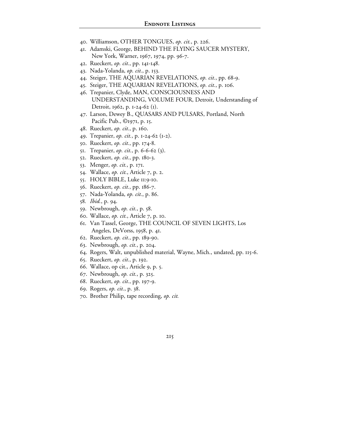- . Williamson, OTHER TONGUES, *op. cit.*, p. 226.
- . Adamski, George, BEHIND THE FLYING SAUCER MYSTERY, New York, Warner, 1967, 1974, pp. 96-7.
- . Rueckert, *op. cit.*, pp. 141-148.
- . Nada-Yolanda, *op. cit.*, p. 153.
- . Steiger, THE AQUARIAN REVELATIONS, *op. cit.*, pp. 68-9.
- . Steiger, THE AQUARIAN REVELATIONS, *op. cit.*, p. 106.
- . Trepanier, Clyde, MAN, CONSCIOUSNESS AND UNDERSTANDING, VOLUME FOUR, Detroit, Understanding of Detroit, 1962, p. 1-24-62 (1).
- . Larson, Dewey B., QUASARS AND PULSARS, Portland, North Pacific Pub., ©1971, p. 15.
- . Rueckert, *op. cit.*, p. 160.
- . Trepanier, *op. cit.*, p. 1-24-62 (1-2).
- . Rueckert, *op. cit.*, pp. 174-8.
- . Trepanier, *op. cit.*, p. 6-6-62 (3).
- . Rueckert, *op. cit.*, pp. 180-3.
- . Menger, *op. cit.*, p. 171.
- . Wallace, *op. cit.*, Article 7, p. 2.
- . HOLY BIBLE, Luke 11:9-10.
- . Rueckert, *op. cit.*, pp. 186-7.
- . Nada-Yolanda, *op. cit.*, p. 86.
- *. Ibid.*, p. 94.
- . Newbrough, *op. cit.*, p. 58.
- . Wallace, *op. cit.*, Article 7, p. 10.
- . Van Tassel, George, THE COUNCIL OF SEVEN LIGHTS, Los Angeles, DeVorss, 1958, p. 41.
- . Rueckert, *op. cit.*, pp. 189-90.
- . Newbrough, *op. cit.*, p. 204.
- . Rogers, Walt, unpublished material, Wayne, Mich., undated, pp. 115-6.
- . Rueckert, *op. cit.*, p. 192.
- . Wallace, op cit., Article 9, p. 5.
- . Newbrough, *op. cit.*, p. 325.
- . Rueckert, *op. cit.*, pp. 197-9.
- . Rogers, *op. cit.*, p. 38.
- . Brother Philip, tape recording, *op. cit.*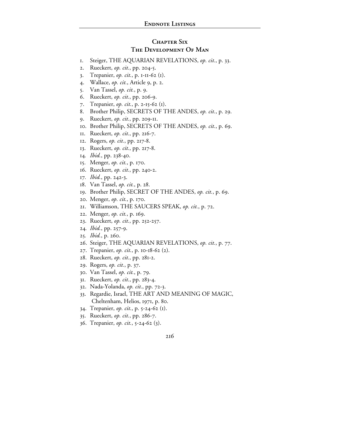#### **Chapter Six The Development Of Man**

- . Steiger, THE AQUARIAN REVELATIONS, *op. cit.*, p. 33.
- . Rueckert, *op. cit.*, pp. 204-5.
- . Trepanier, *op. cit.*, p. 1-11-62 (1).
- . Wallace, *op. cit.*, Article 9, p. 2.
- . Van Tassel, *op. cit.*, p. 9.
- . Rueckert, *op. cit.*, pp. 206-9.
- . Trepanier, *op. cit.*, p. 2-15-62 (1).
- . Brother Philip, SECRETS OF THE ANDES, *op. cit.*, p. 29.
- . Rueckert, *op. cit.*, pp. 209-11.
- . Brother Philip, SECRETS OF THE ANDES, *op. cit.*, p. 69.
- . Rueckert, *op. cit.*, pp. 216-7.
- . Rogers, *op. cit.*, pp. 217-8.
- . Rueckert, *op. cit.*, pp. 217-8.
- *. Ibid.*, pp. 238-40.
- . Menger, *op. cit.*, p. 170.
- . Rueckert, *op. cit.*, pp. 240-2.
- *. Ibid.*, pp. 242-3.
- . Van Tassel, *op. cit.*, p. 28.
- . Brother Philip, SECRET OF THE ANDES, *op. cit.*, p. 69.
- . Menger, *op. cit.*, p. 170.
- . Williamson, THE SAUCERS SPEAK, *op. cit.*, p. 72.
- . Menger, *op. cit.*, p. 169.
- . Rueckert, *op. cit.*, pp. 252-257.
- *. Ibid.*, pp. 257-9.
- *. Ibid.*, p. 260.
- . Steiger, THE AQUARIAN REVELATIONS, *op. cit.*, p. 77.
- . Trepanier, *op. cit.*, p. 10-18-62 (2).
- . Rueckert, *op. cit.*, pp. 281-2.
- . Rogers, *op. cit.*, p. 37.
- . Van Tassel, *op. cit.*, p. 79.
- . Rueckert, *op. cit.*, pp. 283-4.
- . Nada-Yolanda, *op. cit.*, pp. 72-3.
- . Regardie, Israel, THE ART AND MEANING OF MAGIC, Cheltenham, Helios, 1971, p. 80.
- . Trepanier, *op. cit.*, p. 5-24-62 (1).
- . Rueckert, *op. cit.*, pp. 286-7.
- . Trepanier, *op. cit.*, 5-24-62 (3).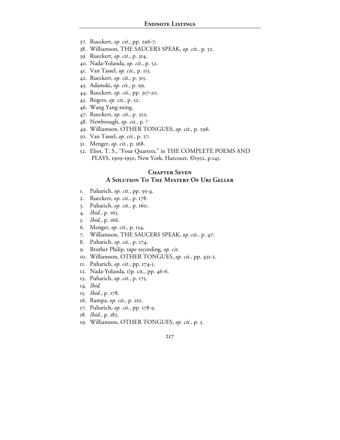- . Rueckert, *op. cit.*, pp. 296-7.
- . Williamson, THE SAUCERS SPEAK, *op. cit.*, p. 52.
- . Rueckert, *op. cit.*, p. 314.
- . Nada-Yolanda, *op. cit.*, p. 52.
- . Van Tassel, *op. cit.*, p. 113.
- . Rueckert, *op. cit.*, p. 315.
- . Adamski, *op. cit.*, p. 99.
- . Rueckert, *op. cit.*, pp. 317-20.
- . Rogers, *op. cit.*, p. 52.
- . Wang Yang-ming.
- . Rueckert, *op. cit.*, p. 322.
- . Newbrough, *op. cit.*, p. ?
- . Williamson, OTHER TONGUES, *op. cit.*, p. 296.
- . Van Tassel, *op. cit.*, p. 27.
- . Menger, *op. cit.*, p. 168.
- . Eliot, T. S., "Four Quartets," in THE COMPLETE POEMS AND PLAYS, 1909-1950, New York, Harcourt, ©1952, p.145.

## **Chapter Seven A Solution To The Mystery Of Uri Geller**

- . Puharich, *op. cit.*, pp. 93-4.
- . Rueckert, *op. cit.*, p. 178.
- . Puharich, *op. cit.*, p. 160.
- *. Ibid.*, p. 165.
- *. Ibid.*, p. 166.
- . Menger, *op. cit.*, p. 154.
- . Williamson, THE SAUCERS SPEAK, *op. cit.*, p. 47.
- . Puharich, *op. cit.*, p. 174.
- . Brother Philip, tape recording, *op. cit.*
- . Williamson, OTHER TONGUES, *op. cit.*, pp. 431-2.
- . Puharich, *op. cit.*, pp. 174-5.
- . Nada-Yolanda, t)p. cit., pp. 46-6.
- . Puharich, *op. cit.*, p. 175.
- *. Ibid.*
- *. Ibid.*, p. 178.
- . Rampa, *op. cit.*, p. 110.
- . Puharich, *op. cit.*, pp. 178-9.
- *. Ibid.*, p. 182.
- . Williamson, OTHER TONGUES, *op. cit.*, p. 5.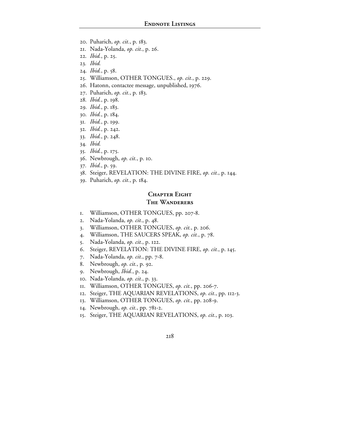- . Puharich, *op. cit.*, p. 183.
- . Nada-Yolanda, *op. cit.*, p. 26.
- *. Ibid.*, p. 25.
- *. Ibid.*
- *. Ibid.*, p. 58.
- . Williamson, OTHER TONGUES., *op. cit.*, p. 229.
- . Hatonn, contactee message, unpublished, 1976.
- . Puharich, *op. cit.*, p. 183.
- *. Ibid.*, p. 198.
- *. Ibid.*, p. 183.
- *. Ibid.*, p. 184.
- *. Ibid.*, p. 199.
- *. Ibid.*, p. 242.
- *. Ibid.*, p. 248.
- *. Ibid.*
- *. Ibid.*, p. 175.
- . Newbrough, *op. cit.*, p. 10.
- *. Ibid.*, p. 59.
- . Steiger, REVELATION: THE DIVINE FIRE, *op. cit.*, p. 144.
- . Puharich, *op. cit.*, p. 184.

#### **Chapter Eight The Wanderers**

- . Williamson, OTHER TONGUES, pp. 207-8.
- . Nada-Yolanda, *op. cit.*, p. 48.
- . Williamson, OTHER TONGUES, *op. cit.*, p. 206.
- . Williamson, THE SAUCERS SPEAK, *op. cit.*, p. 78.
- . Nada-Yolanda, *op. cit.*, p. 122.
- . Steiger, REVELATION: THE DIVINE FIRE, *op. cit.*, p. 145.
- . Nada-Yolanda, *op. cit.*, pp. 7-8.
- . Newbrough, *op. cit.*, p. 92.
- . Newbrough, *Ibid.*, p. 24.
- . Nada-Yolanda, *op. cit.*, p. 33.
- . Williamson, OTHER TONGUES, *op. cit.*, pp. 206-7.
- . Steiger, THE AQUARIAN REVELATIONS, *op. cit.*, pp. 112-3.
- . Williamson, OTHER TONGUES, *op. cit.*, pp. 208-9.
- . Newbrough, *op. cit.*, pp. 781-2.
- . Steiger, THE AQUARIAN REVELATIONS, *op. cit.*, p. 103.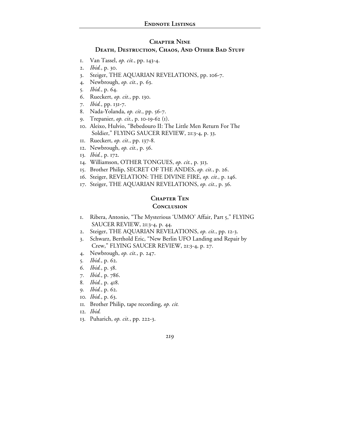### **Chapter Nine**

### DEATH, DESTRUCTION, CHAOS, AND OTHER BAD STUFF

- . Van Tassel, *op. cit.*, pp. 143-4.
- . *Ibid.*, p. 30.
- . Steiger, THE AQUARIAN REVELATIONS, pp. 106-7.
- . Newbrough, *op. cit.*, p. 63.
- *. Ibid.*, p. 64.
- . Rueckert, *op. cit.*, pp. 130.
- *. Ibid.*, pp. 131-7.
- . Nada-Yolanda, *op. cit.*, pp. 56-7.
- . Trepanier, *op. cit.*, p. 10-19-62 (1).
- . Aleixo, Hulvio, "Bebedouro II: The Little Men Return For The Soldier," FLYING SAUCER REVIEW, 21:3-4, p. 33.
- . Rueckert, *op. cit.*, pp. 137-8.
- . Newbrough, *op. cit.*, p. 56.
- *. Ibid.*, p. 172.
- . Williamson, OTHER TONGUES, *op. cit.*, p. 313.
- . Brother Philip, SECRET OF THE ANDES, *op. cit.*, p. 26.
- . Steiger, REVELATION: THE DIVINE FIRE, *op. cit.*, p. 146.
- . Steiger, THE AQUARIAN REVELATIONS, *op. cit.*, p. 36.

# **Chapter Ten**

#### **Conclusion**

- . Ribera, Antonio, "The Mysterious 'UMMO' Affair, Part 5," FLYING SAUCER REVIEW, 21:3-4, p. 44.
- . Steiger, THE AQUARIAN REVELATIONS, *op. cit.*, pp. 12-3.
- . Schwarz, Berthold Eric, "New Berlin UFO Landing and Repair by Crew," FLYING SAUCER REVIEW, 21:3-4, p. 27.
- . Newbrough, *op. cit.*, p. 247.
- *. Ibid.*, p. 62.
- *. Ibid.*, p. 58.
- *. Ibid.*, p. 786.
- *. Ibid.*, p. 418.
- *. Ibid.*, p. 62.
- *. Ibid.*, p. 63.
- *.* Brother Philip, tape recording, *op. cit.*
- *. Ibid.*
- *.* Puharich, *op. cit.*, pp. 222-3.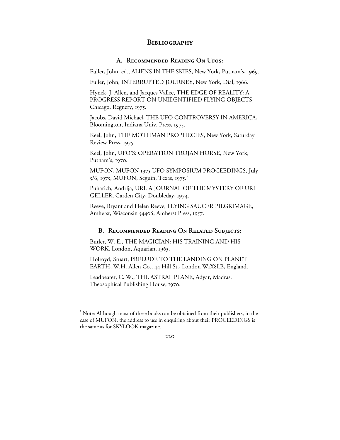# **Bibliography**

# **A. Recommended Reading On Ufos:**

Fuller, John, ed., ALIENS IN THE SKIES, New York, Putnam's, 1969.

Fuller, John, INTERRUPTED JOURNEY, New York, Dial, 1966.

Hynek, J. Allen, and Jacques Vallee, THE EDGE OF REALITY: A PROGRESS REPORT ON UNIDENTIFIED FLYING OBJECTS, Chicago, Regnery, 1975.

Jacobs, David Michael, THE UFO CONTROVERSY IN AMERICA, Bloomington, Indiana Univ. Press, 1975.

Keel, John, THE MOTHMAN PROPHECIES, New York, Saturday Review Press, 1975.

Keel, John, UFO'S: OPERATION TROJAN HORSE, New York, Putnam's, 1970.

MUFON, MUFON 1975 UFO SYMPOSIUM PROCEEDINGS, July 5/6, 1975, MUFON, Seguin, Texas, 1975.<sup>1</sup>

Puharich, Andrija, URI: A JOURNAL OF THE MYSTERY OF URI GELLER, Garden City, Doubleday, 1974.

Reeve, Bryant and Helen Reeve, FLYING SAUCER PILGRIMAGE, Amherst, Wisconsin 54406, Amherst Press, 1957.

# **B. Recommended Reading On Related Subjects:**

Butler, W. E., THE MAGICIAN: HIS TRAINING AND HIS WORK, London, Aquarian, 1963.

Holroyd, Stuart, PRELUDE TO THE LANDING ON PLANET EARTH, W.H. Allen Co., 44 Hill St., London W1X8LB, England.

Leadbeater, C. W., THE ASTRAL PLANE, Adyar, Madras, Theosophical Publishing House, 1970.

1

<sup>&</sup>lt;sup>1</sup> Note: Although most of these books can be obtained from their publishers, in the case of MUFON, the address to use in enquiring about their PROCEEDINGS is the same as for SKYLOOK magazine.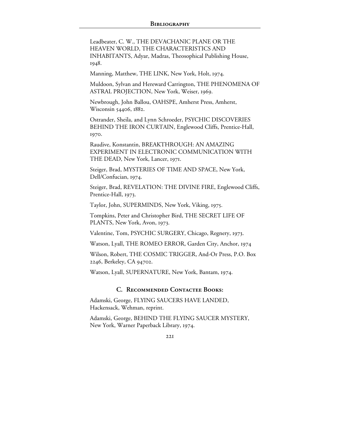Leadbeater, C. W., THE DEVACHANIC PLANE OR THE HEAVEN WORLD, THE CHARACTERISTICS AND INHABITANTS, Adyar, Madras, Theosophical Publishing House, 1948.

Manning, Matthew, THE LINK, New York, Holt, 1974.

Muldoon, Sylvan and Hereward Carrington, THE PHENOMENA OF ASTRAL PROJECTION, New York, Weiser, 1969.

Newbrough, John Ballou, OAHSPE, Amherst Press, Amherst, Wisconsin 54406, 1882.

Ostrander, Sheila, and Lynn Schroeder, PSYCHIC DISCOVERIES BEHIND THE IRON CURTAIN, Englewood Cliffs, Prentice-Hall, 1970.

Raudive, Konstantin, BREAKTHROUGH: AN AMAZING EXPERIMENT IN ELECTRONIC COMMUNICATION WITH THE DEAD, New York, Lancer, 1971.

Steiger, Brad, MYSTERIES OF TIME AND SPACE, New York, Dell/Confucian, 1974.

Steiger, Brad, REVELATION: THE DIVINE FIRE, Englewood Cliffs, Prentice-Hall, 1973.

Taylor, John, SUPERMINDS, New York, Viking, 1975.

Tompkins, Peter and Christopher Bird, THE SECRET LIFE OF PLANTS, New York, Avon, 1973.

Valentine, Tom, PSYCHIC SURGERY, Chicago, Regnery, 1973.

Watson, Lyall, THE ROMEO ERROR, Garden City, Anchor, 1974

Wilson, Robert, THE COSMIC TRIGGER, And-Or Press, P.O. Box 2246, Berkeley, CA 94702.

Watson, Lyall, SUPERNATURE, New York, Bantam, 1974.

## **C. Recommended Contactee Books:**

Adamski, George, FLYING SAUCERS HAVE LANDED, Hackensack, Wehman, reprint.

Adamski, George, BEHIND THE FLYING SAUCER MYSTERY, New York, Warner Paperback Library, 1974.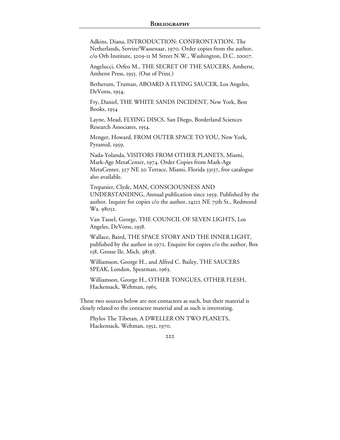Adkins, Diana, INTRODUCTION: CONFRONTATION, The Netherlands, Servire/Wassenaar, 1970. Order copies from the author, c/o Orb Institute, 3209-11 M Street N.W., Washington, D.C. 20007.

Angelucci, Orfeo M., THE SECRET OF THE SAUCERS, Amherst, Amherst Press, 1955. (Out of Print.)

Betherum, Truman, ABOARD A FLYING SAUCER, Los Angeles, DeVorss, 1954.

Fry, Daniel, THE WHITE SANDS INCIDENT, New York, Best Books, 1954

Layne, Mead, FLYING DISCS, San Diego, Borderland Sciences Research Associates, 1954.

Menger, Howard, FROM OUTER SPACE TO YOU, New York, Pyramid, 1959.

Nada-Yolanda, VISITORS FROM OTHER PLANETS, Miami, Mark-Age MetaCenter, 1974. Order Copies from Mark-Age MetaCenter, 327 NE 20 Terrace, Miami, Florida 33137, free catalogue also available.

Trepanier, Clyde, MAN, CONSCIOUSNESS AND UNDERSTANDING, Annual publication since 1959. Published by the author. Inquire for copies c/o the author, 14212 NE 75th St., Redmond Wa. 98052.

Van Tassel, George, THE COUNCIL OF SEVEN LIGHTS, Los Angeles, DeVorss, 1958.

Wallace, Baird, THE SPACE STORY AND THE INNER LIGHT, published by the author in 1972. Enquire for copies c/o the author, Box 158, Grosse Ile, Mich. 98138.

Williamson, George H., and Alfred C. Bailey, THE SAUCERS SPEAK, London, Spearman, 1963.

Williamson, George H., OTHER TONGUES, OTHER FLESH, Hackensack, Wehman, 1965.

These two sources below are not contactees as such, but their material is closely related to the contactee material and as such is interesting.

Phylos The Tibetan, A DWELLER ON TWO PLANETS, Hackensack, Wehman, 1952, 1970.